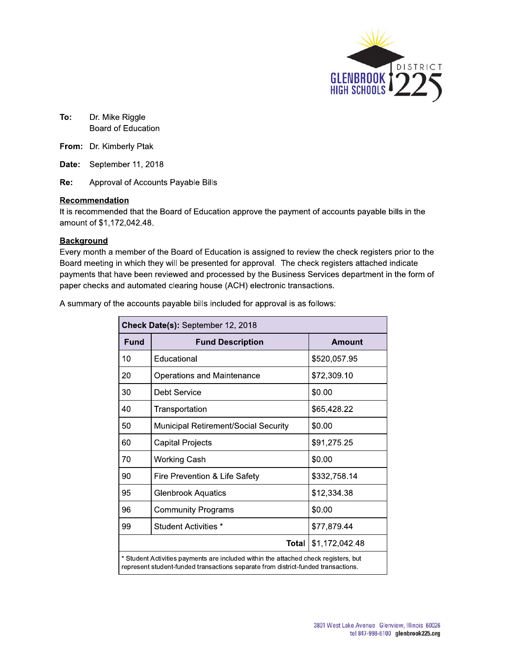

To: **o:** Dr. Mike Riggie Board of Education

**From:** Dr. Kimberly Ptak

Re: Approval of Accounts Payable Bills

#### Recommendation

To: Dr. Mike Riggle<br>
Board of Education<br>
From: Dr. Kimberly Ptak<br>
Date: September 11, 2018<br>
Re: Approval of Accounts Payable Bills<br>
<u>Recommendation</u><br>
It is recommended that the Board of Education a<br>
amount of \$1,172,042.48 It is recommended that the Board of Education approve the payment of accounts payable bills in the amount of \$1,172,042.48.

#### **Background**

From: Dr. Kimberly Ptak<br>
Date: September 11, 2018<br>
Re: Approval of Accounts Payab<br>
Recommendation<br>
It is recommended that the Board of<br>
amount of \$1,172,042.48.<br>
Background<br>
Every month a member of the Board<br>
Board meeting Every month a member of the Board of Education is assigned to review the check registers prior to the Board meeting in which they will be presented for approval. The check registers attached indicate payments that have been reviewed and processed by the Business Services department in the form of paper cnecks and automated clearing nouse (ACH) electronic transactions.

|    |             | A summary of the accounts payable bills included for approval is as follows:                                                                                             |                |
|----|-------------|--------------------------------------------------------------------------------------------------------------------------------------------------------------------------|----------------|
|    |             | Check Date(s): September 12, 2018                                                                                                                                        |                |
|    | <b>Fund</b> | <b>Fund Description</b>                                                                                                                                                  | <b>Amount</b>  |
| 10 |             | Educational                                                                                                                                                              | \$520,057.95   |
| 20 |             | <b>Operations and Maintenance</b>                                                                                                                                        | \$72,309.10    |
| 30 |             | <b>Debt Service</b>                                                                                                                                                      | \$0.00         |
| 40 |             | Transportation                                                                                                                                                           | \$65,428.22    |
| 50 |             | Municipal Retirement/Social Security                                                                                                                                     | \$0.00         |
| 60 |             | <b>Capital Projects</b>                                                                                                                                                  | \$91,275.25    |
| 70 |             | <b>Working Cash</b>                                                                                                                                                      | \$0.00         |
| 90 |             | Fire Prevention & Life Safety                                                                                                                                            | \$332,758.14   |
| 95 |             | <b>Glenbrook Aquatics</b>                                                                                                                                                | \$12,334.38    |
| 96 |             | <b>Community Programs</b>                                                                                                                                                | \$0.00         |
| 99 |             | Student Activities *                                                                                                                                                     | \$77,879.44    |
|    |             | <b>Total</b>                                                                                                                                                             | \$1,172,042.48 |
|    |             | * Student Activities payments are included within the attached check registers, but<br>represent student-funded transactions separate from district-funded transactions. |                |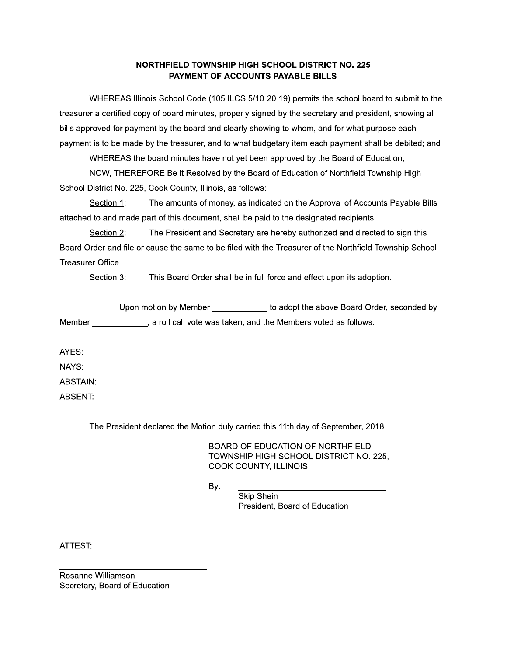#### NORTHFIELD TOWNSHIP HIGH SCHOOL DISTRICT NO. 225 PAYMENT OF ACCOUNTS PAYABLE BILLS

NORTHFIELD TOWNSHIP HIGH SCHOOL DISTRICT NO. 225<br>
PAYMENT OF ACCOUNTS PAYABLE BILLS<br>
WHEREAS Illinois School Code (105 ILCS 5/10-20.19) permits the school board to submit to the<br>
ra certified copy of board minutes, properl treasurer a certified copy of board minutes, properly signed by the secretary and president, showing all bills approved for payment by the board and clearly showing to whom, and for what purpose each payment is to be made by the treasurer, and to what budgetary item each payment shall be debited; and

WHEREAS the board minutes have not yet been approved by the Board of Education;

NOW, THEREFORE Be it Resolved by the Board of Education of Northfield Township High

Section 1: The amounts of money, as indicated on the Approval of Accounts Payable Bills attached to and made part of this document, shall be paid to the designated recipients.

treasurer a certified copy of board minutes, properly signed<br>bills approved for payment by the board and clearly showin<br>payment is to be made by the treasurer, and to what budge<br>WHEREAS the board minutes have not yet been Section 2: The President and Secretary are hereby authorized and directed to sign this Board Order and file or cause the same to be filed with the Treasurer of the Northfield Township School Treasurer Office.

Section 3: This Board Order shall be in full force and effect upon its adoption.

|          |     | Upon motion by Member _____________ to adopt the above Board Order, seconded by                                                                                                                       |
|----------|-----|-------------------------------------------------------------------------------------------------------------------------------------------------------------------------------------------------------|
|          |     | Member _____________, a roll call vote was taken, and the Members voted as follows:                                                                                                                   |
| AYES:    |     |                                                                                                                                                                                                       |
| NAYS:    |     |                                                                                                                                                                                                       |
| ABSTAIN: |     |                                                                                                                                                                                                       |
| ABSENT:  |     |                                                                                                                                                                                                       |
|          | By: | The President declared the Motion duly carried this 11th day of September, 2018.<br>BOARD OF EDUCATION OF NORTHFIELD<br>TOWNSHIP HIGH SCHOOL DISTRICT NO. 225,<br>COOK COUNTY, ILLINOIS<br>Skip Shein |
|          |     | President, Board of Education                                                                                                                                                                         |

ortion duly carried this 11th day of September, 2018.<br>
BOARD OF EDUCATION OF NORTHFIELD<br>
TOWNSHIP HIGH SCHOOL DISTRICT NO. 225,<br>
COOK COUNTY, ILLINOIS<br>
By:<br>
Skip Shein<br>
President, Board of Education dent declared the Motion duly carried this 11th day of<br>
BOARD OF EDUCATION OF<br>
TOWNSHIP HIGH SCHOOL I<br>
COOK COUNTY, ILLINOIS<br>
By:<br>
Skip Shein<br>
President, Board of Equation

ATTEST:

PPPPPPPPPPPPPPPPPPPPPPPPPPPPPPPP #\$:"")! !:7\$#" Secretary, Board of Education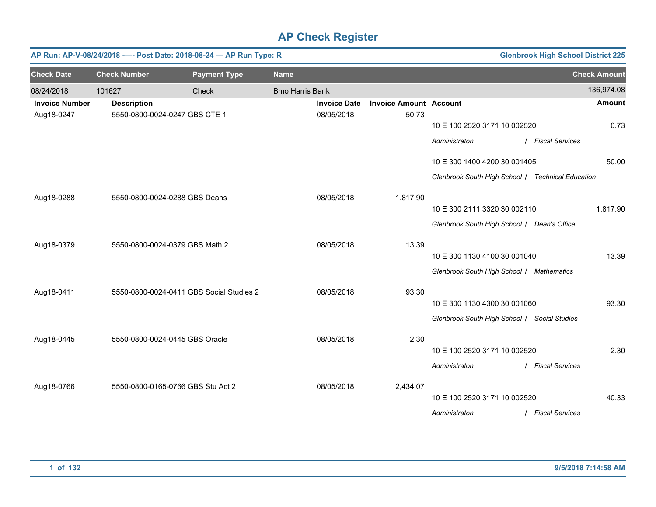|                       | AP Run: AP-V-08/24/2018 ---- Post Date: 2018-08-24 - AP Run Type: R<br><b>Glenbrook High School District 225</b> |                                          |                        |                     |                               |                                                   |                        |                     |  |  |
|-----------------------|------------------------------------------------------------------------------------------------------------------|------------------------------------------|------------------------|---------------------|-------------------------------|---------------------------------------------------|------------------------|---------------------|--|--|
| <b>Check Date</b>     | <b>Check Number</b>                                                                                              | <b>Payment Type</b>                      | <b>Name</b>            |                     |                               |                                                   |                        | <b>Check Amount</b> |  |  |
| 08/24/2018            | 101627                                                                                                           | Check                                    | <b>Bmo Harris Bank</b> |                     |                               |                                                   |                        | 136,974.08          |  |  |
| <b>Invoice Number</b> | <b>Description</b>                                                                                               |                                          |                        | <b>Invoice Date</b> | <b>Invoice Amount Account</b> |                                                   |                        | <b>Amount</b>       |  |  |
| Aug18-0247            |                                                                                                                  | 5550-0800-0024-0247 GBS CTE 1            |                        | 08/05/2018          | 50.73                         | 10 E 100 2520 3171 10 002520                      |                        | 0.73                |  |  |
|                       |                                                                                                                  |                                          |                        |                     |                               | Administraton                                     | <b>Fiscal Services</b> |                     |  |  |
|                       |                                                                                                                  |                                          |                        |                     |                               | 10 E 300 1400 4200 30 001405                      |                        | 50.00               |  |  |
|                       |                                                                                                                  |                                          |                        |                     |                               | Glenbrook South High School / Technical Education |                        |                     |  |  |
| Aug18-0288            |                                                                                                                  | 5550-0800-0024-0288 GBS Deans            |                        | 08/05/2018          | 1,817.90                      |                                                   |                        |                     |  |  |
|                       |                                                                                                                  |                                          |                        |                     |                               | 10 E 300 2111 3320 30 002110                      |                        | 1,817.90            |  |  |
|                       |                                                                                                                  |                                          |                        |                     |                               | Glenbrook South High School   Dean's Office       |                        |                     |  |  |
| Aug18-0379            |                                                                                                                  | 5550-0800-0024-0379 GBS Math 2           |                        | 08/05/2018          | 13.39                         |                                                   |                        |                     |  |  |
|                       |                                                                                                                  |                                          |                        |                     |                               | 10 E 300 1130 4100 30 001040                      |                        | 13.39               |  |  |
|                       |                                                                                                                  |                                          |                        |                     |                               | Glenbrook South High School / Mathematics         |                        |                     |  |  |
| Aug18-0411            |                                                                                                                  | 5550-0800-0024-0411 GBS Social Studies 2 |                        | 08/05/2018          | 93.30                         |                                                   |                        |                     |  |  |
|                       |                                                                                                                  |                                          |                        |                     |                               | 10 E 300 1130 4300 30 001060                      |                        | 93.30               |  |  |
|                       |                                                                                                                  |                                          |                        |                     |                               | Glenbrook South High School / Social Studies      |                        |                     |  |  |
| Aug18-0445            |                                                                                                                  | 5550-0800-0024-0445 GBS Oracle           |                        | 08/05/2018          | 2.30                          |                                                   |                        |                     |  |  |
|                       |                                                                                                                  |                                          |                        |                     |                               | 10 E 100 2520 3171 10 002520                      |                        | 2.30                |  |  |
|                       |                                                                                                                  |                                          |                        |                     |                               | Administraton                                     | / Fiscal Services      |                     |  |  |
| Aug18-0766            |                                                                                                                  | 5550-0800-0165-0766 GBS Stu Act 2        |                        | 08/05/2018          | 2,434.07                      |                                                   |                        |                     |  |  |
|                       |                                                                                                                  |                                          |                        |                     |                               | 10 E 100 2520 3171 10 002520                      |                        | 40.33               |  |  |
|                       |                                                                                                                  |                                          |                        |                     |                               | Administraton                                     | <b>Fiscal Services</b> |                     |  |  |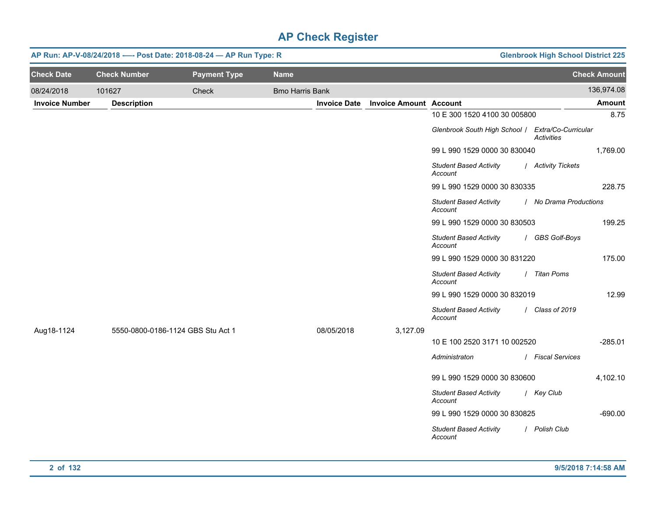| AP Run: AP-V-08/24/2018 ---- Post Date: 2018-08-24 - AP Run Type: R |                                   | <b>Glenbrook High School District 225</b> |                        |                     |                               |                                                   |                        |                     |
|---------------------------------------------------------------------|-----------------------------------|-------------------------------------------|------------------------|---------------------|-------------------------------|---------------------------------------------------|------------------------|---------------------|
| <b>Check Date</b>                                                   | <b>Check Number</b>               | <b>Payment Type</b>                       | <b>Name</b>            |                     |                               |                                                   |                        | <b>Check Amount</b> |
| 08/24/2018                                                          | 101627                            | Check                                     | <b>Bmo Harris Bank</b> |                     |                               |                                                   |                        | 136,974.08          |
| <b>Invoice Number</b>                                               | <b>Description</b>                |                                           |                        | <b>Invoice Date</b> | <b>Invoice Amount Account</b> |                                                   |                        | Amount              |
|                                                                     |                                   |                                           |                        |                     |                               | 10 E 300 1520 4100 30 005800                      |                        | 8.75                |
|                                                                     |                                   |                                           |                        |                     |                               | Glenbrook South High School / Extra/Co-Curricular | <b>Activities</b>      |                     |
|                                                                     |                                   |                                           |                        |                     |                               | 99 L 990 1529 0000 30 830040                      |                        | 1,769.00            |
|                                                                     |                                   |                                           |                        |                     |                               | <b>Student Based Activity</b><br>Account          | / Activity Tickets     |                     |
|                                                                     |                                   |                                           |                        |                     |                               | 99 L 990 1529 0000 30 830335                      |                        | 228.75              |
|                                                                     |                                   |                                           |                        |                     |                               | <b>Student Based Activity</b><br>Account          | / No Drama Productions |                     |
|                                                                     |                                   |                                           |                        |                     |                               | 99 L 990 1529 0000 30 830503                      |                        | 199.25              |
|                                                                     |                                   |                                           |                        |                     |                               | <b>Student Based Activity</b><br>Account          | / GBS Golf-Boys        |                     |
|                                                                     |                                   |                                           |                        |                     |                               | 99 L 990 1529 0000 30 831220                      |                        | 175.00              |
|                                                                     |                                   |                                           |                        |                     |                               | <b>Student Based Activity</b><br>Account          | / Titan Poms           |                     |
|                                                                     |                                   |                                           |                        |                     |                               | 99 L 990 1529 0000 30 832019                      |                        | 12.99               |
|                                                                     |                                   |                                           |                        |                     |                               | <b>Student Based Activity</b><br>Account          | / Class of 2019        |                     |
| Aug18-1124                                                          | 5550-0800-0186-1124 GBS Stu Act 1 |                                           |                        | 08/05/2018          | 3,127.09                      |                                                   |                        |                     |
|                                                                     |                                   |                                           |                        |                     |                               | 10 E 100 2520 3171 10 002520                      |                        | $-285.01$           |
|                                                                     |                                   |                                           |                        |                     |                               | Administraton                                     | / Fiscal Services      |                     |
|                                                                     |                                   |                                           |                        |                     |                               | 99 L 990 1529 0000 30 830600                      |                        | 4,102.10            |
|                                                                     |                                   |                                           |                        |                     |                               | <b>Student Based Activity</b><br>Account          | / Key Club             |                     |
|                                                                     |                                   |                                           |                        |                     |                               | 99 L 990 1529 0000 30 830825                      |                        | $-690.00$           |
|                                                                     |                                   |                                           |                        |                     |                               | <b>Student Based Activity</b><br>Account          | / Polish Club          |                     |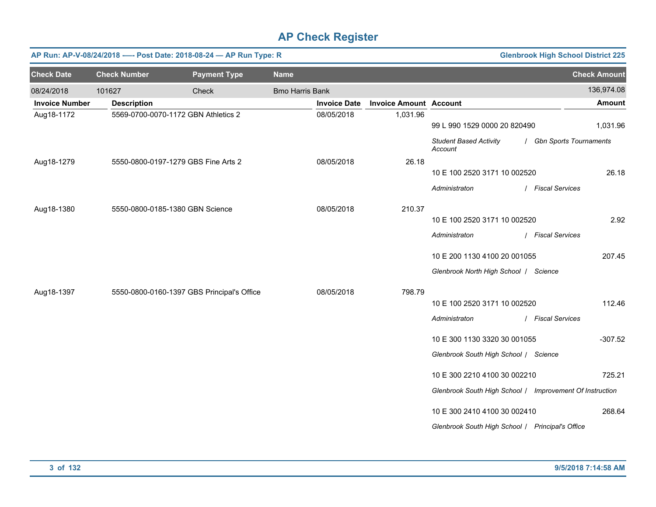|                       | <b>Glenbrook High School District 225</b><br>AP Run: AP-V-08/24/2018 ---- Post Date: 2018-08-24 - AP Run Type: R |                                            |                        |                     |                               |                                                          |                          |  |  |  |
|-----------------------|------------------------------------------------------------------------------------------------------------------|--------------------------------------------|------------------------|---------------------|-------------------------------|----------------------------------------------------------|--------------------------|--|--|--|
| <b>Check Date</b>     | <b>Check Number</b>                                                                                              | <b>Payment Type</b>                        | <b>Name</b>            |                     |                               |                                                          | <b>Check Amount</b>      |  |  |  |
| 08/24/2018            | 101627                                                                                                           | Check                                      | <b>Bmo Harris Bank</b> |                     |                               |                                                          | 136,974.08               |  |  |  |
| <b>Invoice Number</b> | <b>Description</b>                                                                                               |                                            |                        | <b>Invoice Date</b> | <b>Invoice Amount Account</b> |                                                          | <b>Amount</b>            |  |  |  |
| Aug18-1172            |                                                                                                                  | 5569-0700-0070-1172 GBN Athletics 2        |                        | 08/05/2018          | 1,031.96                      | 99 L 990 1529 0000 20 820490                             | 1,031.96                 |  |  |  |
|                       |                                                                                                                  |                                            |                        |                     |                               | <b>Student Based Activity</b><br>Account                 | / Gbn Sports Tournaments |  |  |  |
| Aug18-1279            |                                                                                                                  | 5550-0800-0197-1279 GBS Fine Arts 2        |                        | 08/05/2018          | 26.18                         | 10 E 100 2520 3171 10 002520                             | 26.18                    |  |  |  |
|                       |                                                                                                                  |                                            |                        |                     |                               | Administraton                                            | / Fiscal Services        |  |  |  |
| Aug18-1380            |                                                                                                                  | 5550-0800-0185-1380 GBN Science            |                        | 08/05/2018          | 210.37                        |                                                          |                          |  |  |  |
|                       |                                                                                                                  |                                            |                        |                     |                               | 10 E 100 2520 3171 10 002520                             | 2.92                     |  |  |  |
|                       |                                                                                                                  |                                            |                        |                     |                               | Administraton                                            | / Fiscal Services        |  |  |  |
|                       |                                                                                                                  |                                            |                        |                     |                               | 10 E 200 1130 4100 20 001055                             | 207.45                   |  |  |  |
|                       |                                                                                                                  |                                            |                        |                     |                               | Glenbrook North High School   Science                    |                          |  |  |  |
| Aug18-1397            |                                                                                                                  | 5550-0800-0160-1397 GBS Principal's Office |                        | 08/05/2018          | 798.79                        | 10 E 100 2520 3171 10 002520                             | 112.46                   |  |  |  |
|                       |                                                                                                                  |                                            |                        |                     |                               | Administraton                                            | / Fiscal Services        |  |  |  |
|                       |                                                                                                                  |                                            |                        |                     |                               |                                                          |                          |  |  |  |
|                       |                                                                                                                  |                                            |                        |                     |                               | 10 E 300 1130 3320 30 001055                             | $-307.52$                |  |  |  |
|                       |                                                                                                                  |                                            |                        |                     |                               | Glenbrook South High School / Science                    |                          |  |  |  |
|                       |                                                                                                                  |                                            |                        |                     |                               | 10 E 300 2210 4100 30 002210                             | 725.21                   |  |  |  |
|                       |                                                                                                                  |                                            |                        |                     |                               | Glenbrook South High School / Improvement Of Instruction |                          |  |  |  |
|                       |                                                                                                                  |                                            |                        |                     |                               | 10 E 300 2410 4100 30 002410                             | 268.64                   |  |  |  |
|                       |                                                                                                                  |                                            |                        |                     |                               | Glenbrook South High School / Principal's Office         |                          |  |  |  |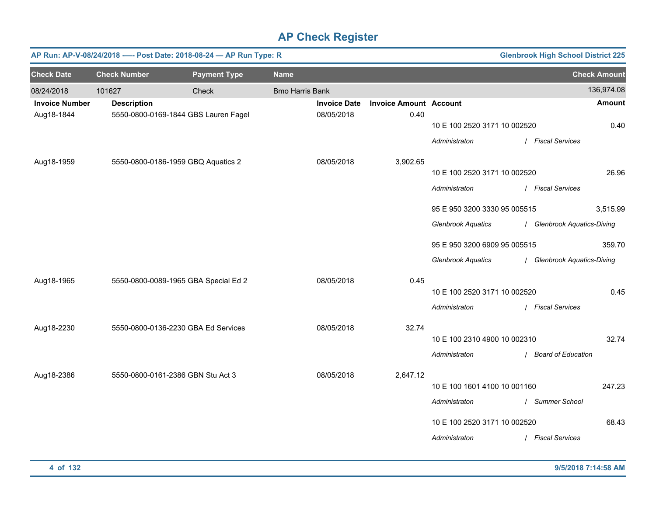|                       | AP Run: AP-V-08/24/2018 ---- Post Date: 2018-08-24 - AP Run Type: R<br><b>Glenbrook High School District 225</b> |                                      |                        |                     |                               |                              |  |                             |                     |  |
|-----------------------|------------------------------------------------------------------------------------------------------------------|--------------------------------------|------------------------|---------------------|-------------------------------|------------------------------|--|-----------------------------|---------------------|--|
| <b>Check Date</b>     | <b>Check Number</b>                                                                                              | <b>Payment Type</b>                  | <b>Name</b>            |                     |                               |                              |  |                             | <b>Check Amount</b> |  |
| 08/24/2018            | 101627                                                                                                           | Check                                | <b>Bmo Harris Bank</b> |                     |                               |                              |  |                             | 136,974.08          |  |
| <b>Invoice Number</b> | <b>Description</b>                                                                                               |                                      |                        | <b>Invoice Date</b> | <b>Invoice Amount Account</b> |                              |  |                             | <b>Amount</b>       |  |
| Aug18-1844            |                                                                                                                  | 5550-0800-0169-1844 GBS Lauren Fagel |                        | 08/05/2018          | 0.40                          | 10 E 100 2520 3171 10 002520 |  |                             | 0.40                |  |
|                       |                                                                                                                  |                                      |                        |                     |                               | Administraton                |  | / Fiscal Services           |                     |  |
| Aug18-1959            |                                                                                                                  | 5550-0800-0186-1959 GBQ Aquatics 2   |                        | 08/05/2018          | 3,902.65                      |                              |  |                             |                     |  |
|                       |                                                                                                                  |                                      |                        |                     |                               | 10 E 100 2520 3171 10 002520 |  |                             | 26.96               |  |
|                       |                                                                                                                  |                                      |                        |                     |                               | Administraton                |  | / Fiscal Services           |                     |  |
|                       |                                                                                                                  |                                      |                        |                     |                               | 95 E 950 3200 3330 95 005515 |  |                             | 3,515.99            |  |
|                       |                                                                                                                  |                                      |                        |                     |                               | <b>Glenbrook Aquatics</b>    |  | / Glenbrook Aquatics-Diving |                     |  |
|                       |                                                                                                                  |                                      |                        |                     |                               | 95 E 950 3200 6909 95 005515 |  |                             | 359.70              |  |
|                       |                                                                                                                  |                                      |                        |                     |                               | <b>Glenbrook Aquatics</b>    |  | / Glenbrook Aquatics-Diving |                     |  |
| Aug18-1965            |                                                                                                                  | 5550-0800-0089-1965 GBA Special Ed 2 |                        | 08/05/2018          | 0.45                          |                              |  |                             |                     |  |
|                       |                                                                                                                  |                                      |                        |                     |                               | 10 E 100 2520 3171 10 002520 |  |                             | 0.45                |  |
|                       |                                                                                                                  |                                      |                        |                     |                               | Administraton                |  | / Fiscal Services           |                     |  |
| Aug18-2230            |                                                                                                                  | 5550-0800-0136-2230 GBA Ed Services  |                        | 08/05/2018          | 32.74                         |                              |  |                             |                     |  |
|                       |                                                                                                                  |                                      |                        |                     |                               | 10 E 100 2310 4900 10 002310 |  |                             | 32.74               |  |
|                       |                                                                                                                  |                                      |                        |                     |                               | Administraton                |  | / Board of Education        |                     |  |
| Aug18-2386            |                                                                                                                  | 5550-0800-0161-2386 GBN Stu Act 3    |                        | 08/05/2018          | 2,647.12                      |                              |  |                             |                     |  |
|                       |                                                                                                                  |                                      |                        |                     |                               | 10 E 100 1601 4100 10 001160 |  |                             | 247.23              |  |
|                       |                                                                                                                  |                                      |                        |                     |                               | Administraton                |  | / Summer School             |                     |  |
|                       |                                                                                                                  |                                      |                        |                     |                               | 10 E 100 2520 3171 10 002520 |  |                             | 68.43               |  |
|                       |                                                                                                                  |                                      |                        |                     |                               | Administraton                |  | / Fiscal Services           |                     |  |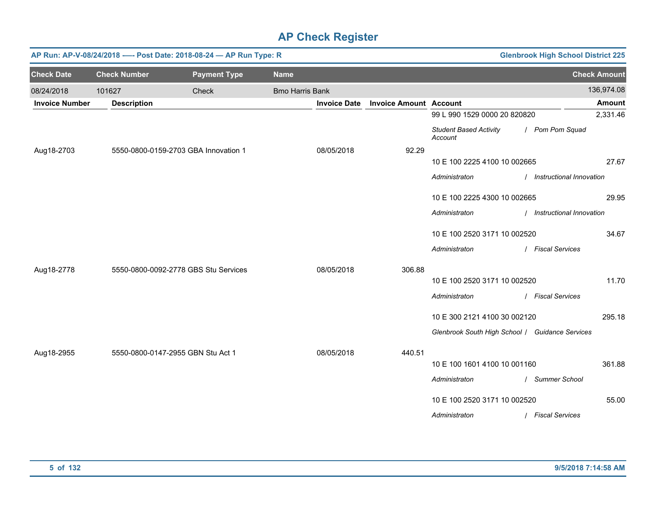|                       | AP Run: AP-V-08/24/2018 ---- Post Date: 2018-08-24 - AP Run Type: R<br><b>Glenbrook High School District 225</b> |                                      |                        |                     |                               |                                                 |                            |                     |  |  |
|-----------------------|------------------------------------------------------------------------------------------------------------------|--------------------------------------|------------------------|---------------------|-------------------------------|-------------------------------------------------|----------------------------|---------------------|--|--|
| <b>Check Date</b>     | <b>Check Number</b>                                                                                              | <b>Payment Type</b>                  | <b>Name</b>            |                     |                               |                                                 |                            | <b>Check Amount</b> |  |  |
| 08/24/2018            | 101627                                                                                                           | Check                                | <b>Bmo Harris Bank</b> |                     |                               |                                                 |                            | 136,974.08          |  |  |
| <b>Invoice Number</b> | <b>Description</b>                                                                                               |                                      |                        | <b>Invoice Date</b> | <b>Invoice Amount Account</b> |                                                 |                            | <b>Amount</b>       |  |  |
|                       |                                                                                                                  |                                      |                        |                     |                               | 99 L 990 1529 0000 20 820820                    |                            | 2,331.46            |  |  |
|                       |                                                                                                                  |                                      |                        |                     |                               | <b>Student Based Activity</b><br>Account        | / Pom Pom Squad            |                     |  |  |
| Aug18-2703            |                                                                                                                  | 5550-0800-0159-2703 GBA Innovation 1 |                        | 08/05/2018          | 92.29                         |                                                 |                            |                     |  |  |
|                       |                                                                                                                  |                                      |                        |                     |                               | 10 E 100 2225 4100 10 002665                    |                            | 27.67               |  |  |
|                       |                                                                                                                  |                                      |                        |                     |                               | Administraton                                   | / Instructional Innovation |                     |  |  |
|                       |                                                                                                                  |                                      |                        |                     |                               | 10 E 100 2225 4300 10 002665                    |                            | 29.95               |  |  |
|                       |                                                                                                                  |                                      |                        |                     |                               | Administraton                                   | / Instructional Innovation |                     |  |  |
|                       |                                                                                                                  |                                      |                        |                     |                               | 10 E 100 2520 3171 10 002520                    |                            | 34.67               |  |  |
|                       |                                                                                                                  |                                      |                        |                     |                               | Administraton                                   | / Fiscal Services          |                     |  |  |
| Aug18-2778            |                                                                                                                  | 5550-0800-0092-2778 GBS Stu Services |                        | 08/05/2018          | 306.88                        |                                                 |                            |                     |  |  |
|                       |                                                                                                                  |                                      |                        |                     |                               | 10 E 100 2520 3171 10 002520                    |                            | 11.70               |  |  |
|                       |                                                                                                                  |                                      |                        |                     |                               | Administraton                                   | / Fiscal Services          |                     |  |  |
|                       |                                                                                                                  |                                      |                        |                     |                               | 10 E 300 2121 4100 30 002120                    |                            | 295.18              |  |  |
|                       |                                                                                                                  |                                      |                        |                     |                               | Glenbrook South High School / Guidance Services |                            |                     |  |  |
| Aug18-2955            |                                                                                                                  | 5550-0800-0147-2955 GBN Stu Act 1    |                        | 08/05/2018          | 440.51                        |                                                 |                            |                     |  |  |
|                       |                                                                                                                  |                                      |                        |                     |                               | 10 E 100 1601 4100 10 001160                    |                            | 361.88              |  |  |
|                       |                                                                                                                  |                                      |                        |                     |                               | Administraton                                   | / Summer School            |                     |  |  |
|                       |                                                                                                                  |                                      |                        |                     |                               | 10 E 100 2520 3171 10 002520                    |                            | 55.00               |  |  |
|                       |                                                                                                                  |                                      |                        |                     |                               | Administraton                                   | / Fiscal Services          |                     |  |  |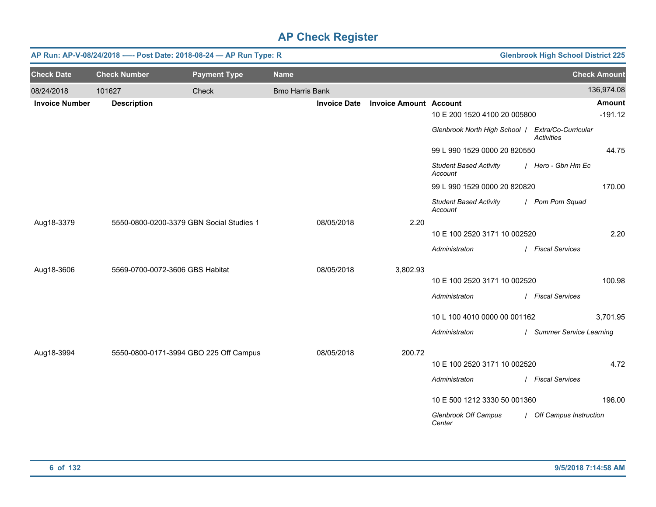|                       | AP Run: AP-V-08/24/2018 ---- Post Date: 2018-08-24 - AP Run Type: R |                                          | <b>Glenbrook High School District 225</b> |                     |                               |                                                   |                           |                     |
|-----------------------|---------------------------------------------------------------------|------------------------------------------|-------------------------------------------|---------------------|-------------------------------|---------------------------------------------------|---------------------------|---------------------|
| <b>Check Date</b>     | <b>Check Number</b>                                                 | <b>Payment Type</b>                      | <b>Name</b>                               |                     |                               |                                                   |                           | <b>Check Amount</b> |
| 08/24/2018            | 101627                                                              | Check                                    | <b>Bmo Harris Bank</b>                    |                     |                               |                                                   |                           | 136,974.08          |
| <b>Invoice Number</b> | <b>Description</b>                                                  |                                          |                                           | <b>Invoice Date</b> | <b>Invoice Amount Account</b> |                                                   |                           | <b>Amount</b>       |
|                       |                                                                     |                                          |                                           |                     |                               | 10 E 200 1520 4100 20 005800                      |                           | $-191.12$           |
|                       |                                                                     |                                          |                                           |                     |                               | Glenbrook North High School   Extra/Co-Curricular | Activities                |                     |
|                       |                                                                     |                                          |                                           |                     |                               | 99 L 990 1529 0000 20 820550                      |                           | 44.75               |
|                       |                                                                     |                                          |                                           |                     |                               | <b>Student Based Activity</b><br>Account          | / Hero - Gbn Hm Ec        |                     |
|                       |                                                                     |                                          |                                           |                     |                               | 99 L 990 1529 0000 20 820820                      |                           | 170.00              |
|                       |                                                                     |                                          |                                           |                     |                               | <b>Student Based Activity</b><br>Account          | / Pom Pom Squad           |                     |
| Aug18-3379            |                                                                     | 5550-0800-0200-3379 GBN Social Studies 1 |                                           | 08/05/2018          | 2.20                          |                                                   |                           |                     |
|                       |                                                                     |                                          |                                           |                     |                               | 10 E 100 2520 3171 10 002520                      |                           | 2.20                |
|                       |                                                                     |                                          |                                           |                     |                               | Administraton                                     | / Fiscal Services         |                     |
| Aug18-3606            |                                                                     | 5569-0700-0072-3606 GBS Habitat          |                                           | 08/05/2018          | 3,802.93                      |                                                   |                           |                     |
|                       |                                                                     |                                          |                                           |                     |                               | 10 E 100 2520 3171 10 002520                      |                           | 100.98              |
|                       |                                                                     |                                          |                                           |                     |                               | Administraton                                     | / Fiscal Services         |                     |
|                       |                                                                     |                                          |                                           |                     |                               | 10 L 100 4010 0000 00 001162                      |                           | 3,701.95            |
|                       |                                                                     |                                          |                                           |                     |                               | Administraton                                     | / Summer Service Learning |                     |
| Aug18-3994            |                                                                     | 5550-0800-0171-3994 GBO 225 Off Campus   |                                           | 08/05/2018          | 200.72                        |                                                   |                           |                     |
|                       |                                                                     |                                          |                                           |                     |                               | 10 E 100 2520 3171 10 002520                      |                           | 4.72                |
|                       |                                                                     |                                          |                                           |                     |                               | Administraton                                     | / Fiscal Services         |                     |
|                       |                                                                     |                                          |                                           |                     |                               |                                                   |                           |                     |
|                       |                                                                     |                                          |                                           |                     |                               | 10 E 500 1212 3330 50 001360                      |                           | 196.00              |
|                       |                                                                     |                                          |                                           |                     |                               | <b>Glenbrook Off Campus</b><br>Center             | / Off Campus Instruction  |                     |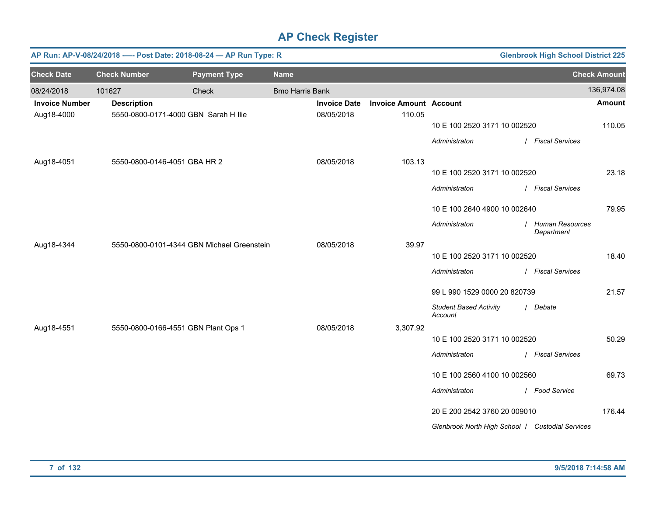|                       |                     | AP Run: AP-V-08/24/2018 ---- Post Date: 2018-08-24 - AP Run Type: R |                        |                     |                               |                                                  | <b>Glenbrook High School District 225</b> |                     |
|-----------------------|---------------------|---------------------------------------------------------------------|------------------------|---------------------|-------------------------------|--------------------------------------------------|-------------------------------------------|---------------------|
| <b>Check Date</b>     | <b>Check Number</b> | <b>Payment Type</b>                                                 | <b>Name</b>            |                     |                               |                                                  |                                           | <b>Check Amount</b> |
| 08/24/2018            | 101627              | Check                                                               | <b>Bmo Harris Bank</b> |                     |                               |                                                  |                                           | 136,974.08          |
| <b>Invoice Number</b> | <b>Description</b>  |                                                                     |                        | <b>Invoice Date</b> | <b>Invoice Amount Account</b> |                                                  |                                           | Amount              |
| Aug18-4000            |                     | 5550-0800-0171-4000 GBN Sarah H Ilie                                |                        | 08/05/2018          | 110.05                        | 10 E 100 2520 3171 10 002520                     |                                           | 110.05              |
|                       |                     |                                                                     |                        |                     |                               | Administraton                                    | / Fiscal Services                         |                     |
| Aug18-4051            |                     | 5550-0800-0146-4051 GBA HR 2                                        |                        | 08/05/2018          | 103.13                        |                                                  |                                           |                     |
|                       |                     |                                                                     |                        |                     |                               | 10 E 100 2520 3171 10 002520                     |                                           | 23.18               |
|                       |                     |                                                                     |                        |                     |                               | Administraton                                    | / Fiscal Services                         |                     |
|                       |                     |                                                                     |                        |                     |                               | 10 E 100 2640 4900 10 002640                     |                                           | 79.95               |
|                       |                     |                                                                     |                        |                     |                               | Administraton                                    | / Human Resources<br>Department           |                     |
| Aug18-4344            |                     | 5550-0800-0101-4344 GBN Michael Greenstein                          |                        | 08/05/2018          | 39.97                         |                                                  |                                           |                     |
|                       |                     |                                                                     |                        |                     |                               | 10 E 100 2520 3171 10 002520                     |                                           | 18.40               |
|                       |                     |                                                                     |                        |                     |                               | Administraton                                    | / Fiscal Services                         |                     |
|                       |                     |                                                                     |                        |                     |                               | 99 L 990 1529 0000 20 820739                     |                                           | 21.57               |
|                       |                     |                                                                     |                        |                     |                               | <b>Student Based Activity</b><br>Account         | / Debate                                  |                     |
| Aug18-4551            |                     | 5550-0800-0166-4551 GBN Plant Ops 1                                 |                        | 08/05/2018          | 3,307.92                      |                                                  |                                           |                     |
|                       |                     |                                                                     |                        |                     |                               | 10 E 100 2520 3171 10 002520                     |                                           | 50.29               |
|                       |                     |                                                                     |                        |                     |                               | Administraton                                    | / Fiscal Services                         |                     |
|                       |                     |                                                                     |                        |                     |                               | 10 E 100 2560 4100 10 002560                     |                                           | 69.73               |
|                       |                     |                                                                     |                        |                     |                               | Administraton                                    | / Food Service                            |                     |
|                       |                     |                                                                     |                        |                     |                               | 20 E 200 2542 3760 20 009010                     |                                           | 176.44              |
|                       |                     |                                                                     |                        |                     |                               | Glenbrook North High School / Custodial Services |                                           |                     |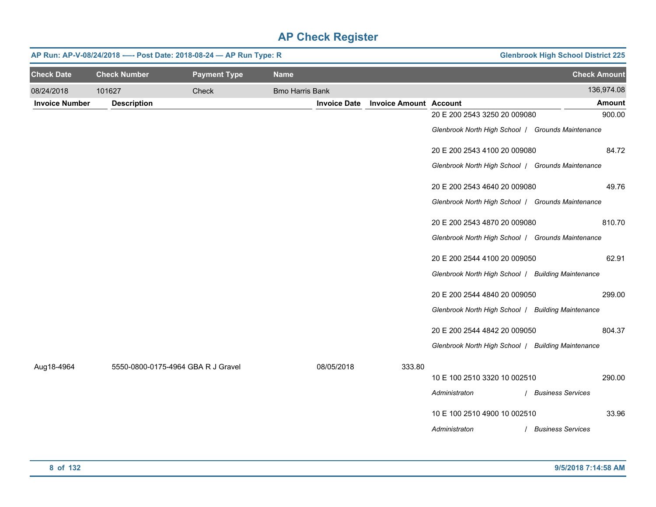| AP Run: AP-V-08/24/2018 ---- Post Date: 2018-08-24 - AP Run Type: R |                                    |                     |                        |                     |                               |                                                    | <b>Glenbrook High School District 225</b> |
|---------------------------------------------------------------------|------------------------------------|---------------------|------------------------|---------------------|-------------------------------|----------------------------------------------------|-------------------------------------------|
| <b>Check Date</b>                                                   | <b>Check Number</b>                | <b>Payment Type</b> | <b>Name</b>            |                     |                               |                                                    | <b>Check Amount</b>                       |
| 08/24/2018                                                          | 101627                             | Check               | <b>Bmo Harris Bank</b> |                     |                               |                                                    | 136,974.08                                |
| <b>Invoice Number</b>                                               | <b>Description</b>                 |                     |                        | <b>Invoice Date</b> | <b>Invoice Amount Account</b> |                                                    | <b>Amount</b>                             |
|                                                                     |                                    |                     |                        |                     |                               | 20 E 200 2543 3250 20 009080                       | 900.00                                    |
|                                                                     |                                    |                     |                        |                     |                               | Glenbrook North High School   Grounds Maintenance  |                                           |
|                                                                     |                                    |                     |                        |                     |                               | 20 E 200 2543 4100 20 009080                       | 84.72                                     |
|                                                                     |                                    |                     |                        |                     |                               | Glenbrook North High School   Grounds Maintenance  |                                           |
|                                                                     |                                    |                     |                        |                     |                               | 20 E 200 2543 4640 20 009080                       | 49.76                                     |
|                                                                     |                                    |                     |                        |                     |                               | Glenbrook North High School   Grounds Maintenance  |                                           |
|                                                                     |                                    |                     |                        |                     |                               | 20 E 200 2543 4870 20 009080                       | 810.70                                    |
|                                                                     |                                    |                     |                        |                     |                               | Glenbrook North High School   Grounds Maintenance  |                                           |
|                                                                     |                                    |                     |                        |                     |                               | 20 E 200 2544 4100 20 009050                       | 62.91                                     |
|                                                                     |                                    |                     |                        |                     |                               | Glenbrook North High School   Building Maintenance |                                           |
|                                                                     |                                    |                     |                        |                     |                               | 20 E 200 2544 4840 20 009050                       | 299.00                                    |
|                                                                     |                                    |                     |                        |                     |                               | Glenbrook North High School   Building Maintenance |                                           |
|                                                                     |                                    |                     |                        |                     |                               | 20 E 200 2544 4842 20 009050                       | 804.37                                    |
|                                                                     |                                    |                     |                        |                     |                               | Glenbrook North High School   Building Maintenance |                                           |
| Aug18-4964                                                          | 5550-0800-0175-4964 GBA R J Gravel |                     |                        | 08/05/2018          | 333.80                        |                                                    |                                           |
|                                                                     |                                    |                     |                        |                     |                               | 10 E 100 2510 3320 10 002510                       | 290.00                                    |
|                                                                     |                                    |                     |                        |                     |                               | Administraton                                      | <b>Business Services</b>                  |
|                                                                     |                                    |                     |                        |                     |                               | 10 E 100 2510 4900 10 002510                       | 33.96                                     |
|                                                                     |                                    |                     |                        |                     |                               | Administraton                                      | <b>Business Services</b>                  |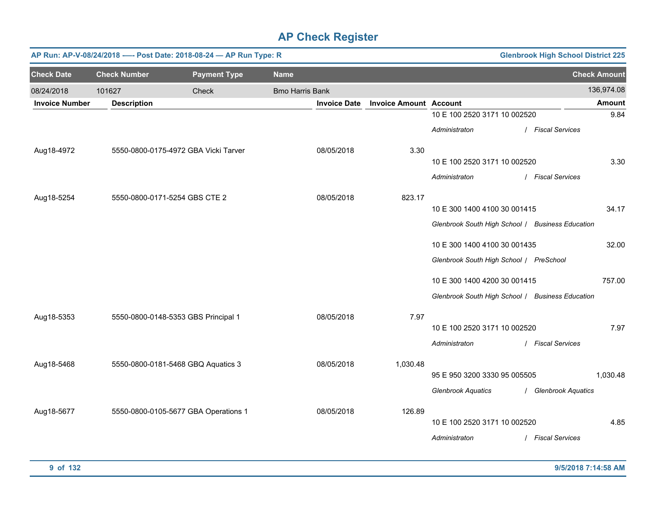|                       | AP Run: AP-V-08/24/2018 ---- Post Date: 2018-08-24 - AP Run Type: R<br><b>Glenbrook High School District 225</b> |                                      |                        |                               |                                                  |  |                      |                     |  |  |
|-----------------------|------------------------------------------------------------------------------------------------------------------|--------------------------------------|------------------------|-------------------------------|--------------------------------------------------|--|----------------------|---------------------|--|--|
| <b>Check Date</b>     | <b>Check Number</b>                                                                                              | <b>Payment Type</b>                  | <b>Name</b>            |                               |                                                  |  |                      | <b>Check Amount</b> |  |  |
| 08/24/2018            | 101627                                                                                                           | Check                                | <b>Bmo Harris Bank</b> |                               |                                                  |  |                      | 136,974.08          |  |  |
| <b>Invoice Number</b> | <b>Description</b>                                                                                               |                                      | <b>Invoice Date</b>    | <b>Invoice Amount Account</b> |                                                  |  |                      | <b>Amount</b>       |  |  |
|                       |                                                                                                                  |                                      |                        |                               | 10 E 100 2520 3171 10 002520                     |  |                      | 9.84                |  |  |
|                       |                                                                                                                  |                                      |                        |                               | Administraton                                    |  | / Fiscal Services    |                     |  |  |
| Aug18-4972            |                                                                                                                  | 5550-0800-0175-4972 GBA Vicki Tarver | 08/05/2018             | 3.30                          |                                                  |  |                      |                     |  |  |
|                       |                                                                                                                  |                                      |                        |                               | 10 E 100 2520 3171 10 002520                     |  |                      | 3.30                |  |  |
|                       |                                                                                                                  |                                      |                        |                               | Administraton                                    |  | / Fiscal Services    |                     |  |  |
| Aug18-5254            |                                                                                                                  | 5550-0800-0171-5254 GBS CTE 2        | 08/05/2018             | 823.17                        |                                                  |  |                      |                     |  |  |
|                       |                                                                                                                  |                                      |                        |                               | 10 E 300 1400 4100 30 001415                     |  |                      | 34.17               |  |  |
|                       |                                                                                                                  |                                      |                        |                               | Glenbrook South High School / Business Education |  |                      |                     |  |  |
|                       |                                                                                                                  |                                      |                        |                               | 10 E 300 1400 4100 30 001435                     |  |                      | 32.00               |  |  |
|                       |                                                                                                                  |                                      |                        |                               | Glenbrook South High School / PreSchool          |  |                      |                     |  |  |
|                       |                                                                                                                  |                                      |                        |                               | 10 E 300 1400 4200 30 001415                     |  |                      | 757.00              |  |  |
|                       |                                                                                                                  |                                      |                        |                               | Glenbrook South High School / Business Education |  |                      |                     |  |  |
| Aug18-5353            |                                                                                                                  | 5550-0800-0148-5353 GBS Principal 1  | 08/05/2018             | 7.97                          |                                                  |  |                      |                     |  |  |
|                       |                                                                                                                  |                                      |                        |                               | 10 E 100 2520 3171 10 002520                     |  |                      | 7.97                |  |  |
|                       |                                                                                                                  |                                      |                        |                               | Administraton                                    |  | / Fiscal Services    |                     |  |  |
| Aug18-5468            |                                                                                                                  | 5550-0800-0181-5468 GBQ Aquatics 3   | 08/05/2018             | 1,030.48                      |                                                  |  |                      |                     |  |  |
|                       |                                                                                                                  |                                      |                        |                               | 95 E 950 3200 3330 95 005505                     |  |                      | 1,030.48            |  |  |
|                       |                                                                                                                  |                                      |                        |                               | <b>Glenbrook Aquatics</b>                        |  | / Glenbrook Aquatics |                     |  |  |
| Aug18-5677            |                                                                                                                  | 5550-0800-0105-5677 GBA Operations 1 | 08/05/2018             | 126.89                        |                                                  |  |                      |                     |  |  |
|                       |                                                                                                                  |                                      |                        |                               | 10 E 100 2520 3171 10 002520                     |  |                      | 4.85                |  |  |
|                       |                                                                                                                  |                                      |                        |                               | Administraton                                    |  | / Fiscal Services    |                     |  |  |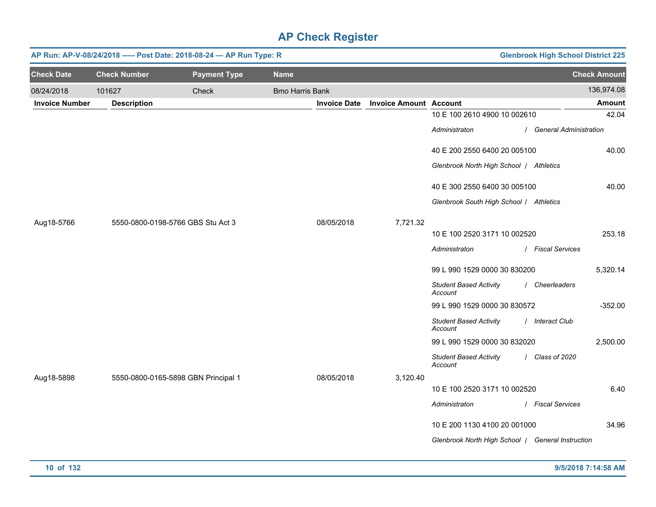|                       | AP Run: AP-V-08/24/2018 ---- Post Date: 2018-08-24 - AP Run Type: R<br><b>Glenbrook High School District 225</b> |                                     |                        |                     |                               |                                                   |                          |                     |  |
|-----------------------|------------------------------------------------------------------------------------------------------------------|-------------------------------------|------------------------|---------------------|-------------------------------|---------------------------------------------------|--------------------------|---------------------|--|
| <b>Check Date</b>     | <b>Check Number</b>                                                                                              | <b>Payment Type</b>                 | <b>Name</b>            |                     |                               |                                                   |                          | <b>Check Amount</b> |  |
| 08/24/2018            | 101627                                                                                                           | Check                               | <b>Bmo Harris Bank</b> |                     |                               |                                                   |                          | 136,974.08          |  |
| <b>Invoice Number</b> | <b>Description</b>                                                                                               |                                     |                        | <b>Invoice Date</b> | <b>Invoice Amount Account</b> |                                                   |                          | Amount              |  |
|                       |                                                                                                                  |                                     |                        |                     |                               | 10 E 100 2610 4900 10 002610                      |                          | 42.04               |  |
|                       |                                                                                                                  |                                     |                        |                     |                               | Administraton                                     | / General Administration |                     |  |
|                       |                                                                                                                  |                                     |                        |                     |                               | 40 E 200 2550 6400 20 005100                      |                          | 40.00               |  |
|                       |                                                                                                                  |                                     |                        |                     |                               | Glenbrook North High School   Athletics           |                          |                     |  |
|                       |                                                                                                                  |                                     |                        |                     |                               | 40 E 300 2550 6400 30 005100                      |                          | 40.00               |  |
|                       |                                                                                                                  |                                     |                        |                     |                               | Glenbrook South High School / Athletics           |                          |                     |  |
| Aug18-5766            |                                                                                                                  | 5550-0800-0198-5766 GBS Stu Act 3   |                        | 08/05/2018          | 7,721.32                      |                                                   |                          |                     |  |
|                       |                                                                                                                  |                                     |                        |                     |                               | 10 E 100 2520 3171 10 002520                      |                          | 253.18              |  |
|                       |                                                                                                                  |                                     |                        |                     |                               | Administraton                                     | / Fiscal Services        |                     |  |
|                       |                                                                                                                  |                                     |                        |                     |                               | 99 L 990 1529 0000 30 830200                      |                          | 5,320.14            |  |
|                       |                                                                                                                  |                                     |                        |                     |                               | <b>Student Based Activity</b><br>Account          | / Cheerleaders           |                     |  |
|                       |                                                                                                                  |                                     |                        |                     |                               | 99 L 990 1529 0000 30 830572                      |                          | $-352.00$           |  |
|                       |                                                                                                                  |                                     |                        |                     |                               | <b>Student Based Activity</b><br>Account          | / Interact Club          |                     |  |
|                       |                                                                                                                  |                                     |                        |                     |                               | 99 L 990 1529 0000 30 832020                      |                          | 2,500.00            |  |
|                       |                                                                                                                  |                                     |                        |                     |                               | <b>Student Based Activity</b><br>Account          | / Class of 2020          |                     |  |
| Aug18-5898            |                                                                                                                  | 5550-0800-0165-5898 GBN Principal 1 |                        | 08/05/2018          | 3,120.40                      |                                                   |                          |                     |  |
|                       |                                                                                                                  |                                     |                        |                     |                               | 10 E 100 2520 3171 10 002520                      |                          | 6.40                |  |
|                       |                                                                                                                  |                                     |                        |                     |                               | Administraton                                     | / Fiscal Services        |                     |  |
|                       |                                                                                                                  |                                     |                        |                     |                               | 10 E 200 1130 4100 20 001000                      |                          | 34.96               |  |
|                       |                                                                                                                  |                                     |                        |                     |                               | Glenbrook North High School   General Instruction |                          |                     |  |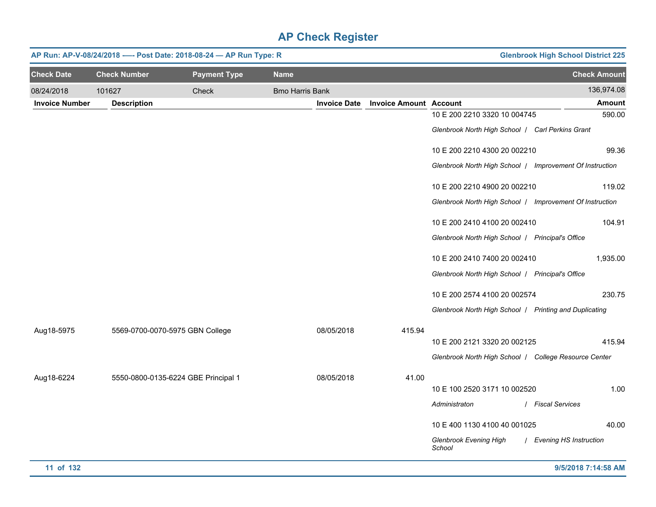|                       | AP Run: AP-V-08/24/2018 ---- Post Date: 2018-08-24 - AP Run Type: R |                     |                        |                     |                               |                                                          | <b>Glenbrook High School District 225</b> |
|-----------------------|---------------------------------------------------------------------|---------------------|------------------------|---------------------|-------------------------------|----------------------------------------------------------|-------------------------------------------|
| <b>Check Date</b>     | <b>Check Number</b>                                                 | <b>Payment Type</b> | <b>Name</b>            |                     |                               |                                                          | <b>Check Amount</b>                       |
| 08/24/2018            | 101627                                                              | Check               | <b>Bmo Harris Bank</b> |                     |                               |                                                          | 136,974.08                                |
| <b>Invoice Number</b> | <b>Description</b>                                                  |                     |                        | <b>Invoice Date</b> | <b>Invoice Amount Account</b> |                                                          | Amount                                    |
|                       |                                                                     |                     |                        |                     |                               | 10 E 200 2210 3320 10 004745                             | 590.00                                    |
|                       |                                                                     |                     |                        |                     |                               | Glenbrook North High School   Carl Perkins Grant         |                                           |
|                       |                                                                     |                     |                        |                     |                               | 10 E 200 2210 4300 20 002210                             | 99.36                                     |
|                       |                                                                     |                     |                        |                     |                               | Glenbrook North High School / Improvement Of Instruction |                                           |
|                       |                                                                     |                     |                        |                     |                               | 10 E 200 2210 4900 20 002210                             | 119.02                                    |
|                       |                                                                     |                     |                        |                     |                               | Glenbrook North High School / Improvement Of Instruction |                                           |
|                       |                                                                     |                     |                        |                     |                               | 10 E 200 2410 4100 20 002410                             | 104.91                                    |
|                       |                                                                     |                     |                        |                     |                               | Glenbrook North High School   Principal's Office         |                                           |
|                       |                                                                     |                     |                        |                     |                               | 10 E 200 2410 7400 20 002410                             | 1,935.00                                  |
|                       |                                                                     |                     |                        |                     |                               | Glenbrook North High School   Principal's Office         |                                           |
|                       |                                                                     |                     |                        |                     |                               | 10 E 200 2574 4100 20 002574                             | 230.75                                    |
|                       |                                                                     |                     |                        |                     |                               | Glenbrook North High School   Printing and Duplicating   |                                           |
| Aug18-5975            | 5569-0700-0070-5975 GBN College                                     |                     |                        | 08/05/2018          | 415.94                        |                                                          |                                           |
|                       |                                                                     |                     |                        |                     |                               | 10 E 200 2121 3320 20 002125                             | 415.94                                    |
|                       |                                                                     |                     |                        |                     |                               | Glenbrook North High School / College Resource Center    |                                           |
| Aug18-6224            | 5550-0800-0135-6224 GBE Principal 1                                 |                     |                        | 08/05/2018          | 41.00                         |                                                          |                                           |
|                       |                                                                     |                     |                        |                     |                               | 10 E 100 2520 3171 10 002520                             | 1.00                                      |
|                       |                                                                     |                     |                        |                     |                               | Administraton                                            | / Fiscal Services                         |
|                       |                                                                     |                     |                        |                     |                               | 10 E 400 1130 4100 40 001025                             | 40.00                                     |
|                       |                                                                     |                     |                        |                     |                               | Glenbrook Evening High<br>School                         | / Evening HS Instruction                  |
| 11 of 132             |                                                                     |                     |                        |                     |                               |                                                          | 9/5/2018 7:14:58 AM                       |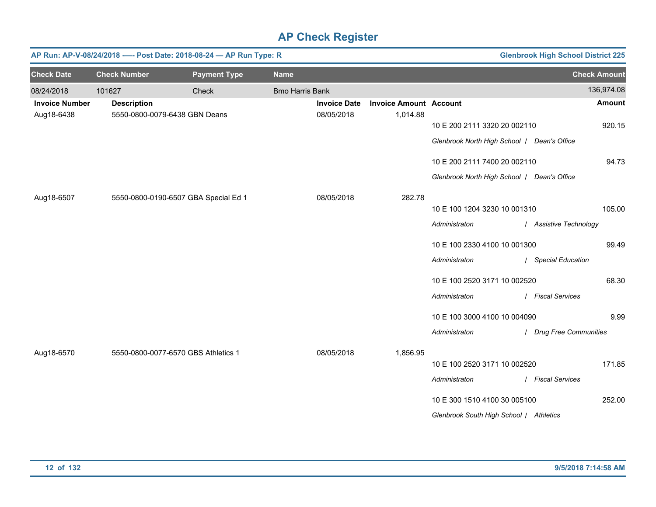|                       | <b>Glenbrook High School District 225</b><br>AP Run: AP-V-08/24/2018 ---- Post Date: 2018-08-24 - AP Run Type: R |                                      |                        |                     |                               |                                                                                                                          |                                                                  |  |  |
|-----------------------|------------------------------------------------------------------------------------------------------------------|--------------------------------------|------------------------|---------------------|-------------------------------|--------------------------------------------------------------------------------------------------------------------------|------------------------------------------------------------------|--|--|
| <b>Check Date</b>     | <b>Check Number</b>                                                                                              | <b>Payment Type</b>                  | <b>Name</b>            |                     |                               |                                                                                                                          | <b>Check Amount</b>                                              |  |  |
| 08/24/2018            | 101627                                                                                                           | Check                                | <b>Bmo Harris Bank</b> |                     |                               |                                                                                                                          | 136,974.08                                                       |  |  |
| <b>Invoice Number</b> | <b>Description</b>                                                                                               |                                      |                        | <b>Invoice Date</b> | <b>Invoice Amount Account</b> |                                                                                                                          | <b>Amount</b>                                                    |  |  |
| Aug18-6438            |                                                                                                                  | 5550-0800-0079-6438 GBN Deans        |                        | 08/05/2018          | 1,014.88                      | 10 E 200 2111 3320 20 002110<br>Glenbrook North High School   Dean's Office                                              | 920.15                                                           |  |  |
|                       |                                                                                                                  |                                      |                        |                     |                               | 10 E 200 2111 7400 20 002110                                                                                             | 94.73                                                            |  |  |
|                       |                                                                                                                  |                                      |                        |                     |                               | Glenbrook North High School   Dean's Office                                                                              |                                                                  |  |  |
| Aug18-6507            |                                                                                                                  | 5550-0800-0190-6507 GBA Special Ed 1 |                        | 08/05/2018          | 282.78                        | 10 E 100 1204 3230 10 001310<br>Administraton<br>10 E 100 2330 4100 10 001300<br>Administraton                           | 105.00<br>/ Assistive Technology<br>99.49<br>/ Special Education |  |  |
|                       |                                                                                                                  |                                      |                        |                     |                               | 10 E 100 2520 3171 10 002520<br>Administraton<br>10 E 100 3000 4100 10 004090<br>Administraton                           | 68.30<br>/ Fiscal Services<br>9.99<br>/ Drug Free Communities    |  |  |
| Aug18-6570            |                                                                                                                  | 5550-0800-0077-6570 GBS Athletics 1  |                        | 08/05/2018          | 1,856.95                      | 10 E 100 2520 3171 10 002520<br>Administraton<br>10 E 300 1510 4100 30 005100<br>Glenbrook South High School / Athletics | 171.85<br>/ Fiscal Services<br>252.00                            |  |  |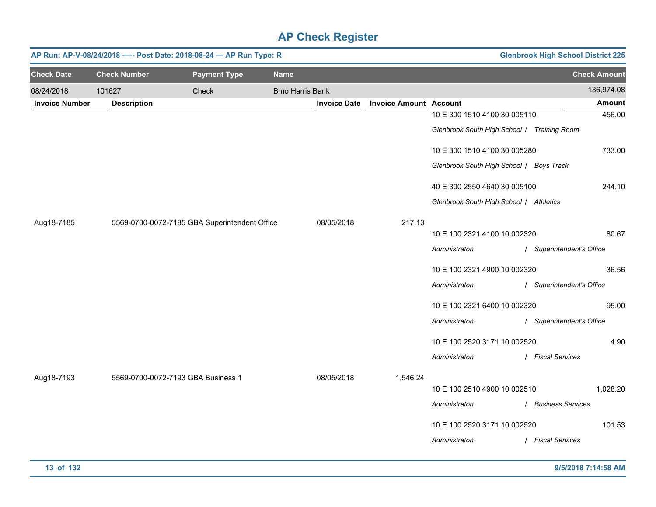|                       | AP Run: AP-V-08/24/2018 ---- Post Date: 2018-08-24 - AP Run Type: R<br><b>Glenbrook High School District 225</b> |                                               |                        |                     |                               |                                             |                           |  |
|-----------------------|------------------------------------------------------------------------------------------------------------------|-----------------------------------------------|------------------------|---------------------|-------------------------------|---------------------------------------------|---------------------------|--|
| <b>Check Date</b>     | <b>Check Number</b>                                                                                              | <b>Payment Type</b>                           | <b>Name</b>            |                     |                               |                                             | <b>Check Amount</b>       |  |
| 08/24/2018            | 101627                                                                                                           | Check                                         | <b>Bmo Harris Bank</b> |                     |                               |                                             | 136,974.08                |  |
| <b>Invoice Number</b> | <b>Description</b>                                                                                               |                                               |                        | <b>Invoice Date</b> | <b>Invoice Amount Account</b> |                                             | <b>Amount</b>             |  |
|                       |                                                                                                                  |                                               |                        |                     |                               | 10 E 300 1510 4100 30 005110                | 456.00                    |  |
|                       |                                                                                                                  |                                               |                        |                     |                               | Glenbrook South High School / Training Room |                           |  |
|                       |                                                                                                                  |                                               |                        |                     |                               | 10 E 300 1510 4100 30 005280                | 733.00                    |  |
|                       |                                                                                                                  |                                               |                        |                     |                               | Glenbrook South High School / Boys Track    |                           |  |
|                       |                                                                                                                  |                                               |                        |                     |                               | 40 E 300 2550 4640 30 005100                | 244.10                    |  |
|                       |                                                                                                                  |                                               |                        |                     |                               | Glenbrook South High School / Athletics     |                           |  |
| Aug18-7185            |                                                                                                                  | 5569-0700-0072-7185 GBA Superintendent Office |                        | 08/05/2018          | 217.13                        |                                             |                           |  |
|                       |                                                                                                                  |                                               |                        |                     |                               | 10 E 100 2321 4100 10 002320                | 80.67                     |  |
|                       |                                                                                                                  |                                               |                        |                     |                               | Administraton                               | / Superintendent's Office |  |
|                       |                                                                                                                  |                                               |                        |                     |                               | 10 E 100 2321 4900 10 002320                | 36.56                     |  |
|                       |                                                                                                                  |                                               |                        |                     |                               | Administraton                               | / Superintendent's Office |  |
|                       |                                                                                                                  |                                               |                        |                     |                               | 10 E 100 2321 6400 10 002320                | 95.00                     |  |
|                       |                                                                                                                  |                                               |                        |                     |                               | Administraton                               | / Superintendent's Office |  |
|                       |                                                                                                                  |                                               |                        |                     |                               | 10 E 100 2520 3171 10 002520                | 4.90                      |  |
|                       |                                                                                                                  |                                               |                        |                     |                               | Administraton                               | / Fiscal Services         |  |
| Aug18-7193            | 5569-0700-0072-7193 GBA Business 1                                                                               |                                               |                        | 08/05/2018          | 1,546.24                      |                                             |                           |  |
|                       |                                                                                                                  |                                               |                        |                     |                               | 10 E 100 2510 4900 10 002510                | 1,028.20                  |  |
|                       |                                                                                                                  |                                               |                        |                     |                               | Administraton                               | / Business Services       |  |
|                       |                                                                                                                  |                                               |                        |                     |                               | 10 E 100 2520 3171 10 002520                | 101.53                    |  |
|                       |                                                                                                                  |                                               |                        |                     |                               | Administraton                               | / Fiscal Services         |  |
|                       |                                                                                                                  |                                               |                        |                     |                               |                                             |                           |  |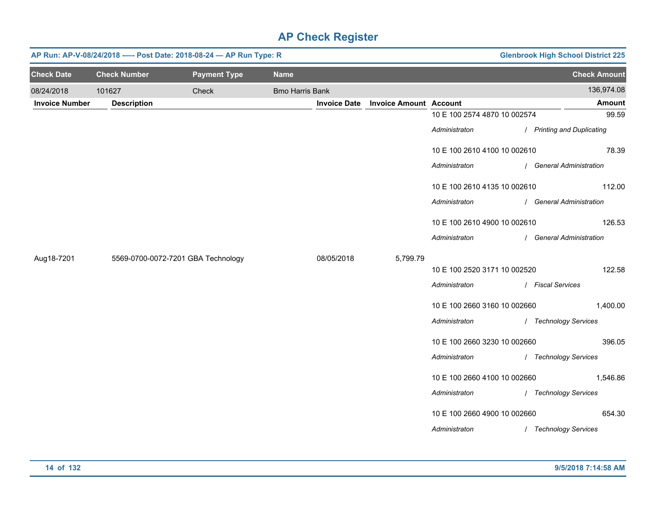|                       | <b>Glenbrook High School District 225</b><br>AP Run: AP-V-08/24/2018 ---- Post Date: 2018-08-24 - AP Run Type: R |                                    |                        |                     |                               |                              |                            |  |
|-----------------------|------------------------------------------------------------------------------------------------------------------|------------------------------------|------------------------|---------------------|-------------------------------|------------------------------|----------------------------|--|
| <b>Check Date</b>     | <b>Check Number</b>                                                                                              | <b>Payment Type</b>                | <b>Name</b>            |                     |                               |                              | <b>Check Amount</b>        |  |
| 08/24/2018            | 101627                                                                                                           | Check                              | <b>Bmo Harris Bank</b> |                     |                               |                              | 136,974.08                 |  |
| <b>Invoice Number</b> | <b>Description</b>                                                                                               |                                    |                        | <b>Invoice Date</b> | <b>Invoice Amount Account</b> |                              | Amount                     |  |
|                       |                                                                                                                  |                                    |                        |                     |                               | 10 E 100 2574 4870 10 002574 | 99.59                      |  |
|                       |                                                                                                                  |                                    |                        |                     |                               | Administraton                | / Printing and Duplicating |  |
|                       |                                                                                                                  |                                    |                        |                     |                               | 10 E 100 2610 4100 10 002610 | 78.39                      |  |
|                       |                                                                                                                  |                                    |                        |                     |                               | Administraton                | / General Administration   |  |
|                       |                                                                                                                  |                                    |                        |                     |                               | 10 E 100 2610 4135 10 002610 | 112.00                     |  |
|                       |                                                                                                                  |                                    |                        |                     |                               | Administraton                | / General Administration   |  |
|                       |                                                                                                                  |                                    |                        |                     |                               | 10 E 100 2610 4900 10 002610 | 126.53                     |  |
|                       |                                                                                                                  |                                    |                        |                     |                               | Administraton                | / General Administration   |  |
| Aug18-7201            |                                                                                                                  | 5569-0700-0072-7201 GBA Technology |                        | 08/05/2018          | 5,799.79                      |                              |                            |  |
|                       |                                                                                                                  |                                    |                        |                     |                               | 10 E 100 2520 3171 10 002520 | 122.58                     |  |
|                       |                                                                                                                  |                                    |                        |                     |                               | Administraton                | / Fiscal Services          |  |
|                       |                                                                                                                  |                                    |                        |                     |                               | 10 E 100 2660 3160 10 002660 | 1,400.00                   |  |
|                       |                                                                                                                  |                                    |                        |                     |                               | Administraton                | / Technology Services      |  |
|                       |                                                                                                                  |                                    |                        |                     |                               | 10 E 100 2660 3230 10 002660 | 396.05                     |  |
|                       |                                                                                                                  |                                    |                        |                     |                               | Administraton                | / Technology Services      |  |
|                       |                                                                                                                  |                                    |                        |                     |                               | 10 E 100 2660 4100 10 002660 | 1,546.86                   |  |
|                       |                                                                                                                  |                                    |                        |                     |                               | Administraton                | / Technology Services      |  |
|                       |                                                                                                                  |                                    |                        |                     |                               | 10 E 100 2660 4900 10 002660 | 654.30                     |  |
|                       |                                                                                                                  |                                    |                        |                     |                               | Administraton                | / Technology Services      |  |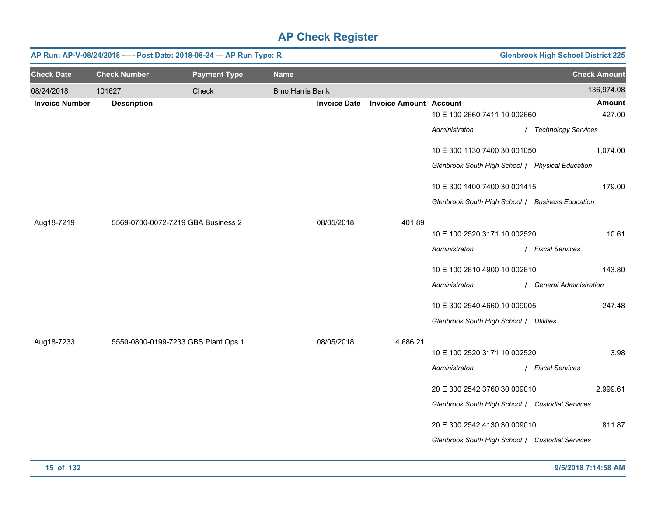|                       | <b>Glenbrook High School District 225</b><br>AP Run: AP-V-08/24/2018 ---- Post Date: 2018-08-24 - AP Run Type: R |                                     |                        |                     |                               |                                                  |  |                          |                              |  |        |
|-----------------------|------------------------------------------------------------------------------------------------------------------|-------------------------------------|------------------------|---------------------|-------------------------------|--------------------------------------------------|--|--------------------------|------------------------------|--|--------|
| <b>Check Date</b>     | <b>Check Number</b>                                                                                              | <b>Payment Type</b>                 | <b>Name</b>            |                     |                               |                                                  |  | <b>Check Amount</b>      |                              |  |        |
| 08/24/2018            | 101627                                                                                                           | Check                               | <b>Bmo Harris Bank</b> |                     |                               |                                                  |  | 136,974.08               |                              |  |        |
| <b>Invoice Number</b> | <b>Description</b>                                                                                               |                                     |                        | <b>Invoice Date</b> | <b>Invoice Amount Account</b> |                                                  |  | <b>Amount</b>            |                              |  |        |
|                       |                                                                                                                  |                                     |                        |                     |                               | 10 E 100 2660 7411 10 002660                     |  | 427.00                   |                              |  |        |
|                       |                                                                                                                  |                                     |                        |                     |                               | Administraton                                    |  | / Technology Services    |                              |  |        |
|                       |                                                                                                                  |                                     |                        |                     |                               | 10 E 300 1130 7400 30 001050                     |  | 1,074.00                 |                              |  |        |
|                       |                                                                                                                  |                                     |                        |                     |                               | Glenbrook South High School / Physical Education |  |                          |                              |  |        |
|                       |                                                                                                                  |                                     |                        |                     |                               | 10 E 300 1400 7400 30 001415                     |  | 179.00                   |                              |  |        |
|                       |                                                                                                                  |                                     |                        |                     |                               | Glenbrook South High School / Business Education |  |                          |                              |  |        |
| Aug18-7219            |                                                                                                                  | 5569-0700-0072-7219 GBA Business 2  |                        | 08/05/2018          | 401.89                        |                                                  |  |                          |                              |  |        |
|                       |                                                                                                                  |                                     |                        |                     |                               | 10 E 100 2520 3171 10 002520                     |  | 10.61                    |                              |  |        |
|                       |                                                                                                                  |                                     |                        |                     |                               | Administraton                                    |  | / Fiscal Services        |                              |  |        |
|                       |                                                                                                                  |                                     |                        |                     |                               |                                                  |  |                          | 10 E 100 2610 4900 10 002610 |  | 143.80 |
|                       |                                                                                                                  |                                     |                        |                     |                               | Administraton                                    |  | / General Administration |                              |  |        |
|                       |                                                                                                                  |                                     |                        |                     |                               | 10 E 300 2540 4660 10 009005                     |  | 247.48                   |                              |  |        |
|                       |                                                                                                                  |                                     |                        |                     |                               | Glenbrook South High School / Utilities          |  |                          |                              |  |        |
| Aug18-7233            |                                                                                                                  | 5550-0800-0199-7233 GBS Plant Ops 1 |                        | 08/05/2018          | 4,686.21                      |                                                  |  |                          |                              |  |        |
|                       |                                                                                                                  |                                     |                        |                     |                               | 10 E 100 2520 3171 10 002520                     |  | 3.98                     |                              |  |        |
|                       |                                                                                                                  |                                     |                        |                     |                               | Administraton                                    |  | / Fiscal Services        |                              |  |        |
|                       |                                                                                                                  |                                     |                        |                     |                               | 20 E 300 2542 3760 30 009010                     |  | 2,999.61                 |                              |  |        |
|                       |                                                                                                                  |                                     |                        |                     |                               | Glenbrook South High School / Custodial Services |  |                          |                              |  |        |
|                       |                                                                                                                  |                                     |                        |                     |                               | 20 E 300 2542 4130 30 009010                     |  | 811.87                   |                              |  |        |
|                       |                                                                                                                  |                                     |                        |                     |                               | Glenbrook South High School / Custodial Services |  |                          |                              |  |        |
|                       |                                                                                                                  |                                     |                        |                     |                               |                                                  |  |                          |                              |  |        |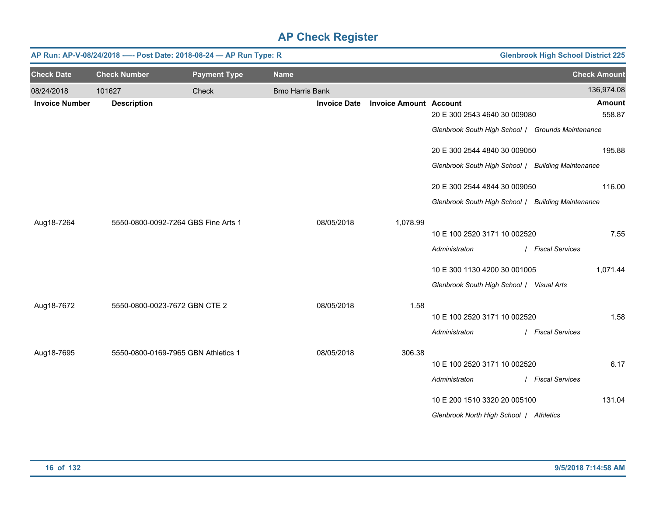|                       | <b>Glenbrook High School District 225</b><br>AP Run: AP-V-08/24/2018 ---- Post Date: 2018-08-24 - AP Run Type: R |                                     |                        |                     |                               |                                                    |                     |  |
|-----------------------|------------------------------------------------------------------------------------------------------------------|-------------------------------------|------------------------|---------------------|-------------------------------|----------------------------------------------------|---------------------|--|
| <b>Check Date</b>     | <b>Check Number</b>                                                                                              | <b>Payment Type</b>                 | <b>Name</b>            |                     |                               |                                                    | <b>Check Amount</b> |  |
| 08/24/2018            | 101627                                                                                                           | Check                               | <b>Bmo Harris Bank</b> |                     |                               |                                                    | 136,974.08          |  |
| <b>Invoice Number</b> | <b>Description</b>                                                                                               |                                     |                        | <b>Invoice Date</b> | <b>Invoice Amount Account</b> |                                                    | Amount              |  |
|                       |                                                                                                                  |                                     |                        |                     |                               | 20 E 300 2543 4640 30 009080                       | 558.87              |  |
|                       |                                                                                                                  |                                     |                        |                     |                               | Glenbrook South High School / Grounds Maintenance  |                     |  |
|                       |                                                                                                                  |                                     |                        |                     |                               | 20 E 300 2544 4840 30 009050                       | 195.88              |  |
|                       |                                                                                                                  |                                     |                        |                     |                               | Glenbrook South High School / Building Maintenance |                     |  |
|                       |                                                                                                                  |                                     |                        |                     |                               | 20 E 300 2544 4844 30 009050                       | 116.00              |  |
|                       |                                                                                                                  |                                     |                        |                     |                               | Glenbrook South High School / Building Maintenance |                     |  |
| Aug18-7264            |                                                                                                                  | 5550-0800-0092-7264 GBS Fine Arts 1 |                        | 08/05/2018          | 1,078.99                      |                                                    |                     |  |
|                       |                                                                                                                  |                                     |                        |                     |                               | 10 E 100 2520 3171 10 002520                       | 7.55                |  |
|                       |                                                                                                                  |                                     |                        |                     |                               | Administraton                                      | / Fiscal Services   |  |
|                       |                                                                                                                  |                                     |                        |                     |                               | 10 E 300 1130 4200 30 001005                       | 1,071.44            |  |
|                       |                                                                                                                  |                                     |                        |                     |                               | Glenbrook South High School / Visual Arts          |                     |  |
| Aug18-7672            | 5550-0800-0023-7672 GBN CTE 2                                                                                    |                                     |                        | 08/05/2018          | 1.58                          |                                                    |                     |  |
|                       |                                                                                                                  |                                     |                        |                     |                               | 10 E 100 2520 3171 10 002520                       | 1.58                |  |
|                       |                                                                                                                  |                                     |                        |                     |                               | Administraton                                      | / Fiscal Services   |  |
| Aug18-7695            |                                                                                                                  | 5550-0800-0169-7965 GBN Athletics 1 |                        | 08/05/2018          | 306.38                        |                                                    |                     |  |
|                       |                                                                                                                  |                                     |                        |                     |                               | 10 E 100 2520 3171 10 002520                       | 6.17                |  |
|                       |                                                                                                                  |                                     |                        |                     |                               | Administraton                                      | / Fiscal Services   |  |
|                       |                                                                                                                  |                                     |                        |                     |                               | 10 E 200 1510 3320 20 005100                       | 131.04              |  |
|                       |                                                                                                                  |                                     |                        |                     |                               | Glenbrook North High School / Athletics            |                     |  |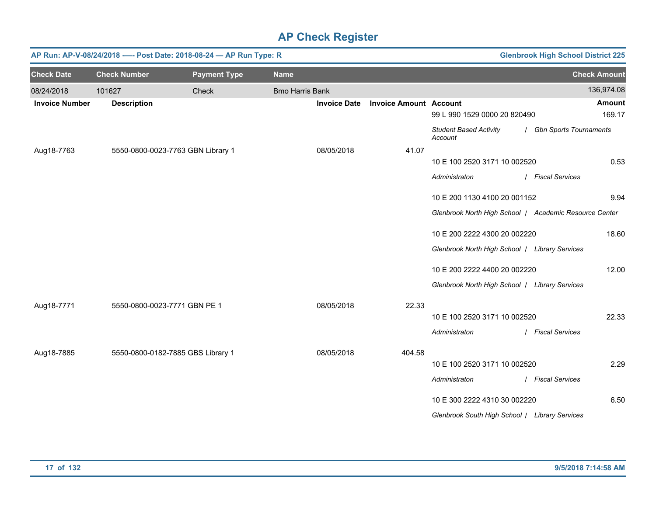|                       | <b>Glenbrook High School District 225</b><br>AP Run: AP-V-08/24/2018 ---- Post Date: 2018-08-24 - AP Run Type: R |                                   |                        |                     |                               |                                                |                                                        |  |  |
|-----------------------|------------------------------------------------------------------------------------------------------------------|-----------------------------------|------------------------|---------------------|-------------------------------|------------------------------------------------|--------------------------------------------------------|--|--|
| <b>Check Date</b>     | <b>Check Number</b>                                                                                              | <b>Payment Type</b>               | <b>Name</b>            |                     |                               |                                                | <b>Check Amount</b>                                    |  |  |
| 08/24/2018            | 101627                                                                                                           | Check                             | <b>Bmo Harris Bank</b> |                     |                               |                                                | 136,974.08                                             |  |  |
| <b>Invoice Number</b> | <b>Description</b>                                                                                               |                                   |                        | <b>Invoice Date</b> | <b>Invoice Amount Account</b> |                                                | Amount                                                 |  |  |
|                       |                                                                                                                  |                                   |                        |                     |                               | 99 L 990 1529 0000 20 820490                   | 169.17                                                 |  |  |
|                       |                                                                                                                  |                                   |                        |                     |                               | <b>Student Based Activity</b><br>Account       | / Gbn Sports Tournaments                               |  |  |
| Aug18-7763            |                                                                                                                  | 5550-0800-0023-7763 GBN Library 1 |                        | 08/05/2018          | 41.07                         |                                                |                                                        |  |  |
|                       |                                                                                                                  |                                   |                        |                     |                               | 10 E 100 2520 3171 10 002520                   | 0.53                                                   |  |  |
|                       |                                                                                                                  |                                   |                        |                     |                               | Administraton                                  | / Fiscal Services                                      |  |  |
|                       |                                                                                                                  |                                   |                        |                     |                               | 10 E 200 1130 4100 20 001152                   | 9.94                                                   |  |  |
|                       |                                                                                                                  |                                   |                        |                     |                               |                                                | Glenbrook North High School   Academic Resource Center |  |  |
|                       |                                                                                                                  |                                   |                        |                     |                               | 10 E 200 2222 4300 20 002220                   | 18.60                                                  |  |  |
|                       |                                                                                                                  |                                   |                        |                     |                               | Glenbrook North High School / Library Services |                                                        |  |  |
|                       |                                                                                                                  |                                   |                        |                     |                               | 10 E 200 2222 4400 20 002220                   | 12.00                                                  |  |  |
|                       |                                                                                                                  |                                   |                        |                     |                               | Glenbrook North High School   Library Services |                                                        |  |  |
| Aug18-7771            | 5550-0800-0023-7771 GBN PE 1                                                                                     |                                   |                        | 08/05/2018          | 22.33                         |                                                |                                                        |  |  |
|                       |                                                                                                                  |                                   |                        |                     |                               | 10 E 100 2520 3171 10 002520                   | 22.33                                                  |  |  |
|                       |                                                                                                                  |                                   |                        |                     |                               | Administraton                                  | / Fiscal Services                                      |  |  |
| Aug18-7885            |                                                                                                                  | 5550-0800-0182-7885 GBS Library 1 |                        | 08/05/2018          | 404.58                        |                                                |                                                        |  |  |
|                       |                                                                                                                  |                                   |                        |                     |                               | 10 E 100 2520 3171 10 002520                   | 2.29                                                   |  |  |
|                       |                                                                                                                  |                                   |                        |                     |                               | Administraton                                  | / Fiscal Services                                      |  |  |
|                       |                                                                                                                  |                                   |                        |                     |                               | 10 E 300 2222 4310 30 002220                   | 6.50                                                   |  |  |
|                       |                                                                                                                  |                                   |                        |                     |                               | Glenbrook South High School / Library Services |                                                        |  |  |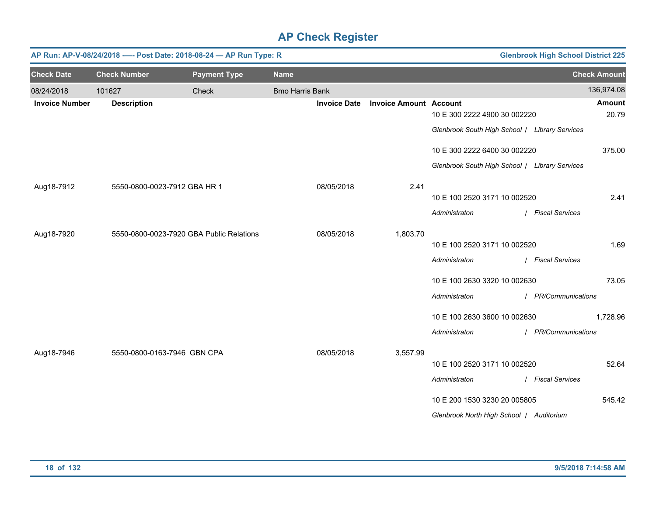|                       | <b>Glenbrook High School District 225</b><br>AP Run: AP-V-08/24/2018 ---- Post Date: 2018-08-24 - AP Run Type: R |                                          |                        |                     |                               |                                                |                     |                     |  |  |
|-----------------------|------------------------------------------------------------------------------------------------------------------|------------------------------------------|------------------------|---------------------|-------------------------------|------------------------------------------------|---------------------|---------------------|--|--|
| <b>Check Date</b>     | <b>Check Number</b>                                                                                              | <b>Payment Type</b>                      | <b>Name</b>            |                     |                               |                                                |                     | <b>Check Amount</b> |  |  |
| 08/24/2018            | 101627                                                                                                           | Check                                    | <b>Bmo Harris Bank</b> |                     |                               |                                                |                     | 136,974.08          |  |  |
| <b>Invoice Number</b> | <b>Description</b>                                                                                               |                                          |                        | <b>Invoice Date</b> | <b>Invoice Amount Account</b> |                                                |                     | <b>Amount</b>       |  |  |
|                       |                                                                                                                  |                                          |                        |                     |                               | 10 E 300 2222 4900 30 002220                   |                     | 20.79               |  |  |
|                       |                                                                                                                  |                                          |                        |                     |                               | Glenbrook South High School / Library Services |                     |                     |  |  |
|                       |                                                                                                                  |                                          |                        |                     |                               | 10 E 300 2222 6400 30 002220                   |                     | 375.00              |  |  |
|                       |                                                                                                                  |                                          |                        |                     |                               | Glenbrook South High School / Library Services |                     |                     |  |  |
| Aug18-7912            | 5550-0800-0023-7912 GBA HR 1                                                                                     |                                          |                        | 08/05/2018          | 2.41                          |                                                |                     |                     |  |  |
|                       |                                                                                                                  |                                          |                        |                     |                               | 10 E 100 2520 3171 10 002520                   |                     | 2.41                |  |  |
|                       |                                                                                                                  |                                          |                        |                     |                               | Administraton                                  | / Fiscal Services   |                     |  |  |
| Aug18-7920            |                                                                                                                  | 5550-0800-0023-7920 GBA Public Relations |                        | 08/05/2018          | 1,803.70                      |                                                |                     |                     |  |  |
|                       |                                                                                                                  |                                          |                        |                     |                               | 10 E 100 2520 3171 10 002520                   |                     | 1.69                |  |  |
|                       |                                                                                                                  |                                          |                        |                     |                               | Administraton                                  | / Fiscal Services   |                     |  |  |
|                       |                                                                                                                  |                                          |                        |                     |                               | 10 E 100 2630 3320 10 002630                   |                     | 73.05               |  |  |
|                       |                                                                                                                  |                                          |                        |                     |                               | Administraton                                  | / PR/Communications |                     |  |  |
|                       |                                                                                                                  |                                          |                        |                     |                               | 10 E 100 2630 3600 10 002630                   |                     | 1,728.96            |  |  |
|                       |                                                                                                                  |                                          |                        |                     |                               | Administraton                                  | / PR/Communications |                     |  |  |
| Aug18-7946            | 5550-0800-0163-7946 GBN CPA                                                                                      |                                          |                        | 08/05/2018          | 3,557.99                      |                                                |                     |                     |  |  |
|                       |                                                                                                                  |                                          |                        |                     |                               | 10 E 100 2520 3171 10 002520                   |                     | 52.64               |  |  |
|                       |                                                                                                                  |                                          |                        |                     |                               | Administraton                                  | / Fiscal Services   |                     |  |  |
|                       |                                                                                                                  |                                          |                        |                     |                               | 10 E 200 1530 3230 20 005805                   |                     | 545.42              |  |  |
|                       |                                                                                                                  |                                          |                        |                     |                               | Glenbrook North High School   Auditorium       |                     |                     |  |  |
|                       |                                                                                                                  |                                          |                        |                     |                               |                                                |                     |                     |  |  |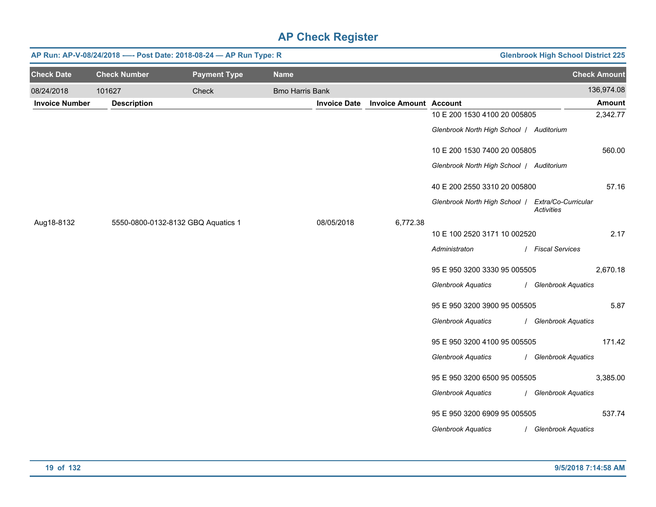|                       |                     | AP Run: AP-V-08/24/2018 ---- Post Date: 2018-08-24 - AP Run Type: R |                        |                     |                               |                                          | <b>Glenbrook High School District 225</b> |               |
|-----------------------|---------------------|---------------------------------------------------------------------|------------------------|---------------------|-------------------------------|------------------------------------------|-------------------------------------------|---------------|
| <b>Check Date</b>     | <b>Check Number</b> | <b>Payment Type</b>                                                 | <b>Name</b>            |                     |                               |                                          | <b>Check Amount</b>                       |               |
| 08/24/2018            | 101627              | Check                                                               | <b>Bmo Harris Bank</b> |                     |                               |                                          |                                           | 136,974.08    |
| <b>Invoice Number</b> | <b>Description</b>  |                                                                     |                        | <b>Invoice Date</b> | <b>Invoice Amount Account</b> |                                          |                                           | <b>Amount</b> |
|                       |                     |                                                                     |                        |                     |                               | 10 E 200 1530 4100 20 005805             |                                           | 2,342.77      |
|                       |                     |                                                                     |                        |                     |                               | Glenbrook North High School   Auditorium |                                           |               |
|                       |                     |                                                                     |                        |                     |                               | 10 E 200 1530 7400 20 005805             |                                           | 560.00        |
|                       |                     |                                                                     |                        |                     |                               | Glenbrook North High School   Auditorium |                                           |               |
|                       |                     |                                                                     |                        |                     |                               | 40 E 200 2550 3310 20 005800             |                                           | 57.16         |
|                       |                     |                                                                     |                        |                     |                               | Glenbrook North High School /            | Extra/Co-Curricular<br><b>Activities</b>  |               |
| Aug18-8132            |                     | 5550-0800-0132-8132 GBQ Aquatics 1                                  |                        | 08/05/2018          | 6,772.38                      |                                          |                                           |               |
|                       |                     |                                                                     |                        |                     |                               | 10 E 100 2520 3171 10 002520             |                                           | 2.17          |
|                       |                     |                                                                     |                        |                     |                               | Administraton                            | / Fiscal Services                         |               |
|                       |                     |                                                                     |                        |                     |                               | 95 E 950 3200 3330 95 005505             |                                           | 2,670.18      |
|                       |                     |                                                                     |                        |                     |                               | <b>Glenbrook Aquatics</b>                | / Glenbrook Aquatics                      |               |
|                       |                     |                                                                     |                        |                     |                               | 95 E 950 3200 3900 95 005505             |                                           | 5.87          |
|                       |                     |                                                                     |                        |                     |                               | <b>Glenbrook Aquatics</b>                | / Glenbrook Aquatics                      |               |
|                       |                     |                                                                     |                        |                     |                               | 95 E 950 3200 4100 95 005505             |                                           | 171.42        |
|                       |                     |                                                                     |                        |                     |                               | <b>Glenbrook Aquatics</b>                | / Glenbrook Aquatics                      |               |
|                       |                     |                                                                     |                        |                     |                               | 95 E 950 3200 6500 95 005505             |                                           | 3,385.00      |
|                       |                     |                                                                     |                        |                     |                               | <b>Glenbrook Aquatics</b>                | / Glenbrook Aquatics                      |               |
|                       |                     |                                                                     |                        |                     |                               | 95 E 950 3200 6909 95 005505             |                                           | 537.74        |
|                       |                     |                                                                     |                        |                     |                               | <b>Glenbrook Aquatics</b>                | / Glenbrook Aquatics                      |               |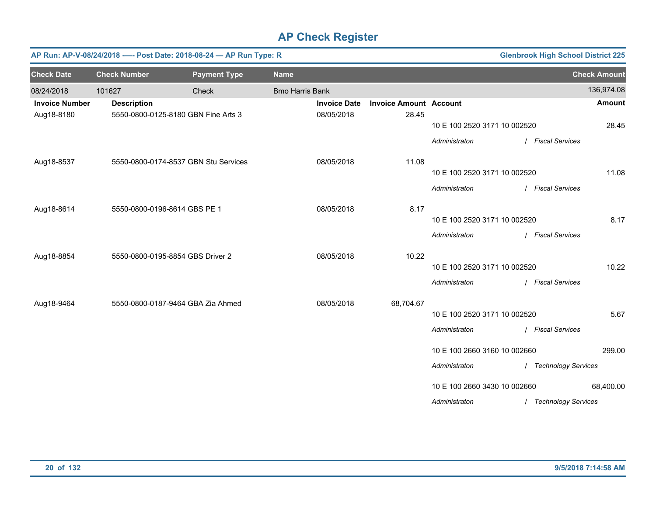|                       |                              | AP Run: AP-V-08/24/2018 ---- Post Date: 2018-08-24 - AP Run Type: R |                        |                     |                               |                              | <b>Glenbrook High School District 225</b> |                     |
|-----------------------|------------------------------|---------------------------------------------------------------------|------------------------|---------------------|-------------------------------|------------------------------|-------------------------------------------|---------------------|
| <b>Check Date</b>     | <b>Check Number</b>          | <b>Payment Type</b>                                                 | <b>Name</b>            |                     |                               |                              |                                           | <b>Check Amount</b> |
| 08/24/2018            | 101627                       | Check                                                               | <b>Bmo Harris Bank</b> |                     |                               |                              |                                           | 136,974.08          |
| <b>Invoice Number</b> | <b>Description</b>           |                                                                     |                        | <b>Invoice Date</b> | <b>Invoice Amount Account</b> |                              |                                           | <b>Amount</b>       |
| Aug18-8180            |                              | 5550-0800-0125-8180 GBN Fine Arts 3                                 |                        | 08/05/2018          | 28.45                         | 10 E 100 2520 3171 10 002520 |                                           | 28.45               |
|                       |                              |                                                                     |                        |                     |                               | Administraton                | / Fiscal Services                         |                     |
| Aug18-8537            |                              | 5550-0800-0174-8537 GBN Stu Services                                |                        | 08/05/2018          | 11.08                         |                              |                                           |                     |
|                       |                              |                                                                     |                        |                     |                               | 10 E 100 2520 3171 10 002520 |                                           | 11.08               |
|                       |                              |                                                                     |                        |                     |                               | Administraton                | / Fiscal Services                         |                     |
| Aug18-8614            | 5550-0800-0196-8614 GBS PE 1 |                                                                     |                        | 08/05/2018          | 8.17                          |                              |                                           |                     |
|                       |                              |                                                                     |                        |                     |                               | 10 E 100 2520 3171 10 002520 |                                           | 8.17                |
|                       |                              |                                                                     |                        |                     |                               | Administraton                | / Fiscal Services                         |                     |
| Aug18-8854            |                              | 5550-0800-0195-8854 GBS Driver 2                                    |                        | 08/05/2018          | 10.22                         |                              |                                           |                     |
|                       |                              |                                                                     |                        |                     |                               | 10 E 100 2520 3171 10 002520 |                                           | 10.22               |
|                       |                              |                                                                     |                        |                     |                               | Administraton                | / Fiscal Services                         |                     |
| Aug18-9464            |                              | 5550-0800-0187-9464 GBA Zia Ahmed                                   |                        | 08/05/2018          | 68,704.67                     |                              |                                           |                     |
|                       |                              |                                                                     |                        |                     |                               | 10 E 100 2520 3171 10 002520 |                                           | 5.67                |
|                       |                              |                                                                     |                        |                     |                               | Administraton                | / Fiscal Services                         |                     |
|                       |                              |                                                                     |                        |                     |                               | 10 E 100 2660 3160 10 002660 |                                           | 299.00              |
|                       |                              |                                                                     |                        |                     |                               | Administraton                | / Technology Services                     |                     |
|                       |                              |                                                                     |                        |                     |                               | 10 E 100 2660 3430 10 002660 |                                           | 68,400.00           |
|                       |                              |                                                                     |                        |                     |                               | Administraton                | / Technology Services                     |                     |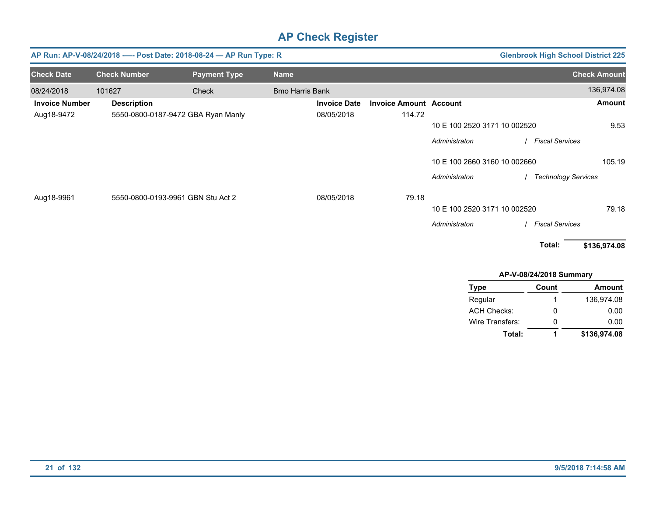|                       |                     | AP Run: AP-V-08/24/2018 ---- Post Date: 2018-08-24 - AP Run Type: R |                        |                     |                               |                              | <b>Glenbrook High School District 225</b> |                     |
|-----------------------|---------------------|---------------------------------------------------------------------|------------------------|---------------------|-------------------------------|------------------------------|-------------------------------------------|---------------------|
| <b>Check Date</b>     | <b>Check Number</b> | <b>Payment Type</b>                                                 | <b>Name</b>            |                     |                               |                              |                                           | <b>Check Amount</b> |
| 08/24/2018            | 101627              | Check                                                               | <b>Bmo Harris Bank</b> |                     |                               |                              |                                           | 136,974.08          |
| <b>Invoice Number</b> | <b>Description</b>  |                                                                     |                        | <b>Invoice Date</b> | <b>Invoice Amount Account</b> |                              |                                           | <b>Amount</b>       |
| Aug18-9472            |                     | 5550-0800-0187-9472 GBA Ryan Manly                                  |                        | 08/05/2018          | 114.72                        |                              |                                           |                     |
|                       |                     |                                                                     |                        |                     |                               | 10 E 100 2520 3171 10 002520 |                                           | 9.53                |
|                       |                     |                                                                     |                        |                     |                               | Administraton                | <b>Fiscal Services</b>                    |                     |
|                       |                     |                                                                     |                        |                     |                               | 10 E 100 2660 3160 10 002660 |                                           | 105.19              |
|                       |                     |                                                                     |                        |                     |                               | Administraton                | / Technology Services                     |                     |
| Aug18-9961            |                     | 5550-0800-0193-9961 GBN Stu Act 2                                   |                        | 08/05/2018          | 79.18                         |                              |                                           |                     |
|                       |                     |                                                                     |                        |                     |                               | 10 E 100 2520 3171 10 002520 |                                           | 79.18               |
|                       |                     |                                                                     |                        |                     |                               | Administraton                | <b>Fiscal Services</b>                    |                     |
|                       |                     |                                                                     |                        |                     |                               |                              | Total:                                    | \$136,974.08        |
|                       |                     |                                                                     |                        |                     |                               |                              | AP-V-08/24/2018 Summary                   |                     |
|                       |                     |                                                                     |                        |                     |                               | <b>Type</b>                  | Count                                     | Amount              |
|                       |                     |                                                                     |                        |                     |                               | Regular                      |                                           | 136,974.08          |

| Total:             | 1 | \$136,974.08 |
|--------------------|---|--------------|
| Wire Transfers:    | Ω | 0.00         |
| <b>ACH Checks:</b> | Ω | 0.00         |
| Regular            |   | 136.974.08   |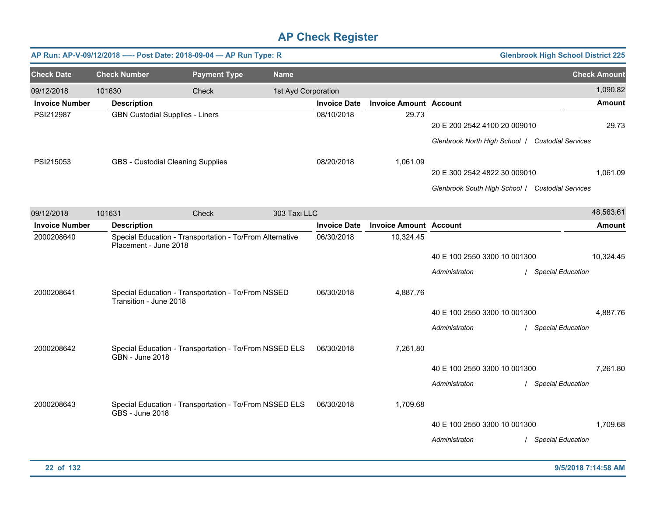|                                     |                                        | AP Run: AP-V-09/12/2018 ---- Post Date: 2018-09-04 - AP Run Type: R |                     |                     |                               |                                                                                  | <b>Glenbrook High School District 225</b> |                           |
|-------------------------------------|----------------------------------------|---------------------------------------------------------------------|---------------------|---------------------|-------------------------------|----------------------------------------------------------------------------------|-------------------------------------------|---------------------------|
| <b>Check Date</b>                   | <b>Check Number</b>                    | <b>Payment Type</b>                                                 | <b>Name</b>         |                     |                               |                                                                                  |                                           | <b>Check Amount</b>       |
| 09/12/2018<br><b>Invoice Number</b> | 101630<br><b>Description</b>           | Check                                                               | 1st Ayd Corporation | <b>Invoice Date</b> | <b>Invoice Amount Account</b> |                                                                                  |                                           | 1,090.82<br><b>Amount</b> |
| PSI212987                           | <b>GBN Custodial Supplies - Liners</b> |                                                                     |                     | 08/10/2018          | 29.73                         | 20 E 200 2542 4100 20 009010<br>Glenbrook North High School   Custodial Services |                                           | 29.73                     |
| PSI215053                           |                                        | <b>GBS</b> - Custodial Cleaning Supplies                            |                     | 08/20/2018          | 1,061.09                      | 20 E 300 2542 4822 30 009010<br>Glenbrook South High School / Custodial Services |                                           | 1,061.09                  |
| 09/12/2018                          | 101631                                 | Check                                                               | 303 Taxi LLC        |                     |                               |                                                                                  |                                           | 48,563.61                 |
| <b>Invoice Number</b>               | <b>Description</b>                     |                                                                     |                     | <b>Invoice Date</b> | <b>Invoice Amount Account</b> |                                                                                  |                                           | <b>Amount</b>             |
| 2000208640                          | Placement - June 2018                  | Special Education - Transportation - To/From Alternative            |                     | 06/30/2018          | 10,324.45                     | 40 E 100 2550 3300 10 001300<br>Administraton                                    | / Special Education                       | 10,324.45                 |
| 2000208641                          | Transition - June 2018                 | Special Education - Transportation - To/From NSSED                  |                     | 06/30/2018          | 4,887.76                      | 40 E 100 2550 3300 10 001300<br>Administraton                                    | / Special Education                       | 4,887.76                  |
| 2000208642                          | <b>GBN - June 2018</b>                 | Special Education - Transportation - To/From NSSED ELS              |                     | 06/30/2018          | 7,261.80                      | 40 E 100 2550 3300 10 001300<br>Administraton                                    | / Special Education                       | 7.261.80                  |
| 2000208643                          | <b>GBS - June 2018</b>                 | Special Education - Transportation - To/From NSSED ELS              |                     | 06/30/2018          | 1,709.68                      | 40 E 100 2550 3300 10 001300<br>Administraton                                    | / Special Education                       | 1,709.68                  |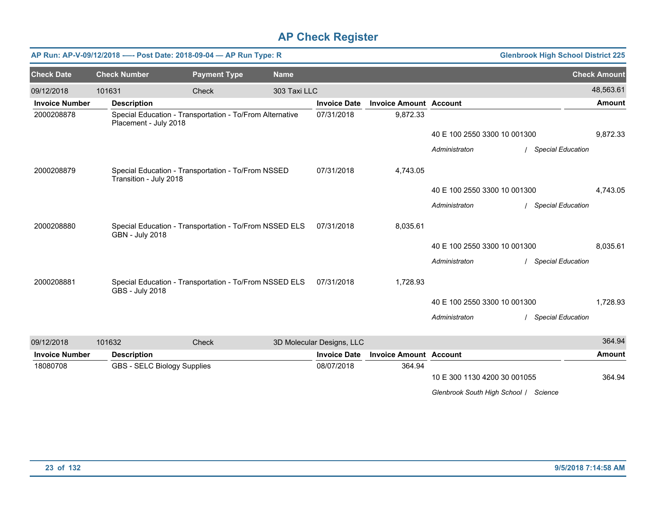|                       |                             | AP Run: AP-V-09/12/2018 ---- Post Date: 2018-09-04 - AP Run Type: R |              |                           |                               |                                       | <b>Glenbrook High School District 225</b> |                     |
|-----------------------|-----------------------------|---------------------------------------------------------------------|--------------|---------------------------|-------------------------------|---------------------------------------|-------------------------------------------|---------------------|
| <b>Check Date</b>     | <b>Check Number</b>         | <b>Payment Type</b>                                                 | <b>Name</b>  |                           |                               |                                       |                                           | <b>Check Amount</b> |
| 09/12/2018            | 101631                      | Check                                                               | 303 Taxi LLC |                           |                               |                                       |                                           | 48,563.61           |
| <b>Invoice Number</b> | <b>Description</b>          |                                                                     |              | <b>Invoice Date</b>       | <b>Invoice Amount Account</b> |                                       |                                           | <b>Amount</b>       |
| 2000208878            | Placement - July 2018       | Special Education - Transportation - To/From Alternative            |              | 07/31/2018                | 9,872.33                      |                                       |                                           |                     |
|                       |                             |                                                                     |              |                           |                               | 40 E 100 2550 3300 10 001300          |                                           | 9,872.33            |
|                       |                             |                                                                     |              |                           |                               | Administraton                         | / Special Education                       |                     |
| 2000208879            | Transition - July 2018      | Special Education - Transportation - To/From NSSED                  |              | 07/31/2018                | 4,743.05                      |                                       |                                           |                     |
|                       |                             |                                                                     |              |                           |                               | 40 E 100 2550 3300 10 001300          |                                           | 4,743.05            |
|                       |                             |                                                                     |              |                           |                               | Administraton                         | <b>Special Education</b>                  |                     |
| 2000208880            | <b>GBN - July 2018</b>      | Special Education - Transportation - To/From NSSED ELS              |              | 07/31/2018                | 8,035.61                      |                                       |                                           |                     |
|                       |                             |                                                                     |              |                           |                               | 40 E 100 2550 3300 10 001300          |                                           | 8,035.61            |
|                       |                             |                                                                     |              |                           |                               | Administraton                         | / Special Education                       |                     |
| 2000208881            | GBS - July 2018             | Special Education - Transportation - To/From NSSED ELS              |              | 07/31/2018                | 1,728.93                      |                                       |                                           |                     |
|                       |                             |                                                                     |              |                           |                               | 40 E 100 2550 3300 10 001300          |                                           | 1,728.93            |
|                       |                             |                                                                     |              |                           |                               | Administraton                         | / Special Education                       |                     |
| 09/12/2018            | 101632                      | Check                                                               |              | 3D Molecular Designs, LLC |                               |                                       |                                           | 364.94              |
| <b>Invoice Number</b> | <b>Description</b>          |                                                                     |              | <b>Invoice Date</b>       | <b>Invoice Amount Account</b> |                                       |                                           | <b>Amount</b>       |
| 18080708              | GBS - SELC Biology Supplies |                                                                     |              | 08/07/2018                | 364.94                        |                                       |                                           |                     |
|                       |                             |                                                                     |              |                           |                               | 10 E 300 1130 4200 30 001055          |                                           | 364.94              |
|                       |                             |                                                                     |              |                           |                               | Glenbrook South High School   Science |                                           |                     |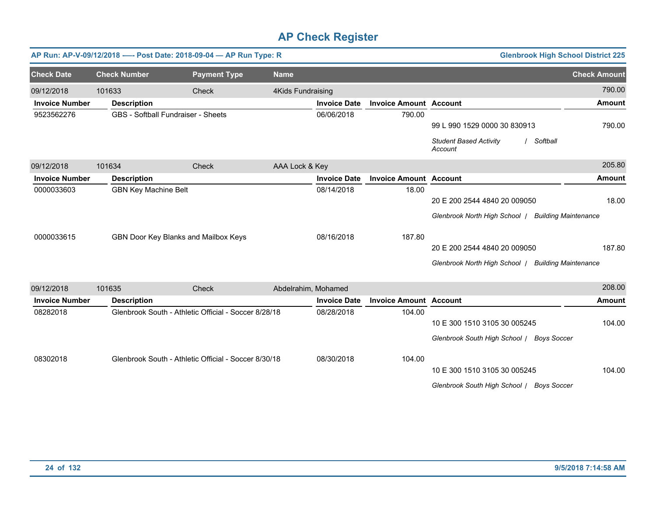|                       | AP Run: AP-V-09/12/2018 ---- Post Date: 2018-09-04 - AP Run Type: R |                                                      |                          |                     |                               |                                                    | <b>Glenbrook High School District 225</b> |
|-----------------------|---------------------------------------------------------------------|------------------------------------------------------|--------------------------|---------------------|-------------------------------|----------------------------------------------------|-------------------------------------------|
| <b>Check Date</b>     | <b>Check Number</b>                                                 | <b>Payment Type</b>                                  | <b>Name</b>              |                     |                               |                                                    | <b>Check Amount</b>                       |
| 09/12/2018            | 101633                                                              | Check                                                | <b>4Kids Fundraising</b> |                     |                               |                                                    | 790.00                                    |
| <b>Invoice Number</b> | <b>Description</b>                                                  |                                                      |                          | <b>Invoice Date</b> | <b>Invoice Amount Account</b> |                                                    | <b>Amount</b>                             |
| 9523562276            |                                                                     | <b>GBS</b> - Softball Fundraiser - Sheets            |                          | 06/06/2018          | 790.00                        |                                                    |                                           |
|                       |                                                                     |                                                      |                          |                     |                               | 99 L 990 1529 0000 30 830913                       | 790.00                                    |
|                       |                                                                     |                                                      |                          |                     |                               | <b>Student Based Activity</b><br>Account           | Softball                                  |
| 09/12/2018            | 101634                                                              | Check                                                | AAA Lock & Key           |                     |                               |                                                    | 205.80                                    |
| <b>Invoice Number</b> | <b>Description</b>                                                  |                                                      |                          | <b>Invoice Date</b> | <b>Invoice Amount Account</b> |                                                    | <b>Amount</b>                             |
| 0000033603            | <b>GBN Key Machine Belt</b>                                         |                                                      |                          | 08/14/2018          | 18.00                         |                                                    |                                           |
|                       |                                                                     |                                                      |                          |                     |                               | 20 E 200 2544 4840 20 009050                       | 18.00                                     |
|                       |                                                                     |                                                      |                          |                     |                               | Glenbrook North High School   Building Maintenance |                                           |
| 0000033615            |                                                                     | GBN Door Key Blanks and Mailbox Keys                 |                          | 08/16/2018          | 187.80                        |                                                    |                                           |
|                       |                                                                     |                                                      |                          |                     |                               | 20 E 200 2544 4840 20 009050                       | 187.80                                    |
|                       |                                                                     |                                                      |                          |                     |                               | Glenbrook North High School   Building Maintenance |                                           |
| 09/12/2018            | 101635                                                              | Check                                                | Abdelrahim, Mohamed      |                     |                               |                                                    | 208.00                                    |
| <b>Invoice Number</b> | <b>Description</b>                                                  |                                                      |                          | <b>Invoice Date</b> | <b>Invoice Amount Account</b> |                                                    | <b>Amount</b>                             |
| 08282018              |                                                                     | Glenbrook South - Athletic Official - Soccer 8/28/18 |                          | 08/28/2018          | 104.00                        |                                                    |                                           |
|                       |                                                                     |                                                      |                          |                     |                               | 10 E 300 1510 3105 30 005245                       | 104.00                                    |
|                       |                                                                     |                                                      |                          |                     |                               | Glenbrook South High School / Boys Soccer          |                                           |
| 08302018              |                                                                     | Glenbrook South - Athletic Official - Soccer 8/30/18 |                          | 08/30/2018          | 104.00                        |                                                    |                                           |
|                       |                                                                     |                                                      |                          |                     |                               | 10 E 300 1510 3105 30 005245                       | 104.00                                    |
|                       |                                                                     |                                                      |                          |                     |                               | Glenbrook South High School / Boys Soccer          |                                           |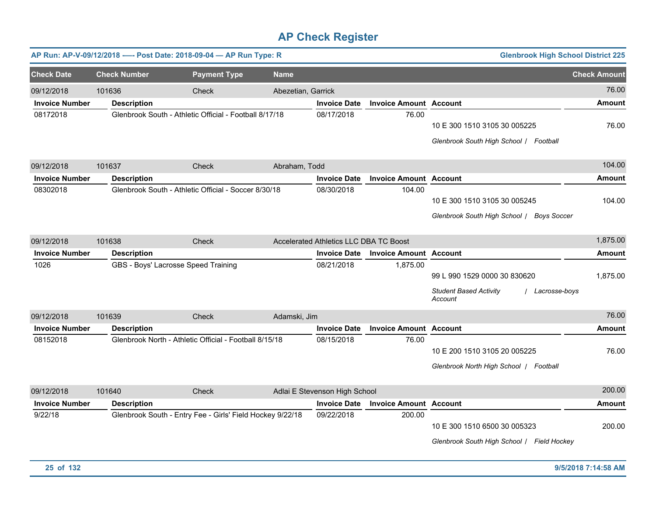|                       |                     | AP Run: AP-V-09/12/2018 ---- Post Date: 2018-09-04 - AP Run Type: R |                    |                                        |                               | <b>Glenbrook High School District 225</b>                                                 |                     |
|-----------------------|---------------------|---------------------------------------------------------------------|--------------------|----------------------------------------|-------------------------------|-------------------------------------------------------------------------------------------|---------------------|
| <b>Check Date</b>     | <b>Check Number</b> | <b>Payment Type</b>                                                 | <b>Name</b>        |                                        |                               |                                                                                           | <b>Check Amount</b> |
| 09/12/2018            | 101636              | Check                                                               | Abezetian, Garrick |                                        |                               |                                                                                           | 76.00               |
| <b>Invoice Number</b> | <b>Description</b>  |                                                                     |                    | <b>Invoice Date</b>                    | <b>Invoice Amount Account</b> |                                                                                           | Amount              |
| 08172018              |                     | Glenbrook South - Athletic Official - Football 8/17/18              |                    | 08/17/2018                             | 76.00                         | 10 E 300 1510 3105 30 005225<br>Glenbrook South High School / Football                    | 76.00               |
| 09/12/2018            | 101637              | Check                                                               | Abraham, Todd      |                                        |                               |                                                                                           | 104.00              |
| <b>Invoice Number</b> | <b>Description</b>  |                                                                     |                    | <b>Invoice Date</b>                    | <b>Invoice Amount Account</b> |                                                                                           | Amount              |
| 08302018              |                     | Glenbrook South - Athletic Official - Soccer 8/30/18                |                    | 08/30/2018                             | 104.00                        | 10 E 300 1510 3105 30 005245<br>Glenbrook South High School / Boys Soccer                 | 104.00              |
| 09/12/2018            | 101638              | Check                                                               |                    | Accelerated Athletics LLC DBA TC Boost |                               |                                                                                           | 1,875.00            |
| <b>Invoice Number</b> | <b>Description</b>  |                                                                     |                    | <b>Invoice Date</b>                    | <b>Invoice Amount Account</b> |                                                                                           | <b>Amount</b>       |
| 1026                  |                     | GBS - Boys' Lacrosse Speed Training                                 |                    | 08/21/2018                             | 1,875.00                      | 99 L 990 1529 0000 30 830620<br><b>Student Based Activity</b><br>Lacrosse-boys<br>Account | 1,875.00            |
| 09/12/2018            | 101639              | Check                                                               | Adamski, Jim       |                                        |                               |                                                                                           | 76.00               |
| <b>Invoice Number</b> | <b>Description</b>  |                                                                     |                    | <b>Invoice Date</b>                    | <b>Invoice Amount</b>         | <b>Account</b>                                                                            | <b>Amount</b>       |
| 08152018              |                     | Glenbrook North - Athletic Official - Football 8/15/18              |                    | 08/15/2018                             | 76.00                         | 10 E 200 1510 3105 20 005225<br>Glenbrook North High School   Football                    | 76.00               |
| 09/12/2018            | 101640              | <b>Check</b>                                                        |                    | Adlai E Stevenson High School          |                               |                                                                                           | 200.00              |
| <b>Invoice Number</b> | <b>Description</b>  |                                                                     |                    | <b>Invoice Date</b>                    | <b>Invoice Amount Account</b> |                                                                                           | <b>Amount</b>       |
| 9/22/18               |                     | Glenbrook South - Entry Fee - Girls' Field Hockey 9/22/18           |                    | 09/22/2018                             | 200.00                        | 10 E 300 1510 6500 30 005323<br>Glenbrook South High School / Field Hockey                | 200.00              |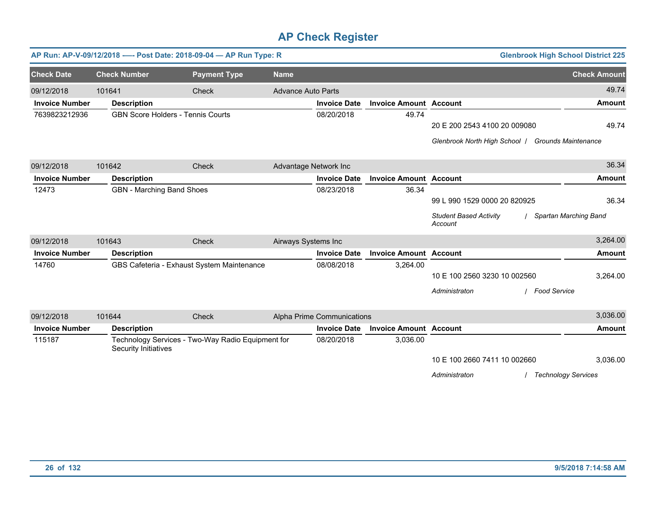|                       |                      | AP Run: AP-V-09/12/2018 ---- Post Date: 2018-09-04 - AP Run Type: R |                           |                            |                               |                                                   | <b>Glenbrook High School District 225</b> |
|-----------------------|----------------------|---------------------------------------------------------------------|---------------------------|----------------------------|-------------------------------|---------------------------------------------------|-------------------------------------------|
| <b>Check Date</b>     | <b>Check Number</b>  | <b>Payment Type</b>                                                 | <b>Name</b>               |                            |                               |                                                   | <b>Check Amount</b>                       |
| 09/12/2018            | 101641               | Check                                                               | <b>Advance Auto Parts</b> |                            |                               |                                                   | 49.74                                     |
| <b>Invoice Number</b> | <b>Description</b>   |                                                                     |                           | <b>Invoice Date</b>        | <b>Invoice Amount Account</b> |                                                   | <b>Amount</b>                             |
| 7639823212936         |                      | <b>GBN Score Holders - Tennis Courts</b>                            |                           | 08/20/2018                 | 49.74                         |                                                   |                                           |
|                       |                      |                                                                     |                           |                            |                               | 20 E 200 2543 4100 20 009080                      | 49.74                                     |
|                       |                      |                                                                     |                           |                            |                               | Glenbrook North High School   Grounds Maintenance |                                           |
| 09/12/2018            | 101642               | Check                                                               | Advantage Network Inc     |                            |                               |                                                   | 36.34                                     |
| <b>Invoice Number</b> | <b>Description</b>   |                                                                     |                           | <b>Invoice Date</b>        | <b>Invoice Amount Account</b> |                                                   | <b>Amount</b>                             |
| 12473                 |                      | <b>GBN</b> - Marching Band Shoes                                    |                           | 08/23/2018                 | 36.34                         |                                                   |                                           |
|                       |                      |                                                                     |                           |                            |                               | 99 L 990 1529 0000 20 820925                      | 36.34                                     |
|                       |                      |                                                                     |                           |                            |                               | <b>Student Based Activity</b><br>Account          | Spartan Marching Band                     |
| 09/12/2018            | 101643               | Check                                                               | Airways Systems Inc       |                            |                               |                                                   | 3,264.00                                  |
| <b>Invoice Number</b> | <b>Description</b>   |                                                                     |                           | <b>Invoice Date</b>        | <b>Invoice Amount Account</b> |                                                   | <b>Amount</b>                             |
| 14760                 |                      | GBS Cafeteria - Exhaust System Maintenance                          |                           | 08/08/2018                 | 3,264.00                      |                                                   |                                           |
|                       |                      |                                                                     |                           |                            |                               | 10 E 100 2560 3230 10 002560                      | 3,264.00                                  |
|                       |                      |                                                                     |                           |                            |                               | / Food Service<br>Administraton                   |                                           |
| 09/12/2018            | 101644               | Check                                                               |                           | Alpha Prime Communications |                               |                                                   | 3,036.00                                  |
| <b>Invoice Number</b> | <b>Description</b>   |                                                                     |                           | <b>Invoice Date</b>        | <b>Invoice Amount Account</b> |                                                   | <b>Amount</b>                             |
| 115187                | Security Initiatives | Technology Services - Two-Way Radio Equipment for                   |                           | 08/20/2018                 | 3,036.00                      |                                                   |                                           |
|                       |                      |                                                                     |                           |                            |                               | 10 E 100 2660 7411 10 002660                      | 3,036.00                                  |
|                       |                      |                                                                     |                           |                            |                               | Administraton                                     | <b>Technology Services</b>                |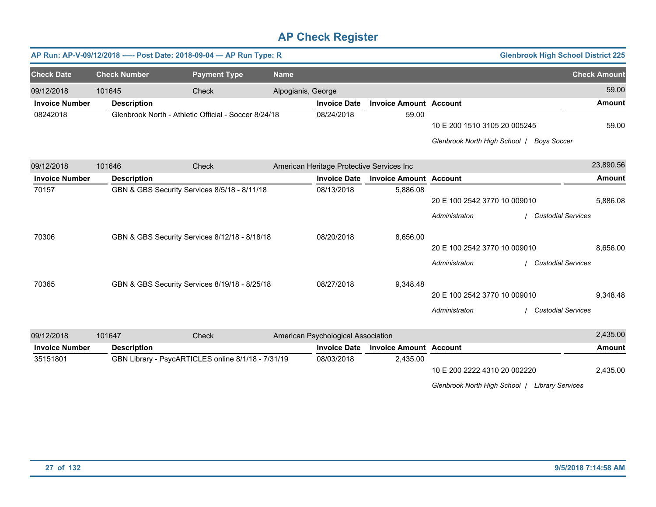|                       |                     | AP Run: AP-V-09/12/2018 ---- Post Date: 2018-09-04 - AP Run Type: R |                    |                                           |                               |                                                | <b>Glenbrook High School District 225</b> |                     |
|-----------------------|---------------------|---------------------------------------------------------------------|--------------------|-------------------------------------------|-------------------------------|------------------------------------------------|-------------------------------------------|---------------------|
| <b>Check Date</b>     | <b>Check Number</b> | <b>Payment Type</b>                                                 | <b>Name</b>        |                                           |                               |                                                |                                           | <b>Check Amount</b> |
| 09/12/2018            | 101645              | Check                                                               | Alpogianis, George |                                           |                               |                                                |                                           | 59.00               |
| <b>Invoice Number</b> | <b>Description</b>  |                                                                     |                    | <b>Invoice Date</b>                       | <b>Invoice Amount Account</b> |                                                |                                           | <b>Amount</b>       |
| 08242018              |                     | Glenbrook North - Athletic Official - Soccer 8/24/18                |                    | 08/24/2018                                | 59.00                         |                                                |                                           |                     |
|                       |                     |                                                                     |                    |                                           |                               | 10 E 200 1510 3105 20 005245                   |                                           | 59.00               |
|                       |                     |                                                                     |                    |                                           |                               | Glenbrook North High School   Boys Soccer      |                                           |                     |
| 09/12/2018            | 101646              | Check                                                               |                    | American Heritage Protective Services Inc |                               |                                                |                                           | 23,890.56           |
| <b>Invoice Number</b> | <b>Description</b>  |                                                                     |                    | <b>Invoice Date</b>                       | <b>Invoice Amount Account</b> |                                                |                                           | <b>Amount</b>       |
| 70157                 |                     | GBN & GBS Security Services 8/5/18 - 8/11/18                        |                    | 08/13/2018                                | 5,886.08                      |                                                |                                           |                     |
|                       |                     |                                                                     |                    |                                           |                               | 20 E 100 2542 3770 10 009010                   |                                           | 5,886.08            |
|                       |                     |                                                                     |                    |                                           |                               | Administraton                                  | <b>Custodial Services</b>                 |                     |
| 70306                 |                     | GBN & GBS Security Services 8/12/18 - 8/18/18                       |                    | 08/20/2018                                | 8,656.00                      |                                                |                                           |                     |
|                       |                     |                                                                     |                    |                                           |                               | 20 E 100 2542 3770 10 009010                   |                                           | 8,656.00            |
|                       |                     |                                                                     |                    |                                           |                               | Administraton                                  | <b>Custodial Services</b>                 |                     |
| 70365                 |                     | GBN & GBS Security Services 8/19/18 - 8/25/18                       |                    | 08/27/2018                                | 9,348.48                      |                                                |                                           |                     |
|                       |                     |                                                                     |                    |                                           |                               | 20 E 100 2542 3770 10 009010                   |                                           | 9,348.48            |
|                       |                     |                                                                     |                    |                                           |                               | Administraton                                  | <b>Custodial Services</b>                 |                     |
| 09/12/2018            | 101647              | Check                                                               |                    | American Psychological Association        |                               |                                                |                                           | 2,435.00            |
| <b>Invoice Number</b> | <b>Description</b>  |                                                                     |                    | <b>Invoice Date</b>                       | <b>Invoice Amount Account</b> |                                                |                                           | <b>Amount</b>       |
| 35151801              |                     | GBN Library - PsycARTICLES online 8/1/18 - 7/31/19                  |                    | 08/03/2018                                | 2,435.00                      |                                                |                                           |                     |
|                       |                     |                                                                     |                    |                                           |                               | 10 E 200 2222 4310 20 002220                   |                                           | 2,435.00            |
|                       |                     |                                                                     |                    |                                           |                               | Glenbrook North High School   Library Services |                                           |                     |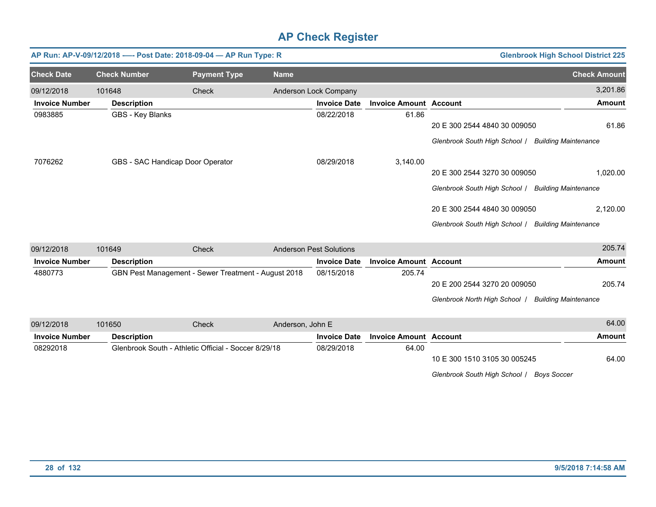|                       |                     | AP Run: AP-V-09/12/2018 ---- Post Date: 2018-09-04 - AP Run Type: R |                  |                                |                               |                                                    | <b>Glenbrook High School District 225</b> |
|-----------------------|---------------------|---------------------------------------------------------------------|------------------|--------------------------------|-------------------------------|----------------------------------------------------|-------------------------------------------|
| <b>Check Date</b>     | <b>Check Number</b> | <b>Payment Type</b>                                                 | <b>Name</b>      |                                |                               |                                                    | <b>Check Amount</b>                       |
| 09/12/2018            | 101648              | Check                                                               |                  | Anderson Lock Company          |                               |                                                    | 3,201.86                                  |
| <b>Invoice Number</b> | <b>Description</b>  |                                                                     |                  | <b>Invoice Date</b>            | <b>Invoice Amount Account</b> |                                                    | <b>Amount</b>                             |
| 0983885               | GBS - Key Blanks    |                                                                     |                  | 08/22/2018                     | 61.86                         |                                                    |                                           |
|                       |                     |                                                                     |                  |                                |                               | 20 E 300 2544 4840 30 009050                       | 61.86                                     |
|                       |                     |                                                                     |                  |                                |                               | Glenbrook South High School / Building Maintenance |                                           |
| 7076262               |                     | GBS - SAC Handicap Door Operator                                    |                  | 08/29/2018                     | 3,140.00                      |                                                    |                                           |
|                       |                     |                                                                     |                  |                                |                               | 20 E 300 2544 3270 30 009050                       | 1,020.00                                  |
|                       |                     |                                                                     |                  |                                |                               | Glenbrook South High School   Building Maintenance |                                           |
|                       |                     |                                                                     |                  |                                |                               | 20 E 300 2544 4840 30 009050                       | 2,120.00                                  |
|                       |                     |                                                                     |                  |                                |                               | Glenbrook South High School   Building Maintenance |                                           |
| 09/12/2018            | 101649              | Check                                                               |                  | <b>Anderson Pest Solutions</b> |                               |                                                    | 205.74                                    |
| <b>Invoice Number</b> | <b>Description</b>  |                                                                     |                  | <b>Invoice Date</b>            | <b>Invoice Amount Account</b> |                                                    | <b>Amount</b>                             |
| 4880773               |                     | GBN Pest Management - Sewer Treatment - August 2018                 |                  | 08/15/2018                     | 205.74                        |                                                    |                                           |
|                       |                     |                                                                     |                  |                                |                               | 20 E 200 2544 3270 20 009050                       | 205.74                                    |
|                       |                     |                                                                     |                  |                                |                               | Glenbrook North High School                        | <b>Building Maintenance</b>               |
| 09/12/2018            | 101650              | Check                                                               | Anderson, John E |                                |                               |                                                    | 64.00                                     |
| <b>Invoice Number</b> | <b>Description</b>  |                                                                     |                  | <b>Invoice Date</b>            | <b>Invoice Amount Account</b> |                                                    | <b>Amount</b>                             |
| 08292018              |                     | Glenbrook South - Athletic Official - Soccer 8/29/18                |                  | 08/29/2018                     | 64.00                         |                                                    |                                           |
|                       |                     |                                                                     |                  |                                |                               | 10 E 300 1510 3105 30 005245                       | 64.00                                     |
|                       |                     |                                                                     |                  |                                |                               | Glenbrook South High School / Boys Soccer          |                                           |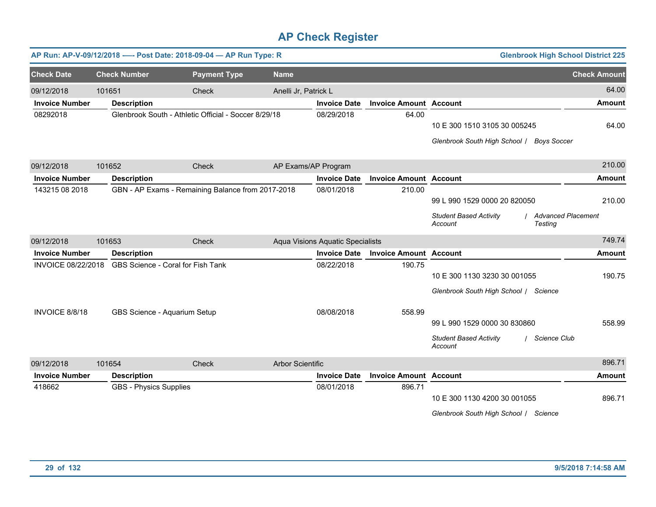|                           |                               | AP Run: AP-V-09/12/2018 ---- Post Date: 2018-09-04 - AP Run Type: R |                         |                                         |                               | <b>Glenbrook High School District 225</b>                                                                   |                     |
|---------------------------|-------------------------------|---------------------------------------------------------------------|-------------------------|-----------------------------------------|-------------------------------|-------------------------------------------------------------------------------------------------------------|---------------------|
| <b>Check Date</b>         | <b>Check Number</b>           | <b>Payment Type</b>                                                 | <b>Name</b>             |                                         |                               |                                                                                                             | <b>Check Amount</b> |
| 09/12/2018                | 101651                        | Check                                                               | Anelli Jr, Patrick L    |                                         |                               |                                                                                                             | 64.00               |
| <b>Invoice Number</b>     | <b>Description</b>            |                                                                     |                         | <b>Invoice Date</b>                     | <b>Invoice Amount Account</b> |                                                                                                             | <b>Amount</b>       |
| 08292018                  |                               | Glenbrook South - Athletic Official - Soccer 8/29/18                |                         | 08/29/2018                              | 64.00                         | 10 E 300 1510 3105 30 005245<br>Glenbrook South High School / Boys Soccer                                   | 64.00               |
| 09/12/2018                | 101652                        | Check                                                               |                         | AP Exams/AP Program                     |                               |                                                                                                             | 210.00              |
| <b>Invoice Number</b>     | <b>Description</b>            |                                                                     |                         | <b>Invoice Date</b>                     | <b>Invoice Amount Account</b> |                                                                                                             | <b>Amount</b>       |
| 143215 08 2018            |                               | GBN - AP Exams - Remaining Balance from 2017-2018                   |                         | 08/01/2018                              | 210.00                        | 99 L 990 1529 0000 20 820050<br><b>Student Based Activity</b><br>/ Advanced Placement<br>Account<br>Testing | 210.00              |
| 09/12/2018                | 101653                        | Check                                                               |                         | <b>Aqua Visions Aquatic Specialists</b> |                               |                                                                                                             | 749.74              |
| <b>Invoice Number</b>     | <b>Description</b>            |                                                                     |                         | <b>Invoice Date</b>                     | <b>Invoice Amount Account</b> |                                                                                                             | <b>Amount</b>       |
| <b>INVOICE 08/22/2018</b> |                               | GBS Science - Coral for Fish Tank                                   |                         | 08/22/2018                              | 190.75                        | 10 E 300 1130 3230 30 001055<br>Glenbrook South High School / Science                                       | 190.75              |
| INVOICE 8/8/18            |                               | GBS Science - Aquarium Setup                                        |                         | 08/08/2018                              | 558.99                        | 99 L 990 1529 0000 30 830860<br><b>Student Based Activity</b><br>/ Science Club<br>Account                  | 558.99              |
| 09/12/2018                | 101654                        | Check                                                               | <b>Arbor Scientific</b> |                                         |                               |                                                                                                             | 896.71              |
| <b>Invoice Number</b>     | <b>Description</b>            |                                                                     |                         | <b>Invoice Date</b>                     | <b>Invoice Amount Account</b> |                                                                                                             | <b>Amount</b>       |
| 418662                    | <b>GBS - Physics Supplies</b> |                                                                     |                         | 08/01/2018                              | 896.71                        | 10 E 300 1130 4200 30 001055<br>Glenbrook South High School / Science                                       | 896.71              |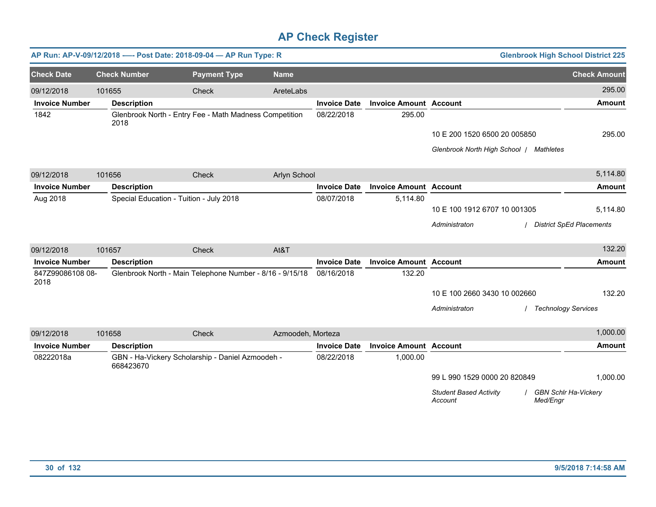|                          |        |                                         | AP Run: AP-V-09/12/2018 ---- Post Date: 2018-09-04 - AP Run Type: R |                   |                     |                               | <b>Glenbrook High School District 225</b>                                      |                                 |
|--------------------------|--------|-----------------------------------------|---------------------------------------------------------------------|-------------------|---------------------|-------------------------------|--------------------------------------------------------------------------------|---------------------------------|
| <b>Check Date</b>        |        | <b>Check Number</b>                     | <b>Payment Type</b>                                                 | <b>Name</b>       |                     |                               |                                                                                | <b>Check Amount</b>             |
| 09/12/2018               | 101655 |                                         | Check                                                               | AreteLabs         |                     |                               |                                                                                | 295.00                          |
| <b>Invoice Number</b>    |        | <b>Description</b>                      |                                                                     |                   | <b>Invoice Date</b> | <b>Invoice Amount Account</b> |                                                                                | <b>Amount</b>                   |
| 1842                     |        | 2018                                    | Glenbrook North - Entry Fee - Math Madness Competition              |                   | 08/22/2018          | 295.00                        |                                                                                |                                 |
|                          |        |                                         |                                                                     |                   |                     |                               | 10 E 200 1520 6500 20 005850                                                   | 295.00                          |
|                          |        |                                         |                                                                     |                   |                     |                               | Glenbrook North High School / Mathletes                                        |                                 |
| 09/12/2018               | 101656 |                                         | Check                                                               | Arlyn School      |                     |                               |                                                                                | 5,114.80                        |
| <b>Invoice Number</b>    |        | <b>Description</b>                      |                                                                     |                   | <b>Invoice Date</b> | <b>Invoice Amount Account</b> |                                                                                | <b>Amount</b>                   |
| Aug 2018                 |        | Special Education - Tuition - July 2018 |                                                                     |                   | 08/07/2018          | 5,114.80                      |                                                                                |                                 |
|                          |        |                                         |                                                                     |                   |                     |                               | 10 E 100 1912 6707 10 001305                                                   | 5,114.80                        |
|                          |        |                                         |                                                                     |                   |                     |                               | Administraton                                                                  | <b>District SpEd Placements</b> |
| 09/12/2018               | 101657 |                                         | Check                                                               | At&T              |                     |                               |                                                                                | 132.20                          |
| <b>Invoice Number</b>    |        | <b>Description</b>                      |                                                                     |                   | <b>Invoice Date</b> | <b>Invoice Amount Account</b> |                                                                                | <b>Amount</b>                   |
| 847Z99086108 08-<br>2018 |        |                                         | Glenbrook North - Main Telephone Number - 8/16 - 9/15/18            |                   | 08/16/2018          | 132.20                        |                                                                                |                                 |
|                          |        |                                         |                                                                     |                   |                     |                               | 10 E 100 2660 3430 10 002660                                                   | 132.20                          |
|                          |        |                                         |                                                                     |                   |                     |                               | Administraton<br>/ Technology Services                                         |                                 |
| 09/12/2018               | 101658 |                                         | Check                                                               | Azmoodeh, Morteza |                     |                               |                                                                                | 1,000.00                        |
| <b>Invoice Number</b>    |        | <b>Description</b>                      |                                                                     |                   | <b>Invoice Date</b> | <b>Invoice Amount Account</b> |                                                                                | <b>Amount</b>                   |
| 08222018a                |        | 668423670                               | GBN - Ha-Vickery Scholarship - Daniel Azmoodeh -                    |                   | 08/22/2018          | 1,000.00                      |                                                                                |                                 |
|                          |        |                                         |                                                                     |                   |                     |                               | 99 L 990 1529 0000 20 820849                                                   | 1,000.00                        |
|                          |        |                                         |                                                                     |                   |                     |                               | <b>Student Based Activity</b><br>/ GBN Schlr Ha-Vickery<br>Account<br>Med/Engr |                                 |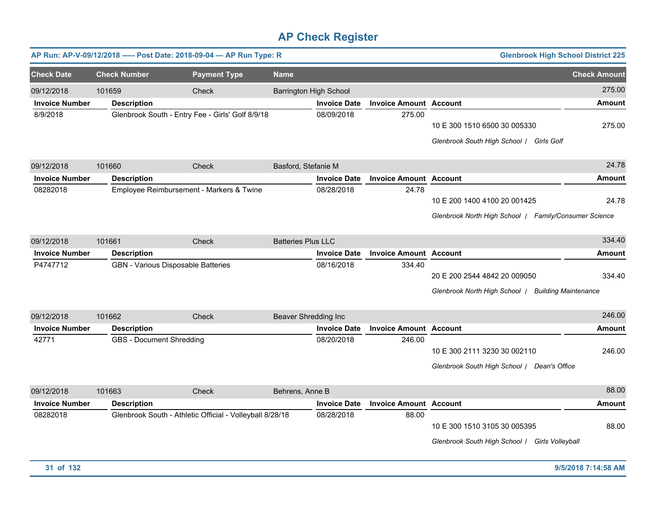|                       |                          | AP Run: AP-V-09/12/2018 ---- Post Date: 2018-09-04 - AP Run Type: R |                               |                     |                               | <b>Glenbrook High School District 225</b>                    |                     |
|-----------------------|--------------------------|---------------------------------------------------------------------|-------------------------------|---------------------|-------------------------------|--------------------------------------------------------------|---------------------|
| <b>Check Date</b>     | <b>Check Number</b>      | <b>Payment Type</b>                                                 | <b>Name</b>                   |                     |                               |                                                              | <b>Check Amount</b> |
| 09/12/2018            | 101659                   | Check                                                               | <b>Barrington High School</b> |                     |                               |                                                              | 275.00              |
| <b>Invoice Number</b> | <b>Description</b>       |                                                                     |                               | <b>Invoice Date</b> | <b>Invoice Amount Account</b> |                                                              | Amount              |
| 8/9/2018              |                          | Glenbrook South - Entry Fee - Girls' Golf 8/9/18                    |                               | 08/09/2018          | 275.00                        |                                                              |                     |
|                       |                          |                                                                     |                               |                     |                               | 10 E 300 1510 6500 30 005330                                 | 275.00              |
|                       |                          |                                                                     |                               |                     |                               | Glenbrook South High School / Girls Golf                     |                     |
| 09/12/2018            | 101660                   | Check                                                               | Basford, Stefanie M           |                     |                               |                                                              | 24.78               |
| <b>Invoice Number</b> | <b>Description</b>       |                                                                     |                               | <b>Invoice Date</b> | <b>Invoice Amount Account</b> |                                                              | Amount              |
| 08282018              |                          | Employee Reimbursement - Markers & Twine                            |                               | 08/28/2018          | 24.78                         |                                                              |                     |
|                       |                          |                                                                     |                               |                     |                               | 10 E 200 1400 4100 20 001425                                 | 24.78               |
|                       |                          |                                                                     |                               |                     |                               | Glenbrook North High School   Family/Consumer Science        |                     |
| 09/12/2018            | 101661                   | Check                                                               | <b>Batteries Plus LLC</b>     |                     |                               |                                                              | 334.40              |
| <b>Invoice Number</b> | <b>Description</b>       |                                                                     |                               | <b>Invoice Date</b> | <b>Invoice Amount Account</b> |                                                              | Amount              |
| P4747712              |                          | GBN - Various Disposable Batteries                                  |                               | 08/16/2018          | 334.40                        |                                                              |                     |
|                       |                          |                                                                     |                               |                     |                               | 20 E 200 2544 4842 20 009050                                 | 334.40              |
|                       |                          |                                                                     |                               |                     |                               | Glenbrook North High School /<br><b>Building Maintenance</b> |                     |
| 09/12/2018            | 101662                   | <b>Check</b>                                                        | <b>Beaver Shredding Inc</b>   |                     |                               |                                                              | 246.00              |
| <b>Invoice Number</b> | <b>Description</b>       |                                                                     |                               | <b>Invoice Date</b> | <b>Invoice Amount Account</b> |                                                              | Amount              |
| 42771                 | GBS - Document Shredding |                                                                     |                               | 08/20/2018          | 246.00                        |                                                              |                     |
|                       |                          |                                                                     |                               |                     |                               | 10 E 300 2111 3230 30 002110                                 | 246.00              |
|                       |                          |                                                                     |                               |                     |                               |                                                              |                     |
|                       |                          |                                                                     |                               |                     |                               | Glenbrook South High School / Dean's Office                  |                     |
| 09/12/2018            | 101663                   | Check                                                               | Behrens, Anne B               |                     |                               |                                                              | 88.00               |
| <b>Invoice Number</b> | <b>Description</b>       |                                                                     |                               | <b>Invoice Date</b> | <b>Invoice Amount Account</b> |                                                              | Amount              |
| 08282018              |                          | Glenbrook South - Athletic Official - Volleyball 8/28/18            |                               | 08/28/2018          | 88.00                         |                                                              |                     |
|                       |                          |                                                                     |                               |                     |                               | 10 E 300 1510 3105 30 005395                                 | 88.00               |
|                       |                          |                                                                     |                               |                     |                               | Glenbrook South High School / Girls Volleyball               |                     |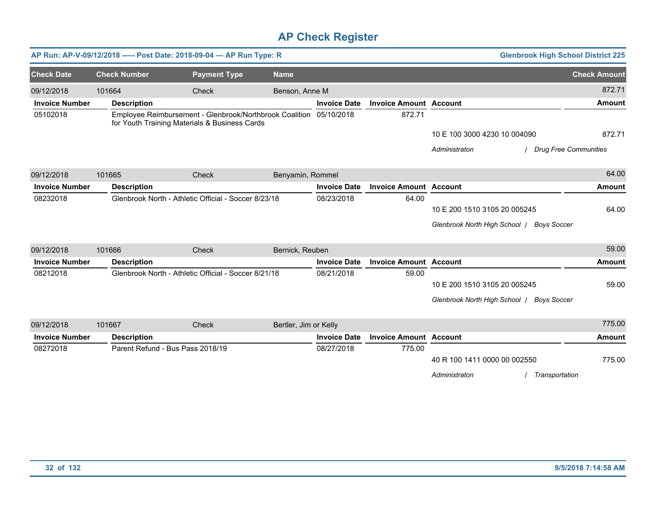|                       |        |                                  | AP Run: AP-V-09/12/2018 ---- Post Date: 2018-09-04 - AP Run Type: R                                                 |                       |                     |                               | <b>Glenbrook High School District 225</b>           |                              |
|-----------------------|--------|----------------------------------|---------------------------------------------------------------------------------------------------------------------|-----------------------|---------------------|-------------------------------|-----------------------------------------------------|------------------------------|
| <b>Check Date</b>     |        | <b>Check Number</b>              | <b>Payment Type</b>                                                                                                 | <b>Name</b>           |                     |                               |                                                     | <b>Check Amount</b>          |
| 09/12/2018            | 101664 |                                  | Check                                                                                                               | Benson, Anne M        |                     |                               |                                                     | 872.71                       |
| <b>Invoice Number</b> |        | <b>Description</b>               |                                                                                                                     |                       | <b>Invoice Date</b> | <b>Invoice Amount Account</b> |                                                     | <b>Amount</b>                |
| 05102018              |        |                                  | Employee Reimbursement - Glenbrook/Northbrook Coalition 05/10/2018<br>for Youth Training Materials & Business Cards |                       |                     | 872.71                        |                                                     |                              |
|                       |        |                                  |                                                                                                                     |                       |                     |                               | 10 E 100 3000 4230 10 004090                        | 872.71                       |
|                       |        |                                  |                                                                                                                     |                       |                     |                               | Administraton                                       | <b>Drug Free Communities</b> |
| 09/12/2018            | 101665 |                                  | Check                                                                                                               | Benyamin, Rommel      |                     |                               |                                                     | 64.00                        |
| <b>Invoice Number</b> |        | <b>Description</b>               |                                                                                                                     |                       | <b>Invoice Date</b> | <b>Invoice Amount Account</b> |                                                     | Amount                       |
| 08232018              |        |                                  | Glenbrook North - Athletic Official - Soccer 8/23/18                                                                |                       | 08/23/2018          | 64.00                         |                                                     |                              |
|                       |        |                                  |                                                                                                                     |                       |                     |                               | 10 E 200 1510 3105 20 005245                        | 64.00                        |
|                       |        |                                  |                                                                                                                     |                       |                     |                               | Glenbrook North High School   Boys Soccer           |                              |
| 09/12/2018            | 101666 |                                  | Check                                                                                                               | Bernick, Reuben       |                     |                               |                                                     | 59.00                        |
| <b>Invoice Number</b> |        | <b>Description</b>               |                                                                                                                     |                       | <b>Invoice Date</b> | <b>Invoice Amount Account</b> |                                                     | <b>Amount</b>                |
| 08212018              |        |                                  | Glenbrook North - Athletic Official - Soccer 8/21/18                                                                |                       | 08/21/2018          | 59.00                         |                                                     |                              |
|                       |        |                                  |                                                                                                                     |                       |                     |                               | 10 E 200 1510 3105 20 005245                        | 59.00                        |
|                       |        |                                  |                                                                                                                     |                       |                     |                               | Glenbrook North High School /<br><b>Boys Soccer</b> |                              |
| 09/12/2018            | 101667 |                                  | Check                                                                                                               | Bertler, Jim or Kelly |                     |                               |                                                     | 775.00                       |
| <b>Invoice Number</b> |        | <b>Description</b>               |                                                                                                                     |                       | <b>Invoice Date</b> | <b>Invoice Amount Account</b> |                                                     | <b>Amount</b>                |
| 08272018              |        | Parent Refund - Bus Pass 2018/19 |                                                                                                                     |                       | 08/27/2018          | 775.00                        |                                                     |                              |
|                       |        |                                  |                                                                                                                     |                       |                     |                               | 40 R 100 1411 0000 00 002550                        | 775.00                       |
|                       |        |                                  |                                                                                                                     |                       |                     |                               | Transportation<br>Administraton                     |                              |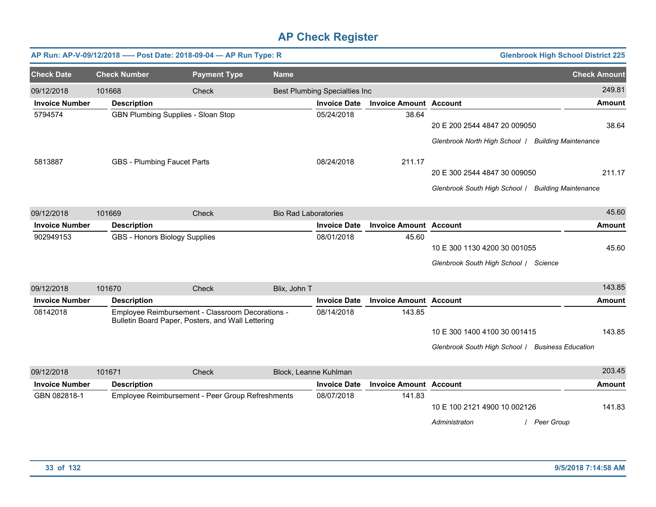|                       |                                    | AP Run: AP-V-09/12/2018 ---- Post Date: 2018-09-04 - AP Run Type: R                                   |                             |                                      |                               | <b>Glenbrook High School District 225</b>          |                     |
|-----------------------|------------------------------------|-------------------------------------------------------------------------------------------------------|-----------------------------|--------------------------------------|-------------------------------|----------------------------------------------------|---------------------|
| <b>Check Date</b>     | <b>Check Number</b>                | <b>Payment Type</b>                                                                                   | <b>Name</b>                 |                                      |                               |                                                    | <b>Check Amount</b> |
| 09/12/2018            | 101668                             | Check                                                                                                 |                             | <b>Best Plumbing Specialties Inc</b> |                               |                                                    | 249.81              |
| <b>Invoice Number</b> | <b>Description</b>                 |                                                                                                       |                             | <b>Invoice Date</b>                  | <b>Invoice Amount Account</b> |                                                    | Amount              |
| 5794574               |                                    | <b>GBN Plumbing Supplies - Sloan Stop</b>                                                             |                             | 05/24/2018                           | 38.64                         | 20 E 200 2544 4847 20 009050                       | 38.64               |
|                       |                                    |                                                                                                       |                             |                                      |                               | Glenbrook North High School   Building Maintenance |                     |
| 5813887               | <b>GBS - Plumbing Faucet Parts</b> |                                                                                                       |                             | 08/24/2018                           | 211.17                        |                                                    |                     |
|                       |                                    |                                                                                                       |                             |                                      |                               | 20 E 300 2544 4847 30 009050                       | 211.17              |
|                       |                                    |                                                                                                       |                             |                                      |                               | Glenbrook South High School / Building Maintenance |                     |
| 09/12/2018            | 101669                             | <b>Check</b>                                                                                          | <b>Bio Rad Laboratories</b> |                                      |                               |                                                    | 45.60               |
| <b>Invoice Number</b> | <b>Description</b>                 |                                                                                                       |                             | <b>Invoice Date</b>                  | <b>Invoice Amount Account</b> |                                                    | <b>Amount</b>       |
| 902949153             |                                    | GBS - Honors Biology Supplies                                                                         |                             | 08/01/2018                           | 45.60                         |                                                    |                     |
|                       |                                    |                                                                                                       |                             |                                      |                               | 10 E 300 1130 4200 30 001055                       | 45.60               |
|                       |                                    |                                                                                                       |                             |                                      |                               | Glenbrook South High School / Science              |                     |
| 09/12/2018            | 101670                             | Check                                                                                                 | Blix, John T                |                                      |                               |                                                    | 143.85              |
| <b>Invoice Number</b> | <b>Description</b>                 |                                                                                                       |                             | <b>Invoice Date</b>                  | <b>Invoice Amount Account</b> |                                                    | Amount              |
| 08142018              |                                    | Employee Reimbursement - Classroom Decorations -<br>Bulletin Board Paper, Posters, and Wall Lettering |                             | 08/14/2018                           | 143.85                        |                                                    |                     |
|                       |                                    |                                                                                                       |                             |                                      |                               | 10 E 300 1400 4100 30 001415                       | 143.85              |
|                       |                                    |                                                                                                       |                             |                                      |                               | Glenbrook South High School   Business Education   |                     |
| 09/12/2018            | 101671                             | Check                                                                                                 |                             | Block, Leanne Kuhlman                |                               |                                                    | 203.45              |
| <b>Invoice Number</b> | <b>Description</b>                 |                                                                                                       |                             | <b>Invoice Date</b>                  | <b>Invoice Amount Account</b> |                                                    | Amount              |
| GBN 082818-1          |                                    | Employee Reimbursement - Peer Group Refreshments                                                      |                             | 08/07/2018                           | 141.83                        |                                                    |                     |
|                       |                                    |                                                                                                       |                             |                                      |                               | 10 E 100 2121 4900 10 002126                       | 141.83              |
|                       |                                    |                                                                                                       |                             |                                      |                               | Peer Group<br>Administraton                        |                     |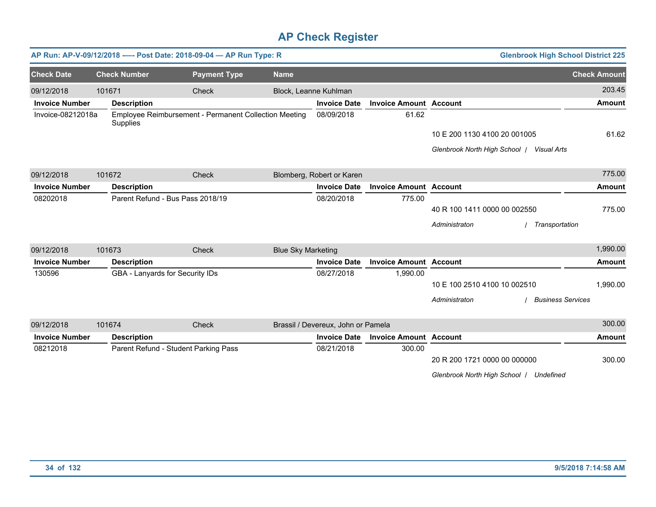|                       |                                      | AP Run: AP-V-09/12/2018 ---- Post Date: 2018-09-04 - AP Run Type: R |                           |                                    |                               | <b>Glenbrook High School District 225</b>    |                     |
|-----------------------|--------------------------------------|---------------------------------------------------------------------|---------------------------|------------------------------------|-------------------------------|----------------------------------------------|---------------------|
| <b>Check Date</b>     | <b>Check Number</b>                  | <b>Payment Type</b>                                                 | <b>Name</b>               |                                    |                               |                                              | <b>Check Amount</b> |
| 09/12/2018            | 101671                               | Check                                                               |                           | Block, Leanne Kuhlman              |                               |                                              | 203.45              |
| <b>Invoice Number</b> | <b>Description</b>                   |                                                                     |                           | <b>Invoice Date</b>                | <b>Invoice Amount Account</b> |                                              | <b>Amount</b>       |
| Invoice-08212018a     | Supplies                             | Employee Reimbursement - Permanent Collection Meeting               |                           |                                    | 61.62                         |                                              |                     |
|                       |                                      |                                                                     |                           |                                    |                               | 10 E 200 1130 4100 20 001005                 | 61.62               |
|                       |                                      |                                                                     |                           |                                    |                               | Glenbrook North High School /<br>Visual Arts |                     |
| 09/12/2018            | 101672                               | Check                                                               |                           | Blomberg, Robert or Karen          |                               |                                              | 775.00              |
| <b>Invoice Number</b> | <b>Description</b>                   |                                                                     |                           | <b>Invoice Date</b>                | <b>Invoice Amount Account</b> |                                              | <b>Amount</b>       |
| 08202018              |                                      | Parent Refund - Bus Pass 2018/19                                    |                           | 08/20/2018                         | 775.00                        |                                              |                     |
|                       |                                      |                                                                     |                           |                                    |                               | 40 R 100 1411 0000 00 002550                 | 775.00              |
|                       |                                      |                                                                     |                           |                                    |                               | Administraton<br>Transportation              |                     |
| 09/12/2018            | 101673                               | Check                                                               | <b>Blue Sky Marketing</b> |                                    |                               |                                              | 1,990.00            |
| <b>Invoice Number</b> | <b>Description</b>                   |                                                                     |                           | <b>Invoice Date</b>                | <b>Invoice Amount Account</b> |                                              | <b>Amount</b>       |
| 130596                |                                      | GBA - Lanyards for Security IDs                                     |                           | 08/27/2018                         | 1,990.00                      |                                              |                     |
|                       |                                      |                                                                     |                           |                                    |                               | 10 E 100 2510 4100 10 002510                 | 1,990.00            |
|                       |                                      |                                                                     |                           |                                    |                               | Administraton<br><b>Business Services</b>    |                     |
| 09/12/2018            | 101674                               | Check                                                               |                           | Brassil / Devereux, John or Pamela |                               |                                              | 300.00              |
| <b>Invoice Number</b> | <b>Description</b>                   |                                                                     |                           | <b>Invoice Date</b>                | <b>Invoice Amount Account</b> |                                              | <b>Amount</b>       |
| 08212018              | Parent Refund - Student Parking Pass |                                                                     |                           | 08/21/2018                         | 300.00                        |                                              |                     |
|                       |                                      |                                                                     |                           |                                    |                               | 20 R 200 1721 0000 00 000000                 | 300.00              |
|                       |                                      |                                                                     |                           |                                    |                               | Glenbrook North High School   Undefined      |                     |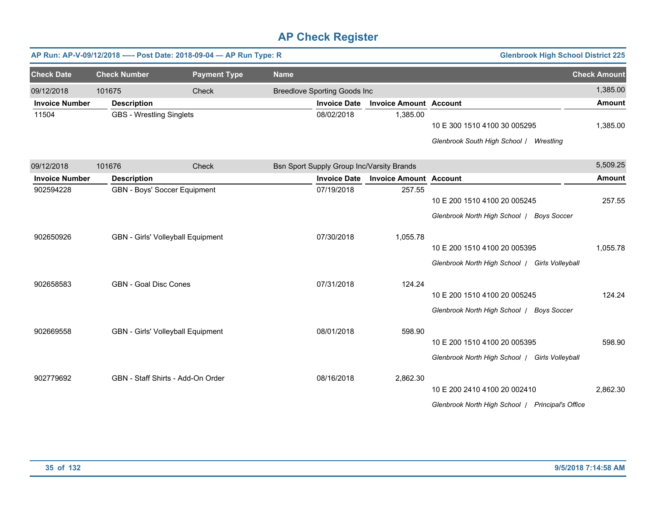|                       |                                 | AP Run: AP-V-09/12/2018 ---- Post Date: 2018-09-04 - AP Run Type: R |                                           |                               | <b>Glenbrook High School District 225</b>                                        |                     |
|-----------------------|---------------------------------|---------------------------------------------------------------------|-------------------------------------------|-------------------------------|----------------------------------------------------------------------------------|---------------------|
| <b>Check Date</b>     | <b>Check Number</b>             | <b>Payment Type</b>                                                 | <b>Name</b>                               |                               |                                                                                  | <b>Check Amount</b> |
| 09/12/2018            | 101675                          | Check                                                               | <b>Breedlove Sporting Goods Inc</b>       |                               |                                                                                  | 1,385.00            |
| <b>Invoice Number</b> | <b>Description</b>              |                                                                     | <b>Invoice Date</b>                       | <b>Invoice Amount Account</b> |                                                                                  | <b>Amount</b>       |
| 11504                 | <b>GBS - Wrestling Singlets</b> |                                                                     | 08/02/2018                                | 1,385.00                      | 10 E 300 1510 4100 30 005295                                                     | 1,385.00            |
|                       |                                 |                                                                     |                                           |                               | Glenbrook South High School / Wrestling                                          |                     |
| 09/12/2018            | 101676                          | Check                                                               | Bsn Sport Supply Group Inc/Varsity Brands |                               |                                                                                  | 5,509.25            |
| <b>Invoice Number</b> | <b>Description</b>              |                                                                     | <b>Invoice Date</b>                       | <b>Invoice Amount Account</b> |                                                                                  | <b>Amount</b>       |
| 902594228             | GBN - Boys' Soccer Equipment    |                                                                     | 07/19/2018                                | 257.55                        | 10 E 200 1510 4100 20 005245<br>Glenbrook North High School   Boys Soccer        | 257.55              |
| 902650926             |                                 | GBN - Girls' Volleyball Equipment                                   | 07/30/2018                                | 1,055.78                      | 10 E 200 1510 4100 20 005395<br>Glenbrook North High School   Girls Volleyball   | 1,055.78            |
| 902658583             | <b>GBN - Goal Disc Cones</b>    |                                                                     | 07/31/2018                                | 124.24                        | 10 E 200 1510 4100 20 005245<br>Glenbrook North High School   Boys Soccer        | 124.24              |
| 902669558             |                                 | GBN - Girls' Volleyball Equipment                                   | 08/01/2018                                | 598.90                        | 10 E 200 1510 4100 20 005395<br>Glenbrook North High School   Girls Volleyball   | 598.90              |
| 902779692             |                                 | GBN - Staff Shirts - Add-On Order                                   | 08/16/2018                                | 2,862.30                      | 10 E 200 2410 4100 20 002410<br>Glenbrook North High School   Principal's Office | 2,862.30            |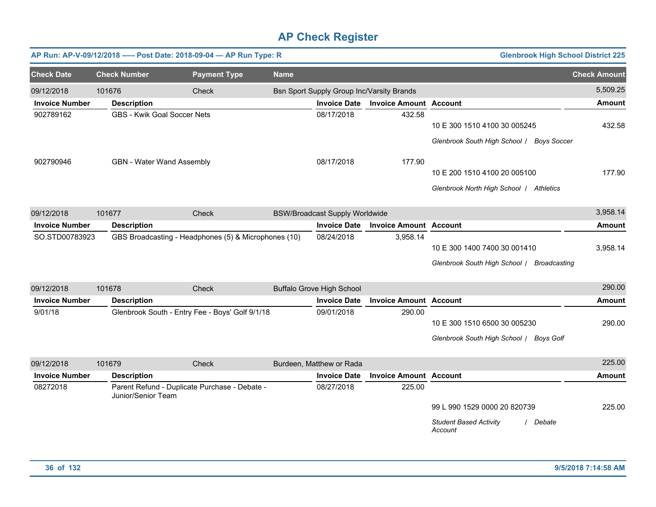|                       |                     | AP Run: AP-V-09/12/2018 ---- Post Date: 2018-09-04 - AP Run Type: R |             |                                           |                               | <b>Glenbrook High School District 225</b>                                            |                     |
|-----------------------|---------------------|---------------------------------------------------------------------|-------------|-------------------------------------------|-------------------------------|--------------------------------------------------------------------------------------|---------------------|
| <b>Check Date</b>     | <b>Check Number</b> | <b>Payment Type</b>                                                 | <b>Name</b> |                                           |                               |                                                                                      | <b>Check Amount</b> |
| 09/12/2018            | 101676              | Check                                                               |             | Bsn Sport Supply Group Inc/Varsity Brands |                               |                                                                                      | 5,509.25            |
| <b>Invoice Number</b> | <b>Description</b>  |                                                                     |             | <b>Invoice Date</b>                       | <b>Invoice Amount Account</b> |                                                                                      | <b>Amount</b>       |
| 902789162             |                     | <b>GBS - Kwik Goal Soccer Nets</b>                                  |             | 08/17/2018                                | 432.58                        | 10 E 300 1510 4100 30 005245<br>Glenbrook South High School / Boys Soccer            | 432.58              |
| 902790946             |                     | GBN - Water Wand Assembly                                           |             | 08/17/2018                                | 177.90                        | 10 E 200 1510 4100 20 005100<br>Glenbrook North High School / Athletics              | 177.90              |
| 09/12/2018            | 101677              | Check                                                               |             | <b>BSW/Broadcast Supply Worldwide</b>     |                               |                                                                                      | 3,958.14            |
| <b>Invoice Number</b> | <b>Description</b>  |                                                                     |             | <b>Invoice Date</b>                       | <b>Invoice Amount</b>         | <b>Account</b>                                                                       | <b>Amount</b>       |
| SO.STD00783923        |                     | GBS Broadcasting - Headphones (5) & Microphones (10)                |             | 08/24/2018                                | 3,958.14                      | 10 E 300 1400 7400 30 001410<br>Glenbrook South High School / Broadcasting           | 3,958.14            |
| 09/12/2018            | 101678              | Check                                                               |             | <b>Buffalo Grove High School</b>          |                               |                                                                                      | 290.00              |
| <b>Invoice Number</b> | <b>Description</b>  |                                                                     |             | <b>Invoice Date</b>                       | <b>Invoice Amount Account</b> |                                                                                      | <b>Amount</b>       |
| 9/01/18               |                     | Glenbrook South - Entry Fee - Boys' Golf 9/1/18                     |             | 09/01/2018                                | 290.00                        | 10 E 300 1510 6500 30 005230<br>Glenbrook South High School / Boys Golf              | 290.00              |
| 09/12/2018            | 101679              | Check                                                               |             | Burdeen, Matthew or Rada                  |                               |                                                                                      | 225.00              |
| <b>Invoice Number</b> | <b>Description</b>  |                                                                     |             | <b>Invoice Date</b>                       | <b>Invoice Amount Account</b> |                                                                                      | <b>Amount</b>       |
| 08272018              |                     | Parent Refund - Duplicate Purchase - Debate -<br>Junior/Senior Team |             | 08/27/2018                                | 225.00                        | 99 L 990 1529 0000 20 820739<br><b>Student Based Activity</b><br>/ Debate<br>Account | 225.00              |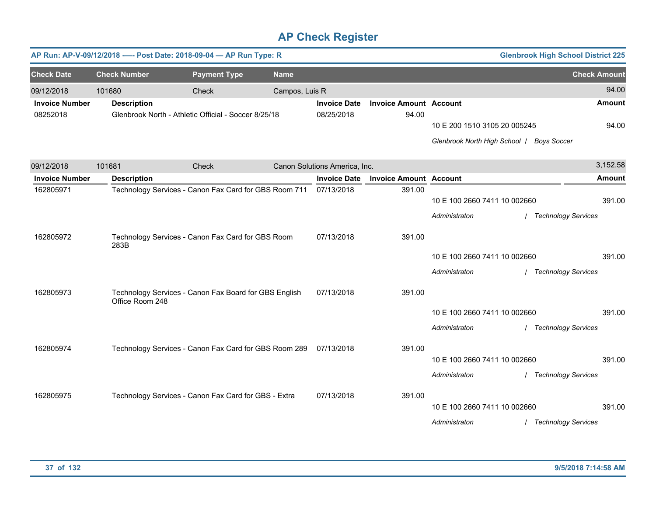|                       |                     | AP Run: AP-V-09/12/2018 ---- Post Date: 2018-09-04 - AP Run Type: R |                |                               |                               |                                                                           | <b>Glenbrook High School District 225</b> |               |
|-----------------------|---------------------|---------------------------------------------------------------------|----------------|-------------------------------|-------------------------------|---------------------------------------------------------------------------|-------------------------------------------|---------------|
| <b>Check Date</b>     | <b>Check Number</b> | <b>Payment Type</b>                                                 | <b>Name</b>    |                               |                               |                                                                           | <b>Check Amount</b>                       |               |
| 09/12/2018            | 101680              | Check                                                               | Campos, Luis R |                               |                               |                                                                           |                                           | 94.00         |
| <b>Invoice Number</b> | <b>Description</b>  |                                                                     |                | <b>Invoice Date</b>           | <b>Invoice Amount Account</b> |                                                                           |                                           | <b>Amount</b> |
| 08252018              |                     | Glenbrook North - Athletic Official - Soccer 8/25/18                |                | 08/25/2018                    | 94.00                         | 10 E 200 1510 3105 20 005245<br>Glenbrook North High School   Boys Soccer |                                           | 94.00         |
| 09/12/2018            | 101681              | Check                                                               |                | Canon Solutions America, Inc. |                               |                                                                           |                                           | 3,152.58      |
| <b>Invoice Number</b> | <b>Description</b>  |                                                                     |                | <b>Invoice Date</b>           | <b>Invoice Amount Account</b> |                                                                           |                                           | Amount        |
| 162805971             |                     | Technology Services - Canon Fax Card for GBS Room 711               |                | 07/13/2018                    | 391.00                        | 10 E 100 2660 7411 10 002660<br>Administraton                             | <b>Technology Services</b>                | 391.00        |
| 162805972             | 283B                | Technology Services - Canon Fax Card for GBS Room                   |                | 07/13/2018                    | 391.00                        | 10 E 100 2660 7411 10 002660<br>Administraton                             | / Technology Services                     | 391.00        |
| 162805973             | Office Room 248     | Technology Services - Canon Fax Board for GBS English               |                | 07/13/2018                    | 391.00                        | 10 E 100 2660 7411 10 002660<br>Administraton                             | <b>Technology Services</b>                | 391.00        |
| 162805974             |                     | Technology Services - Canon Fax Card for GBS Room 289               |                | 07/13/2018                    | 391.00                        | 10 E 100 2660 7411 10 002660<br>Administraton                             | <b>Technology Services</b>                | 391.00        |
| 162805975             |                     | Technology Services - Canon Fax Card for GBS - Extra                |                | 07/13/2018                    | 391.00                        | 10 E 100 2660 7411 10 002660<br>Administraton                             | <b>Technology Services</b>                | 391.00        |
|                       |                     |                                                                     |                |                               |                               |                                                                           |                                           |               |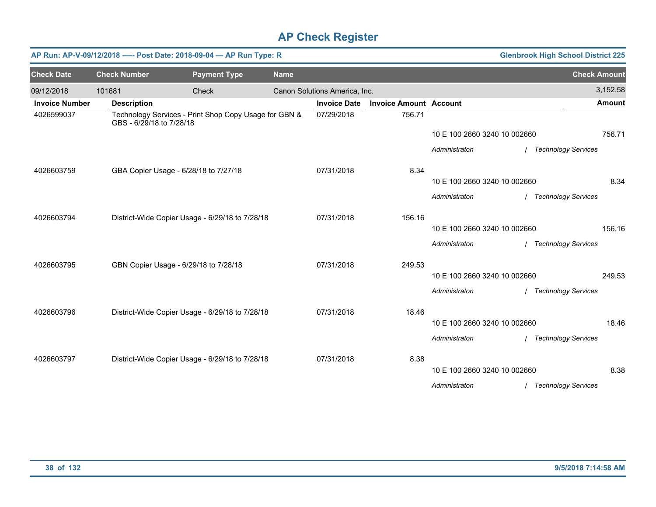|                       |                          | AP Run: AP-V-09/12/2018 ---- Post Date: 2018-09-04 - AP Run Type: R |             |                               |                               |                              | <b>Glenbrook High School District 225</b> |                            |
|-----------------------|--------------------------|---------------------------------------------------------------------|-------------|-------------------------------|-------------------------------|------------------------------|-------------------------------------------|----------------------------|
| <b>Check Date</b>     | <b>Check Number</b>      | <b>Payment Type</b>                                                 | <b>Name</b> |                               |                               |                              |                                           | <b>Check Amount</b>        |
| 09/12/2018            | 101681                   | Check                                                               |             | Canon Solutions America, Inc. |                               |                              |                                           | 3,152.58                   |
| <b>Invoice Number</b> | <b>Description</b>       |                                                                     |             | <b>Invoice Date</b>           | <b>Invoice Amount Account</b> |                              |                                           | <b>Amount</b>              |
| 4026599037            | GBS - 6/29/18 to 7/28/18 | Technology Services - Print Shop Copy Usage for GBN &               |             | 07/29/2018                    | 756.71                        |                              |                                           |                            |
|                       |                          |                                                                     |             |                               |                               | 10 E 100 2660 3240 10 002660 |                                           | 756.71                     |
|                       |                          |                                                                     |             |                               |                               | Administraton                | / Technology Services                     |                            |
| 4026603759            |                          | GBA Copier Usage - 6/28/18 to 7/27/18                               |             | 07/31/2018                    | 8.34                          |                              |                                           |                            |
|                       |                          |                                                                     |             |                               |                               | 10 E 100 2660 3240 10 002660 |                                           | 8.34                       |
|                       |                          |                                                                     |             |                               |                               | Administraton                | / Technology Services                     |                            |
| 4026603794            |                          | District-Wide Copier Usage - 6/29/18 to 7/28/18                     |             | 07/31/2018                    | 156.16                        |                              |                                           |                            |
|                       |                          |                                                                     |             |                               |                               | 10 E 100 2660 3240 10 002660 |                                           | 156.16                     |
|                       |                          |                                                                     |             |                               |                               | Administraton                |                                           | <b>Technology Services</b> |
| 4026603795            |                          | GBN Copier Usage - 6/29/18 to 7/28/18                               |             | 07/31/2018                    | 249.53                        |                              |                                           |                            |
|                       |                          |                                                                     |             |                               |                               | 10 E 100 2660 3240 10 002660 |                                           | 249.53                     |
|                       |                          |                                                                     |             |                               |                               | Administraton                | / Technology Services                     |                            |
| 4026603796            |                          | District-Wide Copier Usage - 6/29/18 to 7/28/18                     |             | 07/31/2018                    | 18.46                         |                              |                                           |                            |
|                       |                          |                                                                     |             |                               |                               | 10 E 100 2660 3240 10 002660 |                                           | 18.46                      |
|                       |                          |                                                                     |             |                               |                               | Administraton                | / Technology Services                     |                            |
| 4026603797            |                          | District-Wide Copier Usage - 6/29/18 to 7/28/18                     |             | 07/31/2018                    | 8.38                          |                              |                                           |                            |
|                       |                          |                                                                     |             |                               |                               | 10 E 100 2660 3240 10 002660 |                                           | 8.38                       |
|                       |                          |                                                                     |             |                               |                               | Administraton                | / Technology Services                     |                            |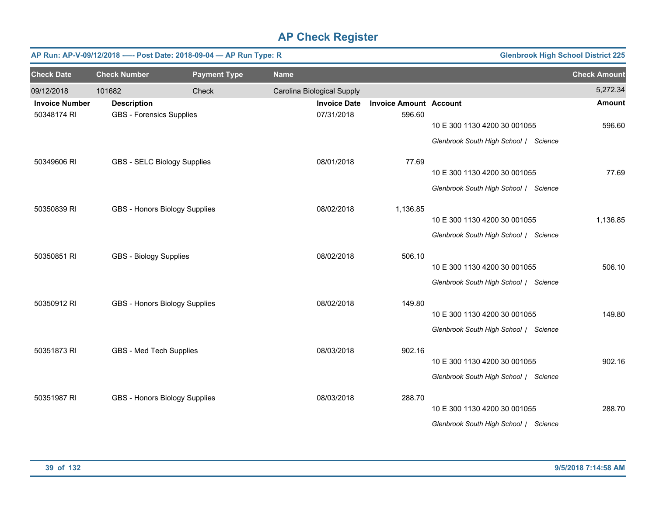|                       | <b>Glenbrook High School District 225</b><br>AP Run: AP-V-09/12/2018 ---- Post Date: 2018-09-04 - AP Run Type: R |                     |             |                            |                               |                                       |                     |  |  |  |  |
|-----------------------|------------------------------------------------------------------------------------------------------------------|---------------------|-------------|----------------------------|-------------------------------|---------------------------------------|---------------------|--|--|--|--|
| <b>Check Date</b>     | <b>Check Number</b>                                                                                              | <b>Payment Type</b> | <b>Name</b> |                            |                               |                                       | <b>Check Amount</b> |  |  |  |  |
| 09/12/2018            | 101682                                                                                                           | Check               |             | Carolina Biological Supply |                               |                                       | 5,272.34            |  |  |  |  |
| <b>Invoice Number</b> | <b>Description</b>                                                                                               |                     |             | <b>Invoice Date</b>        | <b>Invoice Amount Account</b> |                                       | <b>Amount</b>       |  |  |  |  |
| 50348174 RI           | <b>GBS - Forensics Supplies</b>                                                                                  |                     |             | 07/31/2018                 | 596.60                        | 10 E 300 1130 4200 30 001055          | 596.60              |  |  |  |  |
|                       |                                                                                                                  |                     |             |                            |                               | Glenbrook South High School / Science |                     |  |  |  |  |
| 50349606 RI           | GBS - SELC Biology Supplies                                                                                      |                     |             | 08/01/2018                 | 77.69                         |                                       |                     |  |  |  |  |
|                       |                                                                                                                  |                     |             |                            |                               | 10 E 300 1130 4200 30 001055          | 77.69               |  |  |  |  |
|                       |                                                                                                                  |                     |             |                            |                               | Glenbrook South High School / Science |                     |  |  |  |  |
| 50350839 RI           | GBS - Honors Biology Supplies                                                                                    |                     |             | 08/02/2018                 | 1,136.85                      |                                       |                     |  |  |  |  |
|                       |                                                                                                                  |                     |             |                            |                               | 10 E 300 1130 4200 30 001055          | 1,136.85            |  |  |  |  |
|                       |                                                                                                                  |                     |             |                            |                               | Glenbrook South High School / Science |                     |  |  |  |  |
| 50350851 RI           | <b>GBS - Biology Supplies</b>                                                                                    |                     |             | 08/02/2018                 | 506.10                        |                                       |                     |  |  |  |  |
|                       |                                                                                                                  |                     |             |                            |                               | 10 E 300 1130 4200 30 001055          | 506.10              |  |  |  |  |
|                       |                                                                                                                  |                     |             |                            |                               | Glenbrook South High School / Science |                     |  |  |  |  |
| 50350912 RI           | GBS - Honors Biology Supplies                                                                                    |                     |             | 08/02/2018                 | 149.80                        |                                       |                     |  |  |  |  |
|                       |                                                                                                                  |                     |             |                            |                               | 10 E 300 1130 4200 30 001055          | 149.80              |  |  |  |  |
|                       |                                                                                                                  |                     |             |                            |                               | Glenbrook South High School / Science |                     |  |  |  |  |
| 50351873 RI           | GBS - Med Tech Supplies                                                                                          |                     |             | 08/03/2018                 | 902.16                        |                                       |                     |  |  |  |  |
|                       |                                                                                                                  |                     |             |                            |                               | 10 E 300 1130 4200 30 001055          | 902.16              |  |  |  |  |
|                       |                                                                                                                  |                     |             |                            |                               | Glenbrook South High School / Science |                     |  |  |  |  |
| 50351987 RI           | GBS - Honors Biology Supplies                                                                                    |                     |             | 08/03/2018                 | 288.70                        |                                       |                     |  |  |  |  |
|                       |                                                                                                                  |                     |             |                            |                               | 10 E 300 1130 4200 30 001055          | 288.70              |  |  |  |  |
|                       |                                                                                                                  |                     |             |                            |                               | Glenbrook South High School / Science |                     |  |  |  |  |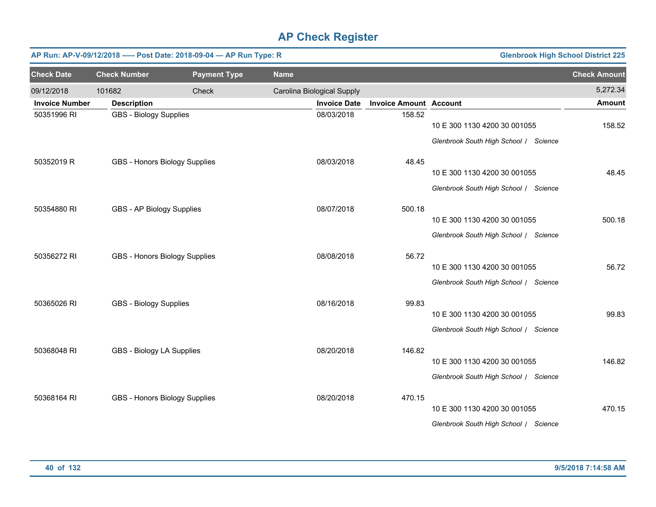|                       | <b>Glenbrook High School District 225</b><br>AP Run: AP-V-09/12/2018 ---- Post Date: 2018-09-04 - AP Run Type: R |                     |             |                            |                               |                                       |                     |  |  |  |  |
|-----------------------|------------------------------------------------------------------------------------------------------------------|---------------------|-------------|----------------------------|-------------------------------|---------------------------------------|---------------------|--|--|--|--|
| <b>Check Date</b>     | <b>Check Number</b>                                                                                              | <b>Payment Type</b> | <b>Name</b> |                            |                               |                                       | <b>Check Amount</b> |  |  |  |  |
| 09/12/2018            | 101682                                                                                                           | Check               |             | Carolina Biological Supply |                               |                                       | 5,272.34            |  |  |  |  |
| <b>Invoice Number</b> | <b>Description</b>                                                                                               |                     |             | <b>Invoice Date</b>        | <b>Invoice Amount Account</b> |                                       | <b>Amount</b>       |  |  |  |  |
| 50351996 RI           | <b>GBS - Biology Supplies</b>                                                                                    |                     |             | 08/03/2018                 | 158.52                        | 10 E 300 1130 4200 30 001055          | 158.52              |  |  |  |  |
|                       |                                                                                                                  |                     |             |                            |                               | Glenbrook South High School / Science |                     |  |  |  |  |
| 50352019 R            | GBS - Honors Biology Supplies                                                                                    |                     |             | 08/03/2018                 | 48.45                         |                                       |                     |  |  |  |  |
|                       |                                                                                                                  |                     |             |                            |                               | 10 E 300 1130 4200 30 001055          | 48.45               |  |  |  |  |
|                       |                                                                                                                  |                     |             |                            |                               | Glenbrook South High School / Science |                     |  |  |  |  |
| 50354880 RI           | GBS - AP Biology Supplies                                                                                        |                     |             | 08/07/2018                 | 500.18                        |                                       |                     |  |  |  |  |
|                       |                                                                                                                  |                     |             |                            |                               | 10 E 300 1130 4200 30 001055          | 500.18              |  |  |  |  |
|                       |                                                                                                                  |                     |             |                            |                               | Glenbrook South High School / Science |                     |  |  |  |  |
| 50356272 RI           | GBS - Honors Biology Supplies                                                                                    |                     |             | 08/08/2018                 | 56.72                         |                                       |                     |  |  |  |  |
|                       |                                                                                                                  |                     |             |                            |                               | 10 E 300 1130 4200 30 001055          | 56.72               |  |  |  |  |
|                       |                                                                                                                  |                     |             |                            |                               | Glenbrook South High School / Science |                     |  |  |  |  |
| 50365026 RI           | <b>GBS - Biology Supplies</b>                                                                                    |                     |             | 08/16/2018                 | 99.83                         |                                       |                     |  |  |  |  |
|                       |                                                                                                                  |                     |             |                            |                               | 10 E 300 1130 4200 30 001055          | 99.83               |  |  |  |  |
|                       |                                                                                                                  |                     |             |                            |                               | Glenbrook South High School / Science |                     |  |  |  |  |
| 50368048 RI           | GBS - Biology LA Supplies                                                                                        |                     |             | 08/20/2018                 | 146.82                        |                                       |                     |  |  |  |  |
|                       |                                                                                                                  |                     |             |                            |                               | 10 E 300 1130 4200 30 001055          | 146.82              |  |  |  |  |
|                       |                                                                                                                  |                     |             |                            |                               | Glenbrook South High School / Science |                     |  |  |  |  |
| 50368164 RI           | GBS - Honors Biology Supplies                                                                                    |                     |             | 08/20/2018                 | 470.15                        |                                       |                     |  |  |  |  |
|                       |                                                                                                                  |                     |             |                            |                               | 10 E 300 1130 4200 30 001055          | 470.15              |  |  |  |  |
|                       |                                                                                                                  |                     |             |                            |                               | Glenbrook South High School / Science |                     |  |  |  |  |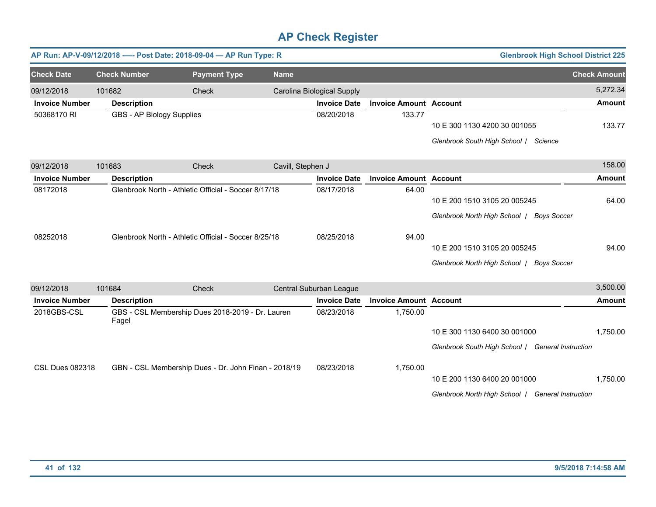|                        |                           | AP Run: AP-V-09/12/2018 ---- Post Date: 2018-09-04 - AP Run Type: R |                   |                            |                               | <b>Glenbrook High School District 225</b>         |                     |
|------------------------|---------------------------|---------------------------------------------------------------------|-------------------|----------------------------|-------------------------------|---------------------------------------------------|---------------------|
| <b>Check Date</b>      | <b>Check Number</b>       | <b>Payment Type</b>                                                 | <b>Name</b>       |                            |                               |                                                   | <b>Check Amount</b> |
| 09/12/2018             | 101682                    | <b>Check</b>                                                        |                   | Carolina Biological Supply |                               |                                                   | 5,272.34            |
| <b>Invoice Number</b>  | <b>Description</b>        |                                                                     |                   | <b>Invoice Date</b>        | <b>Invoice Amount Account</b> |                                                   | <b>Amount</b>       |
| 50368170 RI            | GBS - AP Biology Supplies |                                                                     |                   | 08/20/2018                 | 133.77                        |                                                   |                     |
|                        |                           |                                                                     |                   |                            |                               | 10 E 300 1130 4200 30 001055                      | 133.77              |
|                        |                           |                                                                     |                   |                            |                               | Glenbrook South High School / Science             |                     |
| 09/12/2018             | 101683                    | <b>Check</b>                                                        | Cavill, Stephen J |                            |                               |                                                   | 158.00              |
| <b>Invoice Number</b>  | <b>Description</b>        |                                                                     |                   | <b>Invoice Date</b>        | <b>Invoice Amount Account</b> |                                                   | <b>Amount</b>       |
| 08172018               |                           | Glenbrook North - Athletic Official - Soccer 8/17/18                |                   | 08/17/2018                 | 64.00                         |                                                   |                     |
|                        |                           |                                                                     |                   |                            |                               | 10 E 200 1510 3105 20 005245                      | 64.00               |
|                        |                           |                                                                     |                   |                            |                               | Glenbrook North High School / Boys Soccer         |                     |
| 08252018               |                           | Glenbrook North - Athletic Official - Soccer 8/25/18                |                   | 08/25/2018                 | 94.00                         |                                                   |                     |
|                        |                           |                                                                     |                   |                            |                               | 10 E 200 1510 3105 20 005245                      | 94.00               |
|                        |                           |                                                                     |                   |                            |                               | Glenbrook North High School / Boys Soccer         |                     |
| 09/12/2018             | 101684                    | Check                                                               |                   | Central Suburban League    |                               |                                                   | 3,500.00            |
| <b>Invoice Number</b>  | <b>Description</b>        |                                                                     |                   | <b>Invoice Date</b>        | <b>Invoice Amount Account</b> |                                                   | Amount              |
| 2018GBS-CSL            | Fagel                     | GBS - CSL Membership Dues 2018-2019 - Dr. Lauren                    |                   | 08/23/2018                 | 1,750.00                      |                                                   |                     |
|                        |                           |                                                                     |                   |                            |                               | 10 E 300 1130 6400 30 001000                      | 1,750.00            |
|                        |                           |                                                                     |                   |                            |                               | Glenbrook South High School / General Instruction |                     |
| <b>CSL Dues 082318</b> |                           | GBN - CSL Membership Dues - Dr. John Finan - 2018/19                |                   | 08/23/2018                 | 1,750.00                      |                                                   |                     |
|                        |                           |                                                                     |                   |                            |                               | 10 E 200 1130 6400 20 001000                      | 1,750.00            |
|                        |                           |                                                                     |                   |                            |                               | Glenbrook North High School   General Instruction |                     |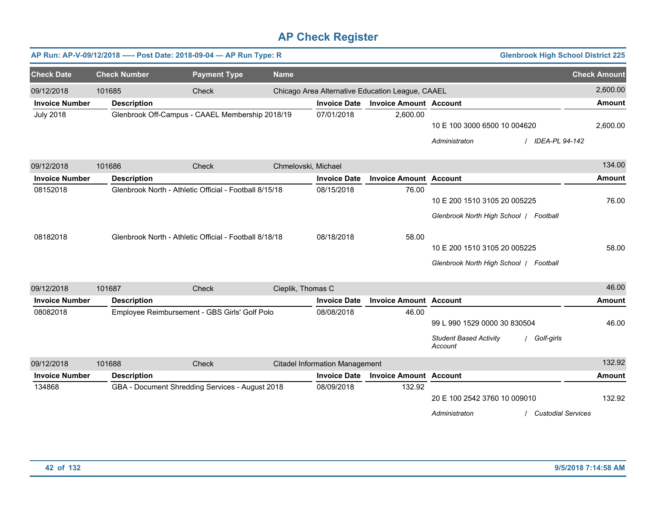|                       |                     | AP Run: AP-V-09/12/2018 ---- Post Date: 2018-09-04 - AP Run Type: R |                     |                                       |                                                  |                                                                          | <b>Glenbrook High School District 225</b> |                     |
|-----------------------|---------------------|---------------------------------------------------------------------|---------------------|---------------------------------------|--------------------------------------------------|--------------------------------------------------------------------------|-------------------------------------------|---------------------|
| <b>Check Date</b>     | <b>Check Number</b> | <b>Payment Type</b>                                                 | <b>Name</b>         |                                       |                                                  |                                                                          |                                           | <b>Check Amount</b> |
| 09/12/2018            | 101685              | Check                                                               |                     |                                       | Chicago Area Alternative Education League, CAAEL |                                                                          |                                           | 2,600.00            |
| <b>Invoice Number</b> | <b>Description</b>  |                                                                     |                     | <b>Invoice Date</b>                   | <b>Invoice Amount Account</b>                    |                                                                          |                                           | <b>Amount</b>       |
| <b>July 2018</b>      |                     | Glenbrook Off-Campus - CAAEL Membership 2018/19                     |                     | 07/01/2018                            | 2,600.00                                         | 10 E 100 3000 6500 10 004620<br>Administraton                            | <b>IDEA-PL 94-142</b>                     | 2,600.00            |
| 09/12/2018            | 101686              | Check                                                               | Chmelovski, Michael |                                       |                                                  |                                                                          |                                           | 134.00              |
| <b>Invoice Number</b> | <b>Description</b>  |                                                                     |                     | <b>Invoice Date</b>                   | <b>Invoice Amount Account</b>                    |                                                                          |                                           | <b>Amount</b>       |
| 08152018              |                     | Glenbrook North - Athletic Official - Football 8/15/18              |                     | 08/15/2018                            | 76.00                                            | 10 E 200 1510 3105 20 005225                                             | Glenbrook North High School   Football    | 76.00               |
| 08182018              |                     | Glenbrook North - Athletic Official - Football 8/18/18              |                     | 08/18/2018                            | 58.00                                            | 10 E 200 1510 3105 20 005225                                             | Glenbrook North High School   Football    | 58.00               |
| 09/12/2018            | 101687              | Check                                                               | Cieplik, Thomas C   |                                       |                                                  |                                                                          |                                           | 46.00               |
| <b>Invoice Number</b> | <b>Description</b>  |                                                                     |                     | <b>Invoice Date</b>                   | <b>Invoice Amount Account</b>                    |                                                                          |                                           | <b>Amount</b>       |
| 08082018              |                     | Employee Reimbursement - GBS Girls' Golf Polo                       |                     | 08/08/2018                            | 46.00                                            | 99 L 990 1529 0000 30 830504<br><b>Student Based Activity</b><br>Account | / Golf-girls                              | 46.00               |
| 09/12/2018            | 101688              | Check                                                               |                     | <b>Citadel Information Management</b> |                                                  |                                                                          |                                           | 132.92              |
| <b>Invoice Number</b> | <b>Description</b>  |                                                                     |                     | <b>Invoice Date</b>                   | <b>Invoice Amount Account</b>                    |                                                                          |                                           | <b>Amount</b>       |
| 134868                |                     | GBA - Document Shredding Services - August 2018                     |                     | 08/09/2018                            | 132.92                                           | 20 E 100 2542 3760 10 009010<br>Administraton                            | <b>Custodial Services</b>                 | 132.92              |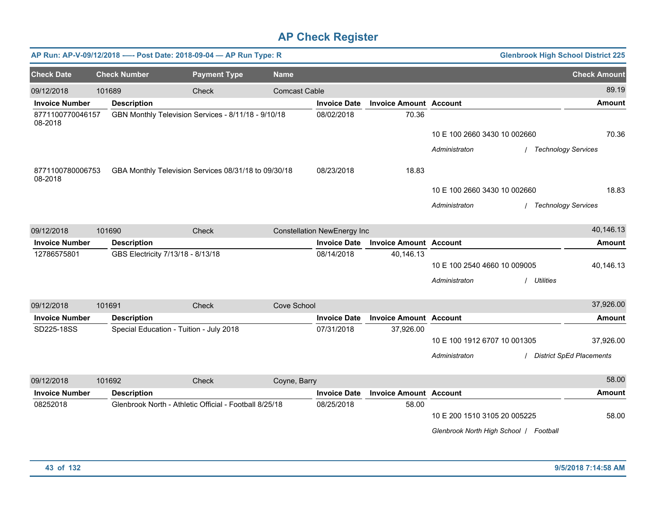|                             |        | AP Run: AP-V-09/12/2018 ---- Post Date: 2018-09-04 - AP Run Type: R |                     |                      |                                    |                               |                              | <b>Glenbrook High School District 225</b> |                                 |
|-----------------------------|--------|---------------------------------------------------------------------|---------------------|----------------------|------------------------------------|-------------------------------|------------------------------|-------------------------------------------|---------------------------------|
| <b>Check Date</b>           |        | <b>Check Number</b>                                                 | <b>Payment Type</b> | <b>Name</b>          |                                    |                               |                              |                                           | <b>Check Amount</b>             |
| 09/12/2018                  | 101689 |                                                                     | Check               | <b>Comcast Cable</b> |                                    |                               |                              |                                           | 89.19                           |
| <b>Invoice Number</b>       |        | <b>Description</b>                                                  |                     |                      | <b>Invoice Date</b>                | <b>Invoice Amount Account</b> |                              |                                           | <b>Amount</b>                   |
| 8771100770046157<br>08-2018 |        | GBN Monthly Television Services - 8/11/18 - 9/10/18                 |                     |                      | 08/02/2018                         | 70.36                         |                              |                                           |                                 |
|                             |        |                                                                     |                     |                      |                                    |                               | 10 E 100 2660 3430 10 002660 |                                           | 70.36                           |
|                             |        |                                                                     |                     |                      |                                    |                               | Administraton                |                                           | <b>Technology Services</b>      |
| 8771100780006753<br>08-2018 |        | GBA Monthly Television Services 08/31/18 to 09/30/18                |                     |                      | 08/23/2018                         | 18.83                         |                              |                                           |                                 |
|                             |        |                                                                     |                     |                      |                                    |                               | 10 E 100 2660 3430 10 002660 |                                           | 18.83                           |
|                             |        |                                                                     |                     |                      |                                    |                               | Administraton                |                                           | <b>Technology Services</b>      |
| 09/12/2018                  | 101690 |                                                                     | Check               |                      | <b>Constellation NewEnergy Inc</b> |                               |                              |                                           | 40,146.13                       |
| <b>Invoice Number</b>       |        | <b>Description</b>                                                  |                     |                      | <b>Invoice Date</b>                | <b>Invoice Amount Account</b> |                              |                                           | Amount                          |
| 12786575801                 |        | GBS Electricity 7/13/18 - 8/13/18                                   |                     |                      | 08/14/2018                         | 40,146.13                     |                              |                                           |                                 |
|                             |        |                                                                     |                     |                      |                                    |                               | 10 E 100 2540 4660 10 009005 |                                           | 40,146.13                       |
|                             |        |                                                                     |                     |                      |                                    |                               | Administraton                | <b>Utilities</b>                          |                                 |
| 09/12/2018                  | 101691 |                                                                     | Check               | Cove School          |                                    |                               |                              |                                           | 37,926.00                       |
| <b>Invoice Number</b>       |        | <b>Description</b>                                                  |                     |                      | <b>Invoice Date</b>                | <b>Invoice Amount Account</b> |                              |                                           | <b>Amount</b>                   |
| SD225-18SS                  |        | Special Education - Tuition - July 2018                             |                     |                      | 07/31/2018                         | 37,926.00                     |                              |                                           |                                 |
|                             |        |                                                                     |                     |                      |                                    |                               | 10 E 100 1912 6707 10 001305 |                                           | 37,926.00                       |
|                             |        |                                                                     |                     |                      |                                    |                               | Administraton                |                                           | <b>District SpEd Placements</b> |
| 09/12/2018                  | 101692 |                                                                     | Check               | Coyne, Barry         |                                    |                               |                              |                                           | 58.00                           |
| <b>Invoice Number</b>       |        | <b>Description</b>                                                  |                     |                      | <b>Invoice Date</b>                | <b>Invoice Amount Account</b> |                              |                                           | <b>Amount</b>                   |
| 08252018                    |        | Glenbrook North - Athletic Official - Football 8/25/18              |                     |                      | 08/25/2018                         | 58.00                         | 10 E 200 1510 3105 20 005225 |                                           | 58.00                           |
|                             |        |                                                                     |                     |                      |                                    |                               |                              | Glenbrook North High School   Football    |                                 |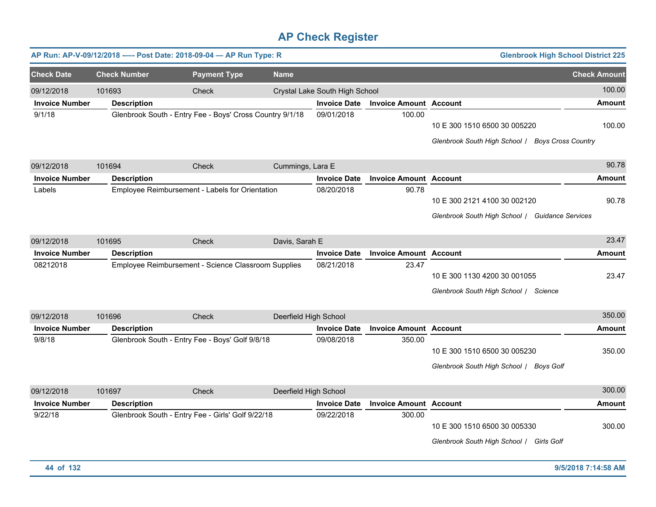|                       |                     | AP Run: AP-V-09/12/2018 ---- Post Date: 2018-09-04 - AP Run Type: R |                       |                                |                               | <b>Glenbrook High School District 225</b>                                        |                     |
|-----------------------|---------------------|---------------------------------------------------------------------|-----------------------|--------------------------------|-------------------------------|----------------------------------------------------------------------------------|---------------------|
| <b>Check Date</b>     | <b>Check Number</b> | <b>Payment Type</b>                                                 | <b>Name</b>           |                                |                               |                                                                                  | <b>Check Amount</b> |
| 09/12/2018            | 101693              | Check                                                               |                       | Crystal Lake South High School |                               |                                                                                  | 100.00              |
| <b>Invoice Number</b> | <b>Description</b>  |                                                                     |                       | <b>Invoice Date</b>            | <b>Invoice Amount</b>         | <b>Account</b>                                                                   | <b>Amount</b>       |
| 9/1/18                |                     | Glenbrook South - Entry Fee - Boys' Cross Country 9/1/18            |                       | 09/01/2018                     | 100.00                        | 10 E 300 1510 6500 30 005220<br>Glenbrook South High School / Boys Cross Country | 100.00              |
| 09/12/2018            | 101694              | Check                                                               | Cummings, Lara E      |                                |                               |                                                                                  | 90.78               |
| <b>Invoice Number</b> | <b>Description</b>  |                                                                     |                       | <b>Invoice Date</b>            | <b>Invoice Amount Account</b> |                                                                                  | <b>Amount</b>       |
| Labels                |                     | Employee Reimbursement - Labels for Orientation                     |                       | 08/20/2018                     | 90.78                         | 10 E 300 2121 4100 30 002120<br>Glenbrook South High School / Guidance Services  | 90.78               |
| 09/12/2018            | 101695              | Check                                                               | Davis, Sarah E        |                                |                               |                                                                                  | 23.47               |
| <b>Invoice Number</b> | <b>Description</b>  |                                                                     |                       | <b>Invoice Date</b>            | <b>Invoice Amount</b>         | <b>Account</b>                                                                   | <b>Amount</b>       |
| 08212018              |                     | Employee Reimbursement - Science Classroom Supplies                 |                       | 08/21/2018                     | 23.47                         | 10 E 300 1130 4200 30 001055<br>Glenbrook South High School / Science            | 23.47               |
| 09/12/2018            | 101696              | Check                                                               | Deerfield High School |                                |                               |                                                                                  | 350.00              |
| <b>Invoice Number</b> | <b>Description</b>  |                                                                     |                       | <b>Invoice Date</b>            | <b>Invoice Amount Account</b> |                                                                                  | <b>Amount</b>       |
| 9/8/18                |                     | Glenbrook South - Entry Fee - Boys' Golf 9/8/18                     |                       | 09/08/2018                     | 350.00                        | 10 E 300 1510 6500 30 005230<br>Glenbrook South High School / Boys Golf          | 350.00              |
| 09/12/2018            | 101697              | Check                                                               | Deerfield High School |                                |                               |                                                                                  | 300.00              |
| <b>Invoice Number</b> | <b>Description</b>  |                                                                     |                       | <b>Invoice Date</b>            | <b>Invoice Amount Account</b> |                                                                                  | <b>Amount</b>       |
| 9/22/18               |                     | Glenbrook South - Entry Fee - Girls' Golf 9/22/18                   |                       | 09/22/2018                     | 300.00                        | 10 E 300 1510 6500 30 005330<br>Glenbrook South High School / Girls Golf         | 300.00              |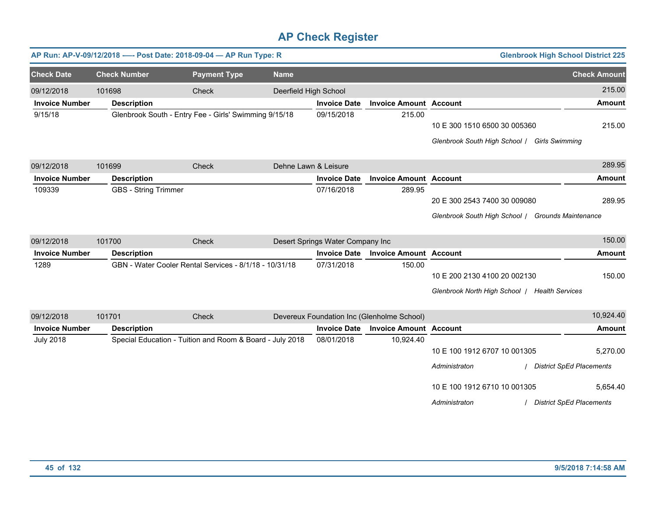|                       | <b>Glenbrook High School District 225</b><br>AP Run: AP-V-09/12/2018 ---- Post Date: 2018-09-04 - AP Run Type: R |                                                          |                       |                                  |                                            |                                                   |                                 |  |  |  |
|-----------------------|------------------------------------------------------------------------------------------------------------------|----------------------------------------------------------|-----------------------|----------------------------------|--------------------------------------------|---------------------------------------------------|---------------------------------|--|--|--|
| <b>Check Date</b>     | <b>Check Number</b>                                                                                              | <b>Payment Type</b>                                      | <b>Name</b>           |                                  |                                            |                                                   | <b>Check Amount</b>             |  |  |  |
| 09/12/2018            | 101698                                                                                                           | Check                                                    | Deerfield High School |                                  |                                            |                                                   | 215.00                          |  |  |  |
| <b>Invoice Number</b> | <b>Description</b>                                                                                               |                                                          |                       | <b>Invoice Date</b>              | <b>Invoice Amount Account</b>              |                                                   | <b>Amount</b>                   |  |  |  |
| 9/15/18               |                                                                                                                  | Glenbrook South - Entry Fee - Girls' Swimming 9/15/18    |                       | 09/15/2018                       | 215.00                                     |                                                   |                                 |  |  |  |
|                       |                                                                                                                  |                                                          |                       |                                  |                                            | 10 E 300 1510 6500 30 005360                      | 215.00                          |  |  |  |
|                       |                                                                                                                  |                                                          |                       |                                  |                                            | Glenbrook South High School / Girls Swimming      |                                 |  |  |  |
| 09/12/2018            | 101699                                                                                                           | Check                                                    | Dehne Lawn & Leisure  |                                  |                                            |                                                   | 289.95                          |  |  |  |
| <b>Invoice Number</b> | <b>Description</b>                                                                                               |                                                          |                       | <b>Invoice Date</b>              | <b>Invoice Amount Account</b>              |                                                   | Amount                          |  |  |  |
| 109339                | <b>GBS - String Trimmer</b>                                                                                      |                                                          |                       | 07/16/2018                       | 289.95                                     |                                                   |                                 |  |  |  |
|                       |                                                                                                                  |                                                          |                       |                                  |                                            | 20 E 300 2543 7400 30 009080                      | 289.95                          |  |  |  |
|                       |                                                                                                                  |                                                          |                       |                                  |                                            | Glenbrook South High School / Grounds Maintenance |                                 |  |  |  |
|                       |                                                                                                                  |                                                          |                       |                                  |                                            |                                                   |                                 |  |  |  |
| 09/12/2018            | 101700                                                                                                           | Check                                                    |                       | Desert Springs Water Company Inc |                                            |                                                   | 150.00                          |  |  |  |
| <b>Invoice Number</b> | <b>Description</b>                                                                                               |                                                          |                       | <b>Invoice Date</b>              | <b>Invoice Amount Account</b>              |                                                   | Amount                          |  |  |  |
| 1289                  |                                                                                                                  | GBN - Water Cooler Rental Services - 8/1/18 - 10/31/18   |                       | 07/31/2018                       | 150.00                                     |                                                   |                                 |  |  |  |
|                       |                                                                                                                  |                                                          |                       |                                  |                                            | 10 E 200 2130 4100 20 002130                      | 150.00                          |  |  |  |
|                       |                                                                                                                  |                                                          |                       |                                  |                                            | Glenbrook North High School   Health Services     |                                 |  |  |  |
| 09/12/2018            | 101701                                                                                                           | Check                                                    |                       |                                  | Devereux Foundation Inc (Glenholme School) |                                                   | 10,924.40                       |  |  |  |
| <b>Invoice Number</b> | <b>Description</b>                                                                                               |                                                          |                       | <b>Invoice Date</b>              | <b>Invoice Amount Account</b>              |                                                   | Amount                          |  |  |  |
| <b>July 2018</b>      |                                                                                                                  | Special Education - Tuition and Room & Board - July 2018 |                       | 08/01/2018                       | 10,924.40                                  |                                                   |                                 |  |  |  |
|                       |                                                                                                                  |                                                          |                       |                                  |                                            | 10 E 100 1912 6707 10 001305                      | 5,270.00                        |  |  |  |
|                       |                                                                                                                  |                                                          |                       |                                  |                                            | Administraton                                     | <b>District SpEd Placements</b> |  |  |  |
|                       |                                                                                                                  |                                                          |                       |                                  |                                            | 10 E 100 1912 6710 10 001305                      | 5,654.40                        |  |  |  |
|                       |                                                                                                                  |                                                          |                       |                                  |                                            | Administraton                                     | <b>District SpEd Placements</b> |  |  |  |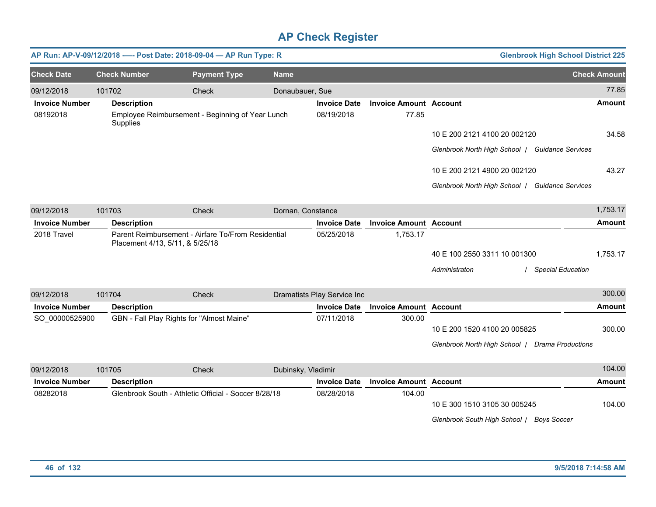|                       |                     | AP Run: AP-V-09/12/2018 ---- Post Date: 2018-09-04 - AP Run Type: R                   |                    |                             |                               |                                                 | <b>Glenbrook High School District 225</b> |                     |
|-----------------------|---------------------|---------------------------------------------------------------------------------------|--------------------|-----------------------------|-------------------------------|-------------------------------------------------|-------------------------------------------|---------------------|
| <b>Check Date</b>     | <b>Check Number</b> | <b>Payment Type</b>                                                                   | <b>Name</b>        |                             |                               |                                                 |                                           | <b>Check Amount</b> |
| 09/12/2018            | 101702              | Check                                                                                 | Donaubauer, Sue    |                             |                               |                                                 |                                           | 77.85               |
| <b>Invoice Number</b> | <b>Description</b>  |                                                                                       |                    | <b>Invoice Date</b>         | <b>Invoice Amount Account</b> |                                                 |                                           | Amount              |
| 08192018              | Supplies            | Employee Reimbursement - Beginning of Year Lunch                                      |                    | 08/19/2018                  | 77.85                         |                                                 |                                           |                     |
|                       |                     |                                                                                       |                    |                             |                               | 10 E 200 2121 4100 20 002120                    |                                           | 34.58               |
|                       |                     |                                                                                       |                    |                             |                               | Glenbrook North High School   Guidance Services |                                           |                     |
|                       |                     |                                                                                       |                    |                             |                               | 10 E 200 2121 4900 20 002120                    |                                           | 43.27               |
|                       |                     |                                                                                       |                    |                             |                               | Glenbrook North High School / Guidance Services |                                           |                     |
| 09/12/2018            | 101703              | Check                                                                                 | Dornan, Constance  |                             |                               |                                                 |                                           | 1,753.17            |
| <b>Invoice Number</b> | <b>Description</b>  |                                                                                       |                    | <b>Invoice Date</b>         | <b>Invoice Amount Account</b> |                                                 |                                           | Amount              |
| 2018 Travel           |                     | Parent Reimbursement - Airfare To/From Residential<br>Placement 4/13, 5/11, & 5/25/18 |                    | 05/25/2018                  | 1,753.17                      |                                                 |                                           |                     |
|                       |                     |                                                                                       |                    |                             |                               | 40 E 100 2550 3311 10 001300                    |                                           | 1,753.17            |
|                       |                     |                                                                                       |                    |                             |                               | Administraton                                   | <b>Special Education</b>                  |                     |
| 09/12/2018            | 101704              | Check                                                                                 |                    | Dramatists Play Service Inc |                               |                                                 |                                           | 300.00              |
| <b>Invoice Number</b> | <b>Description</b>  |                                                                                       |                    | <b>Invoice Date</b>         | <b>Invoice Amount Account</b> |                                                 |                                           | <b>Amount</b>       |
| SO_00000525900        |                     | GBN - Fall Play Rights for "Almost Maine"                                             |                    | 07/11/2018                  | 300.00                        |                                                 |                                           |                     |
|                       |                     |                                                                                       |                    |                             |                               | 10 E 200 1520 4100 20 005825                    |                                           | 300.00              |
|                       |                     |                                                                                       |                    |                             |                               | Glenbrook North High School   Drama Productions |                                           |                     |
| 09/12/2018            | 101705              | Check                                                                                 | Dubinsky, Vladimir |                             |                               |                                                 |                                           | 104.00              |
| <b>Invoice Number</b> | <b>Description</b>  |                                                                                       |                    | <b>Invoice Date</b>         | <b>Invoice Amount</b>         | <b>Account</b>                                  |                                           | Amount              |
| 08282018              |                     | Glenbrook South - Athletic Official - Soccer 8/28/18                                  |                    | 08/28/2018                  | 104.00                        | 10 E 300 1510 3105 30 005245                    |                                           | 104.00              |
|                       |                     |                                                                                       |                    |                             |                               | Glenbrook South High School / Boys Soccer       |                                           |                     |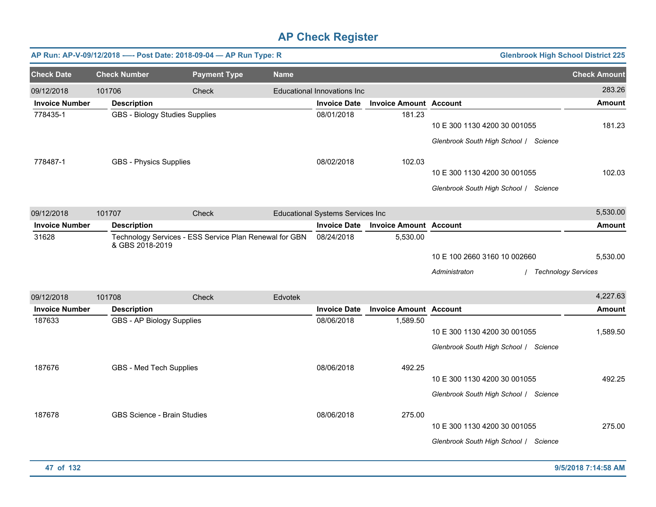| AP Run: AP-V-09/12/2018 ---- Post Date: 2018-09-04 - AP Run Type: R |                     |                                       |                     |                                                        |                                         |                               | <b>Glenbrook High School District 225</b>                             |                                        |
|---------------------------------------------------------------------|---------------------|---------------------------------------|---------------------|--------------------------------------------------------|-----------------------------------------|-------------------------------|-----------------------------------------------------------------------|----------------------------------------|
| <b>Check Date</b>                                                   | <b>Check Number</b> |                                       | <b>Payment Type</b> | <b>Name</b>                                            |                                         |                               |                                                                       | <b>Check Amount</b>                    |
| 09/12/2018                                                          | 101706              |                                       | Check               |                                                        | Educational Innovations Inc             |                               |                                                                       | 283.26                                 |
| <b>Invoice Number</b>                                               | <b>Description</b>  |                                       |                     |                                                        | <b>Invoice Date</b>                     | <b>Invoice Amount Account</b> |                                                                       | <b>Amount</b>                          |
| 778435-1                                                            |                     | <b>GBS - Biology Studies Supplies</b> |                     |                                                        | 08/01/2018                              | 181.23                        | 10 E 300 1130 4200 30 001055<br>Glenbrook South High School / Science | 181.23                                 |
| 778487-1                                                            |                     | <b>GBS - Physics Supplies</b>         |                     |                                                        | 08/02/2018                              | 102.03                        | 10 E 300 1130 4200 30 001055<br>Glenbrook South High School / Science | 102.03                                 |
| 09/12/2018                                                          | 101707              |                                       | Check               |                                                        | <b>Educational Systems Services Inc</b> |                               |                                                                       | 5,530.00                               |
| <b>Invoice Number</b>                                               | <b>Description</b>  |                                       |                     |                                                        | <b>Invoice Date</b>                     | <b>Invoice Amount Account</b> |                                                                       | <b>Amount</b>                          |
| 31628                                                               |                     | & GBS 2018-2019                       |                     | Technology Services - ESS Service Plan Renewal for GBN | 08/24/2018                              | 5,530.00                      | 10 E 100 2660 3160 10 002660<br>Administraton                         | 5,530.00<br><b>Technology Services</b> |
| 09/12/2018                                                          | 101708              |                                       | Check               | Edvotek                                                |                                         |                               |                                                                       | 4,227.63                               |
| <b>Invoice Number</b>                                               | <b>Description</b>  |                                       |                     |                                                        | <b>Invoice Date</b>                     | <b>Invoice Amount Account</b> |                                                                       | <b>Amount</b>                          |
| 187633                                                              |                     | GBS - AP Biology Supplies             |                     |                                                        | 08/06/2018                              | 1,589.50                      | 10 E 300 1130 4200 30 001055<br>Glenbrook South High School / Science | 1,589.50                               |
| 187676                                                              |                     | GBS - Med Tech Supplies               |                     |                                                        | 08/06/2018                              | 492.25                        | 10 E 300 1130 4200 30 001055<br>Glenbrook South High School / Science | 492.25                                 |
| 187678                                                              |                     | <b>GBS Science - Brain Studies</b>    |                     |                                                        | 08/06/2018                              | 275.00                        | 10 E 300 1130 4200 30 001055<br>Glenbrook South High School / Science | 275.00                                 |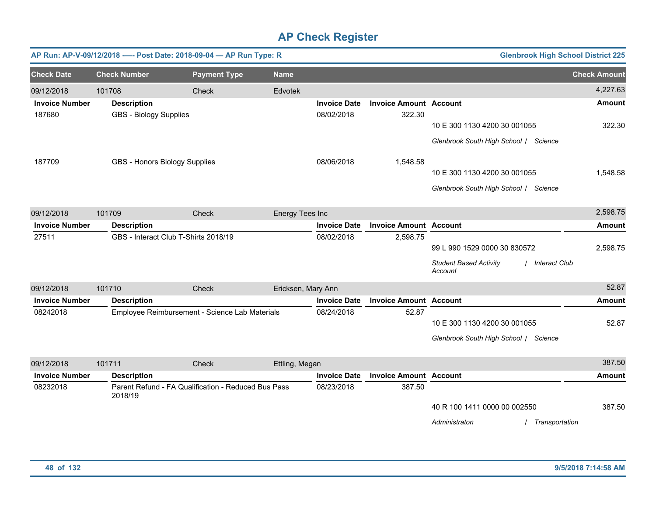|                       |                               | AP Run: AP-V-09/12/2018 ---- Post Date: 2018-09-04 - AP Run Type: R |                    |                     |                               | <b>Glenbrook High School District 225</b>                                                   |                     |
|-----------------------|-------------------------------|---------------------------------------------------------------------|--------------------|---------------------|-------------------------------|---------------------------------------------------------------------------------------------|---------------------|
| <b>Check Date</b>     | <b>Check Number</b>           | <b>Payment Type</b>                                                 | <b>Name</b>        |                     |                               |                                                                                             | <b>Check Amount</b> |
| 09/12/2018            | 101708                        | Check                                                               | Edvotek            |                     |                               |                                                                                             | 4,227.63            |
| <b>Invoice Number</b> | <b>Description</b>            |                                                                     |                    | <b>Invoice Date</b> | <b>Invoice Amount Account</b> |                                                                                             | <b>Amount</b>       |
| 187680                | <b>GBS - Biology Supplies</b> |                                                                     |                    | 08/02/2018          | 322.30                        | 10 E 300 1130 4200 30 001055<br>Glenbrook South High School / Science                       | 322.30              |
| 187709                |                               | GBS - Honors Biology Supplies                                       |                    | 08/06/2018          | 1,548.58                      | 10 E 300 1130 4200 30 001055<br>Glenbrook South High School / Science                       | 1,548.58            |
| 09/12/2018            | 101709                        | Check                                                               | Energy Tees Inc    |                     |                               |                                                                                             | 2,598.75            |
| <b>Invoice Number</b> | <b>Description</b>            |                                                                     |                    | <b>Invoice Date</b> | <b>Invoice Amount Account</b> |                                                                                             | <b>Amount</b>       |
| 27511                 |                               | GBS - Interact Club T-Shirts 2018/19                                |                    | 08/02/2018          | 2,598.75                      | 99 L 990 1529 0000 30 830572<br><b>Student Based Activity</b><br>/ Interact Club<br>Account | 2,598.75            |
| 09/12/2018            | 101710                        | Check                                                               | Ericksen, Mary Ann |                     |                               |                                                                                             | 52.87               |
| <b>Invoice Number</b> | <b>Description</b>            |                                                                     |                    | <b>Invoice Date</b> | <b>Invoice Amount Account</b> |                                                                                             | <b>Amount</b>       |
| 08242018              |                               | Employee Reimbursement - Science Lab Materials                      |                    | 08/24/2018          | 52.87                         | 10 E 300 1130 4200 30 001055<br>Glenbrook South High School / Science                       | 52.87               |
| 09/12/2018            | 101711                        | Check                                                               | Ettling, Megan     |                     |                               |                                                                                             | 387.50              |
| <b>Invoice Number</b> | <b>Description</b>            |                                                                     |                    | <b>Invoice Date</b> | <b>Invoice Amount Account</b> |                                                                                             | <b>Amount</b>       |
| 08232018              | 2018/19                       | Parent Refund - FA Qualification - Reduced Bus Pass                 |                    | 08/23/2018          | 387.50                        | 40 R 100 1411 0000 00 002550<br>Administraton<br>Transportation                             | 387.50              |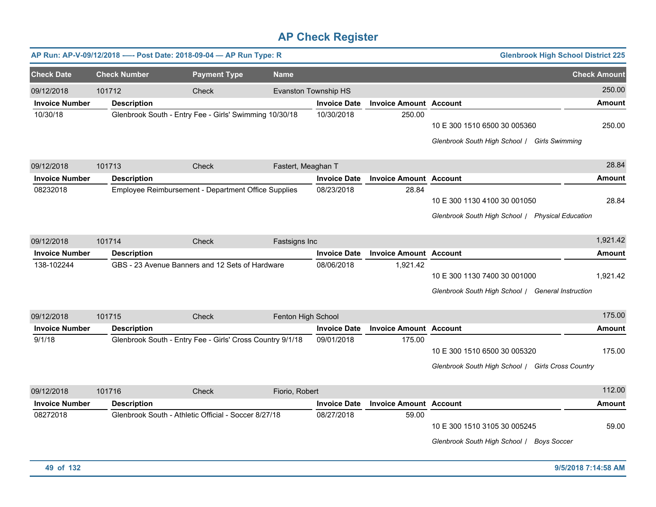| AP Run: AP-V-09/12/2018 ---- Post Date: 2018-09-04 - AP Run Type: R |                     |                                                        |                     |                                                           |                     |                               |                                                                                   | <b>Glenbrook High School District 225</b> |                     |
|---------------------------------------------------------------------|---------------------|--------------------------------------------------------|---------------------|-----------------------------------------------------------|---------------------|-------------------------------|-----------------------------------------------------------------------------------|-------------------------------------------|---------------------|
| <b>Check Date</b>                                                   | <b>Check Number</b> |                                                        | <b>Payment Type</b> | <b>Name</b>                                               |                     |                               |                                                                                   |                                           | <b>Check Amount</b> |
| 09/12/2018                                                          | 101712              |                                                        | Check               | Evanston Township HS                                      |                     |                               |                                                                                   |                                           | 250.00              |
| <b>Invoice Number</b>                                               | <b>Description</b>  |                                                        |                     |                                                           | <b>Invoice Date</b> | <b>Invoice Amount Account</b> |                                                                                   |                                           | Amount              |
| 10/30/18                                                            |                     | Glenbrook South - Entry Fee - Girls' Swimming 10/30/18 |                     |                                                           | 10/30/2018          | 250.00                        | 10 E 300 1510 6500 30 005360<br>Glenbrook South High School / Girls Swimming      |                                           | 250.00              |
| 09/12/2018                                                          | 101713              |                                                        | Check               | Fastert, Meaghan T                                        |                     |                               |                                                                                   |                                           | 28.84               |
| <b>Invoice Number</b>                                               | <b>Description</b>  |                                                        |                     |                                                           | <b>Invoice Date</b> | <b>Invoice Amount Account</b> |                                                                                   |                                           | <b>Amount</b>       |
| 08232018                                                            |                     | Employee Reimbursement - Department Office Supplies    |                     |                                                           | 08/23/2018          | 28.84                         | 10 E 300 1130 4100 30 001050<br>Glenbrook South High School / Physical Education  |                                           | 28.84               |
| 09/12/2018                                                          | 101714              |                                                        | Check               | Fastsigns Inc                                             |                     |                               |                                                                                   |                                           | 1,921.42            |
| <b>Invoice Number</b>                                               | <b>Description</b>  |                                                        |                     |                                                           | <b>Invoice Date</b> | <b>Invoice Amount</b>         | <b>Account</b>                                                                    |                                           | <b>Amount</b>       |
| 138-102244                                                          |                     | GBS - 23 Avenue Banners and 12 Sets of Hardware        |                     |                                                           | 08/06/2018          | 1,921.42                      | 10 E 300 1130 7400 30 001000<br>Glenbrook South High School / General Instruction |                                           | 1,921.42            |
| 09/12/2018                                                          | 101715              |                                                        | Check               | Fenton High School                                        |                     |                               |                                                                                   |                                           | 175.00              |
| <b>Invoice Number</b>                                               | <b>Description</b>  |                                                        |                     |                                                           | <b>Invoice Date</b> | <b>Invoice Amount Account</b> |                                                                                   |                                           | <b>Amount</b>       |
| 9/1/18                                                              |                     |                                                        |                     | Glenbrook South - Entry Fee - Girls' Cross Country 9/1/18 | 09/01/2018          | 175.00                        | 10 E 300 1510 6500 30 005320<br>Glenbrook South High School / Girls Cross Country |                                           | 175.00              |
| 09/12/2018                                                          | 101716              |                                                        | Check               | Fiorio, Robert                                            |                     |                               |                                                                                   |                                           | 112.00              |
| <b>Invoice Number</b>                                               | <b>Description</b>  |                                                        |                     |                                                           | <b>Invoice Date</b> | <b>Invoice Amount Account</b> |                                                                                   |                                           | <b>Amount</b>       |
| 08272018                                                            |                     | Glenbrook South - Athletic Official - Soccer 8/27/18   |                     |                                                           | 08/27/2018          | 59.00                         | 10 E 300 1510 3105 30 005245<br>Glenbrook South High School /                     | <b>Boys Soccer</b>                        | 59.00               |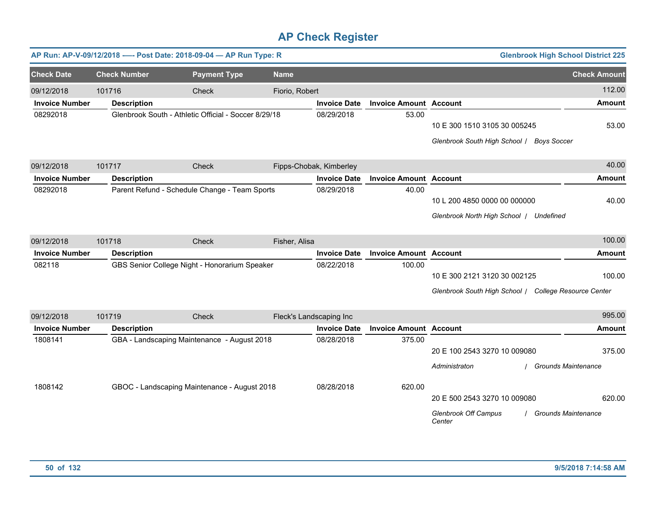|                       |                     | AP Run: AP-V-09/12/2018 ---- Post Date: 2018-09-04 - AP Run Type: R |                         |                         |                               | <b>Glenbrook High School District 225</b>                                                           |                     |
|-----------------------|---------------------|---------------------------------------------------------------------|-------------------------|-------------------------|-------------------------------|-----------------------------------------------------------------------------------------------------|---------------------|
| <b>Check Date</b>     | <b>Check Number</b> | <b>Payment Type</b>                                                 | <b>Name</b>             |                         |                               |                                                                                                     | <b>Check Amount</b> |
| 09/12/2018            | 101716              | Check                                                               | Fiorio, Robert          |                         |                               |                                                                                                     | 112.00              |
| <b>Invoice Number</b> | <b>Description</b>  |                                                                     |                         | <b>Invoice Date</b>     | <b>Invoice Amount Account</b> |                                                                                                     | Amount              |
| 08292018              |                     | Glenbrook South - Athletic Official - Soccer 8/29/18                |                         | 08/29/2018              | 53.00                         | 10 E 300 1510 3105 30 005245<br>Glenbrook South High School / Boys Soccer                           | 53.00               |
| 09/12/2018            | 101717              | Check                                                               |                         | Fipps-Chobak, Kimberley |                               |                                                                                                     | 40.00               |
| <b>Invoice Number</b> | <b>Description</b>  |                                                                     |                         | <b>Invoice Date</b>     | <b>Invoice Amount</b>         | <b>Account</b>                                                                                      | <b>Amount</b>       |
| 08292018              |                     | Parent Refund - Schedule Change - Team Sports                       |                         | 08/29/2018              | 40.00                         | 10 L 200 4850 0000 00 000000<br>Glenbrook North High School   Undefined                             | 40.00               |
| 09/12/2018            | 101718              | Check                                                               | Fisher, Alisa           |                         |                               |                                                                                                     | 100.00              |
| <b>Invoice Number</b> | <b>Description</b>  |                                                                     |                         | <b>Invoice Date</b>     | <b>Invoice Amount Account</b> |                                                                                                     | <b>Amount</b>       |
| 082118                |                     | GBS Senior College Night - Honorarium Speaker                       |                         | 08/22/2018              | 100.00                        | 10 E 300 2121 3120 30 002125<br>Glenbrook South High School / College Resource Center               | 100.00              |
| 09/12/2018            | 101719              | Check                                                               | Fleck's Landscaping Inc |                         |                               |                                                                                                     | 995.00              |
| <b>Invoice Number</b> | <b>Description</b>  |                                                                     |                         | <b>Invoice Date</b>     | <b>Invoice Amount Account</b> |                                                                                                     | <b>Amount</b>       |
| 1808141               |                     | GBA - Landscaping Maintenance - August 2018                         |                         | 08/28/2018              | 375.00                        | 20 E 100 2543 3270 10 009080<br>Administraton<br><b>Grounds Maintenance</b>                         | 375.00              |
| 1808142               |                     | GBOC - Landscaping Maintenance - August 2018                        |                         | 08/28/2018              | 620.00                        | 20 E 500 2543 3270 10 009080<br><b>Glenbrook Off Campus</b><br><b>Grounds Maintenance</b><br>Center | 620.00              |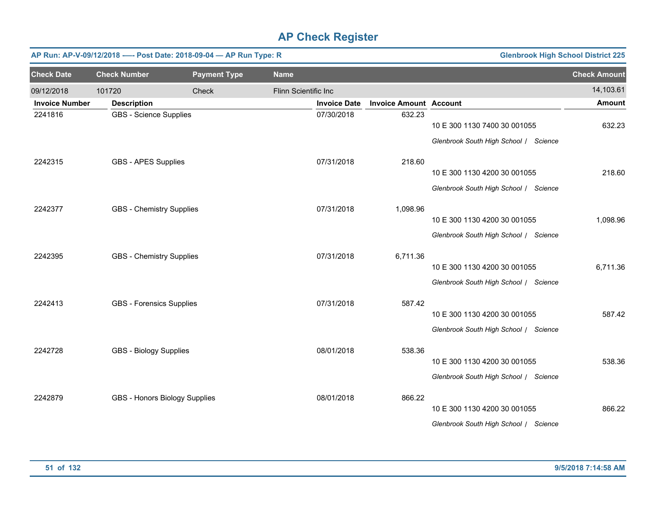|                       |                                 | AP Run: AP-V-09/12/2018 ---- Post Date: 2018-09-04 - AP Run Type: R |                      |                     |                               | <b>Glenbrook High School District 225</b> |                     |
|-----------------------|---------------------------------|---------------------------------------------------------------------|----------------------|---------------------|-------------------------------|-------------------------------------------|---------------------|
| <b>Check Date</b>     | <b>Check Number</b>             | <b>Payment Type</b>                                                 | <b>Name</b>          |                     |                               |                                           | <b>Check Amount</b> |
| 09/12/2018            | 101720                          | Check                                                               | Flinn Scientific Inc |                     |                               |                                           | 14,103.61           |
| <b>Invoice Number</b> | <b>Description</b>              |                                                                     |                      | <b>Invoice Date</b> | <b>Invoice Amount Account</b> |                                           | <b>Amount</b>       |
| 2241816               | <b>GBS</b> - Science Supplies   |                                                                     |                      | 07/30/2018          | 632.23                        | 10 E 300 1130 7400 30 001055              | 632.23              |
|                       |                                 |                                                                     |                      |                     |                               | Glenbrook South High School / Science     |                     |
| 2242315               | <b>GBS - APES Supplies</b>      |                                                                     |                      | 07/31/2018          | 218.60                        |                                           |                     |
|                       |                                 |                                                                     |                      |                     |                               | 10 E 300 1130 4200 30 001055              | 218.60              |
|                       |                                 |                                                                     |                      |                     |                               | Glenbrook South High School / Science     |                     |
| 2242377               | <b>GBS - Chemistry Supplies</b> |                                                                     |                      | 07/31/2018          | 1,098.96                      |                                           |                     |
|                       |                                 |                                                                     |                      |                     |                               | 10 E 300 1130 4200 30 001055              | 1,098.96            |
|                       |                                 |                                                                     |                      |                     |                               | Glenbrook South High School / Science     |                     |
| 2242395               | <b>GBS - Chemistry Supplies</b> |                                                                     |                      | 07/31/2018          | 6,711.36                      |                                           |                     |
|                       |                                 |                                                                     |                      |                     |                               | 10 E 300 1130 4200 30 001055              | 6,711.36            |
|                       |                                 |                                                                     |                      |                     |                               | Glenbrook South High School / Science     |                     |
| 2242413               | <b>GBS - Forensics Supplies</b> |                                                                     |                      | 07/31/2018          | 587.42                        |                                           |                     |
|                       |                                 |                                                                     |                      |                     |                               | 10 E 300 1130 4200 30 001055              | 587.42              |
|                       |                                 |                                                                     |                      |                     |                               | Glenbrook South High School / Science     |                     |
| 2242728               | <b>GBS - Biology Supplies</b>   |                                                                     |                      | 08/01/2018          | 538.36                        |                                           |                     |
|                       |                                 |                                                                     |                      |                     |                               | 10 E 300 1130 4200 30 001055              | 538.36              |
|                       |                                 |                                                                     |                      |                     |                               | Glenbrook South High School / Science     |                     |
| 2242879               | GBS - Honors Biology Supplies   |                                                                     |                      | 08/01/2018          | 866.22                        |                                           |                     |
|                       |                                 |                                                                     |                      |                     |                               | 10 E 300 1130 4200 30 001055              | 866.22              |
|                       |                                 |                                                                     |                      |                     |                               | Glenbrook South High School   Science     |                     |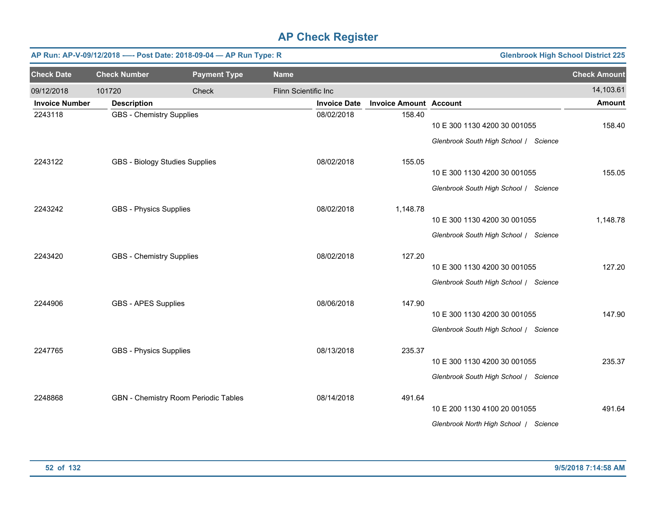|                       |                                 | AP Run: AP-V-09/12/2018 ---- Post Date: 2018-09-04 - AP Run Type: R |                      |                     |                               | <b>Glenbrook High School District 225</b>                             |                     |
|-----------------------|---------------------------------|---------------------------------------------------------------------|----------------------|---------------------|-------------------------------|-----------------------------------------------------------------------|---------------------|
| <b>Check Date</b>     | <b>Check Number</b>             | <b>Payment Type</b>                                                 | <b>Name</b>          |                     |                               |                                                                       | <b>Check Amount</b> |
| 09/12/2018            | 101720                          | Check                                                               | Flinn Scientific Inc |                     |                               |                                                                       | 14,103.61           |
| <b>Invoice Number</b> | <b>Description</b>              |                                                                     |                      | <b>Invoice Date</b> | <b>Invoice Amount Account</b> |                                                                       | <b>Amount</b>       |
| 2243118               | <b>GBS</b> - Chemistry Supplies |                                                                     |                      | 08/02/2018          | 158.40                        | 10 E 300 1130 4200 30 001055<br>Glenbrook South High School / Science | 158.40              |
| 2243122               | GBS - Biology Studies Supplies  |                                                                     |                      | 08/02/2018          | 155.05                        | 10 E 300 1130 4200 30 001055                                          | 155.05              |
|                       |                                 |                                                                     |                      |                     |                               | Glenbrook South High School / Science                                 |                     |
| 2243242               | <b>GBS - Physics Supplies</b>   |                                                                     |                      | 08/02/2018          | 1,148.78                      | 10 E 300 1130 4200 30 001055<br>Glenbrook South High School / Science | 1,148.78            |
| 2243420               | <b>GBS</b> - Chemistry Supplies |                                                                     |                      | 08/02/2018          | 127.20                        | 10 E 300 1130 4200 30 001055<br>Glenbrook South High School / Science | 127.20              |
| 2244906               | <b>GBS - APES Supplies</b>      |                                                                     |                      | 08/06/2018          | 147.90                        | 10 E 300 1130 4200 30 001055<br>Glenbrook South High School / Science | 147.90              |
| 2247765               | <b>GBS - Physics Supplies</b>   |                                                                     |                      | 08/13/2018          | 235.37                        | 10 E 300 1130 4200 30 001055<br>Glenbrook South High School / Science | 235.37              |
| 2248868               |                                 | GBN - Chemistry Room Periodic Tables                                |                      | 08/14/2018          | 491.64                        | 10 E 200 1130 4100 20 001055<br>Glenbrook North High School   Science | 491.64              |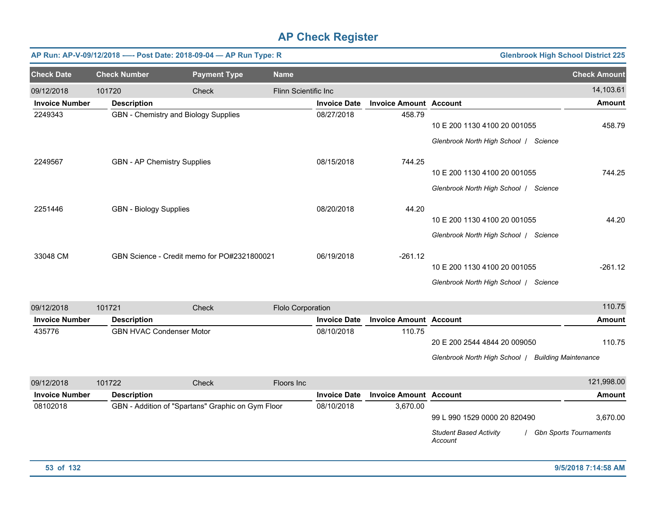|                       |                                    | AP Run: AP-V-09/12/2018 ---- Post Date: 2018-09-04 - AP Run Type: R |                      |                     |                               | <b>Glenbrook High School District 225</b> |                     |
|-----------------------|------------------------------------|---------------------------------------------------------------------|----------------------|---------------------|-------------------------------|-------------------------------------------|---------------------|
| <b>Check Date</b>     | <b>Check Number</b>                | <b>Payment Type</b>                                                 | <b>Name</b>          |                     |                               |                                           | <b>Check Amount</b> |
| 09/12/2018            | 101720                             | Check                                                               | Flinn Scientific Inc |                     |                               |                                           | 14,103.61           |
| <b>Invoice Number</b> | <b>Description</b>                 |                                                                     |                      | <b>Invoice Date</b> | <b>Invoice Amount Account</b> |                                           | <b>Amount</b>       |
| 2249343               |                                    | GBN - Chemistry and Biology Supplies                                |                      | 08/27/2018          | 458.79                        | 10 E 200 1130 4100 20 001055              | 458.79              |
|                       |                                    |                                                                     |                      |                     |                               | Glenbrook North High School  <br>Science  |                     |
| 2249567               | <b>GBN - AP Chemistry Supplies</b> |                                                                     |                      | 08/15/2018          | 744.25                        |                                           |                     |
|                       |                                    |                                                                     |                      |                     |                               | 10 E 200 1130 4100 20 001055              | 744.25              |
|                       |                                    |                                                                     |                      |                     |                               | Glenbrook North High School  <br>Science  |                     |
| 2251446               | <b>GBN - Biology Supplies</b>      |                                                                     |                      | 08/20/2018          | 44.20                         |                                           |                     |
|                       |                                    |                                                                     |                      |                     |                               | 10 E 200 1130 4100 20 001055              | 44.20               |
|                       |                                    |                                                                     |                      |                     |                               | Glenbrook North High School   Science     |                     |
| 33048 CM              |                                    | GBN Science - Credit memo for PO#2321800021                         |                      | 06/19/2018          | $-261.12$                     |                                           |                     |
|                       |                                    |                                                                     |                      |                     |                               | 10 E 200 1130 4100 20 001055              | $-261.12$           |
|                       |                                    |                                                                     |                      |                     |                               | Glenbrook North High School  <br>Science  |                     |

| 09/12/2018            | 101721             | Check                           | <b>Flolo Corporation</b> |                     |                               |                              | 110.75                      |
|-----------------------|--------------------|---------------------------------|--------------------------|---------------------|-------------------------------|------------------------------|-----------------------------|
| <b>Invoice Number</b> | <b>Description</b> |                                 |                          | <b>Invoice Date</b> | <b>Invoice Amount Account</b> |                              | Amount                      |
| 435776                |                    | <b>GBN HVAC Condenser Motor</b> |                          | 08/10/2018          | 110.75                        |                              |                             |
|                       |                    |                                 |                          |                     |                               | 20 E 200 2544 4844 20 009050 | 110.75                      |
|                       |                    |                                 |                          |                     |                               | Glenbrook North High School  | <b>Building Maintenance</b> |

| 09/12/2018            | 101722             | Check                                             | Floors Inc. |                     |                               |                                          | 121,998.00                    |
|-----------------------|--------------------|---------------------------------------------------|-------------|---------------------|-------------------------------|------------------------------------------|-------------------------------|
| <b>Invoice Number</b> | <b>Description</b> |                                                   |             | <b>Invoice Date</b> | <b>Invoice Amount Account</b> |                                          | <b>Amount</b>                 |
| 08102018              |                    | GBN - Addition of "Spartans" Graphic on Gym Floor |             | 08/10/2018          | 3.670.00                      |                                          |                               |
|                       |                    |                                                   |             |                     |                               | 99 L 990 1529 0000 20 820490             | 3,670.00                      |
|                       |                    |                                                   |             |                     |                               | <b>Student Based Activity</b><br>Account | <b>Gbn Sports Tournaments</b> |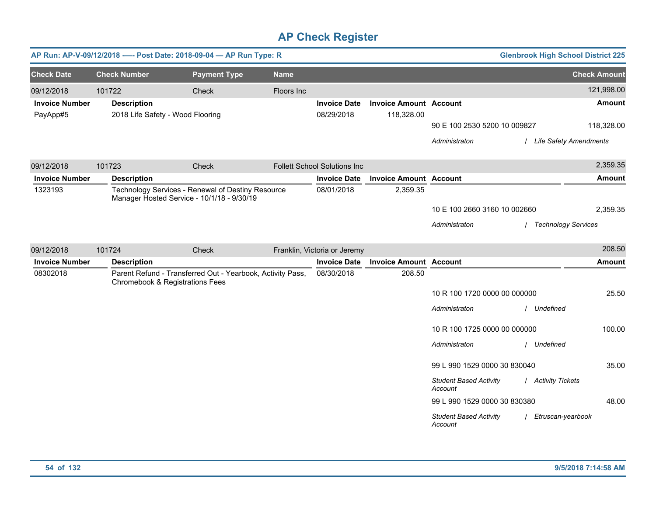|                       | AP Run: AP-V-09/12/2018 ---- Post Date: 2018-09-04 - AP Run Type: R |                                                                                                 |             |                                     |                               |                                                                          | <b>Glenbrook High School District 225</b> |                     |
|-----------------------|---------------------------------------------------------------------|-------------------------------------------------------------------------------------------------|-------------|-------------------------------------|-------------------------------|--------------------------------------------------------------------------|-------------------------------------------|---------------------|
| <b>Check Date</b>     | <b>Check Number</b>                                                 | <b>Payment Type</b>                                                                             | <b>Name</b> |                                     |                               |                                                                          |                                           | <b>Check Amount</b> |
| 09/12/2018            | 101722                                                              | Check                                                                                           | Floors Inc  |                                     |                               |                                                                          |                                           | 121,998.00          |
| <b>Invoice Number</b> | <b>Description</b>                                                  |                                                                                                 |             | <b>Invoice Date</b>                 | <b>Invoice Amount Account</b> |                                                                          |                                           | Amount              |
| PayApp#5              | 2018 Life Safety - Wood Flooring                                    |                                                                                                 |             | 08/29/2018                          | 118,328.00                    | 90 E 100 2530 5200 10 009827<br>Administraton                            | / Life Safety Amendments                  | 118,328.00          |
| 09/12/2018            | 101723                                                              | Check                                                                                           |             | <b>Follett School Solutions Inc</b> |                               |                                                                          |                                           | 2,359.35            |
| <b>Invoice Number</b> | <b>Description</b>                                                  |                                                                                                 |             | <b>Invoice Date</b>                 | <b>Invoice Amount Account</b> |                                                                          |                                           | <b>Amount</b>       |
| 1323193               |                                                                     | Technology Services - Renewal of Destiny Resource<br>Manager Hosted Service - 10/1/18 - 9/30/19 |             | 08/01/2018                          | 2,359.35                      | 10 E 100 2660 3160 10 002660<br>Administraton                            | / Technology Services                     | 2,359.35            |
| 09/12/2018            | 101724                                                              | Check                                                                                           |             | Franklin, Victoria or Jeremy        |                               |                                                                          |                                           | 208.50              |
| <b>Invoice Number</b> | <b>Description</b>                                                  |                                                                                                 |             | <b>Invoice Date</b>                 | <b>Invoice Amount Account</b> |                                                                          |                                           | Amount              |
| 08302018              | Chromebook & Registrations Fees                                     | Parent Refund - Transferred Out - Yearbook, Activity Pass,                                      |             | 08/30/2018                          | 208.50                        | 10 R 100 1720 0000 00 000000<br>Administraton                            | / Undefined                               | 25.50               |
|                       |                                                                     |                                                                                                 |             |                                     |                               | 10 R 100 1725 0000 00 000000<br>Administraton                            | / Undefined                               | 100.00              |
|                       |                                                                     |                                                                                                 |             |                                     |                               | 99 L 990 1529 0000 30 830040<br><b>Student Based Activity</b><br>Account | / Activity Tickets                        | 35.00               |
|                       |                                                                     |                                                                                                 |             |                                     |                               | 99 L 990 1529 0000 30 830380<br><b>Student Based Activity</b><br>Account | Etruscan-yearbook                         | 48.00               |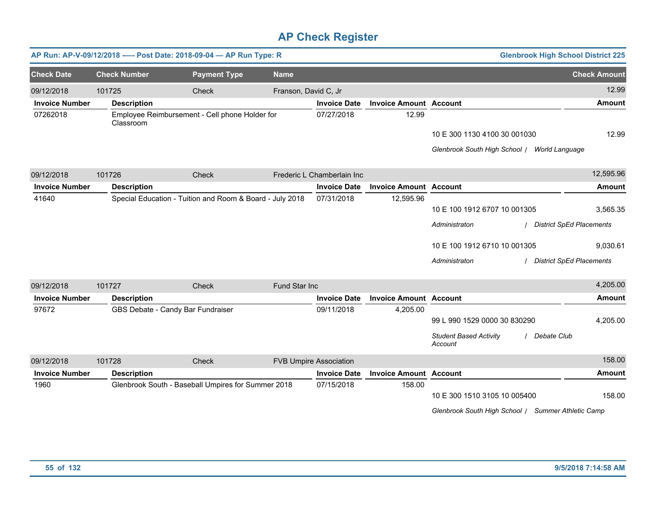|                       |                     | AP Run: AP-V-09/12/2018 ---- Post Date: 2018-09-04 - AP Run Type: R |                      |                               |                               | <b>Glenbrook High School District 225</b>               |                     |
|-----------------------|---------------------|---------------------------------------------------------------------|----------------------|-------------------------------|-------------------------------|---------------------------------------------------------|---------------------|
| <b>Check Date</b>     | <b>Check Number</b> | <b>Payment Type</b>                                                 | <b>Name</b>          |                               |                               |                                                         | <b>Check Amount</b> |
| 09/12/2018            | 101725              | Check                                                               | Franson, David C, Jr |                               |                               |                                                         | 12.99               |
| <b>Invoice Number</b> | <b>Description</b>  |                                                                     |                      | <b>Invoice Date</b>           | <b>Invoice Amount Account</b> |                                                         | <b>Amount</b>       |
| 07262018              | Classroom           | Employee Reimbursement - Cell phone Holder for                      |                      | 07/27/2018                    | 12.99                         |                                                         |                     |
|                       |                     |                                                                     |                      |                               |                               | 10 E 300 1130 4100 30 001030                            | 12.99               |
|                       |                     |                                                                     |                      |                               |                               | Glenbrook South High School / World Language            |                     |
| 09/12/2018            | 101726              | Check                                                               |                      | Frederic L Chamberlain Inc    |                               |                                                         | 12,595.96           |
| <b>Invoice Number</b> | <b>Description</b>  |                                                                     |                      | <b>Invoice Date</b>           | <b>Invoice Amount</b>         | <b>Account</b>                                          | <b>Amount</b>       |
| 41640                 |                     | Special Education - Tuition and Room & Board - July 2018            |                      | 07/31/2018                    | 12,595.96                     |                                                         |                     |
|                       |                     |                                                                     |                      |                               |                               | 10 E 100 1912 6707 10 001305                            | 3,565.35            |
|                       |                     |                                                                     |                      |                               |                               | Administraton<br><b>District SpEd Placements</b>        |                     |
|                       |                     |                                                                     |                      |                               |                               | 10 E 100 1912 6710 10 001305                            | 9,030.61            |
|                       |                     |                                                                     |                      |                               |                               | <b>District SpEd Placements</b><br>Administraton        |                     |
| 09/12/2018            | 101727              | Check                                                               | Fund Star Inc        |                               |                               |                                                         | 4,205.00            |
| <b>Invoice Number</b> | <b>Description</b>  |                                                                     |                      | <b>Invoice Date</b>           | <b>Invoice Amount Account</b> |                                                         | <b>Amount</b>       |
| 97672                 |                     | GBS Debate - Candy Bar Fundraiser                                   |                      | 09/11/2018                    | 4,205.00                      |                                                         |                     |
|                       |                     |                                                                     |                      |                               |                               | 99 L 990 1529 0000 30 830290                            | 4,205.00            |
|                       |                     |                                                                     |                      |                               |                               | <b>Student Based Activity</b><br>Debate Club<br>Account |                     |
| 09/12/2018            | 101728              | Check                                                               |                      | <b>FVB Umpire Association</b> |                               |                                                         | 158.00              |
| <b>Invoice Number</b> | <b>Description</b>  |                                                                     |                      | <b>Invoice Date</b>           | <b>Invoice Amount Account</b> |                                                         | <b>Amount</b>       |
| 1960                  |                     | Glenbrook South - Baseball Umpires for Summer 2018                  |                      | 07/15/2018                    | 158.00                        | 10 E 300 1510 3105 10 005400                            | 158.00              |
|                       |                     |                                                                     |                      |                               |                               | Glenbrook South High School / Summer Athletic Camp      |                     |
|                       |                     |                                                                     |                      |                               |                               |                                                         |                     |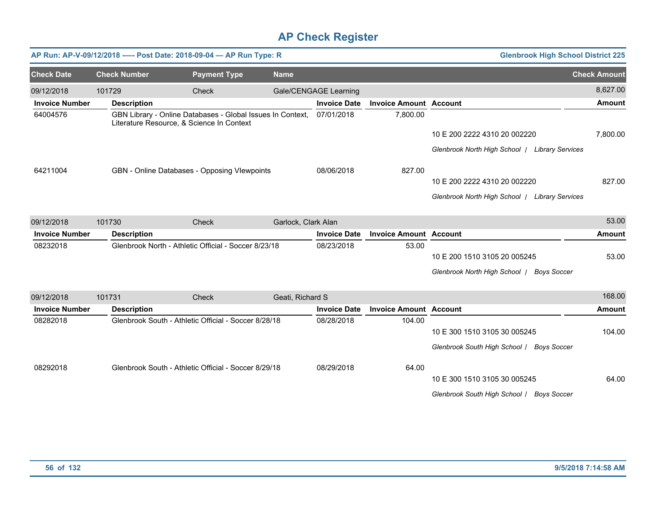|                       |                     | AP Run: AP-V-09/12/2018 ---- Post Date: 2018-09-04 - AP Run Type: R                                     |                     |                       |                               | <b>Glenbrook High School District 225</b>           |                     |
|-----------------------|---------------------|---------------------------------------------------------------------------------------------------------|---------------------|-----------------------|-------------------------------|-----------------------------------------------------|---------------------|
| <b>Check Date</b>     | <b>Check Number</b> | <b>Payment Type</b>                                                                                     | <b>Name</b>         |                       |                               |                                                     | <b>Check Amount</b> |
| 09/12/2018            | 101729              | <b>Check</b>                                                                                            |                     | Gale/CENGAGE Learning |                               |                                                     | 8,627.00            |
| <b>Invoice Number</b> | <b>Description</b>  |                                                                                                         |                     | <b>Invoice Date</b>   | <b>Invoice Amount Account</b> |                                                     | <b>Amount</b>       |
| 64004576              |                     | GBN Library - Online Databases - Global Issues In Context,<br>Literature Resource, & Science In Context |                     | 07/01/2018            | 7,800.00                      |                                                     |                     |
|                       |                     |                                                                                                         |                     |                       |                               | 10 E 200 2222 4310 20 002220                        | 7,800.00            |
|                       |                     |                                                                                                         |                     |                       |                               | Glenbrook North High School   Library Services      |                     |
| 64211004              |                     | GBN - Online Databases - Opposing Vlewpoints                                                            |                     | 08/06/2018            | 827.00                        |                                                     |                     |
|                       |                     |                                                                                                         |                     |                       |                               | 10 E 200 2222 4310 20 002220                        | 827.00              |
|                       |                     |                                                                                                         |                     |                       |                               | Glenbrook North High School   Library Services      |                     |
| 09/12/2018            | 101730              | Check                                                                                                   | Garlock, Clark Alan |                       |                               |                                                     | 53.00               |
| <b>Invoice Number</b> | <b>Description</b>  |                                                                                                         |                     | <b>Invoice Date</b>   | <b>Invoice Amount Account</b> |                                                     | <b>Amount</b>       |
| 08232018              |                     | Glenbrook North - Athletic Official - Soccer 8/23/18                                                    |                     | 08/23/2018            | 53.00                         |                                                     |                     |
|                       |                     |                                                                                                         |                     |                       |                               | 10 E 200 1510 3105 20 005245                        | 53.00               |
|                       |                     |                                                                                                         |                     |                       |                               | Glenbrook North High School /<br><b>Boys Soccer</b> |                     |
| 09/12/2018            | 101731              | Check                                                                                                   | Geati, Richard S    |                       |                               |                                                     | 168.00              |
| <b>Invoice Number</b> | <b>Description</b>  |                                                                                                         |                     | <b>Invoice Date</b>   | <b>Invoice Amount Account</b> |                                                     | <b>Amount</b>       |
| 08282018              |                     | Glenbrook South - Athletic Official - Soccer 8/28/18                                                    |                     | 08/28/2018            | 104.00                        |                                                     |                     |
|                       |                     |                                                                                                         |                     |                       |                               | 10 E 300 1510 3105 30 005245                        | 104.00              |
|                       |                     |                                                                                                         |                     |                       |                               | Glenbrook South High School / Boys Soccer           |                     |
| 08292018              |                     | Glenbrook South - Athletic Official - Soccer 8/29/18                                                    |                     | 08/29/2018            | 64.00                         |                                                     |                     |
|                       |                     |                                                                                                         |                     |                       |                               | 10 E 300 1510 3105 30 005245                        | 64.00               |
|                       |                     |                                                                                                         |                     |                       |                               | Glenbrook South High School / Boys Soccer           |                     |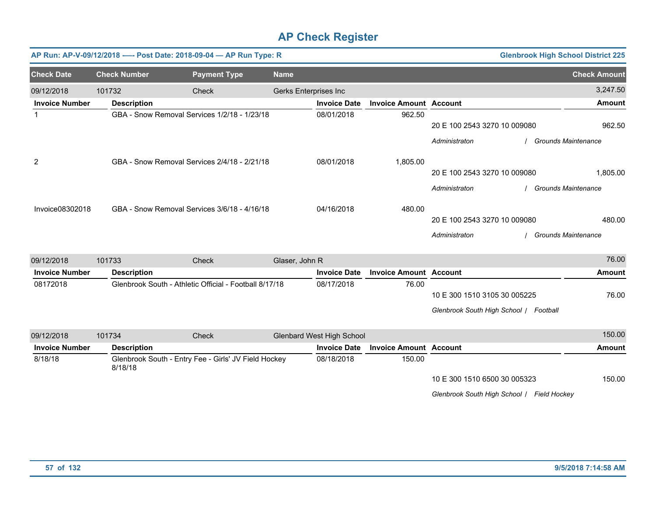|                       |                     | AP Run: AP-V-09/12/2018 ---- Post Date: 2018-09-04 - AP Run Type: R |                       |                                  |                               |                                        | <b>Glenbrook High School District 225</b> |                            |
|-----------------------|---------------------|---------------------------------------------------------------------|-----------------------|----------------------------------|-------------------------------|----------------------------------------|-------------------------------------------|----------------------------|
| <b>Check Date</b>     | <b>Check Number</b> | <b>Payment Type</b>                                                 | <b>Name</b>           |                                  |                               |                                        |                                           | <b>Check Amount</b>        |
| 09/12/2018            | 101732              | Check                                                               | Gerks Enterprises Inc |                                  |                               |                                        |                                           | 3,247.50                   |
| <b>Invoice Number</b> | <b>Description</b>  |                                                                     |                       | <b>Invoice Date</b>              | <b>Invoice Amount Account</b> |                                        |                                           | Amount                     |
| $\mathbf{1}$          |                     | GBA - Snow Removal Services 1/2/18 - 1/23/18                        |                       | 08/01/2018                       | 962.50                        |                                        |                                           |                            |
|                       |                     |                                                                     |                       |                                  |                               | 20 E 100 2543 3270 10 009080           |                                           | 962.50                     |
|                       |                     |                                                                     |                       |                                  |                               | Administraton                          |                                           | <b>Grounds Maintenance</b> |
| 2                     |                     | GBA - Snow Removal Services 2/4/18 - 2/21/18                        |                       | 08/01/2018                       | 1,805.00                      |                                        |                                           |                            |
|                       |                     |                                                                     |                       |                                  |                               | 20 E 100 2543 3270 10 009080           |                                           | 1,805.00                   |
|                       |                     |                                                                     |                       |                                  |                               | Administraton                          |                                           | <b>Grounds Maintenance</b> |
| Invoice08302018       |                     | GBA - Snow Removal Services 3/6/18 - 4/16/18                        |                       | 04/16/2018                       | 480.00                        |                                        |                                           |                            |
|                       |                     |                                                                     |                       |                                  |                               | 20 E 100 2543 3270 10 009080           |                                           | 480.00                     |
|                       |                     |                                                                     |                       |                                  |                               | Administraton                          |                                           | <b>Grounds Maintenance</b> |
| 09/12/2018            | 101733              | Check                                                               | Glaser, John R        |                                  |                               |                                        |                                           | 76.00                      |
| <b>Invoice Number</b> | <b>Description</b>  |                                                                     |                       | <b>Invoice Date</b>              | <b>Invoice Amount Account</b> |                                        |                                           | Amount                     |
| 08172018              |                     | Glenbrook South - Athletic Official - Football 8/17/18              |                       | 08/17/2018                       | 76.00                         |                                        |                                           |                            |
|                       |                     |                                                                     |                       |                                  |                               | 10 E 300 1510 3105 30 005225           |                                           | 76.00                      |
|                       |                     |                                                                     |                       |                                  |                               | Glenbrook South High School / Football |                                           |                            |
| 09/12/2018            | 101734              | Check                                                               |                       | <b>Glenbard West High School</b> |                               |                                        |                                           | 150.00                     |
| <b>Invoice Number</b> | <b>Description</b>  |                                                                     |                       | <b>Invoice Date</b>              | <b>Invoice Amount Account</b> |                                        |                                           | <b>Amount</b>              |
| 8/18/18               | 8/18/18             | Glenbrook South - Entry Fee - Girls' JV Field Hockey                |                       | 08/18/2018                       | 150.00                        |                                        |                                           |                            |
|                       |                     |                                                                     |                       |                                  |                               | 10 E 300 1510 6500 30 005323           |                                           | 150.00                     |

*Glenbrook South High School* / *Field Hockey*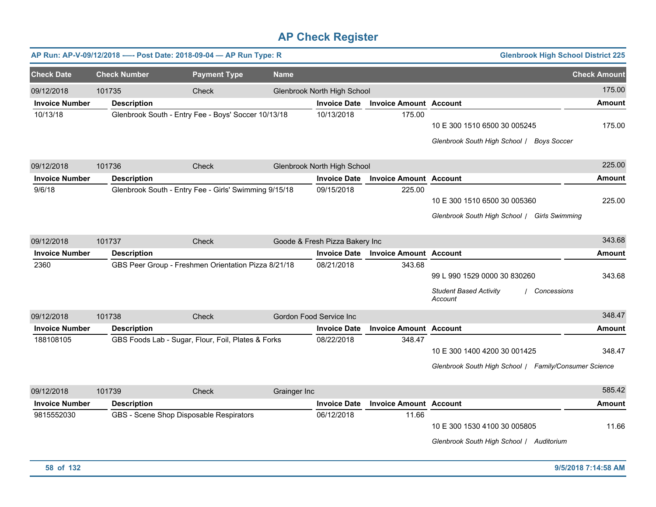|                       |                     | AP Run: AP-V-09/12/2018 ---- Post Date: 2018-09-04 - AP Run Type: R |              |                                |                               | <b>Glenbrook High School District 225</b>                                               |                     |
|-----------------------|---------------------|---------------------------------------------------------------------|--------------|--------------------------------|-------------------------------|-----------------------------------------------------------------------------------------|---------------------|
| <b>Check Date</b>     | <b>Check Number</b> | <b>Payment Type</b>                                                 | <b>Name</b>  |                                |                               |                                                                                         | <b>Check Amount</b> |
| 09/12/2018            | 101735              | Check                                                               |              | Glenbrook North High School    |                               |                                                                                         | 175.00              |
| <b>Invoice Number</b> | <b>Description</b>  |                                                                     |              | <b>Invoice Date</b>            | <b>Invoice Amount Account</b> |                                                                                         | <b>Amount</b>       |
| 10/13/18              |                     | Glenbrook South - Entry Fee - Boys' Soccer 10/13/18                 |              | 10/13/2018                     | 175.00                        | 10 E 300 1510 6500 30 005245<br>Glenbrook South High School /<br><b>Boys Soccer</b>     | 175.00              |
| 09/12/2018            | 101736              | Check                                                               |              | Glenbrook North High School    |                               |                                                                                         | 225.00              |
| <b>Invoice Number</b> | <b>Description</b>  |                                                                     |              | <b>Invoice Date</b>            | <b>Invoice Amount Account</b> |                                                                                         | <b>Amount</b>       |
| 9/6/18                |                     | Glenbrook South - Entry Fee - Girls' Swimming 9/15/18               |              | 09/15/2018                     | 225.00                        | 10 E 300 1510 6500 30 005360<br>Glenbrook South High School / Girls Swimming            | 225.00              |
| 09/12/2018            | 101737              | Check                                                               |              | Goode & Fresh Pizza Bakery Inc |                               |                                                                                         | 343.68              |
| <b>Invoice Number</b> | <b>Description</b>  |                                                                     |              | <b>Invoice Date</b>            | <b>Invoice Amount Account</b> |                                                                                         | <b>Amount</b>       |
| 2360                  |                     | GBS Peer Group - Freshmen Orientation Pizza 8/21/18                 |              | 08/21/2018                     | 343.68                        | 99 L 990 1529 0000 30 830260<br><b>Student Based Activity</b><br>Concessions<br>Account | 343.68              |
| 09/12/2018            | 101738              | Check                                                               |              | Gordon Food Service Inc        |                               |                                                                                         | 348.47              |
| <b>Invoice Number</b> | <b>Description</b>  |                                                                     |              | <b>Invoice Date</b>            | <b>Invoice Amount Account</b> |                                                                                         | <b>Amount</b>       |
| 188108105             |                     | GBS Foods Lab - Sugar, Flour, Foil, Plates & Forks                  |              | 08/22/2018                     | 348.47                        | 10 E 300 1400 4200 30 001425<br>Glenbrook South High School / Family/Consumer Science   | 348.47              |
| 09/12/2018            | 101739              | Check                                                               | Grainger Inc |                                |                               |                                                                                         | 585.42              |
| <b>Invoice Number</b> | <b>Description</b>  |                                                                     |              | <b>Invoice Date</b>            | <b>Invoice Amount Account</b> |                                                                                         | <b>Amount</b>       |
| 9815552030            |                     | GBS - Scene Shop Disposable Respirators                             |              | 06/12/2018                     | 11.66                         | 10 E 300 1530 4100 30 005805<br>Glenbrook South High School   Auditorium                | 11.66               |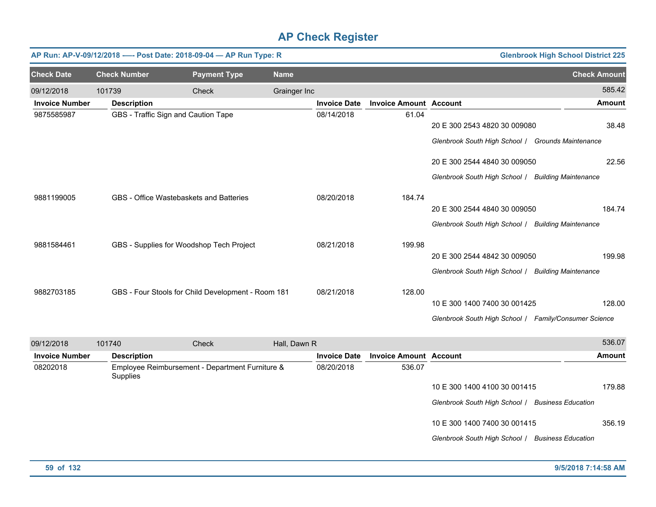|                       |                     | AP Run: AP-V-09/12/2018 ---- Post Date: 2018-09-04 - AP Run Type: R |             |              |                     |                               |                                                       | <b>Glenbrook High School District 225</b> |                     |
|-----------------------|---------------------|---------------------------------------------------------------------|-------------|--------------|---------------------|-------------------------------|-------------------------------------------------------|-------------------------------------------|---------------------|
| <b>Check Date</b>     | <b>Check Number</b> | <b>Payment Type</b>                                                 | <b>Name</b> |              |                     |                               |                                                       |                                           | <b>Check Amount</b> |
| 09/12/2018            | 101739              | Check                                                               |             | Grainger Inc |                     |                               |                                                       |                                           | 585.42              |
| <b>Invoice Number</b> | <b>Description</b>  |                                                                     |             |              | <b>Invoice Date</b> | <b>Invoice Amount Account</b> |                                                       |                                           | Amount              |
| 9875585987            |                     | GBS - Traffic Sign and Caution Tape                                 |             |              | 08/14/2018          | 61.04                         | 20 E 300 2543 4820 30 009080                          |                                           | 38.48               |
|                       |                     |                                                                     |             |              |                     |                               | Glenbrook South High School / Grounds Maintenance     |                                           |                     |
|                       |                     |                                                                     |             |              |                     |                               | 20 E 300 2544 4840 30 009050                          |                                           | 22.56               |
|                       |                     |                                                                     |             |              |                     |                               | Glenbrook South High School / Building Maintenance    |                                           |                     |
| 9881199005            |                     | GBS - Office Wastebaskets and Batteries                             |             |              | 08/20/2018          | 184.74                        |                                                       |                                           |                     |
|                       |                     |                                                                     |             |              |                     |                               | 20 E 300 2544 4840 30 009050                          |                                           | 184.74              |
|                       |                     |                                                                     |             |              |                     |                               | Glenbrook South High School / Building Maintenance    |                                           |                     |
| 9881584461            |                     | GBS - Supplies for Woodshop Tech Project                            |             |              | 08/21/2018          | 199.98                        |                                                       |                                           |                     |
|                       |                     |                                                                     |             |              |                     |                               | 20 E 300 2544 4842 30 009050                          |                                           | 199.98              |
|                       |                     |                                                                     |             |              |                     |                               | Glenbrook South High School / Building Maintenance    |                                           |                     |
| 9882703185            |                     | GBS - Four Stools for Child Development - Room 181                  |             |              | 08/21/2018          | 128.00                        |                                                       |                                           |                     |
|                       |                     |                                                                     |             |              |                     |                               | 10 E 300 1400 7400 30 001425                          |                                           | 128.00              |
|                       |                     |                                                                     |             |              |                     |                               | Glenbrook South High School / Family/Consumer Science |                                           |                     |
| 09/12/2018            | 101740              | <b>Check</b>                                                        |             | Hall, Dawn R |                     |                               |                                                       |                                           | 536.07              |
| <b>Invoice Number</b> | <b>Description</b>  |                                                                     |             |              | <b>Invoice Date</b> | <b>Invoice Amount Account</b> |                                                       |                                           | Amount              |
| 08202018              | Supplies            | Employee Reimbursement - Department Furniture &                     |             |              | 08/20/2018          | 536.07                        |                                                       |                                           |                     |
|                       |                     |                                                                     |             |              |                     |                               | 10 E 300 1400 4100 30 001415                          |                                           | 179.88              |
|                       |                     |                                                                     |             |              |                     |                               | Glenbrook South High School   Business Education      |                                           |                     |
|                       |                     |                                                                     |             |              |                     |                               | 10 E 300 1400 7400 30 001415                          |                                           | 356.19              |
|                       |                     |                                                                     |             |              |                     |                               | Glenbrook South High School / Business Education      |                                           |                     |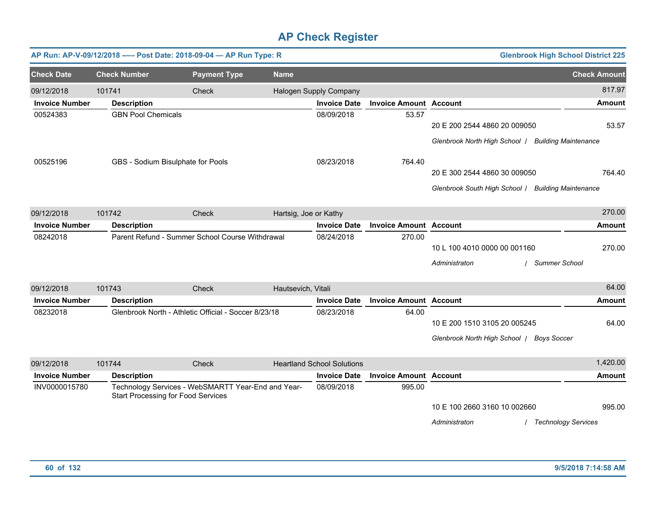|                       |                           | AP Run: AP-V-09/12/2018 ---- Post Date: 2018-09-04 - AP Run Type: R |                                                    |                                   |                               |                                                                                    | <b>Glenbrook High School District 225</b> |
|-----------------------|---------------------------|---------------------------------------------------------------------|----------------------------------------------------|-----------------------------------|-------------------------------|------------------------------------------------------------------------------------|-------------------------------------------|
| <b>Check Date</b>     | <b>Check Number</b>       | <b>Payment Type</b>                                                 | <b>Name</b>                                        |                                   |                               |                                                                                    | <b>Check Amount</b>                       |
| 09/12/2018            | 101741                    | Check                                                               |                                                    | Halogen Supply Company            |                               |                                                                                    | 817.97                                    |
| <b>Invoice Number</b> | <b>Description</b>        |                                                                     |                                                    | <b>Invoice Date</b>               | <b>Invoice Amount Account</b> |                                                                                    | <b>Amount</b>                             |
| 00524383              | <b>GBN Pool Chemicals</b> |                                                                     |                                                    | 08/09/2018                        | 53.57                         | 20 E 200 2544 4860 20 009050<br>Glenbrook North High School   Building Maintenance | 53.57                                     |
| 00525196              |                           | GBS - Sodium Bisulphate for Pools                                   |                                                    | 08/23/2018                        | 764.40                        | 20 E 300 2544 4860 30 009050                                                       | 764.40                                    |
|                       |                           |                                                                     |                                                    |                                   |                               | Glenbrook South High School / Building Maintenance                                 |                                           |
| 09/12/2018            | 101742                    | Check                                                               | Hartsig, Joe or Kathy                              |                                   |                               |                                                                                    | 270.00                                    |
| <b>Invoice Number</b> | <b>Description</b>        |                                                                     |                                                    | <b>Invoice Date</b>               | <b>Invoice Amount Account</b> |                                                                                    | <b>Amount</b>                             |
| 08242018              |                           | Parent Refund - Summer School Course Withdrawal                     |                                                    | 08/24/2018                        | 270.00                        | 10 L 100 4010 0000 00 001160<br>Administraton                                      | 270.00<br><b>Summer School</b>            |
| 09/12/2018            | 101743                    | <b>Check</b>                                                        | Hautsevich, Vitali                                 |                                   |                               |                                                                                    | 64.00                                     |
| <b>Invoice Number</b> | <b>Description</b>        |                                                                     |                                                    | <b>Invoice Date</b>               | <b>Invoice Amount Account</b> |                                                                                    | <b>Amount</b>                             |
| 08232018              |                           | Glenbrook North - Athletic Official - Soccer 8/23/18                |                                                    | 08/23/2018                        | 64.00                         | 10 E 200 1510 3105 20 005245<br>Glenbrook North High School   Boys Soccer          | 64.00                                     |
| 09/12/2018            | 101744                    | Check                                                               |                                                    | <b>Heartland School Solutions</b> |                               |                                                                                    | 1,420.00                                  |
| <b>Invoice Number</b> | <b>Description</b>        |                                                                     |                                                    | <b>Invoice Date</b>               | <b>Invoice Amount Account</b> |                                                                                    | <b>Amount</b>                             |
| INV0000015780         |                           | <b>Start Processing for Food Services</b>                           | Technology Services - WebSMARTT Year-End and Year- | 08/09/2018                        | 995.00                        | 10 E 100 2660 3160 10 002660<br>Administraton                                      | 995.00<br>/ Technology Services           |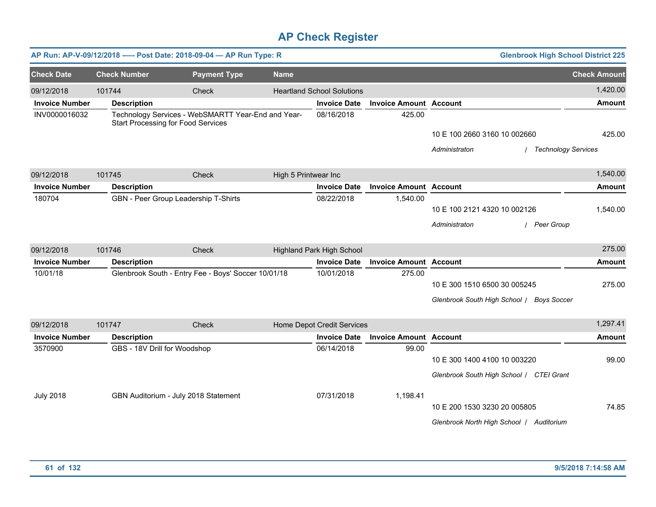|                       |                     | AP Run: AP-V-09/12/2018 ---- Post Date: 2018-09-04 - AP Run Type: R                             |                      |                                   |                               |                              | <b>Glenbrook High School District 225</b> |                            |
|-----------------------|---------------------|-------------------------------------------------------------------------------------------------|----------------------|-----------------------------------|-------------------------------|------------------------------|-------------------------------------------|----------------------------|
| <b>Check Date</b>     | <b>Check Number</b> | <b>Payment Type</b>                                                                             | <b>Name</b>          |                                   |                               |                              |                                           | <b>Check Amount</b>        |
| 09/12/2018            | 101744              | Check                                                                                           |                      | <b>Heartland School Solutions</b> |                               |                              |                                           | 1,420.00                   |
| <b>Invoice Number</b> | <b>Description</b>  |                                                                                                 |                      | <b>Invoice Date</b>               | <b>Invoice Amount Account</b> |                              |                                           | <b>Amount</b>              |
| INV0000016032         |                     | Technology Services - WebSMARTT Year-End and Year-<br><b>Start Processing for Food Services</b> |                      | 08/16/2018                        | 425.00                        |                              |                                           |                            |
|                       |                     |                                                                                                 |                      |                                   |                               | 10 E 100 2660 3160 10 002660 |                                           | 425.00                     |
|                       |                     |                                                                                                 |                      |                                   |                               | Administraton                |                                           | <b>Technology Services</b> |
| 09/12/2018            | 101745              | Check                                                                                           | High 5 Printwear Inc |                                   |                               |                              |                                           | 1,540.00                   |
| <b>Invoice Number</b> | <b>Description</b>  |                                                                                                 |                      | <b>Invoice Date</b>               | <b>Invoice Amount Account</b> |                              |                                           | <b>Amount</b>              |
| 180704                |                     | GBN - Peer Group Leadership T-Shirts                                                            |                      | 08/22/2018                        | 1,540.00                      |                              |                                           |                            |
|                       |                     |                                                                                                 |                      |                                   |                               | 10 E 100 2121 4320 10 002126 |                                           | 1,540.00                   |
|                       |                     |                                                                                                 |                      |                                   |                               | Administraton                | / Peer Group                              |                            |
| 09/12/2018            | 101746              | Check                                                                                           |                      | <b>Highland Park High School</b>  |                               |                              |                                           | 275.00                     |
| <b>Invoice Number</b> | <b>Description</b>  |                                                                                                 |                      | <b>Invoice Date</b>               | <b>Invoice Amount Account</b> |                              |                                           | <b>Amount</b>              |
| 10/01/18              |                     | Glenbrook South - Entry Fee - Boys' Soccer 10/01/18                                             |                      | 10/01/2018                        | 275.00                        |                              |                                           |                            |
|                       |                     |                                                                                                 |                      |                                   |                               | 10 E 300 1510 6500 30 005245 |                                           | 275.00                     |
|                       |                     |                                                                                                 |                      |                                   |                               |                              | Glenbrook South High School / Boys Soccer |                            |
| 09/12/2018            | 101747              | Check                                                                                           |                      | Home Depot Credit Services        |                               |                              |                                           | 1,297.41                   |
| <b>Invoice Number</b> | <b>Description</b>  |                                                                                                 |                      | <b>Invoice Date</b>               | <b>Invoice Amount Account</b> |                              |                                           | <b>Amount</b>              |
| 3570900               |                     | GBS - 18V Drill for Woodshop                                                                    |                      | 06/14/2018                        | 99.00                         |                              |                                           |                            |
|                       |                     |                                                                                                 |                      |                                   |                               | 10 E 300 1400 4100 10 003220 |                                           | 99.00                      |
|                       |                     |                                                                                                 |                      |                                   |                               |                              | Glenbrook South High School / CTEI Grant  |                            |
| <b>July 2018</b>      |                     | GBN Auditorium - July 2018 Statement                                                            |                      | 07/31/2018                        | 1,198.41                      |                              |                                           |                            |
|                       |                     |                                                                                                 |                      |                                   |                               | 10 E 200 1530 3230 20 005805 |                                           | 74.85                      |
|                       |                     |                                                                                                 |                      |                                   |                               |                              | Glenbrook North High School   Auditorium  |                            |
|                       |                     |                                                                                                 |                      |                                   |                               |                              |                                           |                            |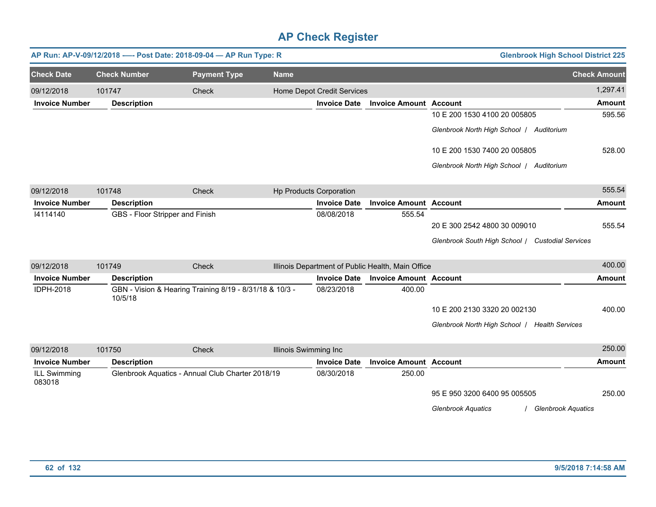|                        | AP Run: AP-V-09/12/2018 ---- Post Date: 2018-09-04 - AP Run Type: R |                                                         |                       |                                |                                                   | <b>Glenbrook High School District 225</b>        |                     |
|------------------------|---------------------------------------------------------------------|---------------------------------------------------------|-----------------------|--------------------------------|---------------------------------------------------|--------------------------------------------------|---------------------|
| <b>Check Date</b>      | <b>Check Number</b>                                                 | <b>Payment Type</b>                                     | <b>Name</b>           |                                |                                                   |                                                  | <b>Check Amount</b> |
| 09/12/2018             | 101747                                                              | <b>Check</b>                                            |                       | Home Depot Credit Services     |                                                   |                                                  | 1,297.41            |
| <b>Invoice Number</b>  | <b>Description</b>                                                  |                                                         |                       | <b>Invoice Date</b>            | <b>Invoice Amount Account</b>                     |                                                  | <b>Amount</b>       |
|                        |                                                                     |                                                         |                       |                                |                                                   | 10 E 200 1530 4100 20 005805                     | 595.56              |
|                        |                                                                     |                                                         |                       |                                |                                                   | Glenbrook North High School   Auditorium         |                     |
|                        |                                                                     |                                                         |                       |                                |                                                   | 10 E 200 1530 7400 20 005805                     | 528.00              |
|                        |                                                                     |                                                         |                       |                                |                                                   | Glenbrook North High School   Auditorium         |                     |
| 09/12/2018             | 101748                                                              | Check                                                   |                       | <b>Hp Products Corporation</b> |                                                   |                                                  | 555.54              |
| <b>Invoice Number</b>  | <b>Description</b>                                                  |                                                         |                       | <b>Invoice Date</b>            | <b>Invoice Amount Account</b>                     |                                                  | <b>Amount</b>       |
| 14114140               | GBS - Floor Stripper and Finish                                     |                                                         |                       | 08/08/2018                     | 555.54                                            |                                                  |                     |
|                        |                                                                     |                                                         |                       |                                |                                                   | 20 E 300 2542 4800 30 009010                     | 555.54              |
|                        |                                                                     |                                                         |                       |                                |                                                   | Glenbrook South High School / Custodial Services |                     |
| 09/12/2018             | 101749                                                              | <b>Check</b>                                            |                       |                                | Illinois Department of Public Health, Main Office |                                                  | 400.00              |
| <b>Invoice Number</b>  | <b>Description</b>                                                  |                                                         |                       | <b>Invoice Date</b>            | <b>Invoice Amount Account</b>                     |                                                  | <b>Amount</b>       |
| <b>IDPH-2018</b>       | 10/5/18                                                             | GBN - Vision & Hearing Training 8/19 - 8/31/18 & 10/3 - |                       | 08/23/2018                     | 400.00                                            |                                                  |                     |
|                        |                                                                     |                                                         |                       |                                |                                                   | 10 E 200 2130 3320 20 002130                     | 400.00              |
|                        |                                                                     |                                                         |                       |                                |                                                   | Glenbrook North High School   Health Services    |                     |
| 09/12/2018             | 101750                                                              | Check                                                   | Illinois Swimming Inc |                                |                                                   |                                                  | 250.00              |
| <b>Invoice Number</b>  | <b>Description</b>                                                  |                                                         |                       | <b>Invoice Date</b>            | <b>Invoice Amount Account</b>                     |                                                  | <b>Amount</b>       |
| ILL Swimming<br>083018 |                                                                     | Glenbrook Aquatics - Annual Club Charter 2018/19        |                       | 08/30/2018                     | 250.00                                            |                                                  |                     |
|                        |                                                                     |                                                         |                       |                                |                                                   | 95 E 950 3200 6400 95 005505                     | 250.00              |

*Glenbrook Aquatics* / *Glenbrook Aquatics*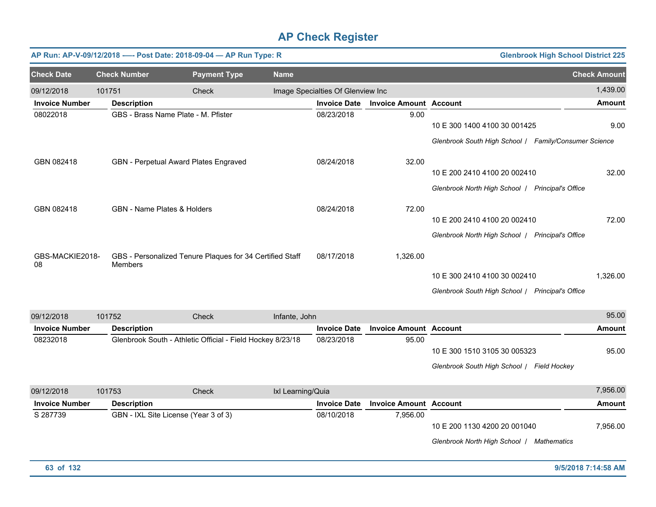|                       |                     | AP Run: AP-V-09/12/2018 ---- Post Date: 2018-09-04 - AP Run Type: R |               |                                   |                                     |                                                       | <b>Glenbrook High School District 225</b> |
|-----------------------|---------------------|---------------------------------------------------------------------|---------------|-----------------------------------|-------------------------------------|-------------------------------------------------------|-------------------------------------------|
| <b>Check Date</b>     | <b>Check Number</b> | <b>Payment Type</b>                                                 | <b>Name</b>   |                                   |                                     |                                                       | <b>Check Amount</b>                       |
| 09/12/2018            | 101751              | Check                                                               |               | Image Specialties Of Glenview Inc |                                     |                                                       | 1,439.00                                  |
| <b>Invoice Number</b> | <b>Description</b>  |                                                                     |               | <b>Invoice Date</b>               | <b>Invoice Amount Account</b>       |                                                       | <b>Amount</b>                             |
| 08022018              |                     | GBS - Brass Name Plate - M. Pfister                                 |               | 08/23/2018                        | 9.00                                |                                                       |                                           |
|                       |                     |                                                                     |               |                                   |                                     | 10 E 300 1400 4100 30 001425                          | 9.00                                      |
|                       |                     |                                                                     |               |                                   |                                     | Glenbrook South High School / Family/Consumer Science |                                           |
| GBN 082418            |                     | GBN - Perpetual Award Plates Engraved                               |               | 08/24/2018                        | 32.00                               |                                                       |                                           |
|                       |                     |                                                                     |               |                                   |                                     | 10 E 200 2410 4100 20 002410                          | 32.00                                     |
|                       |                     |                                                                     |               |                                   |                                     | Glenbrook North High School   Principal's Office      |                                           |
| GBN 082418            |                     | <b>GBN - Name Plates &amp; Holders</b>                              |               | 08/24/2018                        | 72.00                               |                                                       |                                           |
|                       |                     |                                                                     |               |                                   |                                     | 10 E 200 2410 4100 20 002410                          | 72.00                                     |
|                       |                     |                                                                     |               |                                   |                                     | Glenbrook North High School   Principal's Office      |                                           |
| GBS-MACKIE2018-<br>08 | <b>Members</b>      | GBS - Personalized Tenure Plaques for 34 Certified Staff            |               | 08/17/2018                        | 1,326.00                            |                                                       |                                           |
|                       |                     |                                                                     |               |                                   |                                     | 10 E 300 2410 4100 30 002410                          | 1,326.00                                  |
|                       |                     |                                                                     |               |                                   |                                     | Glenbrook South High School   Principal's Office      |                                           |
| 09/12/2018            | 101752              | Check                                                               | Infante, John |                                   |                                     |                                                       | 95.00                                     |
| Invoice Numher        | <b>Neccrintion</b>  |                                                                     |               |                                   | Invoice Date Invoice Amount Account |                                                       | <b>Amount</b>                             |

| <b>Invoice Number</b> | <b>Description</b>                                         | Invoice Date | <b>Invoice Amount Account</b> |                                            | Amount |
|-----------------------|------------------------------------------------------------|--------------|-------------------------------|--------------------------------------------|--------|
| 08232018              | Glenbrook South - Athletic Official - Field Hockey 8/23/18 | 08/23/2018   | 95.00                         |                                            |        |
|                       |                                                            |              |                               | 10 E 300 1510 3105 30 005323               | 95.00  |
|                       |                                                            |              |                               | Glenbrook South High School   Field Hockey |        |

| 09/12/2018            | 101753 | Check                                | Ixl Learning/Quia |                     |                               |                                                   | 7,956.00 |
|-----------------------|--------|--------------------------------------|-------------------|---------------------|-------------------------------|---------------------------------------------------|----------|
| <b>Invoice Number</b> |        | <b>Description</b>                   |                   | <b>Invoice Date</b> | <b>Invoice Amount Account</b> |                                                   | Amount   |
| S 287739              |        | GBN - IXL Site License (Year 3 of 3) |                   | 08/10/2018          | 7.956.00                      |                                                   |          |
|                       |        |                                      |                   |                     |                               | 10 E 200 1130 4200 20 001040                      | 7.956.00 |
|                       |        |                                      |                   |                     |                               | Glenbrook North High School<br><b>Mathematics</b> |          |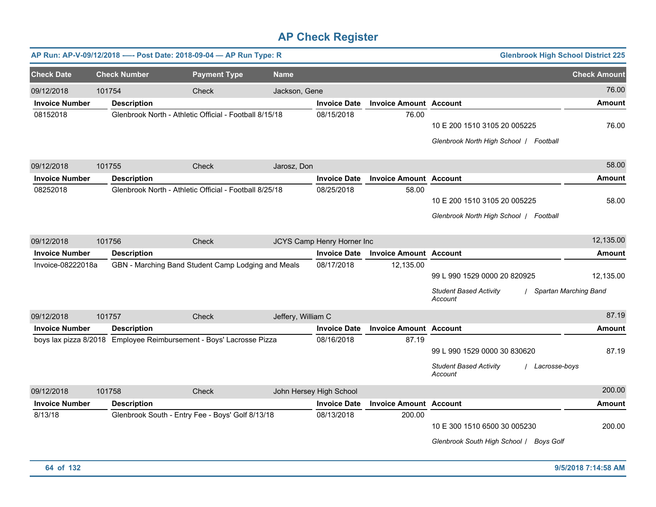|                       |        |                     | AP Run: AP-V-09/12/2018 ---- Post Date: 2018-09-04 - AP Run Type: R |                    |                            |                               | <b>Glenbrook High School District 225</b>                                                 |                                    |
|-----------------------|--------|---------------------|---------------------------------------------------------------------|--------------------|----------------------------|-------------------------------|-------------------------------------------------------------------------------------------|------------------------------------|
| <b>Check Date</b>     |        | <b>Check Number</b> | <b>Payment Type</b>                                                 | <b>Name</b>        |                            |                               |                                                                                           | <b>Check Amount</b>                |
| 09/12/2018            | 101754 |                     | Check                                                               | Jackson, Gene      |                            |                               |                                                                                           | 76.00                              |
| <b>Invoice Number</b> |        | <b>Description</b>  |                                                                     |                    | <b>Invoice Date</b>        | <b>Invoice Amount Account</b> |                                                                                           | Amount                             |
| 08152018              |        |                     | Glenbrook North - Athletic Official - Football 8/15/18              |                    | 08/15/2018                 | 76.00                         | 10 E 200 1510 3105 20 005225<br>Glenbrook North High School   Football                    | 76.00                              |
| 09/12/2018            | 101755 |                     | Check                                                               | Jarosz, Don        |                            |                               |                                                                                           | 58.00                              |
| <b>Invoice Number</b> |        | <b>Description</b>  |                                                                     |                    | <b>Invoice Date</b>        | <b>Invoice Amount Account</b> |                                                                                           | <b>Amount</b>                      |
| 08252018              |        |                     | Glenbrook North - Athletic Official - Football 8/25/18              |                    | 08/25/2018                 | 58.00                         | 10 E 200 1510 3105 20 005225<br>Glenbrook North High School   Football                    | 58.00                              |
| 09/12/2018            | 101756 |                     | Check                                                               |                    | JCYS Camp Henry Horner Inc |                               |                                                                                           | 12,135.00                          |
| <b>Invoice Number</b> |        | <b>Description</b>  |                                                                     |                    | <b>Invoice Date</b>        | <b>Invoice Amount Account</b> |                                                                                           | <b>Amount</b>                      |
| Invoice-08222018a     |        |                     | GBN - Marching Band Student Camp Lodging and Meals                  |                    | 08/17/2018                 | 12,135.00                     | 99 L 990 1529 0000 20 820925<br><b>Student Based Activity</b><br>Account                  | 12,135.00<br>Spartan Marching Band |
| 09/12/2018            | 101757 |                     | Check                                                               | Jeffery, William C |                            |                               |                                                                                           | 87.19                              |
| <b>Invoice Number</b> |        | <b>Description</b>  |                                                                     |                    | <b>Invoice Date</b>        | <b>Invoice Amount Account</b> |                                                                                           | <b>Amount</b>                      |
|                       |        |                     | boys lax pizza 8/2018 Employee Reimbursement - Boys' Lacrosse Pizza |                    | 08/16/2018                 | 87.19                         | 99 L 990 1529 0000 30 830620<br><b>Student Based Activity</b><br>Lacrosse-boys<br>Account | 87.19                              |
| 09/12/2018            | 101758 |                     | Check                                                               |                    | John Hersey High School    |                               |                                                                                           | 200.00                             |
| <b>Invoice Number</b> |        | <b>Description</b>  |                                                                     |                    | <b>Invoice Date</b>        | <b>Invoice Amount</b>         | <b>Account</b>                                                                            | <b>Amount</b>                      |
| 8/13/18               |        |                     | Glenbrook South - Entry Fee - Boys' Golf 8/13/18                    |                    | 08/13/2018                 | 200.00                        | 10 E 300 1510 6500 30 005230<br>Glenbrook South High School / Boys Golf                   | 200.00                             |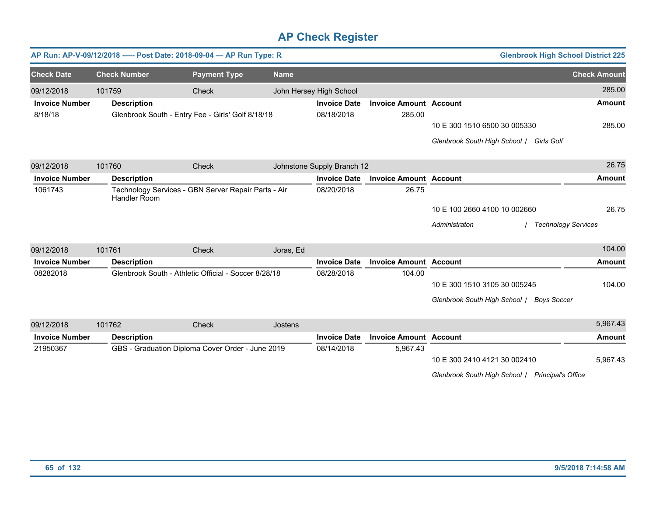|                       |                     | AP Run: AP-V-09/12/2018 ---- Post Date: 2018-09-04 - AP Run Type: R |             |                            |                               | <b>Glenbrook High School District 225</b>           |                     |
|-----------------------|---------------------|---------------------------------------------------------------------|-------------|----------------------------|-------------------------------|-----------------------------------------------------|---------------------|
| <b>Check Date</b>     | <b>Check Number</b> | <b>Payment Type</b>                                                 | <b>Name</b> |                            |                               |                                                     | <b>Check Amount</b> |
| 09/12/2018            | 101759              | <b>Check</b>                                                        |             | John Hersey High School    |                               |                                                     | 285.00              |
| <b>Invoice Number</b> | <b>Description</b>  |                                                                     |             | <b>Invoice Date</b>        | <b>Invoice Amount Account</b> |                                                     | <b>Amount</b>       |
| 8/18/18               |                     | Glenbrook South - Entry Fee - Girls' Golf 8/18/18                   |             | 08/18/2018                 | 285.00                        |                                                     |                     |
|                       |                     |                                                                     |             |                            |                               | 10 E 300 1510 6500 30 005330                        | 285.00              |
|                       |                     |                                                                     |             |                            |                               | Glenbrook South High School / Girls Golf            |                     |
| 09/12/2018            | 101760              | Check                                                               |             | Johnstone Supply Branch 12 |                               |                                                     | 26.75               |
| <b>Invoice Number</b> | <b>Description</b>  |                                                                     |             | <b>Invoice Date</b>        | <b>Invoice Amount Account</b> |                                                     | <b>Amount</b>       |
| 1061743               |                     | Technology Services - GBN Server Repair Parts - Air                 |             | 08/20/2018                 | 26.75                         |                                                     |                     |
|                       | Handler Room        |                                                                     |             |                            |                               |                                                     |                     |
|                       |                     |                                                                     |             |                            |                               | 10 E 100 2660 4100 10 002660                        | 26.75               |
|                       |                     |                                                                     |             |                            |                               | Administraton<br><b>Technology Services</b>         |                     |
| 09/12/2018            | 101761              | Check                                                               | Joras, Ed   |                            |                               |                                                     | 104.00              |
| <b>Invoice Number</b> | <b>Description</b>  |                                                                     |             | <b>Invoice Date</b>        | <b>Invoice Amount Account</b> |                                                     | <b>Amount</b>       |
| 08282018              |                     | Glenbrook South - Athletic Official - Soccer 8/28/18                |             | 08/28/2018                 | 104.00                        |                                                     |                     |
|                       |                     |                                                                     |             |                            |                               | 10 E 300 1510 3105 30 005245                        | 104.00              |
|                       |                     |                                                                     |             |                            |                               | Glenbrook South High School /<br><b>Boys Soccer</b> |                     |
|                       |                     |                                                                     |             |                            |                               |                                                     |                     |
| 09/12/2018            | 101762              | Check                                                               | Jostens     |                            |                               |                                                     | 5,967.43            |
| <b>Invoice Number</b> | <b>Description</b>  |                                                                     |             | <b>Invoice Date</b>        | <b>Invoice Amount Account</b> |                                                     | <b>Amount</b>       |
| 21950367              |                     | GBS - Graduation Diploma Cover Order - June 2019                    |             | 08/14/2018                 | 5,967.43                      |                                                     |                     |
|                       |                     |                                                                     |             |                            |                               | 10 E 300 2410 4121 30 002410                        | 5,967.43            |
|                       |                     |                                                                     |             |                            |                               | Glenbrook South High School / Principal's Office    |                     |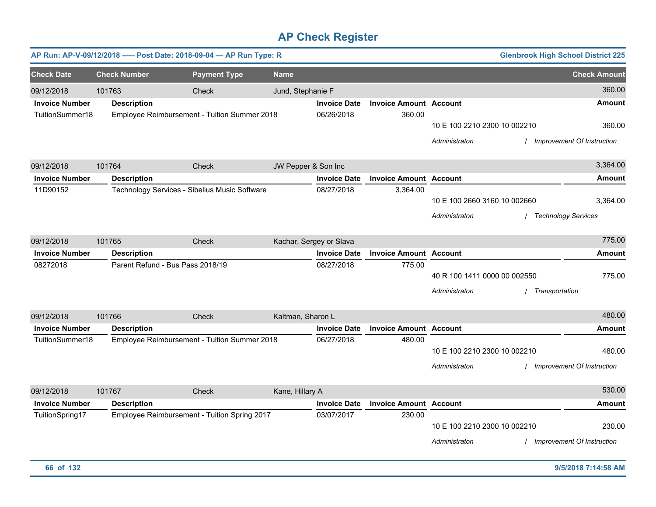|                       |                     | AP Run: AP-V-09/12/2018 ---- Post Date: 2018-09-04 - AP Run Type: R |                     |                         |                               |                                               |                | <b>Glenbrook High School District 225</b> |
|-----------------------|---------------------|---------------------------------------------------------------------|---------------------|-------------------------|-------------------------------|-----------------------------------------------|----------------|-------------------------------------------|
| <b>Check Date</b>     | <b>Check Number</b> | <b>Payment Type</b>                                                 | <b>Name</b>         |                         |                               |                                               |                | <b>Check Amount</b>                       |
| 09/12/2018            | 101763              | Check                                                               | Jund, Stephanie F   |                         |                               |                                               |                | 360.00                                    |
| <b>Invoice Number</b> | <b>Description</b>  |                                                                     |                     | <b>Invoice Date</b>     | <b>Invoice Amount Account</b> |                                               |                | <b>Amount</b>                             |
| TuitionSummer18       |                     | Employee Reimbursement - Tuition Summer 2018                        |                     | 06/26/2018              | 360.00                        | 10 E 100 2210 2300 10 002210<br>Administraton |                | 360.00<br>Improvement Of Instruction      |
| 09/12/2018            | 101764              | Check                                                               | JW Pepper & Son Inc |                         |                               |                                               |                | 3,364.00                                  |
| <b>Invoice Number</b> | <b>Description</b>  |                                                                     |                     | <b>Invoice Date</b>     | <b>Invoice Amount Account</b> |                                               |                | <b>Amount</b>                             |
| 11D90152              |                     | Technology Services - Sibelius Music Software                       |                     | 08/27/2018              | 3,364.00                      | 10 E 100 2660 3160 10 002660<br>Administraton |                | 3,364.00<br><b>Technology Services</b>    |
| 09/12/2018            | 101765              | Check                                                               |                     | Kachar, Sergey or Slava |                               |                                               |                | 775.00                                    |
| <b>Invoice Number</b> | <b>Description</b>  |                                                                     |                     | <b>Invoice Date</b>     | <b>Invoice Amount Account</b> |                                               |                | <b>Amount</b>                             |
| 08272018              |                     | Parent Refund - Bus Pass 2018/19                                    |                     | 08/27/2018              | 775.00                        | 40 R 100 1411 0000 00 002550<br>Administraton | Transportation | 775.00                                    |
| 09/12/2018            | 101766              | Check                                                               | Kaltman, Sharon L   |                         |                               |                                               |                | 480.00                                    |
| <b>Invoice Number</b> | <b>Description</b>  |                                                                     |                     | <b>Invoice Date</b>     | <b>Invoice Amount Account</b> |                                               |                | <b>Amount</b>                             |
| TuitionSummer18       |                     | Employee Reimbursement - Tuition Summer 2018                        |                     | 06/27/2018              | 480.00                        | 10 E 100 2210 2300 10 002210<br>Administraton |                | 480.00<br>Improvement Of Instruction      |
| 09/12/2018            | 101767              | Check                                                               | Kane, Hillary A     |                         |                               |                                               |                | 530.00                                    |
| <b>Invoice Number</b> | <b>Description</b>  |                                                                     |                     | <b>Invoice Date</b>     | <b>Invoice Amount Account</b> |                                               |                | <b>Amount</b>                             |
| TuitionSpring17       |                     | Employee Reimbursement - Tuition Spring 2017                        |                     | 03/07/2017              | 230.00                        | 10 E 100 2210 2300 10 002210<br>Administraton |                | 230.00<br>Improvement Of Instruction      |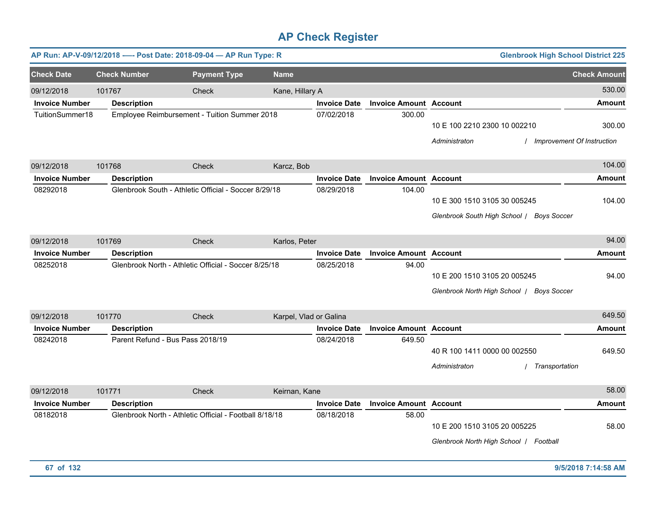| AP Run: AP-V-09/12/2018 ---- Post Date: 2018-09-04 - AP Run Type: R |                     |                                                        |                     |                        |                     |                               |                                                                        | <b>Glenbrook High School District 225</b>   |
|---------------------------------------------------------------------|---------------------|--------------------------------------------------------|---------------------|------------------------|---------------------|-------------------------------|------------------------------------------------------------------------|---------------------------------------------|
| <b>Check Date</b>                                                   | <b>Check Number</b> |                                                        | <b>Payment Type</b> | <b>Name</b>            |                     |                               |                                                                        | <b>Check Amount</b>                         |
| 09/12/2018                                                          | 101767              |                                                        | Check               | Kane, Hillary A        |                     |                               |                                                                        | 530.00                                      |
| <b>Invoice Number</b>                                               | <b>Description</b>  |                                                        |                     |                        | <b>Invoice Date</b> | <b>Invoice Amount Account</b> |                                                                        | <b>Amount</b>                               |
| TuitionSummer18                                                     |                     | Employee Reimbursement - Tuition Summer 2018           |                     |                        | 07/02/2018          | 300.00                        | 10 E 100 2210 2300 10 002210<br>Administraton                          | 300.00<br><b>Improvement Of Instruction</b> |
| 09/12/2018                                                          | 101768              |                                                        | Check               | Karcz, Bob             |                     |                               |                                                                        | 104.00                                      |
| <b>Invoice Number</b>                                               | <b>Description</b>  |                                                        |                     |                        | <b>Invoice Date</b> | <b>Invoice Amount Account</b> |                                                                        | <b>Amount</b>                               |
| 08292018                                                            |                     | Glenbrook South - Athletic Official - Soccer 8/29/18   |                     |                        | 08/29/2018          | 104.00                        | 10 E 300 1510 3105 30 005245<br>Glenbrook South High School /          | 104.00<br><b>Boys Soccer</b>                |
| 09/12/2018                                                          | 101769              |                                                        | Check               | Karlos, Peter          |                     |                               |                                                                        | 94.00                                       |
| <b>Invoice Number</b>                                               | <b>Description</b>  |                                                        |                     |                        | <b>Invoice Date</b> | <b>Invoice Amount Account</b> |                                                                        | <b>Amount</b>                               |
| 08252018                                                            |                     | Glenbrook North - Athletic Official - Soccer 8/25/18   |                     |                        | 08/25/2018          | 94.00                         | 10 E 200 1510 3105 20 005245<br>Glenbrook North High School /          | 94.00<br><b>Boys Soccer</b>                 |
| 09/12/2018                                                          | 101770              |                                                        | Check               | Karpel, Vlad or Galina |                     |                               |                                                                        | 649.50                                      |
| <b>Invoice Number</b>                                               | <b>Description</b>  |                                                        |                     |                        | <b>Invoice Date</b> | <b>Invoice Amount Account</b> |                                                                        | <b>Amount</b>                               |
| 08242018                                                            |                     | Parent Refund - Bus Pass 2018/19                       |                     |                        | 08/24/2018          | 649.50                        | 40 R 100 1411 0000 00 002550<br>Administraton                          | 649.50<br>Transportation                    |
| 09/12/2018                                                          | 101771              |                                                        | Check               | Keirnan, Kane          |                     |                               |                                                                        | 58.00                                       |
| <b>Invoice Number</b>                                               | <b>Description</b>  |                                                        |                     |                        | <b>Invoice Date</b> | <b>Invoice Amount Account</b> |                                                                        | <b>Amount</b>                               |
| 08182018                                                            |                     | Glenbrook North - Athletic Official - Football 8/18/18 |                     |                        | 08/18/2018          | 58.00                         | 10 E 200 1510 3105 20 005225<br>Glenbrook North High School / Football | 58.00                                       |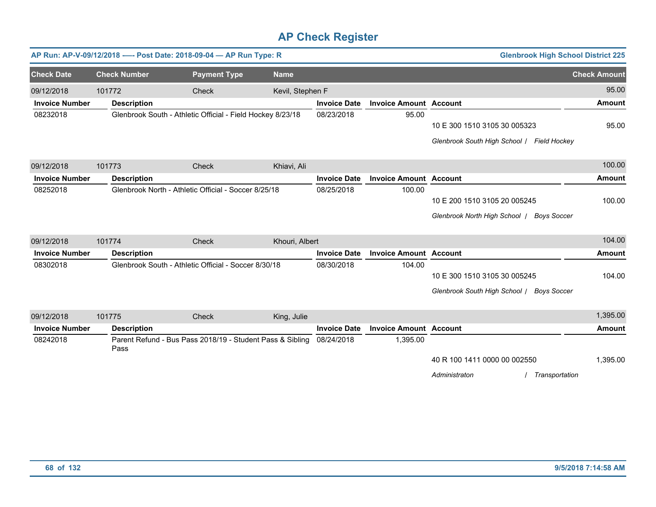| AP Run: AP-V-09/12/2018 ---- Post Date: 2018-09-04 - AP Run Type: R |                     |                                                      |                     |                                                            |                     |                               | <b>Glenbrook High School District 225</b>                                           |                     |
|---------------------------------------------------------------------|---------------------|------------------------------------------------------|---------------------|------------------------------------------------------------|---------------------|-------------------------------|-------------------------------------------------------------------------------------|---------------------|
| <b>Check Date</b>                                                   | <b>Check Number</b> |                                                      | <b>Payment Type</b> | <b>Name</b>                                                |                     |                               |                                                                                     | <b>Check Amount</b> |
| 09/12/2018                                                          | 101772              |                                                      | Check               | Kevil, Stephen F                                           |                     |                               |                                                                                     | 95.00               |
| <b>Invoice Number</b>                                               |                     | <b>Description</b>                                   |                     |                                                            | <b>Invoice Date</b> | <b>Invoice Amount Account</b> |                                                                                     | <b>Amount</b>       |
| 08232018                                                            |                     |                                                      |                     | Glenbrook South - Athletic Official - Field Hockey 8/23/18 | 08/23/2018          | 95.00                         | 10 E 300 1510 3105 30 005323<br>Glenbrook South High School   Field Hockey          | 95.00               |
| 09/12/2018                                                          | 101773              |                                                      | Check               | Khiavi, Ali                                                |                     |                               |                                                                                     | 100.00              |
| <b>Invoice Number</b>                                               |                     | <b>Description</b>                                   |                     |                                                            | <b>Invoice Date</b> | <b>Invoice Amount Account</b> |                                                                                     | <b>Amount</b>       |
| 08252018                                                            |                     | Glenbrook North - Athletic Official - Soccer 8/25/18 |                     |                                                            | 08/25/2018          | 100.00                        |                                                                                     |                     |
|                                                                     |                     |                                                      |                     |                                                            |                     |                               | 10 E 200 1510 3105 20 005245                                                        | 100.00              |
|                                                                     |                     |                                                      |                     |                                                            |                     |                               | Glenbrook North High School /<br><b>Boys Soccer</b>                                 |                     |
| 09/12/2018                                                          | 101774              |                                                      | Check               | Khouri, Albert                                             |                     |                               |                                                                                     | 104.00              |
| <b>Invoice Number</b>                                               |                     | <b>Description</b>                                   |                     |                                                            | <b>Invoice Date</b> | <b>Invoice Amount Account</b> |                                                                                     | <b>Amount</b>       |
| 08302018                                                            |                     | Glenbrook South - Athletic Official - Soccer 8/30/18 |                     |                                                            | 08/30/2018          | 104.00                        | 10 E 300 1510 3105 30 005245<br>Glenbrook South High School /<br><b>Boys Soccer</b> | 104.00              |
| 09/12/2018                                                          | 101775              |                                                      | Check               | King, Julie                                                |                     |                               |                                                                                     | 1,395.00            |
| <b>Invoice Number</b>                                               |                     | <b>Description</b>                                   |                     |                                                            | <b>Invoice Date</b> | <b>Invoice Amount Account</b> |                                                                                     | <b>Amount</b>       |
| 08242018                                                            | Pass                |                                                      |                     | Parent Refund - Bus Pass 2018/19 - Student Pass & Sibling  | 08/24/2018          | 1,395.00                      | 40 R 100 1411 0000 00 002550                                                        | 1,395.00            |

*Administraton* / *Transportation*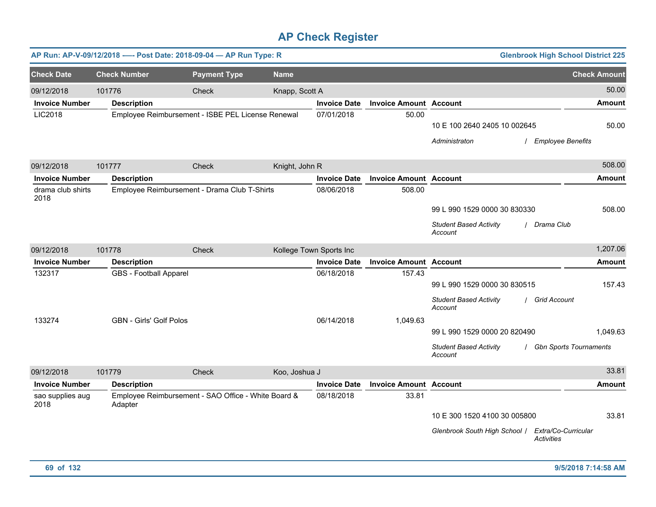|                           |        | AP Run: AP-V-09/12/2018 ---- Post Date: 2018-09-04 - AP Run Type: R |                                                     |                |                         |                               |                                          | <b>Glenbrook High School District 225</b> |
|---------------------------|--------|---------------------------------------------------------------------|-----------------------------------------------------|----------------|-------------------------|-------------------------------|------------------------------------------|-------------------------------------------|
| <b>Check Date</b>         |        | <b>Check Number</b>                                                 | <b>Payment Type</b>                                 | <b>Name</b>    |                         |                               |                                          | <b>Check Amount</b>                       |
| 09/12/2018                | 101776 |                                                                     | Check                                               | Knapp, Scott A |                         |                               |                                          | 50.00                                     |
| <b>Invoice Number</b>     |        | <b>Description</b>                                                  |                                                     |                | <b>Invoice Date</b>     | <b>Invoice Amount Account</b> |                                          | Amount                                    |
| LIC2018                   |        | Employee Reimbursement - ISBE PEL License Renewal                   |                                                     |                | 07/01/2018              | 50.00                         | 10 E 100 2640 2405 10 002645             | 50.00                                     |
|                           |        |                                                                     |                                                     |                |                         |                               | Administraton                            | <b>Employee Benefits</b>                  |
| 09/12/2018                | 101777 |                                                                     | Check                                               | Knight, John R |                         |                               |                                          | 508.00                                    |
| <b>Invoice Number</b>     |        | <b>Description</b>                                                  |                                                     |                | <b>Invoice Date</b>     | <b>Invoice Amount Account</b> |                                          | Amount                                    |
| drama club shirts<br>2018 |        | Employee Reimbursement - Drama Club T-Shirts                        |                                                     |                | 08/06/2018              | 508.00                        |                                          |                                           |
|                           |        |                                                                     |                                                     |                |                         |                               | 99 L 990 1529 0000 30 830330             | 508.00                                    |
|                           |        |                                                                     |                                                     |                |                         |                               | <b>Student Based Activity</b><br>Account | / Drama Club                              |
| 09/12/2018                | 101778 |                                                                     | Check                                               |                | Kollege Town Sports Inc |                               |                                          | 1,207.06                                  |
| <b>Invoice Number</b>     |        | <b>Description</b>                                                  |                                                     |                | <b>Invoice Date</b>     | <b>Invoice Amount Account</b> |                                          | Amount                                    |
| 132317                    |        | <b>GBS</b> - Football Apparel                                       |                                                     |                | 06/18/2018              | 157.43                        |                                          |                                           |
|                           |        |                                                                     |                                                     |                |                         |                               | 99 L 990 1529 0000 30 830515             | 157.43                                    |
|                           |        |                                                                     |                                                     |                |                         |                               | <b>Student Based Activity</b><br>Account | / Grid Account                            |
| 133274                    |        | <b>GBN - Girls' Golf Polos</b>                                      |                                                     |                | 06/14/2018              | 1,049.63                      |                                          |                                           |
|                           |        |                                                                     |                                                     |                |                         |                               | 99 L 990 1529 0000 20 820490             | 1,049.63                                  |
|                           |        |                                                                     |                                                     |                |                         |                               | <b>Student Based Activity</b><br>Account | <b>Gbn Sports Tournaments</b>             |
| 09/12/2018                | 101779 |                                                                     | Check                                               | Koo, Joshua J  |                         |                               |                                          | 33.81                                     |
| <b>Invoice Number</b>     |        | <b>Description</b>                                                  |                                                     |                | <b>Invoice Date</b>     | <b>Invoice Amount Account</b> |                                          | <b>Amount</b>                             |
| sao supplies aug<br>2018  |        | Adapter                                                             | Employee Reimbursement - SAO Office - White Board & |                | 08/18/2018              | 33.81                         |                                          |                                           |
|                           |        |                                                                     |                                                     |                |                         |                               | 10 E 300 1520 4100 30 005800             | 33.81                                     |
|                           |        |                                                                     |                                                     |                |                         |                               | Glenbrook South High School /            | Extra/Co-Curricular<br><b>Activities</b>  |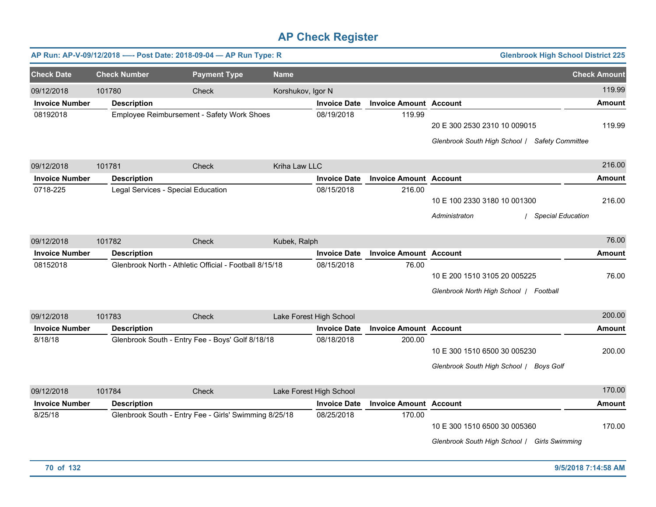|                       |                     | AP Run: AP-V-09/12/2018 ---- Post Date: 2018-09-04 - AP Run Type: R |                   |                         |                               | <b>Glenbrook High School District 225</b>                                      |                     |
|-----------------------|---------------------|---------------------------------------------------------------------|-------------------|-------------------------|-------------------------------|--------------------------------------------------------------------------------|---------------------|
| <b>Check Date</b>     | <b>Check Number</b> | <b>Payment Type</b>                                                 | <b>Name</b>       |                         |                               |                                                                                | <b>Check Amount</b> |
| 09/12/2018            | 101780              | Check                                                               | Korshukov, Igor N |                         |                               |                                                                                | 119.99              |
| <b>Invoice Number</b> | <b>Description</b>  |                                                                     |                   | <b>Invoice Date</b>     | <b>Invoice Amount Account</b> |                                                                                | Amount              |
| 08192018              |                     | Employee Reimbursement - Safety Work Shoes                          |                   | 08/19/2018              | 119.99                        | 20 E 300 2530 2310 10 009015<br>Glenbrook South High School / Safety Committee | 119.99              |
| 09/12/2018            | 101781              | Check                                                               | Kriha Law LLC     |                         |                               |                                                                                | 216.00              |
| <b>Invoice Number</b> | <b>Description</b>  |                                                                     |                   | <b>Invoice Date</b>     | <b>Invoice Amount Account</b> |                                                                                | <b>Amount</b>       |
| 0718-225              |                     | Legal Services - Special Education                                  |                   | 08/15/2018              | 216.00                        | 10 E 100 2330 3180 10 001300<br><b>Special Education</b><br>Administraton      | 216.00              |
| 09/12/2018            | 101782              | Check                                                               | Kubek, Ralph      |                         |                               |                                                                                | 76.00               |
| <b>Invoice Number</b> | <b>Description</b>  |                                                                     |                   | <b>Invoice Date</b>     | <b>Invoice Amount Account</b> |                                                                                | <b>Amount</b>       |
| 08152018              |                     | Glenbrook North - Athletic Official - Football 8/15/18              |                   | 08/15/2018              | 76.00                         | 10 E 200 1510 3105 20 005225<br>Glenbrook North High School / Football         | 76.00               |
| 09/12/2018            | 101783              | Check                                                               |                   | Lake Forest High School |                               |                                                                                | 200.00              |
| <b>Invoice Number</b> | <b>Description</b>  |                                                                     |                   | <b>Invoice Date</b>     | <b>Invoice Amount Account</b> |                                                                                | <b>Amount</b>       |
| 8/18/18               |                     | Glenbrook South - Entry Fee - Boys' Golf 8/18/18                    |                   | 08/18/2018              | 200.00                        | 10 E 300 1510 6500 30 005230<br>Glenbrook South High School / Boys Golf        | 200.00              |
| 09/12/2018            | 101784              | Check                                                               |                   | Lake Forest High School |                               |                                                                                | 170.00              |
| <b>Invoice Number</b> | <b>Description</b>  |                                                                     |                   | <b>Invoice Date</b>     | <b>Invoice Amount Account</b> |                                                                                | <b>Amount</b>       |
| 8/25/18               |                     | Glenbrook South - Entry Fee - Girls' Swimming 8/25/18               |                   | 08/25/2018              | 170.00                        | 10 E 300 1510 6500 30 005360<br>Glenbrook South High School / Girls Swimming   | 170.00              |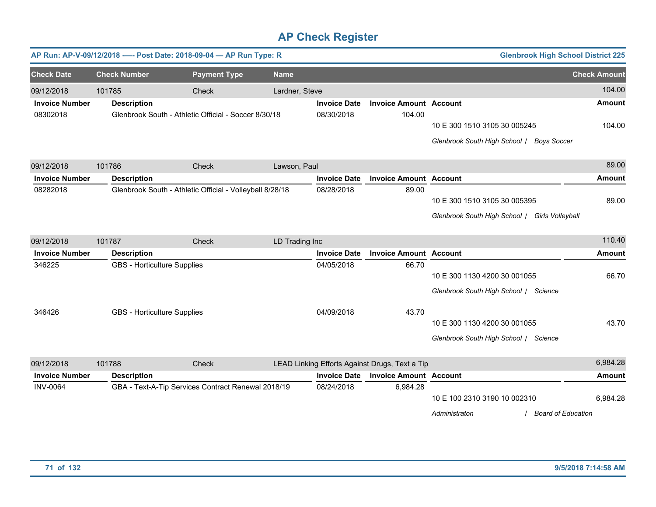|                       |                                    | AP Run: AP-V-09/12/2018 ---- Post Date: 2018-09-04 - AP Run Type: R |                |                     |                                                | <b>Glenbrook High School District 225</b>                                      |                     |
|-----------------------|------------------------------------|---------------------------------------------------------------------|----------------|---------------------|------------------------------------------------|--------------------------------------------------------------------------------|---------------------|
| <b>Check Date</b>     | <b>Check Number</b>                | <b>Payment Type</b>                                                 | <b>Name</b>    |                     |                                                |                                                                                | <b>Check Amount</b> |
| 09/12/2018            | 101785                             | Check                                                               | Lardner, Steve |                     |                                                |                                                                                | 104.00              |
| <b>Invoice Number</b> | <b>Description</b>                 |                                                                     |                | <b>Invoice Date</b> | <b>Invoice Amount Account</b>                  |                                                                                | <b>Amount</b>       |
| 08302018              |                                    | Glenbrook South - Athletic Official - Soccer 8/30/18                |                | 08/30/2018          | 104.00                                         | 10 E 300 1510 3105 30 005245<br>Glenbrook South High School / Boys Soccer      | 104.00              |
| 09/12/2018            | 101786                             | Check                                                               | Lawson, Paul   |                     |                                                |                                                                                | 89.00               |
| <b>Invoice Number</b> | <b>Description</b>                 |                                                                     |                | <b>Invoice Date</b> | <b>Invoice Amount Account</b>                  |                                                                                | <b>Amount</b>       |
| 08282018              |                                    | Glenbrook South - Athletic Official - Volleyball 8/28/18            |                | 08/28/2018          | 89.00                                          | 10 E 300 1510 3105 30 005395<br>Glenbrook South High School / Girls Volleyball | 89.00               |
| 09/12/2018            | 101787                             | Check                                                               | LD Trading Inc |                     |                                                |                                                                                | 110.40              |
| <b>Invoice Number</b> | <b>Description</b>                 |                                                                     |                | <b>Invoice Date</b> | <b>Invoice Amount Account</b>                  |                                                                                | <b>Amount</b>       |
| 346225                | <b>GBS</b> - Horticulture Supplies |                                                                     |                | 04/05/2018          | 66.70                                          | 10 E 300 1130 4200 30 001055<br>Glenbrook South High School / Science          | 66.70               |
| 346426                | <b>GBS</b> - Horticulture Supplies |                                                                     |                | 04/09/2018          | 43.70                                          | 10 E 300 1130 4200 30 001055<br>Glenbrook South High School / Science          | 43.70               |
| 09/12/2018            | 101788                             | Check                                                               |                |                     | LEAD Linking Efforts Against Drugs, Text a Tip |                                                                                | 6,984.28            |
| <b>Invoice Number</b> | <b>Description</b>                 |                                                                     |                | <b>Invoice Date</b> | <b>Invoice Amount Account</b>                  |                                                                                | <b>Amount</b>       |
| <b>INV-0064</b>       |                                    | GBA - Text-A-Tip Services Contract Renewal 2018/19                  |                | 08/24/2018          | 6,984.28                                       | 10 E 100 2310 3190 10 002310<br><b>Board of Education</b><br>Administraton     | 6,984.28            |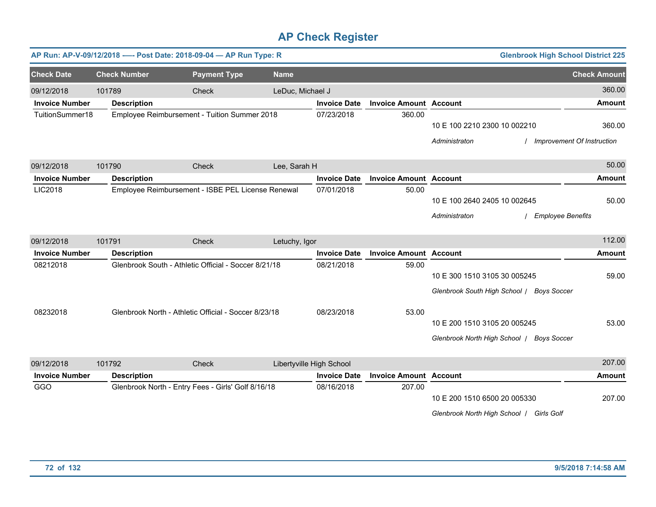|                       |                     | AP Run: AP-V-09/12/2018 ---- Post Date: 2018-09-04 - AP Run Type: R |                  |                          |                               |                                                                           | <b>Glenbrook High School District 225</b> |                     |
|-----------------------|---------------------|---------------------------------------------------------------------|------------------|--------------------------|-------------------------------|---------------------------------------------------------------------------|-------------------------------------------|---------------------|
| <b>Check Date</b>     | <b>Check Number</b> | <b>Payment Type</b>                                                 | <b>Name</b>      |                          |                               |                                                                           |                                           | <b>Check Amount</b> |
| 09/12/2018            | 101789              | Check                                                               | LeDuc, Michael J |                          |                               |                                                                           |                                           | 360.00              |
| <b>Invoice Number</b> | <b>Description</b>  |                                                                     |                  | <b>Invoice Date</b>      | <b>Invoice Amount Account</b> |                                                                           |                                           | <b>Amount</b>       |
| TuitionSummer18       |                     | Employee Reimbursement - Tuition Summer 2018                        |                  | 07/23/2018               | 360.00                        | 10 E 100 2210 2300 10 002210<br>Administraton                             | <b>Improvement Of Instruction</b>         | 360.00              |
| 09/12/2018            | 101790              | Check                                                               | Lee, Sarah H     |                          |                               |                                                                           |                                           | 50.00               |
| <b>Invoice Number</b> | <b>Description</b>  |                                                                     |                  | <b>Invoice Date</b>      | <b>Invoice Amount Account</b> |                                                                           |                                           | <b>Amount</b>       |
| LIC2018               |                     | Employee Reimbursement - ISBE PEL License Renewal                   |                  | 07/01/2018               | 50.00                         | 10 E 100 2640 2405 10 002645<br>Administraton                             | <b>Employee Benefits</b>                  | 50.00               |
| 09/12/2018            | 101791              | <b>Check</b>                                                        | Letuchy, Igor    |                          |                               |                                                                           |                                           | 112.00              |
| <b>Invoice Number</b> | <b>Description</b>  |                                                                     |                  | <b>Invoice Date</b>      | <b>Invoice Amount Account</b> |                                                                           |                                           | <b>Amount</b>       |
| 08212018              |                     | Glenbrook South - Athletic Official - Soccer 8/21/18                |                  | 08/21/2018               | 59.00                         | 10 E 300 1510 3105 30 005245<br>Glenbrook South High School / Boys Soccer |                                           | 59.00               |
| 08232018              |                     | Glenbrook North - Athletic Official - Soccer 8/23/18                |                  | 08/23/2018               | 53.00                         | 10 E 200 1510 3105 20 005245<br>Glenbrook North High School / Boys Soccer |                                           | 53.00               |
| 09/12/2018            | 101792              | Check                                                               |                  | Libertyville High School |                               |                                                                           |                                           | 207.00              |
| <b>Invoice Number</b> | <b>Description</b>  |                                                                     |                  | <b>Invoice Date</b>      | <b>Invoice Amount Account</b> |                                                                           |                                           | <b>Amount</b>       |
| GGO                   |                     | Glenbrook North - Entry Fees - Girls' Golf 8/16/18                  |                  | 08/16/2018               | 207.00                        | 10 E 200 1510 6500 20 005330<br>Glenbrook North High School / Girls Golf  |                                           | 207.00              |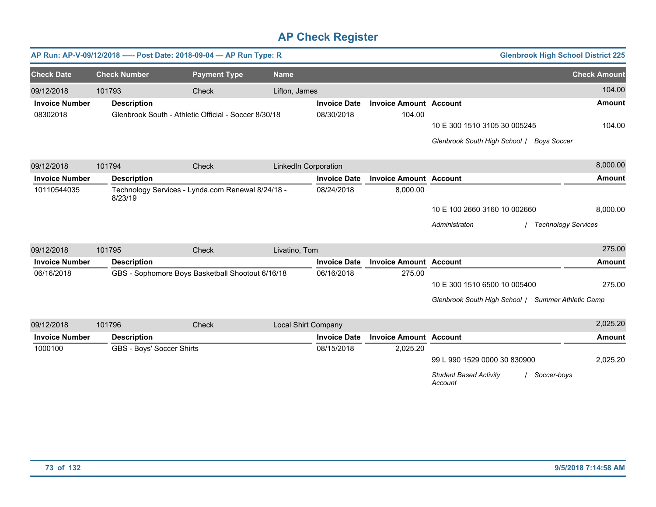|                       |                           | AP Run: AP-V-09/12/2018 ---- Post Date: 2018-09-04 - AP Run Type: R |                             |                     |                               | <b>Glenbrook High School District 225</b>               |                     |
|-----------------------|---------------------------|---------------------------------------------------------------------|-----------------------------|---------------------|-------------------------------|---------------------------------------------------------|---------------------|
| <b>Check Date</b>     | <b>Check Number</b>       | <b>Payment Type</b>                                                 | <b>Name</b>                 |                     |                               |                                                         | <b>Check Amount</b> |
| 09/12/2018            | 101793                    | Check                                                               | Lifton, James               |                     |                               |                                                         | 104.00              |
| <b>Invoice Number</b> | <b>Description</b>        |                                                                     |                             | <b>Invoice Date</b> | <b>Invoice Amount Account</b> |                                                         | <b>Amount</b>       |
| 08302018              |                           | Glenbrook South - Athletic Official - Soccer 8/30/18                |                             | 08/30/2018          | 104.00                        |                                                         |                     |
|                       |                           |                                                                     |                             |                     |                               | 10 E 300 1510 3105 30 005245                            | 104.00              |
|                       |                           |                                                                     |                             |                     |                               | Glenbrook South High School / Boys Soccer               |                     |
| 09/12/2018            | 101794                    | Check                                                               | <b>LinkedIn Corporation</b> |                     |                               |                                                         | 8,000.00            |
| <b>Invoice Number</b> | <b>Description</b>        |                                                                     |                             | <b>Invoice Date</b> | <b>Invoice Amount Account</b> |                                                         | <b>Amount</b>       |
| 10110544035           | 8/23/19                   | Technology Services - Lynda.com Renewal 8/24/18 -                   |                             | 08/24/2018          | 8,000.00                      |                                                         |                     |
|                       |                           |                                                                     |                             |                     |                               | 10 E 100 2660 3160 10 002660                            | 8,000.00            |
|                       |                           |                                                                     |                             |                     |                               | Administraton<br><b>Technology Services</b>             |                     |
| 09/12/2018            | 101795                    | Check                                                               | Livatino, Tom               |                     |                               |                                                         | 275.00              |
| <b>Invoice Number</b> | <b>Description</b>        |                                                                     |                             | <b>Invoice Date</b> | <b>Invoice Amount Account</b> |                                                         | <b>Amount</b>       |
| 06/16/2018            |                           | GBS - Sophomore Boys Basketball Shootout 6/16/18                    |                             | 06/16/2018          | 275.00                        |                                                         |                     |
|                       |                           |                                                                     |                             |                     |                               | 10 E 300 1510 6500 10 005400                            | 275.00              |
|                       |                           |                                                                     |                             |                     |                               | Glenbrook South High School   Summer Athletic Camp      |                     |
| 09/12/2018            | 101796                    | Check                                                               | Local Shirt Company         |                     |                               |                                                         | 2,025.20            |
| <b>Invoice Number</b> | <b>Description</b>        |                                                                     |                             | <b>Invoice Date</b> | <b>Invoice Amount Account</b> |                                                         | <b>Amount</b>       |
| 1000100               | GBS - Boys' Soccer Shirts |                                                                     |                             | 08/15/2018          | 2,025.20                      |                                                         |                     |
|                       |                           |                                                                     |                             |                     |                               | 99 L 990 1529 0000 30 830900                            | 2,025.20            |
|                       |                           |                                                                     |                             |                     |                               | <b>Student Based Activity</b><br>Soccer-boys<br>Account |                     |
|                       |                           |                                                                     |                             |                     |                               |                                                         |                     |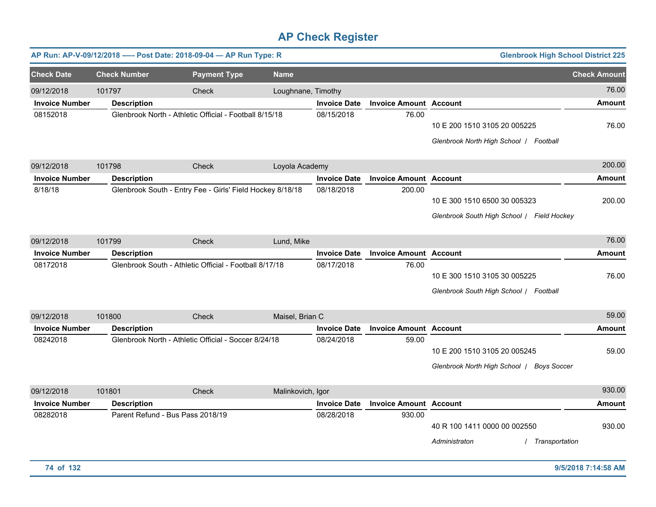|                       |                     | AP Run: AP-V-09/12/2018 ---- Post Date: 2018-09-04 - AP Run Type: R |                    |                     |                               | <b>Glenbrook High School District 225</b>                                           |                     |
|-----------------------|---------------------|---------------------------------------------------------------------|--------------------|---------------------|-------------------------------|-------------------------------------------------------------------------------------|---------------------|
| <b>Check Date</b>     | <b>Check Number</b> | <b>Payment Type</b>                                                 | <b>Name</b>        |                     |                               |                                                                                     | <b>Check Amount</b> |
| 09/12/2018            | 101797              | Check                                                               | Loughnane, Timothy |                     |                               |                                                                                     | 76.00               |
| <b>Invoice Number</b> | <b>Description</b>  |                                                                     |                    | <b>Invoice Date</b> | <b>Invoice Amount Account</b> |                                                                                     | <b>Amount</b>       |
| 08152018              |                     | Glenbrook North - Athletic Official - Football 8/15/18              |                    | 08/15/2018          | 76.00                         | 10 E 200 1510 3105 20 005225<br>Glenbrook North High School   Football              | 76.00               |
| 09/12/2018            | 101798              | Check                                                               | Loyola Academy     |                     |                               |                                                                                     | 200.00              |
| <b>Invoice Number</b> | <b>Description</b>  |                                                                     |                    | <b>Invoice Date</b> | <b>Invoice Amount Account</b> |                                                                                     | <b>Amount</b>       |
| 8/18/18               |                     | Glenbrook South - Entry Fee - Girls' Field Hockey 8/18/18           |                    | 08/18/2018          | 200.00                        | 10 E 300 1510 6500 30 005323<br>Glenbrook South High School / Field Hockey          | 200.00              |
| 09/12/2018            | 101799              | Check                                                               | Lund, Mike         |                     |                               |                                                                                     | 76.00               |
| <b>Invoice Number</b> | <b>Description</b>  |                                                                     |                    | <b>Invoice Date</b> | <b>Invoice Amount</b>         | <b>Account</b>                                                                      | Amount              |
| 08172018              |                     | Glenbrook South - Athletic Official - Football 8/17/18              |                    | 08/17/2018          | 76.00                         | 10 E 300 1510 3105 30 005225<br>Glenbrook South High School / Football              | 76.00               |
| 09/12/2018            | 101800              | Check                                                               | Maisel, Brian C    |                     |                               |                                                                                     | 59.00               |
| <b>Invoice Number</b> | <b>Description</b>  |                                                                     |                    | <b>Invoice Date</b> | <b>Invoice Amount Account</b> |                                                                                     | Amount              |
| 08242018              |                     | Glenbrook North - Athletic Official - Soccer 8/24/18                |                    | 08/24/2018          | 59.00                         | 10 E 200 1510 3105 20 005245<br>Glenbrook North High School /<br><b>Boys Soccer</b> | 59.00               |
| 09/12/2018            | 101801              | Check                                                               | Malinkovich, Igor  |                     |                               |                                                                                     | 930.00              |
| <b>Invoice Number</b> | <b>Description</b>  |                                                                     |                    | <b>Invoice Date</b> | <b>Invoice Amount Account</b> |                                                                                     | <b>Amount</b>       |
| 08282018              |                     | Parent Refund - Bus Pass 2018/19                                    |                    | 08/28/2018          | 930.00                        | 40 R 100 1411 0000 00 002550<br>Transportation<br>Administraton                     | 930.00              |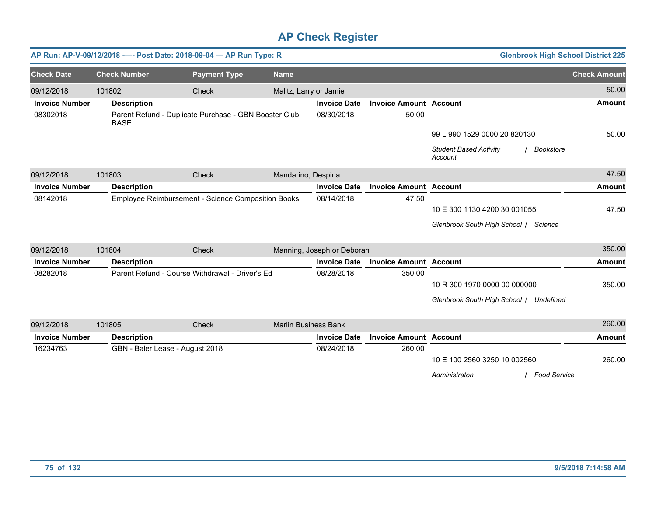|                       |                     | AP Run: AP-V-09/12/2018 ---- Post Date: 2018-09-04 - AP Run Type: R |                             |                            |                               | <b>Glenbrook High School District 225</b>             |                     |
|-----------------------|---------------------|---------------------------------------------------------------------|-----------------------------|----------------------------|-------------------------------|-------------------------------------------------------|---------------------|
| <b>Check Date</b>     | <b>Check Number</b> | <b>Payment Type</b>                                                 | <b>Name</b>                 |                            |                               |                                                       | <b>Check Amount</b> |
| 09/12/2018            | 101802              | <b>Check</b>                                                        | Malitz, Larry or Jamie      |                            |                               |                                                       | 50.00               |
| <b>Invoice Number</b> | <b>Description</b>  |                                                                     |                             | <b>Invoice Date</b>        | <b>Invoice Amount Account</b> |                                                       | <b>Amount</b>       |
| 08302018              | <b>BASE</b>         | Parent Refund - Duplicate Purchase - GBN Booster Club               |                             | 08/30/2018                 | 50.00                         |                                                       |                     |
|                       |                     |                                                                     |                             |                            |                               | 99 L 990 1529 0000 20 820130                          | 50.00               |
|                       |                     |                                                                     |                             |                            |                               | <b>Student Based Activity</b><br>Bookstore<br>Account |                     |
| 09/12/2018            | 101803              | Check                                                               | Mandarino, Despina          |                            |                               |                                                       | 47.50               |
| <b>Invoice Number</b> | <b>Description</b>  |                                                                     |                             | <b>Invoice Date</b>        | <b>Invoice Amount Account</b> |                                                       | <b>Amount</b>       |
| 08142018              |                     | Employee Reimbursement - Science Composition Books                  |                             | 08/14/2018                 | 47.50                         |                                                       |                     |
|                       |                     |                                                                     |                             |                            |                               | 10 E 300 1130 4200 30 001055                          | 47.50               |
|                       |                     |                                                                     |                             |                            |                               | Glenbrook South High School / Science                 |                     |
| 09/12/2018            | 101804              | Check                                                               |                             | Manning, Joseph or Deborah |                               |                                                       | 350.00              |
| <b>Invoice Number</b> | <b>Description</b>  |                                                                     |                             | <b>Invoice Date</b>        | <b>Invoice Amount Account</b> |                                                       | <b>Amount</b>       |
| 08282018              |                     | Parent Refund - Course Withdrawal - Driver's Ed                     |                             | 08/28/2018                 | 350.00                        |                                                       |                     |
|                       |                     |                                                                     |                             |                            |                               | 10 R 300 1970 0000 00 000000                          | 350.00              |
|                       |                     |                                                                     |                             |                            |                               | Glenbrook South High School / Undefined               |                     |
| 09/12/2018            | 101805              | Check                                                               | <b>Marlin Business Bank</b> |                            |                               |                                                       | 260.00              |
| <b>Invoice Number</b> | <b>Description</b>  |                                                                     |                             | <b>Invoice Date</b>        | <b>Invoice Amount Account</b> |                                                       | <b>Amount</b>       |
| 16234763              |                     | GBN - Baler Lease - August 2018                                     |                             | 08/24/2018                 | 260.00                        |                                                       |                     |
|                       |                     |                                                                     |                             |                            |                               | 10 E 100 2560 3250 10 002560                          | 260.00              |
|                       |                     |                                                                     |                             |                            |                               | / Food Service<br>Administraton                       |                     |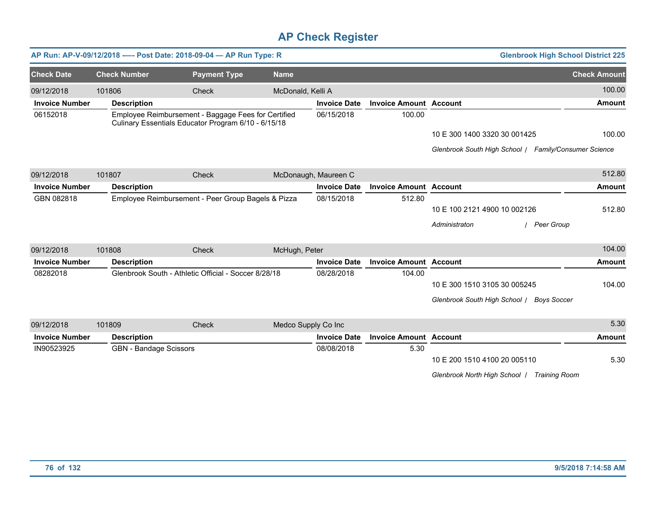|                       |                     | AP Run: AP-V-09/12/2018 ---- Post Date: 2018-09-04 - AP Run Type: R                                        |                     |                     |                      |                               |                                                       | <b>Glenbrook High School District 225</b> |
|-----------------------|---------------------|------------------------------------------------------------------------------------------------------------|---------------------|---------------------|----------------------|-------------------------------|-------------------------------------------------------|-------------------------------------------|
| <b>Check Date</b>     | <b>Check Number</b> |                                                                                                            | <b>Payment Type</b> | <b>Name</b>         |                      |                               |                                                       | <b>Check Amount</b>                       |
| 09/12/2018            | 101806              | Check                                                                                                      |                     | McDonald, Kelli A   |                      |                               |                                                       | 100.00                                    |
| <b>Invoice Number</b> | <b>Description</b>  |                                                                                                            |                     |                     | <b>Invoice Date</b>  | <b>Invoice Amount Account</b> |                                                       | <b>Amount</b>                             |
| 06152018              |                     | Employee Reimbursement - Baggage Fees for Certified<br>Culinary Essentials Educator Program 6/10 - 6/15/18 |                     |                     | 06/15/2018           | 100.00                        |                                                       |                                           |
|                       |                     |                                                                                                            |                     |                     |                      |                               | 10 E 300 1400 3320 30 001425                          | 100.00                                    |
|                       |                     |                                                                                                            |                     |                     |                      |                               | Glenbrook South High School / Family/Consumer Science |                                           |
| 09/12/2018            | 101807              | Check                                                                                                      |                     |                     | McDonaugh, Maureen C |                               |                                                       | 512.80                                    |
| <b>Invoice Number</b> | <b>Description</b>  |                                                                                                            |                     |                     | <b>Invoice Date</b>  | <b>Invoice Amount Account</b> |                                                       | <b>Amount</b>                             |
| GBN 082818            |                     | Employee Reimbursement - Peer Group Bagels & Pizza                                                         |                     |                     | 08/15/2018           | 512.80                        |                                                       |                                           |
|                       |                     |                                                                                                            |                     |                     |                      |                               | 10 E 100 2121 4900 10 002126                          | 512.80                                    |
|                       |                     |                                                                                                            |                     |                     |                      |                               | Administraton<br><b>Peer Group</b>                    |                                           |
| 09/12/2018            | 101808              | Check                                                                                                      |                     | McHugh, Peter       |                      |                               |                                                       | 104.00                                    |
| <b>Invoice Number</b> | <b>Description</b>  |                                                                                                            |                     |                     | <b>Invoice Date</b>  | <b>Invoice Amount Account</b> |                                                       | <b>Amount</b>                             |
| 08282018              |                     | Glenbrook South - Athletic Official - Soccer 8/28/18                                                       |                     |                     | 08/28/2018           | 104.00                        |                                                       |                                           |
|                       |                     |                                                                                                            |                     |                     |                      |                               | 10 E 300 1510 3105 30 005245                          | 104.00                                    |
|                       |                     |                                                                                                            |                     |                     |                      |                               | Glenbrook South High School / Boys Soccer             |                                           |
| 09/12/2018            | 101809              | Check                                                                                                      |                     | Medco Supply Co Inc |                      |                               |                                                       | 5.30                                      |
| <b>Invoice Number</b> | <b>Description</b>  |                                                                                                            |                     |                     | <b>Invoice Date</b>  | <b>Invoice Amount Account</b> |                                                       | <b>Amount</b>                             |
| IN90523925            |                     | <b>GBN</b> - Bandage Scissors                                                                              |                     |                     | 08/08/2018           | 5.30                          |                                                       |                                           |
|                       |                     |                                                                                                            |                     |                     |                      |                               | 10 E 200 1510 4100 20 005110                          | 5.30                                      |
|                       |                     |                                                                                                            |                     |                     |                      |                               | Glenbrook North High School /                         | <b>Training Room</b>                      |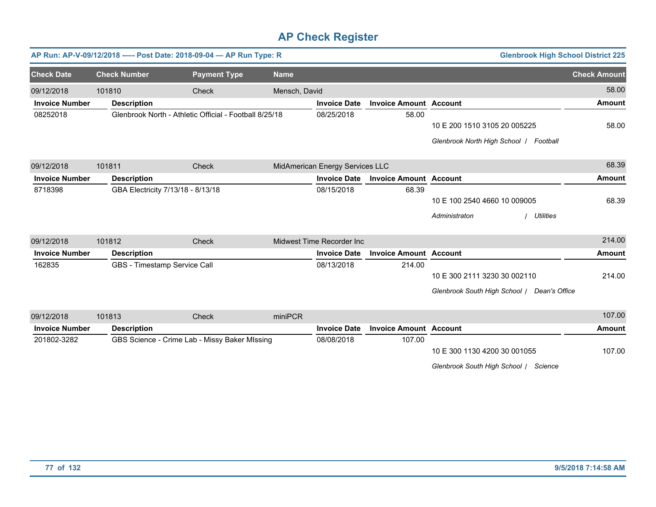|                       |                     | AP Run: AP-V-09/12/2018 ---- Post Date: 2018-09-04 - AP Run Type: R |               |                                 |                               | <b>Glenbrook High School District 225</b>   |                     |
|-----------------------|---------------------|---------------------------------------------------------------------|---------------|---------------------------------|-------------------------------|---------------------------------------------|---------------------|
| <b>Check Date</b>     | <b>Check Number</b> | <b>Payment Type</b>                                                 | <b>Name</b>   |                                 |                               |                                             | <b>Check Amount</b> |
| 09/12/2018            | 101810              | <b>Check</b>                                                        | Mensch, David |                                 |                               |                                             | 58.00               |
| <b>Invoice Number</b> | <b>Description</b>  |                                                                     |               | <b>Invoice Date</b>             | <b>Invoice Amount Account</b> |                                             | <b>Amount</b>       |
| 08252018              |                     | Glenbrook North - Athletic Official - Football 8/25/18              |               | 08/25/2018                      | 58.00                         |                                             |                     |
|                       |                     |                                                                     |               |                                 |                               | 10 E 200 1510 3105 20 005225                | 58.00               |
|                       |                     |                                                                     |               |                                 |                               | Glenbrook North High School / Football      |                     |
| 09/12/2018            | 101811              | <b>Check</b>                                                        |               | MidAmerican Energy Services LLC |                               |                                             | 68.39               |
| <b>Invoice Number</b> | <b>Description</b>  |                                                                     |               | <b>Invoice Date</b>             | <b>Invoice Amount Account</b> |                                             | Amount              |
| 8718398               |                     | GBA Electricity 7/13/18 - 8/13/18                                   |               | 08/15/2018                      | 68.39                         |                                             |                     |
|                       |                     |                                                                     |               |                                 |                               | 10 E 100 2540 4660 10 009005                | 68.39               |
|                       |                     |                                                                     |               |                                 |                               | <b>Utilities</b><br>Administraton           |                     |
| 09/12/2018            | 101812              | Check                                                               |               | Midwest Time Recorder Inc       |                               |                                             | 214.00              |
| <b>Invoice Number</b> | <b>Description</b>  |                                                                     |               | <b>Invoice Date</b>             | <b>Invoice Amount Account</b> |                                             | <b>Amount</b>       |
| 162835                |                     | GBS - Timestamp Service Call                                        |               | 08/13/2018                      | 214.00                        |                                             |                     |
|                       |                     |                                                                     |               |                                 |                               | 10 E 300 2111 3230 30 002110                | 214.00              |
|                       |                     |                                                                     |               |                                 |                               | Glenbrook South High School   Dean's Office |                     |
| 09/12/2018            | 101813              | Check                                                               | miniPCR       |                                 |                               |                                             | 107.00              |
| <b>Invoice Number</b> | <b>Description</b>  |                                                                     |               | <b>Invoice Date</b>             | <b>Invoice Amount Account</b> |                                             | <b>Amount</b>       |
| 201802-3282           |                     | GBS Science - Crime Lab - Missy Baker MIssing                       |               | 08/08/2018                      | 107.00                        |                                             |                     |

10 E 300 1130 4200 30 001055 107.00

*Glenbrook South High School* / *Science*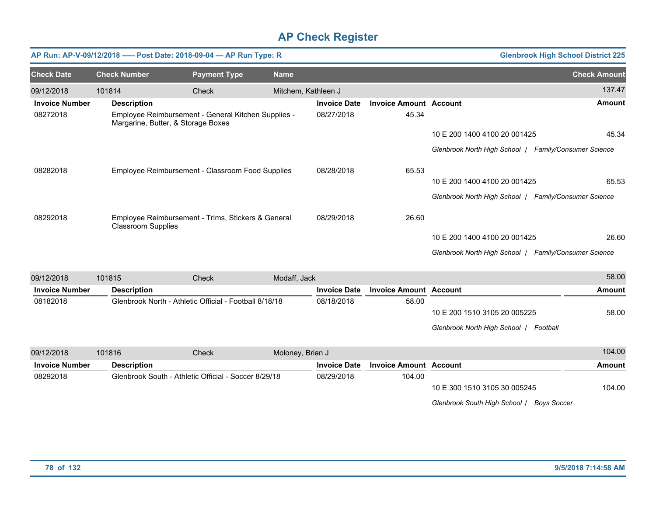|                       | AP Run: AP-V-09/12/2018 ---- Post Date: 2018-09-04 - AP Run Type: R |                                                                                           |                     |                     |                               |                                                       | <b>Glenbrook High School District 225</b> |
|-----------------------|---------------------------------------------------------------------|-------------------------------------------------------------------------------------------|---------------------|---------------------|-------------------------------|-------------------------------------------------------|-------------------------------------------|
| <b>Check Date</b>     | <b>Check Number</b>                                                 | <b>Payment Type</b>                                                                       | <b>Name</b>         |                     |                               |                                                       | <b>Check Amount</b>                       |
| 09/12/2018            | 101814                                                              | Check                                                                                     | Mitchem, Kathleen J |                     |                               |                                                       | 137.47                                    |
| <b>Invoice Number</b> | <b>Description</b>                                                  |                                                                                           |                     | <b>Invoice Date</b> | <b>Invoice Amount Account</b> |                                                       | <b>Amount</b>                             |
| 08272018              |                                                                     | Employee Reimbursement - General Kitchen Supplies -<br>Margarine, Butter, & Storage Boxes |                     | 08/27/2018          | 45.34                         |                                                       |                                           |
|                       |                                                                     |                                                                                           |                     |                     |                               | 10 E 200 1400 4100 20 001425                          | 45.34                                     |
|                       |                                                                     |                                                                                           |                     |                     |                               | Glenbrook North High School   Family/Consumer Science |                                           |
| 08282018              |                                                                     | Employee Reimbursement - Classroom Food Supplies                                          |                     | 08/28/2018          | 65.53                         |                                                       |                                           |
|                       |                                                                     |                                                                                           |                     |                     |                               | 10 E 200 1400 4100 20 001425                          | 65.53                                     |
|                       |                                                                     |                                                                                           |                     |                     |                               | Glenbrook North High School   Family/Consumer Science |                                           |
| 08292018              | <b>Classroom Supplies</b>                                           | Employee Reimbursement - Trims, Stickers & General                                        |                     | 08/29/2018          | 26.60                         |                                                       |                                           |
|                       |                                                                     |                                                                                           |                     |                     |                               | 10 E 200 1400 4100 20 001425                          | 26.60                                     |
|                       |                                                                     |                                                                                           |                     |                     |                               | Glenbrook North High School   Family/Consumer Science |                                           |
| 09/12/2018            | 101815                                                              | Check                                                                                     | Modaff, Jack        |                     |                               |                                                       | 58.00                                     |
| <b>Invoice Number</b> | <b>Description</b>                                                  |                                                                                           |                     | <b>Invoice Date</b> | <b>Invoice Amount Account</b> |                                                       | <b>Amount</b>                             |
| 08182018              |                                                                     | Glenbrook North - Athletic Official - Football 8/18/18                                    |                     | 08/18/2018          | 58.00                         |                                                       |                                           |
|                       |                                                                     |                                                                                           |                     |                     |                               | 10 E 200 1510 3105 20 005225                          | 58.00                                     |
|                       |                                                                     |                                                                                           |                     |                     |                               | Glenbrook North High School / Football                |                                           |
| 09/12/2018            | 101816                                                              | <b>Check</b>                                                                              | Moloney, Brian J    |                     |                               |                                                       | 104.00                                    |
| <b>Invoice Number</b> | <b>Description</b>                                                  |                                                                                           |                     | <b>Invoice Date</b> | <b>Invoice Amount Account</b> |                                                       | <b>Amount</b>                             |
| 08292018              |                                                                     | Glenbrook South - Athletic Official - Soccer 8/29/18                                      |                     | 08/29/2018          | 104.00                        |                                                       |                                           |

*Glenbrook South High School* / *Boys Soccer*

10 E 300 1510 3105 30 005245

104.00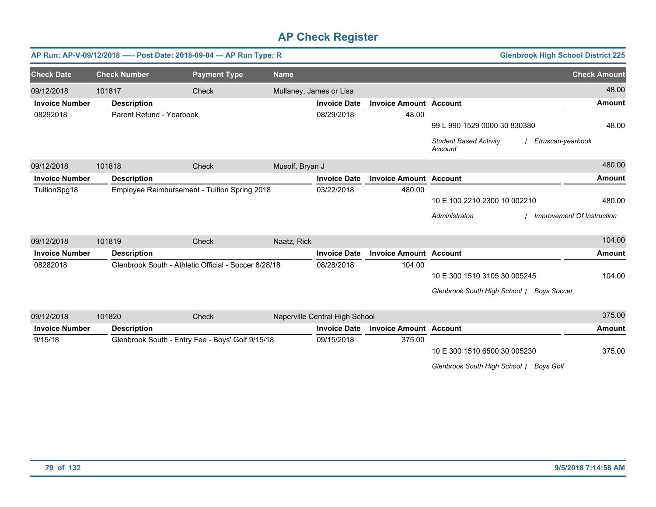|                       |                     | AP Run: AP-V-09/12/2018 ---- Post Date: 2018-09-04 - AP Run Type: R |                 |                                |                               |                                          | <b>Glenbrook High School District 225</b> |
|-----------------------|---------------------|---------------------------------------------------------------------|-----------------|--------------------------------|-------------------------------|------------------------------------------|-------------------------------------------|
| <b>Check Date</b>     | <b>Check Number</b> | <b>Payment Type</b>                                                 | <b>Name</b>     |                                |                               |                                          | <b>Check Amount</b>                       |
| 09/12/2018            | 101817              | Check                                                               |                 | Mullaney, James or Lisa        |                               |                                          | 48.00                                     |
| <b>Invoice Number</b> | <b>Description</b>  |                                                                     |                 | <b>Invoice Date</b>            | <b>Invoice Amount Account</b> |                                          | <b>Amount</b>                             |
| 08292018              |                     | Parent Refund - Yearbook                                            |                 | 08/29/2018                     | 48.00                         |                                          |                                           |
|                       |                     |                                                                     |                 |                                |                               | 99 L 990 1529 0000 30 830380             | 48.00                                     |
|                       |                     |                                                                     |                 |                                |                               | <b>Student Based Activity</b><br>Account | Etruscan-yearbook                         |
| 09/12/2018            | 101818              | Check                                                               | Musolf, Bryan J |                                |                               |                                          | 480.00                                    |
| <b>Invoice Number</b> | <b>Description</b>  |                                                                     |                 | <b>Invoice Date</b>            | <b>Invoice Amount Account</b> |                                          | <b>Amount</b>                             |
| TuitionSpg18          |                     | Employee Reimbursement - Tuition Spring 2018                        |                 | 03/22/2018                     | 480.00                        |                                          |                                           |
|                       |                     |                                                                     |                 |                                |                               | 10 E 100 2210 2300 10 002210             | 480.00                                    |
|                       |                     |                                                                     |                 |                                |                               | Administraton                            | Improvement Of Instruction                |
| 09/12/2018            | 101819              | <b>Check</b>                                                        | Naatz, Rick     |                                |                               |                                          | 104.00                                    |
| <b>Invoice Number</b> | <b>Description</b>  |                                                                     |                 | <b>Invoice Date</b>            | <b>Invoice Amount Account</b> |                                          | <b>Amount</b>                             |
| 08282018              |                     | Glenbrook South - Athletic Official - Soccer 8/28/18                |                 | 08/28/2018                     | 104.00                        |                                          |                                           |
|                       |                     |                                                                     |                 |                                |                               | 10 E 300 1510 3105 30 005245             | 104.00                                    |
|                       |                     |                                                                     |                 |                                |                               | Glenbrook South High School /            | <b>Boys Soccer</b>                        |
|                       |                     |                                                                     |                 |                                |                               |                                          |                                           |
| 09/12/2018            | 101820              | <b>Check</b>                                                        |                 | Naperville Central High School |                               |                                          | 375.00                                    |
| <b>Invoice Number</b> | <b>Description</b>  |                                                                     |                 | <b>Invoice Date</b>            | <b>Invoice Amount Account</b> |                                          | <b>Amount</b>                             |
| 9/15/18               |                     | Glenbrook South - Entry Fee - Boys' Golf 9/15/18                    |                 | 09/15/2018                     | 375.00                        |                                          |                                           |
|                       |                     |                                                                     |                 |                                |                               | 10 E 300 1510 6500 30 005230             | 375.00                                    |

*Glenbrook South High School* / *Boys Golf*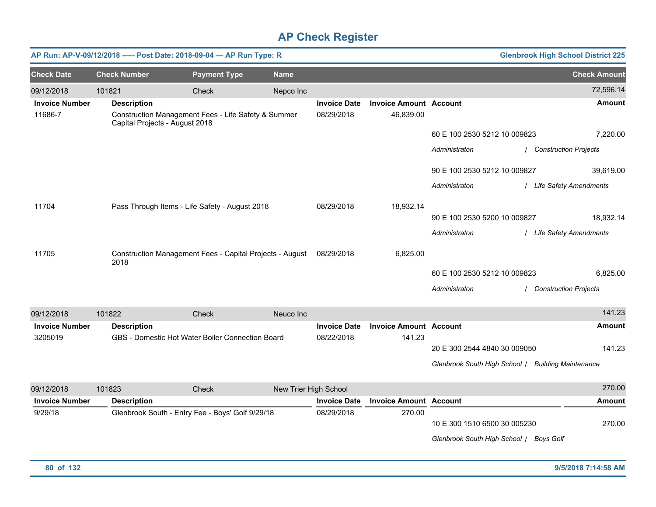| AP Run: AP-V-09/12/2018 ---- Post Date: 2018-09-04 - AP Run Type: R |                     |                                |                                                     |                                                          |                     |                               |                              | <b>Glenbrook High School District 225</b>          |                              |
|---------------------------------------------------------------------|---------------------|--------------------------------|-----------------------------------------------------|----------------------------------------------------------|---------------------|-------------------------------|------------------------------|----------------------------------------------------|------------------------------|
| <b>Check Date</b>                                                   | <b>Check Number</b> |                                | <b>Payment Type</b>                                 | <b>Name</b>                                              |                     |                               |                              |                                                    | <b>Check Amount</b>          |
| 09/12/2018                                                          | 101821              |                                | Check                                               | Nepco Inc                                                |                     |                               |                              |                                                    | 72,596.14                    |
| <b>Invoice Number</b>                                               | <b>Description</b>  |                                |                                                     |                                                          | <b>Invoice Date</b> | <b>Invoice Amount Account</b> |                              |                                                    | <b>Amount</b>                |
| 11686-7                                                             |                     | Capital Projects - August 2018 | Construction Management Fees - Life Safety & Summer |                                                          | 08/29/2018          | 46,839.00                     |                              |                                                    |                              |
|                                                                     |                     |                                |                                                     |                                                          |                     |                               | 60 E 100 2530 5212 10 009823 |                                                    | 7,220.00                     |
|                                                                     |                     |                                |                                                     |                                                          |                     |                               | Administraton                |                                                    | <b>Construction Projects</b> |
|                                                                     |                     |                                |                                                     |                                                          |                     |                               | 90 E 100 2530 5212 10 009827 |                                                    | 39,619.00                    |
|                                                                     |                     |                                |                                                     |                                                          |                     |                               | Administraton                |                                                    | / Life Safety Amendments     |
| 11704                                                               |                     |                                | Pass Through Items - Life Safety - August 2018      |                                                          | 08/29/2018          | 18,932.14                     |                              |                                                    |                              |
|                                                                     |                     |                                |                                                     |                                                          |                     |                               | 90 E 100 2530 5200 10 009827 |                                                    | 18,932.14                    |
|                                                                     |                     |                                |                                                     |                                                          |                     |                               | Administraton                |                                                    | / Life Safety Amendments     |
| 11705                                                               | 2018                |                                |                                                     | Construction Management Fees - Capital Projects - August | 08/29/2018          | 6,825.00                      |                              |                                                    |                              |
|                                                                     |                     |                                |                                                     |                                                          |                     |                               | 60 E 100 2530 5212 10 009823 |                                                    | 6,825.00                     |
|                                                                     |                     |                                |                                                     |                                                          |                     |                               | Administraton                |                                                    | <b>Construction Projects</b> |
| 09/12/2018                                                          | 101822              |                                | Check                                               | Neuco Inc                                                |                     |                               |                              |                                                    | 141.23                       |
| <b>Invoice Number</b>                                               | <b>Description</b>  |                                |                                                     |                                                          | <b>Invoice Date</b> | <b>Invoice Amount Account</b> |                              |                                                    | <b>Amount</b>                |
| 3205019                                                             |                     |                                | GBS - Domestic Hot Water Boiler Connection Board    |                                                          | 08/22/2018          | 141.23                        |                              |                                                    |                              |
|                                                                     |                     |                                |                                                     |                                                          |                     |                               | 20 E 300 2544 4840 30 009050 |                                                    | 141.23                       |
|                                                                     |                     |                                |                                                     |                                                          |                     |                               |                              | Glenbrook South High School / Building Maintenance |                              |
| $\frac{1}{2}$                                                       |                     |                                | $\sim$ $\sim$                                       | $\cdots$ $\cdots$ $\cdots$                               |                     |                               |                              |                                                    | 270.00                       |

| 09/12/2018<br>101823  |                    | Check                                            | New Trier High School |                               |                                            | 270.00 |
|-----------------------|--------------------|--------------------------------------------------|-----------------------|-------------------------------|--------------------------------------------|--------|
| <b>Invoice Number</b> | <b>Description</b> |                                                  | <b>Invoice Date</b>   | <b>Invoice Amount Account</b> |                                            | Amount |
| 9/29/18               |                    | Glenbrook South - Entry Fee - Boys' Golf 9/29/18 | 08/29/2018            | 270.00                        |                                            |        |
|                       |                    |                                                  |                       |                               | 10 E 300 1510 6500 30 005230               | 270.00 |
|                       |                    |                                                  |                       |                               | Glenbrook South High School /<br>Boys Golf |        |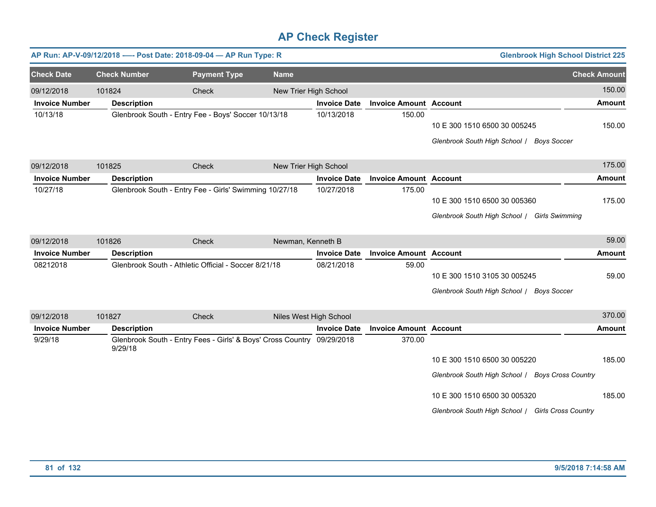|                       |                     | AP Run: AP-V-09/12/2018 ---- Post Date: 2018-09-04 - AP Run Type: R    |                       |                        |                               | <b>Glenbrook High School District 225</b>                                                                                                                             |                     |
|-----------------------|---------------------|------------------------------------------------------------------------|-----------------------|------------------------|-------------------------------|-----------------------------------------------------------------------------------------------------------------------------------------------------------------------|---------------------|
| <b>Check Date</b>     | <b>Check Number</b> | <b>Payment Type</b>                                                    | <b>Name</b>           |                        |                               |                                                                                                                                                                       | <b>Check Amount</b> |
| 09/12/2018            | 101824              | Check                                                                  | New Trier High School |                        |                               |                                                                                                                                                                       | 150.00              |
| <b>Invoice Number</b> | <b>Description</b>  |                                                                        |                       | <b>Invoice Date</b>    | <b>Invoice Amount Account</b> |                                                                                                                                                                       | <b>Amount</b>       |
| 10/13/18              |                     | Glenbrook South - Entry Fee - Boys' Soccer 10/13/18                    |                       | 10/13/2018             | 150.00                        | 10 E 300 1510 6500 30 005245<br>Glenbrook South High School / Boys Soccer                                                                                             | 150.00              |
| 09/12/2018            | 101825              | Check                                                                  | New Trier High School |                        |                               |                                                                                                                                                                       | 175.00              |
| <b>Invoice Number</b> | <b>Description</b>  |                                                                        |                       | <b>Invoice Date</b>    | <b>Invoice Amount Account</b> |                                                                                                                                                                       | <b>Amount</b>       |
| 10/27/18              |                     | Glenbrook South - Entry Fee - Girls' Swimming 10/27/18                 |                       | 10/27/2018             | 175.00                        | 10 E 300 1510 6500 30 005360<br>Glenbrook South High School / Girls Swimming                                                                                          | 175.00              |
| 09/12/2018            | 101826              | Check                                                                  | Newman, Kenneth B     |                        |                               |                                                                                                                                                                       | 59.00               |
| <b>Invoice Number</b> | <b>Description</b>  |                                                                        |                       | <b>Invoice Date</b>    | <b>Invoice Amount Account</b> |                                                                                                                                                                       | <b>Amount</b>       |
| 08212018              |                     | Glenbrook South - Athletic Official - Soccer 8/21/18                   |                       | 08/21/2018             | 59.00                         | 10 E 300 1510 3105 30 005245<br>Glenbrook South High School / Boys Soccer                                                                                             | 59.00               |
| 09/12/2018            | 101827              | Check                                                                  |                       | Niles West High School |                               |                                                                                                                                                                       | 370.00              |
| <b>Invoice Number</b> | <b>Description</b>  |                                                                        |                       | <b>Invoice Date</b>    | <b>Invoice Amount Account</b> |                                                                                                                                                                       | <b>Amount</b>       |
| 9/29/18               | 9/29/18             | Glenbrook South - Entry Fees - Girls' & Boys' Cross Country 09/29/2018 |                       |                        | 370.00                        | 10 E 300 1510 6500 30 005220<br>Glenbrook South High School / Boys Cross Country<br>10 E 300 1510 6500 30 005320<br>Glenbrook South High School / Girls Cross Country | 185.00<br>185.00    |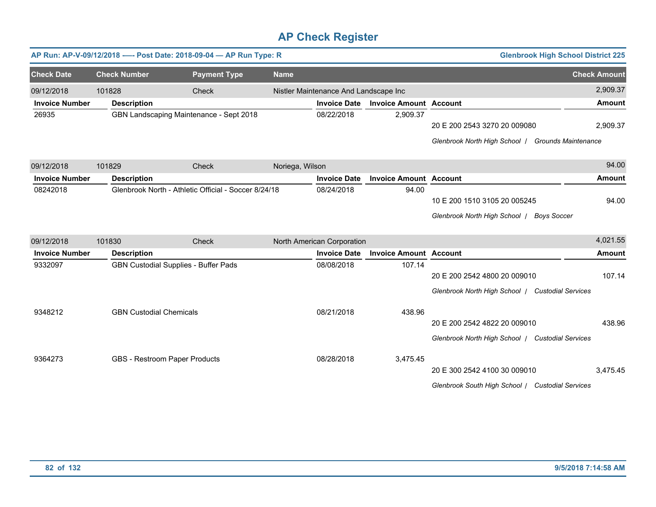|                       |                                | AP Run: AP-V-09/12/2018 ---- Post Date: 2018-09-04 - AP Run Type: R |                 |                                       |                               |                                                   | <b>Glenbrook High School District 225</b> |                     |
|-----------------------|--------------------------------|---------------------------------------------------------------------|-----------------|---------------------------------------|-------------------------------|---------------------------------------------------|-------------------------------------------|---------------------|
| <b>Check Date</b>     | <b>Check Number</b>            | <b>Payment Type</b>                                                 | <b>Name</b>     |                                       |                               |                                                   |                                           | <b>Check Amount</b> |
| 09/12/2018            | 101828                         | Check                                                               |                 | Nistler Maintenance And Landscape Inc |                               |                                                   |                                           | 2,909.37            |
| <b>Invoice Number</b> | <b>Description</b>             |                                                                     |                 | <b>Invoice Date</b>                   | <b>Invoice Amount Account</b> |                                                   |                                           | <b>Amount</b>       |
| 26935                 |                                | GBN Landscaping Maintenance - Sept 2018                             |                 | 08/22/2018                            | 2,909.37                      |                                                   |                                           |                     |
|                       |                                |                                                                     |                 |                                       |                               | 20 E 200 2543 3270 20 009080                      |                                           | 2,909.37            |
|                       |                                |                                                                     |                 |                                       |                               | Glenbrook North High School   Grounds Maintenance |                                           |                     |
| 09/12/2018            | 101829                         | Check                                                               | Noriega, Wilson |                                       |                               |                                                   |                                           | 94.00               |
| <b>Invoice Number</b> | <b>Description</b>             |                                                                     |                 | <b>Invoice Date</b>                   | <b>Invoice Amount Account</b> |                                                   |                                           | Amount              |
| 08242018              |                                | Glenbrook North - Athletic Official - Soccer 8/24/18                |                 | 08/24/2018                            | 94.00                         |                                                   |                                           |                     |
|                       |                                |                                                                     |                 |                                       |                               | 10 E 200 1510 3105 20 005245                      |                                           | 94.00               |
|                       |                                |                                                                     |                 |                                       |                               | Glenbrook North High School /                     | <b>Boys Soccer</b>                        |                     |
| 09/12/2018            | 101830                         | Check                                                               |                 | North American Corporation            |                               |                                                   |                                           | 4,021.55            |
| <b>Invoice Number</b> | <b>Description</b>             |                                                                     |                 | <b>Invoice Date</b>                   | <b>Invoice Amount Account</b> |                                                   |                                           | <b>Amount</b>       |
| 9332097               |                                | GBN Custodial Supplies - Buffer Pads                                |                 | 08/08/2018                            | 107.14                        |                                                   |                                           |                     |
|                       |                                |                                                                     |                 |                                       |                               | 20 E 200 2542 4800 20 009010                      |                                           | 107.14              |
|                       |                                |                                                                     |                 |                                       |                               | Glenbrook North High School   Custodial Services  |                                           |                     |
| 9348212               | <b>GBN Custodial Chemicals</b> |                                                                     |                 | 08/21/2018                            | 438.96                        |                                                   |                                           |                     |
|                       |                                |                                                                     |                 |                                       |                               | 20 E 200 2542 4822 20 009010                      |                                           | 438.96              |
|                       |                                |                                                                     |                 |                                       |                               | Glenbrook North High School   Custodial Services  |                                           |                     |
| 9364273               | GBS - Restroom Paper Products  |                                                                     |                 | 08/28/2018                            | 3,475.45                      |                                                   |                                           |                     |
|                       |                                |                                                                     |                 |                                       |                               | 20 E 300 2542 4100 30 009010                      |                                           | 3,475.45            |
|                       |                                |                                                                     |                 |                                       |                               | Glenbrook South High School / Custodial Services  |                                           |                     |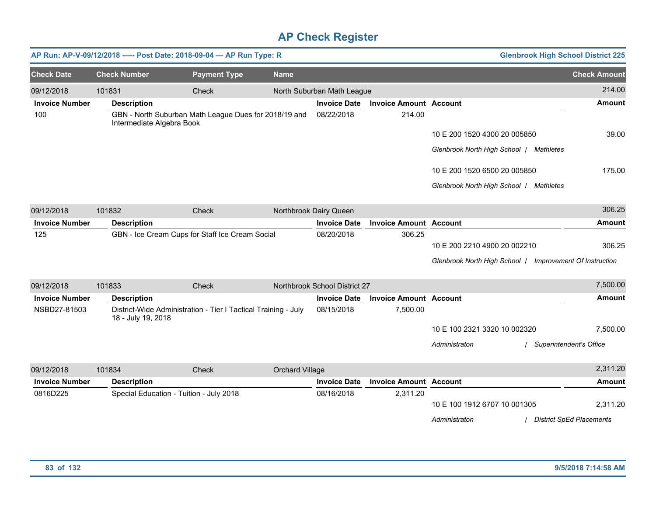|                       |                           | AP Run: AP-V-09/12/2018 ---- Post Date: 2018-09-04 - AP Run Type: R |                 |                               |                               |                                                          | <b>Glenbrook High School District 225</b> |
|-----------------------|---------------------------|---------------------------------------------------------------------|-----------------|-------------------------------|-------------------------------|----------------------------------------------------------|-------------------------------------------|
| <b>Check Date</b>     | <b>Check Number</b>       | <b>Payment Type</b>                                                 | <b>Name</b>     |                               |                               |                                                          | <b>Check Amount</b>                       |
| 09/12/2018            | 101831                    | Check                                                               |                 | North Suburban Math League    |                               |                                                          | 214.00                                    |
| <b>Invoice Number</b> | <b>Description</b>        |                                                                     |                 | <b>Invoice Date</b>           | <b>Invoice Amount Account</b> |                                                          | <b>Amount</b>                             |
| 100                   | Intermediate Algebra Book | GBN - North Suburban Math League Dues for 2018/19 and               |                 | 08/22/2018                    | 214.00                        |                                                          |                                           |
|                       |                           |                                                                     |                 |                               |                               | 10 E 200 1520 4300 20 005850                             | 39.00                                     |
|                       |                           |                                                                     |                 |                               |                               | Glenbrook North High School   Mathletes                  |                                           |
|                       |                           |                                                                     |                 |                               |                               | 10 E 200 1520 6500 20 005850                             | 175.00                                    |
|                       |                           |                                                                     |                 |                               |                               | Glenbrook North High School / Mathletes                  |                                           |
| 09/12/2018            | 101832                    | Check                                                               |                 | Northbrook Dairy Queen        |                               |                                                          | 306.25                                    |
| <b>Invoice Number</b> | <b>Description</b>        |                                                                     |                 | <b>Invoice Date</b>           | <b>Invoice Amount Account</b> |                                                          | <b>Amount</b>                             |
| 125                   |                           | GBN - Ice Cream Cups for Staff Ice Cream Social                     |                 | 08/20/2018                    | 306.25                        |                                                          |                                           |
|                       |                           |                                                                     |                 |                               |                               | 10 E 200 2210 4900 20 002210                             | 306.25                                    |
|                       |                           |                                                                     |                 |                               |                               | Glenbrook North High School   Improvement Of Instruction |                                           |
| 09/12/2018            | 101833                    | Check                                                               |                 | Northbrook School District 27 |                               |                                                          | 7,500.00                                  |
| <b>Invoice Number</b> | <b>Description</b>        |                                                                     |                 | <b>Invoice Date</b>           | <b>Invoice Amount Account</b> |                                                          | <b>Amount</b>                             |
| NSBD27-81503          | 18 - July 19, 2018        | District-Wide Administration - Tier I Tactical Training - July      |                 | 08/15/2018                    | 7,500.00                      |                                                          |                                           |
|                       |                           |                                                                     |                 |                               |                               | 10 E 100 2321 3320 10 002320                             | 7,500.00                                  |
|                       |                           |                                                                     |                 |                               |                               | Administraton                                            | / Superintendent's Office                 |
| 09/12/2018            | 101834                    | Check                                                               | Orchard Village |                               |                               |                                                          | 2,311.20                                  |
| <b>Invoice Number</b> | <b>Description</b>        |                                                                     |                 | <b>Invoice Date</b>           | <b>Invoice Amount Account</b> |                                                          | <b>Amount</b>                             |
| 0816D225              |                           | Special Education - Tuition - July 2018                             |                 | 08/16/2018                    | 2,311.20                      | 10 E 100 1912 6707 10 001305                             | 2,311.20                                  |
|                       |                           |                                                                     |                 |                               |                               | Administraton                                            | <b>District SpEd Placements</b>           |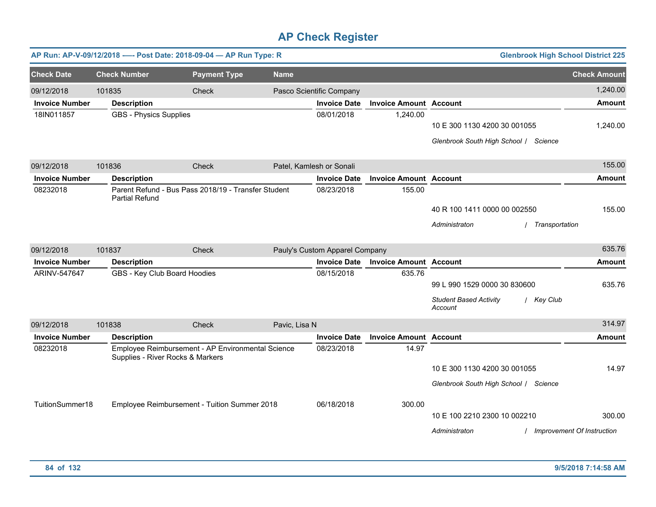|                       |                               | AP Run: AP-V-09/12/2018 ---- Post Date: 2018-09-04 - AP Run Type: R                   |               |                                |                               |                                                                       | <b>Glenbrook High School District 225</b> |
|-----------------------|-------------------------------|---------------------------------------------------------------------------------------|---------------|--------------------------------|-------------------------------|-----------------------------------------------------------------------|-------------------------------------------|
| <b>Check Date</b>     | <b>Check Number</b>           | <b>Payment Type</b>                                                                   | <b>Name</b>   |                                |                               |                                                                       | <b>Check Amount</b>                       |
| 09/12/2018            | 101835                        | Check                                                                                 |               | Pasco Scientific Company       |                               |                                                                       | 1,240.00                                  |
| <b>Invoice Number</b> | <b>Description</b>            |                                                                                       |               | <b>Invoice Date</b>            | <b>Invoice Amount Account</b> |                                                                       | <b>Amount</b>                             |
| 18IN011857            | <b>GBS - Physics Supplies</b> |                                                                                       |               | 08/01/2018                     | 1,240.00                      | 10 E 300 1130 4200 30 001055<br>Glenbrook South High School / Science | 1,240.00                                  |
|                       |                               |                                                                                       |               |                                |                               |                                                                       |                                           |
| 09/12/2018            | 101836                        | Check                                                                                 |               | Patel, Kamlesh or Sonali       |                               |                                                                       | 155.00                                    |
| <b>Invoice Number</b> | <b>Description</b>            |                                                                                       |               | <b>Invoice Date</b>            | <b>Invoice Amount Account</b> |                                                                       | <b>Amount</b>                             |
| 08232018              | <b>Partial Refund</b>         | Parent Refund - Bus Pass 2018/19 - Transfer Student                                   |               | 08/23/2018                     | 155.00                        |                                                                       |                                           |
|                       |                               |                                                                                       |               |                                |                               | 40 R 100 1411 0000 00 002550                                          | 155.00                                    |
|                       |                               |                                                                                       |               |                                |                               | Administraton                                                         | Transportation                            |
| 09/12/2018            | 101837                        | Check                                                                                 |               | Pauly's Custom Apparel Company |                               |                                                                       | 635.76                                    |
| <b>Invoice Number</b> | <b>Description</b>            |                                                                                       |               | <b>Invoice Date</b>            | <b>Invoice Amount Account</b> |                                                                       | <b>Amount</b>                             |
| ARINV-547647          |                               | GBS - Key Club Board Hoodies                                                          |               | 08/15/2018                     | 635.76                        |                                                                       |                                           |
|                       |                               |                                                                                       |               |                                |                               | 99 L 990 1529 0000 30 830600                                          | 635.76                                    |
|                       |                               |                                                                                       |               |                                |                               | <b>Student Based Activity</b><br>Account                              | / Key Club                                |
| 09/12/2018            | 101838                        | Check                                                                                 | Pavic, Lisa N |                                |                               |                                                                       | 314.97                                    |
| <b>Invoice Number</b> | <b>Description</b>            |                                                                                       |               | <b>Invoice Date</b>            | <b>Invoice Amount Account</b> |                                                                       | <b>Amount</b>                             |
| 08232018              |                               | Employee Reimbursement - AP Environmental Science<br>Supplies - River Rocks & Markers |               | 08/23/2018                     | 14.97                         |                                                                       |                                           |
|                       |                               |                                                                                       |               |                                |                               | 10 E 300 1130 4200 30 001055                                          | 14.97                                     |
|                       |                               |                                                                                       |               |                                |                               | Glenbrook South High School / Science                                 |                                           |
| TuitionSummer18       |                               | Employee Reimbursement - Tuition Summer 2018                                          |               | 06/18/2018                     | 300.00                        |                                                                       |                                           |
|                       |                               |                                                                                       |               |                                |                               | 10 E 100 2210 2300 10 002210                                          | 300.00                                    |
|                       |                               |                                                                                       |               |                                |                               | Administraton                                                         | / Improvement Of Instruction              |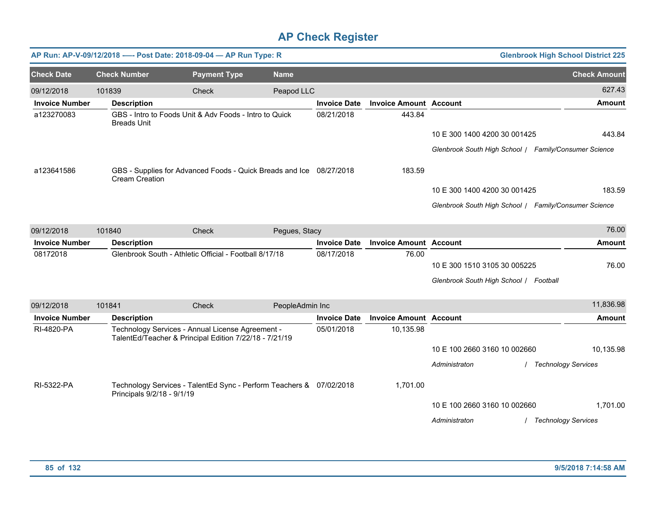|                       |                            | AP Run: AP-V-09/12/2018 ---- Post Date: 2018-09-04 - AP Run Type: R                                        |                 |                     |                               |                                                       | <b>Glenbrook High School District 225</b> |
|-----------------------|----------------------------|------------------------------------------------------------------------------------------------------------|-----------------|---------------------|-------------------------------|-------------------------------------------------------|-------------------------------------------|
| <b>Check Date</b>     | <b>Check Number</b>        | <b>Payment Type</b>                                                                                        | <b>Name</b>     |                     |                               |                                                       | <b>Check Amount</b>                       |
| 09/12/2018            | 101839                     | Check                                                                                                      | Peapod LLC      |                     |                               |                                                       | 627.43                                    |
| <b>Invoice Number</b> | <b>Description</b>         |                                                                                                            |                 | <b>Invoice Date</b> | <b>Invoice Amount Account</b> |                                                       | <b>Amount</b>                             |
| a123270083            | <b>Breads Unit</b>         | GBS - Intro to Foods Unit & Adv Foods - Intro to Quick                                                     |                 | 08/21/2018          | 443.84                        |                                                       |                                           |
|                       |                            |                                                                                                            |                 |                     |                               | 10 E 300 1400 4200 30 001425                          | 443.84                                    |
|                       |                            |                                                                                                            |                 |                     |                               | Glenbrook South High School / Family/Consumer Science |                                           |
| a123641586            | <b>Cream Creation</b>      | GBS - Supplies for Advanced Foods - Quick Breads and Ice 08/27/2018                                        |                 |                     | 183.59                        |                                                       |                                           |
|                       |                            |                                                                                                            |                 |                     |                               | 10 E 300 1400 4200 30 001425                          | 183.59                                    |
|                       |                            |                                                                                                            |                 |                     |                               | Glenbrook South High School / Family/Consumer Science |                                           |
| 09/12/2018            | 101840                     | Check                                                                                                      | Pegues, Stacy   |                     |                               |                                                       | 76.00                                     |
| <b>Invoice Number</b> | <b>Description</b>         |                                                                                                            |                 | <b>Invoice Date</b> | <b>Invoice Amount Account</b> |                                                       | <b>Amount</b>                             |
| 08172018              |                            | Glenbrook South - Athletic Official - Football 8/17/18                                                     |                 | 08/17/2018          | 76.00                         |                                                       |                                           |
|                       |                            |                                                                                                            |                 |                     |                               | 10 E 300 1510 3105 30 005225                          | 76.00                                     |
|                       |                            |                                                                                                            |                 |                     |                               | Glenbrook South High School / Football                |                                           |
| 09/12/2018            | 101841                     | Check                                                                                                      | PeopleAdmin Inc |                     |                               |                                                       | 11,836.98                                 |
| <b>Invoice Number</b> | <b>Description</b>         |                                                                                                            |                 | <b>Invoice Date</b> | <b>Invoice Amount Account</b> |                                                       | Amount                                    |
| RI-4820-PA            |                            | Technology Services - Annual License Agreement -<br>TalentEd/Teacher & Principal Edition 7/22/18 - 7/21/19 |                 | 05/01/2018          | 10,135.98                     |                                                       |                                           |
|                       |                            |                                                                                                            |                 |                     |                               | 10 E 100 2660 3160 10 002660                          | 10,135.98                                 |
|                       |                            |                                                                                                            |                 |                     |                               | Administraton                                         | <b>Technology Services</b>                |
| RI-5322-PA            | Principals 9/2/18 - 9/1/19 | Technology Services - TalentEd Sync - Perform Teachers & 07/02/2018                                        |                 |                     | 1,701.00                      |                                                       |                                           |
|                       |                            |                                                                                                            |                 |                     |                               | 10 E 100 2660 3160 10 002660                          | 1,701.00                                  |
|                       |                            |                                                                                                            |                 |                     |                               | Administraton                                         | <b>Technology Services</b>                |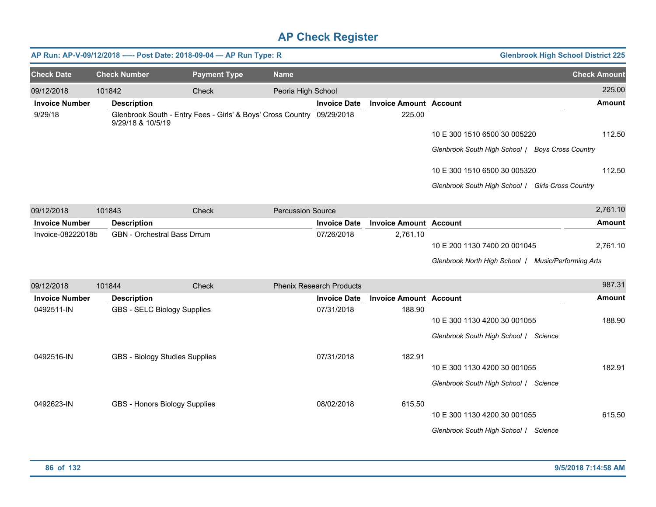|                       |                     | AP Run: AP-V-09/12/2018 ---- Post Date: 2018-09-04 - AP Run Type: R    |                          |                                 |                               |                                                     | <b>Glenbrook High School District 225</b> |
|-----------------------|---------------------|------------------------------------------------------------------------|--------------------------|---------------------------------|-------------------------------|-----------------------------------------------------|-------------------------------------------|
| <b>Check Date</b>     | <b>Check Number</b> | <b>Payment Type</b>                                                    | <b>Name</b>              |                                 |                               |                                                     | <b>Check Amount</b>                       |
| 09/12/2018            | 101842              | Check                                                                  | Peoria High School       |                                 |                               |                                                     | 225.00                                    |
| <b>Invoice Number</b> | <b>Description</b>  |                                                                        |                          | <b>Invoice Date</b>             | <b>Invoice Amount Account</b> |                                                     | Amount                                    |
| 9/29/18               | 9/29/18 & 10/5/19   | Glenbrook South - Entry Fees - Girls' & Boys' Cross Country 09/29/2018 |                          |                                 | 225.00                        |                                                     |                                           |
|                       |                     |                                                                        |                          |                                 |                               | 10 E 300 1510 6500 30 005220                        | 112.50                                    |
|                       |                     |                                                                        |                          |                                 |                               | Glenbrook South High School / Boys Cross Country    |                                           |
|                       |                     |                                                                        |                          |                                 |                               | 10 E 300 1510 6500 30 005320                        | 112.50                                    |
|                       |                     |                                                                        |                          |                                 |                               | Glenbrook South High School / Girls Cross Country   |                                           |
| 09/12/2018            | 101843              | Check                                                                  | <b>Percussion Source</b> |                                 |                               |                                                     | 2,761.10                                  |
| <b>Invoice Number</b> | <b>Description</b>  |                                                                        |                          | <b>Invoice Date</b>             | <b>Invoice Amount Account</b> |                                                     | <b>Amount</b>                             |
| Invoice-08222018b     |                     | <b>GBN</b> - Orchestral Bass Drrum                                     |                          | 07/26/2018                      | 2,761.10                      |                                                     |                                           |
|                       |                     |                                                                        |                          |                                 |                               | 10 E 200 1130 7400 20 001045                        | 2,761.10                                  |
|                       |                     |                                                                        |                          |                                 |                               | Glenbrook North High School / Music/Performing Arts |                                           |
| 09/12/2018            | 101844              | Check                                                                  |                          | <b>Phenix Research Products</b> |                               |                                                     | 987.31                                    |
| <b>Invoice Number</b> | <b>Description</b>  |                                                                        |                          | <b>Invoice Date</b>             | <b>Invoice Amount Account</b> |                                                     | <b>Amount</b>                             |
| 0492511-IN            |                     | GBS - SELC Biology Supplies                                            |                          | 07/31/2018                      | 188.90                        | 10 E 300 1130 4200 30 001055                        | 188.90                                    |
|                       |                     |                                                                        |                          |                                 |                               | Glenbrook South High School / Science               |                                           |
| 0492516-IN            |                     | GBS - Biology Studies Supplies                                         |                          | 07/31/2018                      | 182.91                        |                                                     |                                           |
|                       |                     |                                                                        |                          |                                 |                               | 10 E 300 1130 4200 30 001055                        | 182.91                                    |
|                       |                     |                                                                        |                          |                                 |                               | Glenbrook South High School / Science               |                                           |
| 0492623-IN            |                     | GBS - Honors Biology Supplies                                          |                          | 08/02/2018                      | 615.50                        |                                                     |                                           |
|                       |                     |                                                                        |                          |                                 |                               | 10 E 300 1130 4200 30 001055                        | 615.50                                    |
|                       |                     |                                                                        |                          |                                 |                               | Glenbrook South High School / Science               |                                           |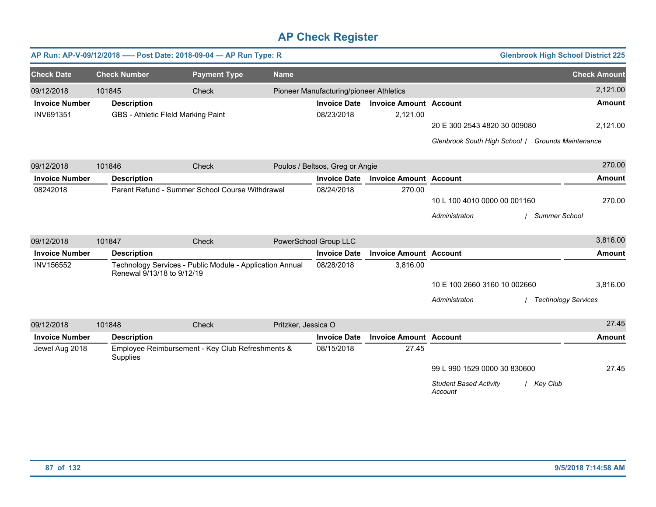|                       |                            | AP Run: AP-V-09/12/2018 ---- Post Date: 2018-09-04 - AP Run Type: R |                     |                                         |                               |                                                        | <b>Glenbrook High School District 225</b> |
|-----------------------|----------------------------|---------------------------------------------------------------------|---------------------|-----------------------------------------|-------------------------------|--------------------------------------------------------|-------------------------------------------|
| <b>Check Date</b>     | <b>Check Number</b>        | <b>Payment Type</b>                                                 | <b>Name</b>         |                                         |                               |                                                        | <b>Check Amount</b>                       |
| 09/12/2018            | 101845                     | Check                                                               |                     | Pioneer Manufacturing/pioneer Athletics |                               |                                                        | 2,121.00                                  |
| <b>Invoice Number</b> | <b>Description</b>         |                                                                     |                     | <b>Invoice Date</b>                     | <b>Invoice Amount Account</b> |                                                        | <b>Amount</b>                             |
| INV691351             |                            | GBS - Athletic Fleld Marking Paint                                  |                     | 08/23/2018                              | 2,121.00                      |                                                        |                                           |
|                       |                            |                                                                     |                     |                                         |                               | 20 E 300 2543 4820 30 009080                           | 2,121.00                                  |
|                       |                            |                                                                     |                     |                                         |                               | Glenbrook South High School / Grounds Maintenance      |                                           |
| 09/12/2018            | 101846                     | Check                                                               |                     | Poulos / Beltsos, Greg or Angie         |                               |                                                        | 270.00                                    |
| <b>Invoice Number</b> | <b>Description</b>         |                                                                     |                     | <b>Invoice Date</b>                     | <b>Invoice Amount Account</b> |                                                        | <b>Amount</b>                             |
| 08242018              |                            | Parent Refund - Summer School Course Withdrawal                     |                     | 08/24/2018                              | 270.00                        |                                                        |                                           |
|                       |                            |                                                                     |                     |                                         |                               | 10 L 100 4010 0000 00 001160                           | 270.00                                    |
|                       |                            |                                                                     |                     |                                         |                               | Administraton<br><b>Summer School</b>                  |                                           |
| 09/12/2018            | 101847                     | Check                                                               |                     | PowerSchool Group LLC                   |                               |                                                        | 3,816.00                                  |
| <b>Invoice Number</b> | <b>Description</b>         |                                                                     |                     | <b>Invoice Date</b>                     | <b>Invoice Amount Account</b> |                                                        | <b>Amount</b>                             |
| INV156552             | Renewal 9/13/18 to 9/12/19 | Technology Services - Public Module - Application Annual            |                     | 08/28/2018                              | 3,816.00                      |                                                        |                                           |
|                       |                            |                                                                     |                     |                                         |                               | 10 E 100 2660 3160 10 002660                           | 3,816.00                                  |
|                       |                            |                                                                     |                     |                                         |                               | Administraton                                          | <b>Technology Services</b>                |
| 09/12/2018            | 101848                     | Check                                                               | Pritzker, Jessica O |                                         |                               |                                                        | 27.45                                     |
| <b>Invoice Number</b> | <b>Description</b>         |                                                                     |                     | <b>Invoice Date</b>                     | <b>Invoice Amount Account</b> |                                                        | <b>Amount</b>                             |
| Jewel Aug 2018        | Supplies                   | Employee Reimbursement - Key Club Refreshments &                    |                     | 08/15/2018                              | 27.45                         |                                                        |                                           |
|                       |                            |                                                                     |                     |                                         |                               | 99 L 990 1529 0000 30 830600                           | 27.45                                     |
|                       |                            |                                                                     |                     |                                         |                               | <b>Student Based Activity</b><br>/ Key Club<br>Account |                                           |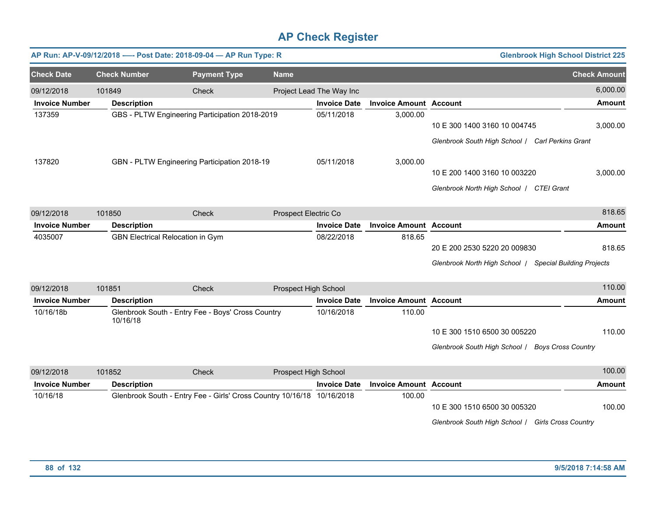|                       |                     | AP Run: AP-V-09/12/2018 ---- Post Date: 2018-09-04 - AP Run Type: R    |                      |                          |                               | <b>Glenbrook High School District 225</b>               |                     |
|-----------------------|---------------------|------------------------------------------------------------------------|----------------------|--------------------------|-------------------------------|---------------------------------------------------------|---------------------|
| <b>Check Date</b>     | <b>Check Number</b> | <b>Payment Type</b>                                                    | <b>Name</b>          |                          |                               |                                                         | <b>Check Amount</b> |
| 09/12/2018            | 101849              | Check                                                                  |                      | Project Lead The Way Inc |                               |                                                         | 6,000.00            |
| <b>Invoice Number</b> | <b>Description</b>  |                                                                        |                      | <b>Invoice Date</b>      | <b>Invoice Amount Account</b> |                                                         | <b>Amount</b>       |
| 137359                |                     | GBS - PLTW Engineering Participation 2018-2019                         |                      | 05/11/2018               | 3,000.00                      | 10 E 300 1400 3160 10 004745                            | 3,000.00            |
|                       |                     |                                                                        |                      |                          |                               | Glenbrook South High School / Carl Perkins Grant        |                     |
| 137820                |                     | GBN - PLTW Engineering Participation 2018-19                           |                      | 05/11/2018               | 3,000.00                      |                                                         |                     |
|                       |                     |                                                                        |                      |                          |                               | 10 E 200 1400 3160 10 003220                            | 3,000.00            |
|                       |                     |                                                                        |                      |                          |                               | Glenbrook North High School   CTEI Grant                |                     |
| 09/12/2018            | 101850              | Check                                                                  | Prospect Electric Co |                          |                               |                                                         | 818.65              |
| <b>Invoice Number</b> | <b>Description</b>  |                                                                        |                      | <b>Invoice Date</b>      | <b>Invoice Amount Account</b> |                                                         | <b>Amount</b>       |
| 4035007               |                     | GBN Electrical Relocation in Gym                                       |                      | 08/22/2018               | 818.65                        |                                                         |                     |
|                       |                     |                                                                        |                      |                          |                               | 20 E 200 2530 5220 20 009830                            | 818.65              |
|                       |                     |                                                                        |                      |                          |                               | Glenbrook North High School   Special Building Projects |                     |
| 09/12/2018            | 101851              | Check                                                                  | Prospect High School |                          |                               |                                                         | 110.00              |
| <b>Invoice Number</b> | <b>Description</b>  |                                                                        |                      | <b>Invoice Date</b>      | <b>Invoice Amount Account</b> |                                                         | <b>Amount</b>       |
| 10/16/18b             | 10/16/18            | Glenbrook South - Entry Fee - Boys' Cross Country                      |                      | 10/16/2018               | 110.00                        |                                                         |                     |
|                       |                     |                                                                        |                      |                          |                               | 10 E 300 1510 6500 30 005220                            | 110.00              |
|                       |                     |                                                                        |                      |                          |                               | Glenbrook South High School / Boys Cross Country        |                     |
| 09/12/2018            | 101852              | Check                                                                  | Prospect High School |                          |                               |                                                         | 100.00              |
| <b>Invoice Number</b> | <b>Description</b>  |                                                                        |                      | <b>Invoice Date</b>      | <b>Invoice Amount Account</b> |                                                         | <b>Amount</b>       |
| 10/16/18              |                     | Glenbrook South - Entry Fee - Girls' Cross Country 10/16/18 10/16/2018 |                      |                          | 100.00                        |                                                         |                     |
|                       |                     |                                                                        |                      |                          |                               | 10 E 300 1510 6500 30 005320                            | 100.00              |
|                       |                     |                                                                        |                      |                          |                               | Glenbrook South High School / Girls Cross Country       |                     |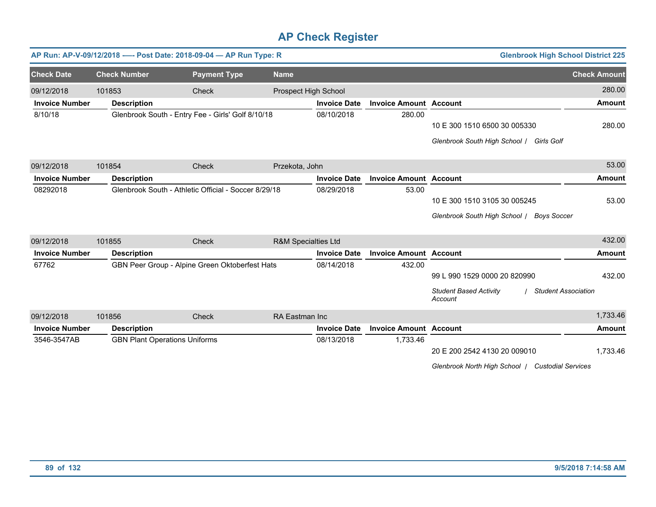|                       |                                      | AP Run: AP-V-09/12/2018 ---- Post Date: 2018-09-04 - AP Run Type: R |                      |                     |                               | <b>Glenbrook High School District 225</b>                              |                     |
|-----------------------|--------------------------------------|---------------------------------------------------------------------|----------------------|---------------------|-------------------------------|------------------------------------------------------------------------|---------------------|
| <b>Check Date</b>     | <b>Check Number</b>                  | <b>Payment Type</b>                                                 | <b>Name</b>          |                     |                               |                                                                        | <b>Check Amount</b> |
| 09/12/2018            | 101853                               | <b>Check</b>                                                        | Prospect High School |                     |                               |                                                                        | 280.00              |
| <b>Invoice Number</b> | <b>Description</b>                   |                                                                     |                      | <b>Invoice Date</b> | <b>Invoice Amount Account</b> |                                                                        | <b>Amount</b>       |
| 8/10/18               |                                      | Glenbrook South - Entry Fee - Girls' Golf 8/10/18                   |                      | 08/10/2018          | 280.00                        |                                                                        |                     |
|                       |                                      |                                                                     |                      |                     |                               | 10 E 300 1510 6500 30 005330                                           | 280.00              |
|                       |                                      |                                                                     |                      |                     |                               | Glenbrook South High School / Girls Golf                               |                     |
| 09/12/2018            | 101854                               | Check                                                               | Przekota, John       |                     |                               |                                                                        | 53.00               |
| <b>Invoice Number</b> | <b>Description</b>                   |                                                                     |                      | <b>Invoice Date</b> | <b>Invoice Amount Account</b> |                                                                        | Amount              |
| 08292018              |                                      | Glenbrook South - Athletic Official - Soccer 8/29/18                |                      | 08/29/2018          | 53.00                         |                                                                        |                     |
|                       |                                      |                                                                     |                      |                     |                               | 10 E 300 1510 3105 30 005245                                           | 53.00               |
|                       |                                      |                                                                     |                      |                     |                               | Glenbrook South High School / Boys Soccer                              |                     |
| 09/12/2018            | 101855                               | Check                                                               | R&M Specialties Ltd  |                     |                               |                                                                        | 432.00              |
| <b>Invoice Number</b> | <b>Description</b>                   |                                                                     |                      | <b>Invoice Date</b> | <b>Invoice Amount Account</b> |                                                                        | Amount              |
| 67762                 |                                      | GBN Peer Group - Alpine Green Oktoberfest Hats                      |                      | 08/14/2018          | 432.00                        |                                                                        |                     |
|                       |                                      |                                                                     |                      |                     |                               | 99 L 990 1529 0000 20 820990                                           | 432.00              |
|                       |                                      |                                                                     |                      |                     |                               | <b>Student Based Activity</b><br><b>Student Association</b><br>Account |                     |
| 09/12/2018            | 101856                               | Check                                                               | RA Eastman Inc       |                     |                               |                                                                        | 1,733.46            |
| <b>Invoice Number</b> | <b>Description</b>                   |                                                                     |                      | <b>Invoice Date</b> | <b>Invoice Amount Account</b> |                                                                        | Amount              |
| 3546-3547AB           | <b>GBN Plant Operations Uniforms</b> |                                                                     |                      | 08/13/2018          | 1,733.46                      |                                                                        |                     |
|                       |                                      |                                                                     |                      |                     |                               | 20 E 200 2542 4130 20 009010                                           | 1,733.46            |
|                       |                                      |                                                                     |                      |                     |                               | Glenbrook North High School   Custodial Services                       |                     |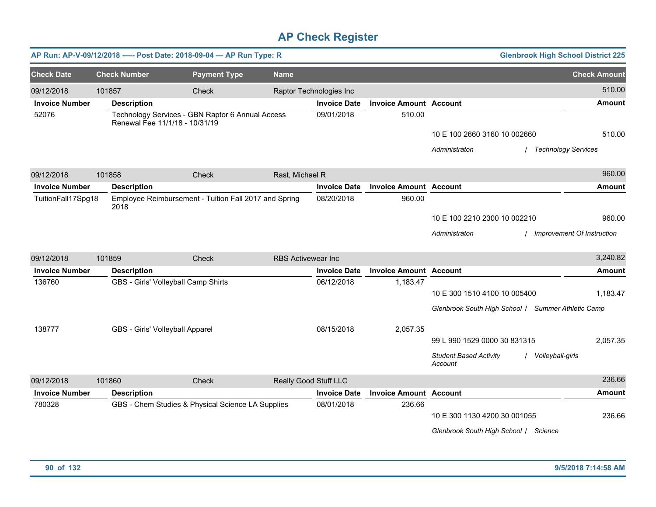|                       |        | AP Run: AP-V-09/12/2018 ---- Post Date: 2018-09-04 - AP Run Type: R                |                     |                           |                         |                               | <b>Glenbrook High School District 225</b>                    |                            |
|-----------------------|--------|------------------------------------------------------------------------------------|---------------------|---------------------------|-------------------------|-------------------------------|--------------------------------------------------------------|----------------------------|
| <b>Check Date</b>     |        | <b>Check Number</b>                                                                | <b>Payment Type</b> | <b>Name</b>               |                         |                               |                                                              | <b>Check Amount</b>        |
| 09/12/2018            | 101857 |                                                                                    | Check               |                           | Raptor Technologies Inc |                               |                                                              | 510.00                     |
| <b>Invoice Number</b> |        | <b>Description</b>                                                                 |                     |                           | <b>Invoice Date</b>     | <b>Invoice Amount Account</b> |                                                              | Amount                     |
| 52076                 |        | Technology Services - GBN Raptor 6 Annual Access<br>Renewal Fee 11/1/18 - 10/31/19 |                     |                           | 09/01/2018              | 510.00                        |                                                              |                            |
|                       |        |                                                                                    |                     |                           |                         |                               | 10 E 100 2660 3160 10 002660                                 | 510.00                     |
|                       |        |                                                                                    |                     |                           |                         |                               | <b>Technology Services</b><br>Administraton                  |                            |
| 09/12/2018            | 101858 |                                                                                    | Check               | Rast, Michael R           |                         |                               |                                                              | 960.00                     |
| <b>Invoice Number</b> |        | <b>Description</b>                                                                 |                     |                           | <b>Invoice Date</b>     | <b>Invoice Amount Account</b> |                                                              | Amount                     |
| TuitionFall17Spg18    |        | Employee Reimbursement - Tuition Fall 2017 and Spring<br>2018                      |                     |                           | 08/20/2018              | 960.00                        |                                                              |                            |
|                       |        |                                                                                    |                     |                           |                         |                               | 10 E 100 2210 2300 10 002210                                 | 960.00                     |
|                       |        |                                                                                    |                     |                           |                         |                               | Administraton                                                | Improvement Of Instruction |
| 09/12/2018            | 101859 |                                                                                    | Check               | <b>RBS Activewear Inc</b> |                         |                               |                                                              | 3,240.82                   |
| <b>Invoice Number</b> |        | <b>Description</b>                                                                 |                     |                           | <b>Invoice Date</b>     | <b>Invoice Amount Account</b> |                                                              | Amount                     |
| 136760                |        | GBS - Girls' Volleyball Camp Shirts                                                |                     |                           | 06/12/2018              | 1,183.47                      |                                                              |                            |
|                       |        |                                                                                    |                     |                           |                         |                               | 10 E 300 1510 4100 10 005400                                 | 1.183.47                   |
|                       |        |                                                                                    |                     |                           |                         |                               | Glenbrook South High School / Summer Athletic Camp           |                            |
| 138777                |        | GBS - Girls' Volleyball Apparel                                                    |                     |                           | 08/15/2018              | 2,057.35                      |                                                              |                            |
|                       |        |                                                                                    |                     |                           |                         |                               | 99 L 990 1529 0000 30 831315                                 | 2,057.35                   |
|                       |        |                                                                                    |                     |                           |                         |                               | <b>Student Based Activity</b><br>Volleyball-girls<br>Account |                            |
| 09/12/2018            | 101860 |                                                                                    | Check               | Really Good Stuff LLC     |                         |                               |                                                              | 236.66                     |
| <b>Invoice Number</b> |        | <b>Description</b>                                                                 |                     |                           | <b>Invoice Date</b>     | <b>Invoice Amount Account</b> |                                                              | Amount                     |
| 780328                |        | GBS - Chem Studies & Physical Science LA Supplies                                  |                     |                           | 08/01/2018              | 236.66                        |                                                              |                            |
|                       |        |                                                                                    |                     |                           |                         |                               | 10 E 300 1130 4200 30 001055                                 | 236.66                     |
|                       |        |                                                                                    |                     |                           |                         |                               | Glenbrook South High School / Science                        |                            |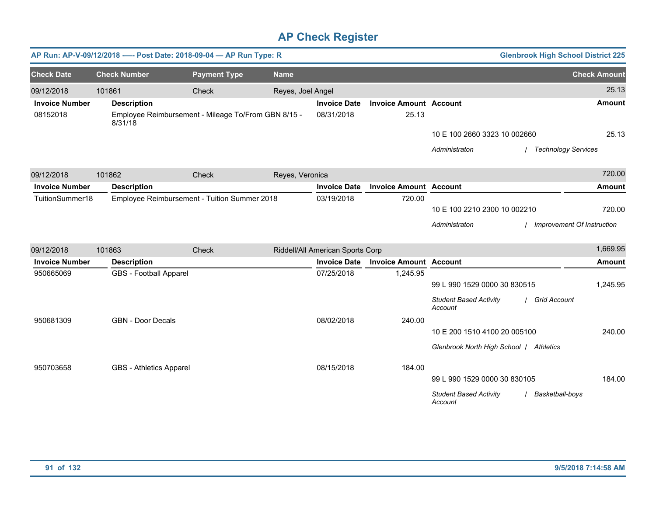|                       |                                | AP Run: AP-V-09/12/2018 ---- Post Date: 2018-09-04 - AP Run Type: R |                   |                                  |                               |                                          | <b>Glenbrook High School District 225</b> |
|-----------------------|--------------------------------|---------------------------------------------------------------------|-------------------|----------------------------------|-------------------------------|------------------------------------------|-------------------------------------------|
| <b>Check Date</b>     | <b>Check Number</b>            | <b>Payment Type</b>                                                 | <b>Name</b>       |                                  |                               |                                          | <b>Check Amount</b>                       |
| 09/12/2018            | 101861                         | Check                                                               | Reyes, Joel Angel |                                  |                               |                                          | 25.13                                     |
| <b>Invoice Number</b> | <b>Description</b>             |                                                                     |                   | <b>Invoice Date</b>              | <b>Invoice Amount Account</b> |                                          | <b>Amount</b>                             |
| 08152018              | 8/31/18                        | Employee Reimbursement - Mileage To/From GBN 8/15 -                 |                   | 08/31/2018                       | 25.13                         |                                          |                                           |
|                       |                                |                                                                     |                   |                                  |                               | 10 E 100 2660 3323 10 002660             | 25.13                                     |
|                       |                                |                                                                     |                   |                                  |                               | Administraton                            | / Technology Services                     |
| 09/12/2018            | 101862                         | Check                                                               | Reyes, Veronica   |                                  |                               |                                          | 720.00                                    |
| <b>Invoice Number</b> | <b>Description</b>             |                                                                     |                   | <b>Invoice Date</b>              | <b>Invoice Amount Account</b> |                                          | <b>Amount</b>                             |
| TuitionSummer18       |                                | Employee Reimbursement - Tuition Summer 2018                        |                   | 03/19/2018                       | 720.00                        |                                          |                                           |
|                       |                                |                                                                     |                   |                                  |                               | 10 E 100 2210 2300 10 002210             | 720.00                                    |
|                       |                                |                                                                     |                   |                                  |                               | Administraton                            | <b>Improvement Of Instruction</b>         |
| 09/12/2018            | 101863                         | Check                                                               |                   | Riddell/All American Sports Corp |                               |                                          | 1,669.95                                  |
| <b>Invoice Number</b> | <b>Description</b>             |                                                                     |                   | <b>Invoice Date</b>              | <b>Invoice Amount Account</b> |                                          | <b>Amount</b>                             |
| 950665069             | <b>GBS</b> - Football Apparel  |                                                                     |                   | 07/25/2018                       | 1,245.95                      |                                          |                                           |
|                       |                                |                                                                     |                   |                                  |                               | 99 L 990 1529 0000 30 830515             | 1,245.95                                  |
|                       |                                |                                                                     |                   |                                  |                               | <b>Student Based Activity</b><br>Account | / Grid Account                            |
| 950681309             | <b>GBN - Door Decals</b>       |                                                                     |                   | 08/02/2018                       | 240.00                        |                                          |                                           |
|                       |                                |                                                                     |                   |                                  |                               | 10 E 200 1510 4100 20 005100             | 240.00                                    |
|                       |                                |                                                                     |                   |                                  |                               | Glenbrook North High School / Athletics  |                                           |
| 950703658             | <b>GBS</b> - Athletics Apparel |                                                                     |                   | 08/15/2018                       | 184.00                        |                                          |                                           |
|                       |                                |                                                                     |                   |                                  |                               | 99 L 990 1529 0000 30 830105             | 184.00                                    |
|                       |                                |                                                                     |                   |                                  |                               | <b>Student Based Activity</b><br>Account | Basketball-boys                           |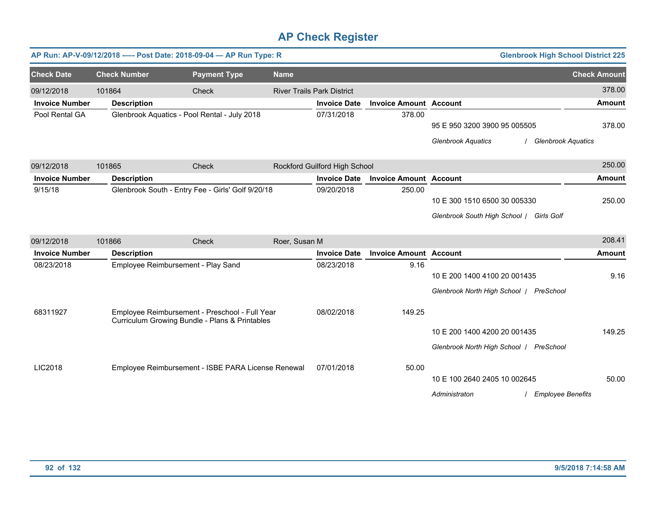|                       |                     | AP Run: AP-V-09/12/2018 ---- Post Date: 2018-09-04 - AP Run Type: R                              |               |                                   |                               |                                                                                          | <b>Glenbrook High School District 225</b> |
|-----------------------|---------------------|--------------------------------------------------------------------------------------------------|---------------|-----------------------------------|-------------------------------|------------------------------------------------------------------------------------------|-------------------------------------------|
| <b>Check Date</b>     | <b>Check Number</b> | <b>Payment Type</b>                                                                              | <b>Name</b>   |                                   |                               |                                                                                          | <b>Check Amount</b>                       |
| 09/12/2018            | 101864              | Check                                                                                            |               | <b>River Trails Park District</b> |                               |                                                                                          | 378.00                                    |
| <b>Invoice Number</b> | <b>Description</b>  |                                                                                                  |               | <b>Invoice Date</b>               | <b>Invoice Amount Account</b> |                                                                                          | <b>Amount</b>                             |
| Pool Rental GA        |                     | Glenbrook Aquatics - Pool Rental - July 2018                                                     |               | 07/31/2018                        | 378.00                        | 95 E 950 3200 3900 95 005505<br><b>Glenbrook Aquatics</b>                                | 378.00<br><b>Glenbrook Aquatics</b>       |
| 09/12/2018            | 101865              | Check                                                                                            |               | Rockford Guilford High School     |                               |                                                                                          | 250.00                                    |
| <b>Invoice Number</b> | <b>Description</b>  |                                                                                                  |               | <b>Invoice Date</b>               | <b>Invoice Amount Account</b> |                                                                                          | <b>Amount</b>                             |
| 9/15/18               |                     | Glenbrook South - Entry Fee - Girls' Golf 9/20/18                                                |               | 09/20/2018                        | 250.00                        | 10 E 300 1510 6500 30 005330<br>Glenbrook South High School   Girls Golf                 | 250.00                                    |
| 09/12/2018            | 101866              | Check                                                                                            | Roer, Susan M |                                   |                               |                                                                                          | 208.41                                    |
| <b>Invoice Number</b> | <b>Description</b>  |                                                                                                  |               | <b>Invoice Date</b>               | <b>Invoice Amount Account</b> |                                                                                          | <b>Amount</b>                             |
| 08/23/2018            |                     | Employee Reimbursement - Play Sand                                                               |               | 08/23/2018                        | 9.16                          | 10 E 200 1400 4100 20 001435<br>Glenbrook North High School   PreSchool                  | 9.16                                      |
| 68311927              |                     | Employee Reimbursement - Preschool - Full Year<br>Curriculum Growing Bundle - Plans & Printables |               | 08/02/2018                        | 149.25                        | 10 E 200 1400 4200 20 001435                                                             | 149.25                                    |
| LIC2018               |                     | Employee Reimbursement - ISBE PARA License Renewal                                               |               | 07/01/2018                        | 50.00                         | Glenbrook North High School   PreSchool<br>10 E 100 2640 2405 10 002645<br>Administraton | 50.00<br><b>Employee Benefits</b>         |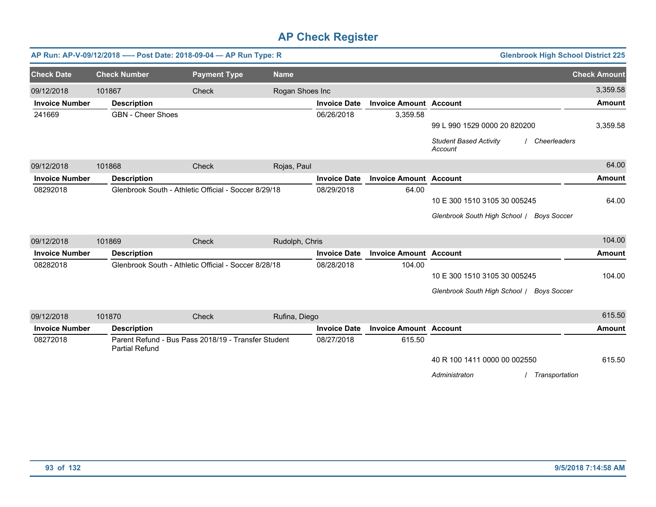|                       |        | AP Run: AP-V-09/12/2018 ---- Post Date: 2018-09-04 - AP Run Type: R          |                     |                 |                     |                               | <b>Glenbrook High School District 225</b>                |                     |
|-----------------------|--------|------------------------------------------------------------------------------|---------------------|-----------------|---------------------|-------------------------------|----------------------------------------------------------|---------------------|
| <b>Check Date</b>     |        | <b>Check Number</b>                                                          | <b>Payment Type</b> | <b>Name</b>     |                     |                               |                                                          | <b>Check Amount</b> |
| 09/12/2018            | 101867 |                                                                              | Check               | Rogan Shoes Inc |                     |                               |                                                          | 3,359.58            |
| <b>Invoice Number</b> |        | <b>Description</b>                                                           |                     |                 | <b>Invoice Date</b> | <b>Invoice Amount Account</b> |                                                          | <b>Amount</b>       |
| 241669                |        | <b>GBN</b> - Cheer Shoes                                                     |                     |                 | 06/26/2018          | 3,359.58                      |                                                          |                     |
|                       |        |                                                                              |                     |                 |                     |                               | 99 L 990 1529 0000 20 820200                             | 3,359.58            |
|                       |        |                                                                              |                     |                 |                     |                               | <b>Student Based Activity</b><br>Cheerleaders<br>Account |                     |
| 09/12/2018            | 101868 |                                                                              | Check               | Rojas, Paul     |                     |                               |                                                          | 64.00               |
| <b>Invoice Number</b> |        | <b>Description</b>                                                           |                     |                 | <b>Invoice Date</b> | <b>Invoice Amount Account</b> |                                                          | <b>Amount</b>       |
| 08292018              |        | Glenbrook South - Athletic Official - Soccer 8/29/18                         |                     |                 | 08/29/2018          | 64.00                         |                                                          |                     |
|                       |        |                                                                              |                     |                 |                     |                               | 10 E 300 1510 3105 30 005245                             | 64.00               |
|                       |        |                                                                              |                     |                 |                     |                               | Glenbrook South High School / Boys Soccer                |                     |
| 09/12/2018            | 101869 |                                                                              | Check               | Rudolph, Chris  |                     |                               |                                                          | 104.00              |
| <b>Invoice Number</b> |        | <b>Description</b>                                                           |                     |                 | <b>Invoice Date</b> | <b>Invoice Amount Account</b> |                                                          | <b>Amount</b>       |
| 08282018              |        | Glenbrook South - Athletic Official - Soccer 8/28/18                         |                     |                 | 08/28/2018          | 104.00                        |                                                          |                     |
|                       |        |                                                                              |                     |                 |                     |                               | 10 E 300 1510 3105 30 005245                             | 104.00              |
|                       |        |                                                                              |                     |                 |                     |                               | Glenbrook South High School / Boys Soccer                |                     |
|                       |        |                                                                              |                     |                 |                     |                               |                                                          |                     |
| 09/12/2018            | 101870 |                                                                              | Check               | Rufina, Diego   |                     |                               |                                                          | 615.50              |
| <b>Invoice Number</b> |        | <b>Description</b>                                                           |                     |                 | <b>Invoice Date</b> | <b>Invoice Amount Account</b> |                                                          | <b>Amount</b>       |
| 08272018              |        | Parent Refund - Bus Pass 2018/19 - Transfer Student<br><b>Partial Refund</b> |                     |                 | 08/27/2018          | 615.50                        |                                                          |                     |
|                       |        |                                                                              |                     |                 |                     |                               | 40 R 100 1411 0000 00 002550                             | 615.50              |

*Administraton* / *Transportation*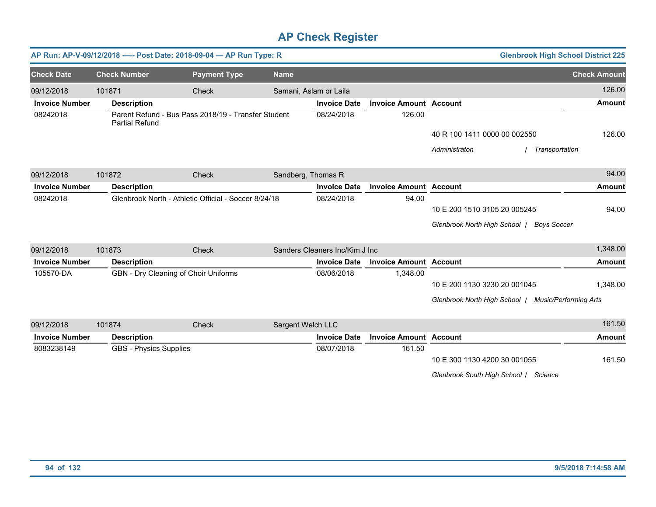|                       |                               | AP Run: AP-V-09/12/2018 ---- Post Date: 2018-09-04 - AP Run Type: R |                        |                                |                               |                                                     | <b>Glenbrook High School District 225</b> |
|-----------------------|-------------------------------|---------------------------------------------------------------------|------------------------|--------------------------------|-------------------------------|-----------------------------------------------------|-------------------------------------------|
| <b>Check Date</b>     | <b>Check Number</b>           | <b>Payment Type</b>                                                 | <b>Name</b>            |                                |                               |                                                     | <b>Check Amount</b>                       |
| 09/12/2018            | 101871                        | Check                                                               | Samani, Aslam or Laila |                                |                               |                                                     | 126.00                                    |
| <b>Invoice Number</b> | <b>Description</b>            |                                                                     |                        | <b>Invoice Date</b>            | <b>Invoice Amount Account</b> |                                                     | <b>Amount</b>                             |
| 08242018              | <b>Partial Refund</b>         | Parent Refund - Bus Pass 2018/19 - Transfer Student                 |                        | 08/24/2018                     | 126.00                        |                                                     |                                           |
|                       |                               |                                                                     |                        |                                |                               | 40 R 100 1411 0000 00 002550                        | 126.00                                    |
|                       |                               |                                                                     |                        |                                |                               | Administraton                                       | Transportation                            |
| 09/12/2018            | 101872                        | Check                                                               | Sandberg, Thomas R     |                                |                               |                                                     | 94.00                                     |
| <b>Invoice Number</b> | <b>Description</b>            |                                                                     |                        | <b>Invoice Date</b>            | <b>Invoice Amount Account</b> |                                                     | <b>Amount</b>                             |
| 08242018              |                               | Glenbrook North - Athletic Official - Soccer 8/24/18                |                        | 08/24/2018                     | 94.00                         |                                                     |                                           |
|                       |                               |                                                                     |                        |                                |                               | 10 E 200 1510 3105 20 005245                        | 94.00                                     |
|                       |                               |                                                                     |                        |                                |                               | Glenbrook North High School                         | <b>Boys Soccer</b>                        |
| 09/12/2018            | 101873                        | Check                                                               |                        | Sanders Cleaners Inc/Kim J Inc |                               |                                                     | 1,348.00                                  |
| <b>Invoice Number</b> | <b>Description</b>            |                                                                     |                        | <b>Invoice Date</b>            | <b>Invoice Amount Account</b> |                                                     | <b>Amount</b>                             |
| 105570-DA             |                               | GBN - Dry Cleaning of Choir Uniforms                                |                        | 08/06/2018                     | 1,348.00                      |                                                     |                                           |
|                       |                               |                                                                     |                        |                                |                               | 10 E 200 1130 3230 20 001045                        | 1,348.00                                  |
|                       |                               |                                                                     |                        |                                |                               | Glenbrook North High School / Music/Performing Arts |                                           |
| 09/12/2018            | 101874                        | Check                                                               | Sargent Welch LLC      |                                |                               |                                                     | 161.50                                    |
| <b>Invoice Number</b> | <b>Description</b>            |                                                                     |                        | <b>Invoice Date</b>            | <b>Invoice Amount Account</b> |                                                     | <b>Amount</b>                             |
| 8083238149            | <b>GBS - Physics Supplies</b> |                                                                     |                        | 08/07/2018                     | 161.50                        |                                                     |                                           |
|                       |                               |                                                                     |                        |                                |                               | 10 E 300 1130 4200 30 001055                        | 161.50                                    |
|                       |                               |                                                                     |                        |                                |                               | Glenbrook South High School / Science               |                                           |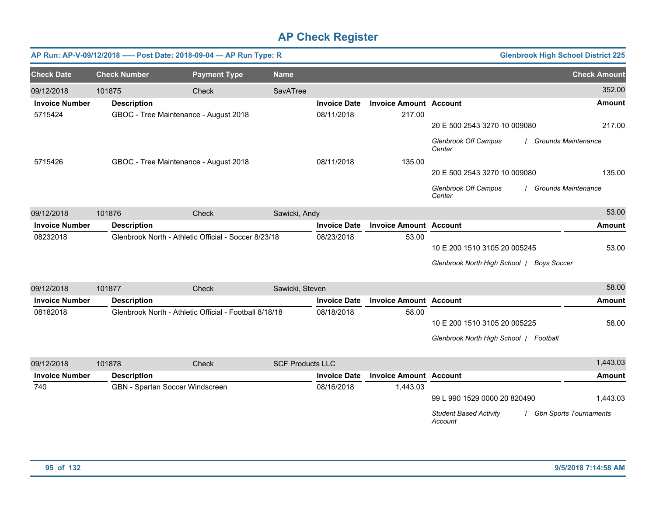|                       |                     | AP Run: AP-V-09/12/2018 ---- Post Date: 2018-09-04 - AP Run Type: R |                         |                     |                               |                                           | <b>Glenbrook High School District 225</b> |
|-----------------------|---------------------|---------------------------------------------------------------------|-------------------------|---------------------|-------------------------------|-------------------------------------------|-------------------------------------------|
| <b>Check Date</b>     | <b>Check Number</b> | <b>Payment Type</b>                                                 | <b>Name</b>             |                     |                               |                                           | <b>Check Amount</b>                       |
| 09/12/2018            | 101875              | Check                                                               | SavATree                |                     |                               |                                           | 352.00                                    |
| <b>Invoice Number</b> | <b>Description</b>  |                                                                     |                         | <b>Invoice Date</b> | <b>Invoice Amount Account</b> |                                           | <b>Amount</b>                             |
| 5715424               |                     | GBOC - Tree Maintenance - August 2018                               |                         | 08/11/2018          | 217.00                        | 20 E 500 2543 3270 10 009080              | 217.00                                    |
|                       |                     |                                                                     |                         |                     |                               | <b>Glenbrook Off Campus</b><br>Center     | <b>Grounds Maintenance</b>                |
| 5715426               |                     | GBOC - Tree Maintenance - August 2018                               |                         | 08/11/2018          | 135.00                        |                                           |                                           |
|                       |                     |                                                                     |                         |                     |                               | 20 E 500 2543 3270 10 009080              | 135.00                                    |
|                       |                     |                                                                     |                         |                     |                               | <b>Glenbrook Off Campus</b><br>Center     | Grounds Maintenance                       |
| 09/12/2018            | 101876              | Check                                                               | Sawicki, Andy           |                     |                               |                                           | 53.00                                     |
| <b>Invoice Number</b> | <b>Description</b>  |                                                                     |                         | <b>Invoice Date</b> | <b>Invoice Amount Account</b> |                                           | <b>Amount</b>                             |
| 08232018              |                     | Glenbrook North - Athletic Official - Soccer 8/23/18                |                         | 08/23/2018          | 53.00                         |                                           |                                           |
|                       |                     |                                                                     |                         |                     |                               | 10 E 200 1510 3105 20 005245              | 53.00                                     |
|                       |                     |                                                                     |                         |                     |                               | Glenbrook North High School   Boys Soccer |                                           |
| 09/12/2018            | 101877              | Check                                                               | Sawicki, Steven         |                     |                               |                                           | 58.00                                     |
| <b>Invoice Number</b> | <b>Description</b>  |                                                                     |                         | <b>Invoice Date</b> | <b>Invoice Amount Account</b> |                                           | <b>Amount</b>                             |
| 08182018              |                     | Glenbrook North - Athletic Official - Football 8/18/18              |                         | 08/18/2018          | 58.00                         |                                           |                                           |
|                       |                     |                                                                     |                         |                     |                               | 10 E 200 1510 3105 20 005225              | 58.00                                     |
|                       |                     |                                                                     |                         |                     |                               | Glenbrook North High School   Football    |                                           |
| 09/12/2018            | 101878              | Check                                                               | <b>SCF Products LLC</b> |                     |                               |                                           | 1,443.03                                  |
| <b>Invoice Number</b> | <b>Description</b>  |                                                                     |                         | <b>Invoice Date</b> | <b>Invoice Amount Account</b> |                                           | <b>Amount</b>                             |
| 740                   |                     | GBN - Spartan Soccer Windscreen                                     |                         | 08/16/2018          | 1,443.03                      | 99 L 990 1529 0000 20 820490              | 1,443.03                                  |
|                       |                     |                                                                     |                         |                     |                               | <b>Student Based Activity</b><br>Account  | <b>Gbn Sports Tournaments</b>             |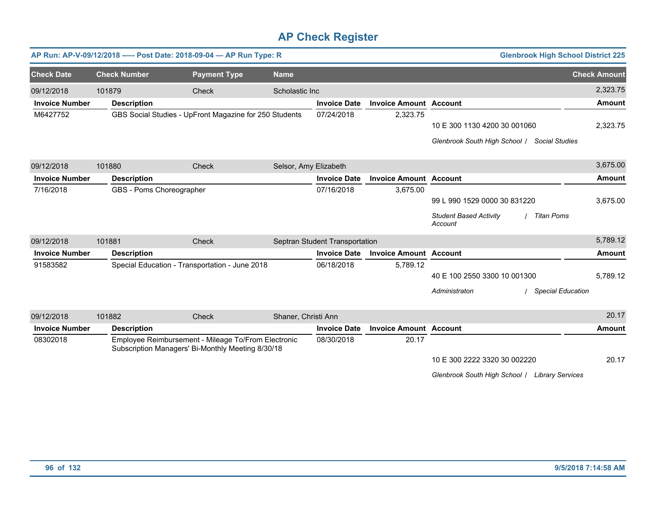|                       |                          | AP Run: AP-V-09/12/2018 ---- Post Date: 2018-09-04 - AP Run Type: R                                      |                       |                                |                               |                                                               | <b>Glenbrook High School District 225</b> |
|-----------------------|--------------------------|----------------------------------------------------------------------------------------------------------|-----------------------|--------------------------------|-------------------------------|---------------------------------------------------------------|-------------------------------------------|
| <b>Check Date</b>     | <b>Check Number</b>      | <b>Payment Type</b>                                                                                      | <b>Name</b>           |                                |                               |                                                               | <b>Check Amount</b>                       |
| 09/12/2018            | 101879                   | Check                                                                                                    | Scholastic Inc        |                                |                               |                                                               | 2,323.75                                  |
| <b>Invoice Number</b> | <b>Description</b>       |                                                                                                          |                       | <b>Invoice Date</b>            | <b>Invoice Amount Account</b> |                                                               | <b>Amount</b>                             |
| M6427752              |                          | GBS Social Studies - UpFront Magazine for 250 Students                                                   |                       | 07/24/2018                     | 2,323.75                      |                                                               |                                           |
|                       |                          |                                                                                                          |                       |                                |                               | 10 E 300 1130 4200 30 001060                                  | 2,323.75                                  |
|                       |                          |                                                                                                          |                       |                                |                               | Glenbrook South High School /<br><b>Social Studies</b>        |                                           |
| 09/12/2018            | 101880                   | Check                                                                                                    | Selsor, Amy Elizabeth |                                |                               |                                                               | 3,675.00                                  |
| <b>Invoice Number</b> | <b>Description</b>       |                                                                                                          |                       | <b>Invoice Date</b>            | <b>Invoice Amount Account</b> |                                                               | <b>Amount</b>                             |
| 7/16/2018             | GBS - Poms Choreographer |                                                                                                          |                       | 07/16/2018                     | 3,675.00                      |                                                               |                                           |
|                       |                          |                                                                                                          |                       |                                |                               | 99 L 990 1529 0000 30 831220                                  | 3,675.00                                  |
|                       |                          |                                                                                                          |                       |                                |                               | <b>Student Based Activity</b><br><b>Titan Poms</b><br>Account |                                           |
| 09/12/2018            | 101881                   | Check                                                                                                    |                       | Septran Student Transportation |                               |                                                               | 5,789.12                                  |
| <b>Invoice Number</b> | <b>Description</b>       |                                                                                                          |                       | <b>Invoice Date</b>            | <b>Invoice Amount Account</b> |                                                               | Amount                                    |
| 91583582              |                          | Special Education - Transportation - June 2018                                                           |                       | 06/18/2018                     | 5,789.12                      |                                                               |                                           |
|                       |                          |                                                                                                          |                       |                                |                               | 40 E 100 2550 3300 10 001300                                  | 5,789.12                                  |
|                       |                          |                                                                                                          |                       |                                |                               | Administraton                                                 | <b>Special Education</b>                  |
| 09/12/2018            | 101882                   | Check                                                                                                    | Shaner, Christi Ann   |                                |                               |                                                               | 20.17                                     |
| <b>Invoice Number</b> | <b>Description</b>       |                                                                                                          |                       | <b>Invoice Date</b>            | <b>Invoice Amount Account</b> |                                                               | <b>Amount</b>                             |
| 08302018              |                          | Employee Reimbursement - Mileage To/From Electronic<br>Subscription Managers' Bi-Monthly Meeting 8/30/18 |                       | 08/30/2018                     | 20.17                         |                                                               |                                           |
|                       |                          |                                                                                                          |                       |                                |                               | 10 E 300 2222 3320 30 002220                                  | 20.17                                     |
|                       |                          |                                                                                                          |                       |                                |                               | Glenbrook South High School / Library Services                |                                           |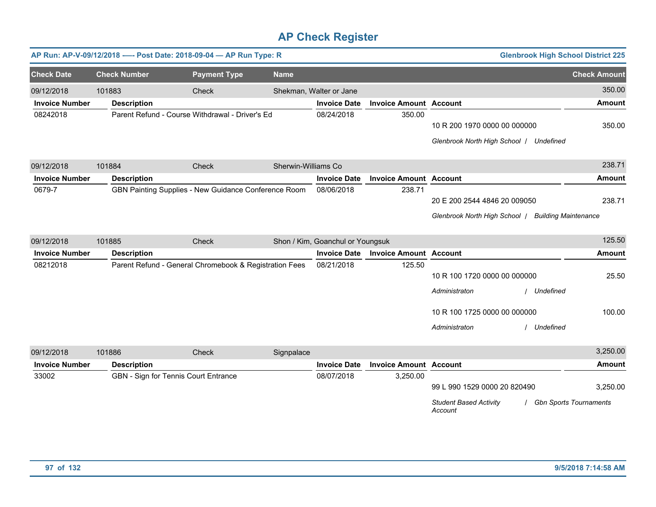|                       |                     | AP Run: AP-V-09/12/2018 ---- Post Date: 2018-09-04 - AP Run Type: R |                     |                                  |                               |                                                                                                |                               | <b>Glenbrook High School District 225</b> |
|-----------------------|---------------------|---------------------------------------------------------------------|---------------------|----------------------------------|-------------------------------|------------------------------------------------------------------------------------------------|-------------------------------|-------------------------------------------|
| <b>Check Date</b>     | <b>Check Number</b> | <b>Payment Type</b>                                                 | <b>Name</b>         |                                  |                               |                                                                                                |                               | <b>Check Amount</b>                       |
| 09/12/2018            | 101883              | Check                                                               |                     | Shekman, Walter or Jane          |                               |                                                                                                |                               | 350.00                                    |
| <b>Invoice Number</b> | <b>Description</b>  |                                                                     |                     | <b>Invoice Date</b>              | <b>Invoice Amount Account</b> |                                                                                                |                               | <b>Amount</b>                             |
| 08242018              |                     | Parent Refund - Course Withdrawal - Driver's Ed                     |                     | 08/24/2018                       | 350.00                        | 10 R 200 1970 0000 00 000000<br>Glenbrook North High School   Undefined                        |                               | 350.00                                    |
| 09/12/2018            | 101884              | Check                                                               | Sherwin-Williams Co |                                  |                               |                                                                                                |                               | 238.71                                    |
| <b>Invoice Number</b> | <b>Description</b>  |                                                                     |                     | <b>Invoice Date</b>              | <b>Invoice Amount Account</b> |                                                                                                |                               | <b>Amount</b>                             |
| 0679-7                |                     | GBN Painting Supplies - New Guidance Conference Room                |                     | 08/06/2018                       | 238.71                        | 20 E 200 2544 4846 20 009050<br>Glenbrook North High School   Building Maintenance             |                               | 238.71                                    |
| 09/12/2018            | 101885              | Check                                                               |                     | Shon / Kim, Goanchul or Youngsuk |                               |                                                                                                |                               | 125.50                                    |
| <b>Invoice Number</b> | <b>Description</b>  |                                                                     |                     | <b>Invoice Date</b>              | <b>Invoice Amount Account</b> |                                                                                                |                               | <b>Amount</b>                             |
| 08212018              |                     | Parent Refund - General Chromebook & Registration Fees              |                     | 08/21/2018                       | 125.50                        | 10 R 100 1720 0000 00 000000<br>Administraton<br>10 R 100 1725 0000 00 000000<br>Administraton | Undefined<br>Undefined        | 25.50<br>100.00                           |
| 09/12/2018            | 101886              | Check                                                               | Signpalace          |                                  |                               |                                                                                                |                               | 3,250.00                                  |
| <b>Invoice Number</b> | <b>Description</b>  |                                                                     |                     | <b>Invoice Date</b>              | <b>Invoice Amount Account</b> |                                                                                                |                               | Amount                                    |
| 33002                 |                     | GBN - Sign for Tennis Court Entrance                                |                     | 08/07/2018                       | 3,250.00                      | 99 L 990 1529 0000 20 820490<br><b>Student Based Activity</b><br>Account                       | <b>Gbn Sports Tournaments</b> | 3,250.00                                  |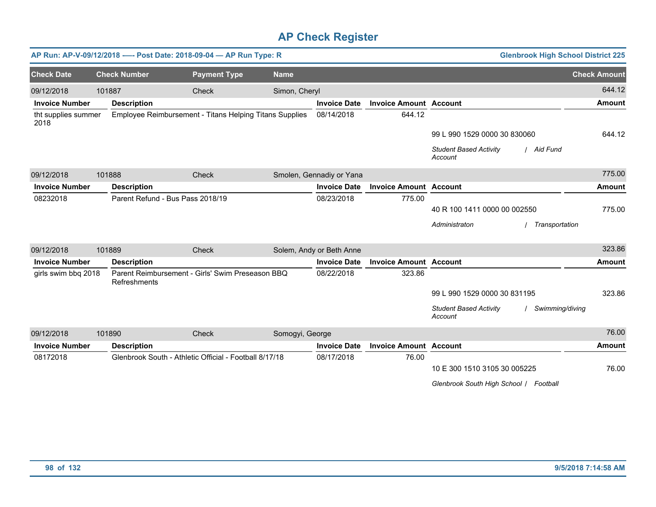|                             |        |                                  | AP Run: AP-V-09/12/2018 ---- Post Date: 2018-09-04 - AP Run Type: R |                 |                          |                               | <b>Glenbrook High School District 225</b>                   |                     |
|-----------------------------|--------|----------------------------------|---------------------------------------------------------------------|-----------------|--------------------------|-------------------------------|-------------------------------------------------------------|---------------------|
| <b>Check Date</b>           |        | <b>Check Number</b>              | <b>Payment Type</b>                                                 | <b>Name</b>     |                          |                               |                                                             | <b>Check Amount</b> |
| 09/12/2018                  | 101887 |                                  | Check                                                               | Simon, Cheryl   |                          |                               |                                                             | 644.12              |
| <b>Invoice Number</b>       |        | <b>Description</b>               |                                                                     |                 | <b>Invoice Date</b>      | <b>Invoice Amount Account</b> |                                                             | <b>Amount</b>       |
| tht supplies summer<br>2018 |        |                                  | Employee Reimbursement - Titans Helping Titans Supplies             |                 | 08/14/2018               | 644.12                        |                                                             |                     |
|                             |        |                                  |                                                                     |                 |                          |                               | 99 L 990 1529 0000 30 830060                                | 644.12              |
|                             |        |                                  |                                                                     |                 |                          |                               | <b>Student Based Activity</b><br>/ Aid Fund<br>Account      |                     |
| 09/12/2018                  | 101888 |                                  | Check                                                               |                 | Smolen, Gennadiy or Yana |                               |                                                             | 775.00              |
| <b>Invoice Number</b>       |        | <b>Description</b>               |                                                                     |                 | <b>Invoice Date</b>      | <b>Invoice Amount Account</b> |                                                             | <b>Amount</b>       |
| 08232018                    |        | Parent Refund - Bus Pass 2018/19 |                                                                     |                 | 08/23/2018               | 775.00                        |                                                             |                     |
|                             |        |                                  |                                                                     |                 |                          |                               | 40 R 100 1411 0000 00 002550                                | 775.00              |
|                             |        |                                  |                                                                     |                 |                          |                               | Administraton<br>Transportation                             |                     |
| 09/12/2018                  | 101889 |                                  | Check                                                               |                 | Solem, Andy or Beth Anne |                               |                                                             | 323.86              |
| <b>Invoice Number</b>       |        | <b>Description</b>               |                                                                     |                 | <b>Invoice Date</b>      | <b>Invoice Amount Account</b> |                                                             | <b>Amount</b>       |
| girls swim bbq 2018         |        | Refreshments                     | Parent Reimbursement - Girls' Swim Preseason BBQ                    |                 | 08/22/2018               | 323.86                        |                                                             |                     |
|                             |        |                                  |                                                                     |                 |                          |                               | 99 L 990 1529 0000 30 831195                                | 323.86              |
|                             |        |                                  |                                                                     |                 |                          |                               | <b>Student Based Activity</b><br>Swimming/diving<br>Account |                     |
| 09/12/2018                  | 101890 |                                  | Check                                                               | Somogyi, George |                          |                               |                                                             | 76.00               |
| <b>Invoice Number</b>       |        | <b>Description</b>               |                                                                     |                 | <b>Invoice Date</b>      | <b>Invoice Amount Account</b> |                                                             | <b>Amount</b>       |
| 08172018                    |        |                                  | Glenbrook South - Athletic Official - Football 8/17/18              |                 | 08/17/2018               | 76.00                         |                                                             |                     |
|                             |        |                                  |                                                                     |                 |                          |                               | 10 E 300 1510 3105 30 005225                                | 76.00               |
|                             |        |                                  |                                                                     |                 |                          |                               | Glenbrook South High School / Football                      |                     |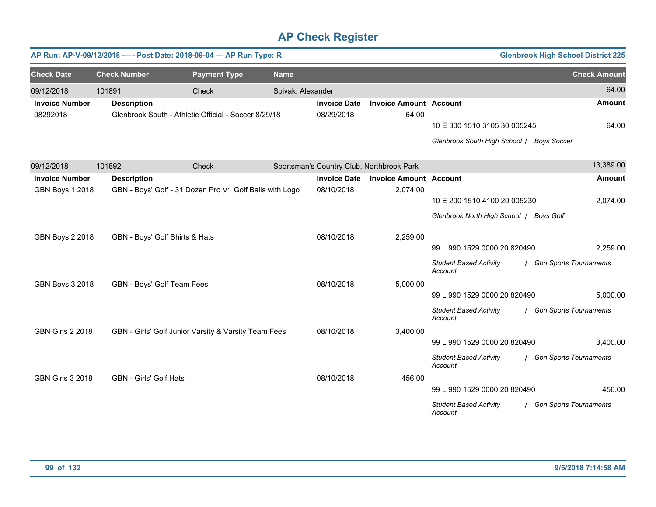|                         |                               | AP Run: AP-V-09/12/2018 ---- Post Date: 2018-09-04 - AP Run Type: R |                   |                                           |                               |                                                                           | <b>Glenbrook High School District 225</b> |
|-------------------------|-------------------------------|---------------------------------------------------------------------|-------------------|-------------------------------------------|-------------------------------|---------------------------------------------------------------------------|-------------------------------------------|
| <b>Check Date</b>       | <b>Check Number</b>           | <b>Payment Type</b>                                                 | <b>Name</b>       |                                           |                               |                                                                           | <b>Check Amount</b>                       |
| 09/12/2018              | 101891                        | Check                                                               | Spivak, Alexander |                                           |                               |                                                                           | 64.00                                     |
| <b>Invoice Number</b>   | <b>Description</b>            |                                                                     |                   | <b>Invoice Date</b>                       | <b>Invoice Amount Account</b> |                                                                           | <b>Amount</b>                             |
| 08292018                |                               | Glenbrook South - Athletic Official - Soccer 8/29/18                |                   | 08/29/2018                                | 64.00                         | 10 E 300 1510 3105 30 005245<br>Glenbrook South High School / Boys Soccer | 64.00                                     |
| 09/12/2018              | 101892                        | Check                                                               |                   | Sportsman's Country Club, Northbrook Park |                               |                                                                           | 13,389.00                                 |
| <b>Invoice Number</b>   | <b>Description</b>            |                                                                     |                   | <b>Invoice Date</b>                       | <b>Invoice Amount Account</b> |                                                                           | Amount                                    |
| <b>GBN Boys 1 2018</b>  |                               | GBN - Boys' Golf - 31 Dozen Pro V1 Golf Balls with Logo             |                   | 08/10/2018                                | 2,074.00                      |                                                                           |                                           |
|                         |                               |                                                                     |                   |                                           |                               | 10 E 200 1510 4100 20 005230                                              | 2,074.00                                  |
|                         |                               |                                                                     |                   |                                           |                               | Glenbrook North High School   Boys Golf                                   |                                           |
| <b>GBN Boys 2 2018</b>  |                               | GBN - Boys' Golf Shirts & Hats                                      |                   | 08/10/2018                                | 2,259.00                      |                                                                           |                                           |
|                         |                               |                                                                     |                   |                                           |                               | 99 L 990 1529 0000 20 820490                                              | 2,259.00                                  |
|                         |                               |                                                                     |                   |                                           |                               | <b>Student Based Activity</b><br>Account                                  | / Gbn Sports Tournaments                  |
| <b>GBN Boys 3 2018</b>  | GBN - Boys' Golf Team Fees    |                                                                     |                   | 08/10/2018                                | 5,000.00                      |                                                                           |                                           |
|                         |                               |                                                                     |                   |                                           |                               | 99 L 990 1529 0000 20 820490                                              | 5,000.00                                  |
|                         |                               |                                                                     |                   |                                           |                               | <b>Student Based Activity</b><br>Account                                  | / Gbn Sports Tournaments                  |
| <b>GBN Girls 2 2018</b> |                               | GBN - Girls' Golf Junior Varsity & Varsity Team Fees                |                   | 08/10/2018                                | 3,400.00                      |                                                                           |                                           |
|                         |                               |                                                                     |                   |                                           |                               | 99 L 990 1529 0000 20 820490                                              | 3,400.00                                  |
|                         |                               |                                                                     |                   |                                           |                               | <b>Student Based Activity</b><br>Account                                  | <b>Gbn Sports Tournaments</b>             |
| <b>GBN Girls 3 2018</b> | <b>GBN - Girls' Golf Hats</b> |                                                                     |                   | 08/10/2018                                | 456.00                        |                                                                           |                                           |
|                         |                               |                                                                     |                   |                                           |                               | 99 L 990 1529 0000 20 820490                                              | 456.00                                    |
|                         |                               |                                                                     |                   |                                           |                               | <b>Student Based Activity</b><br>Account                                  | <b>Gbn Sports Tournaments</b>             |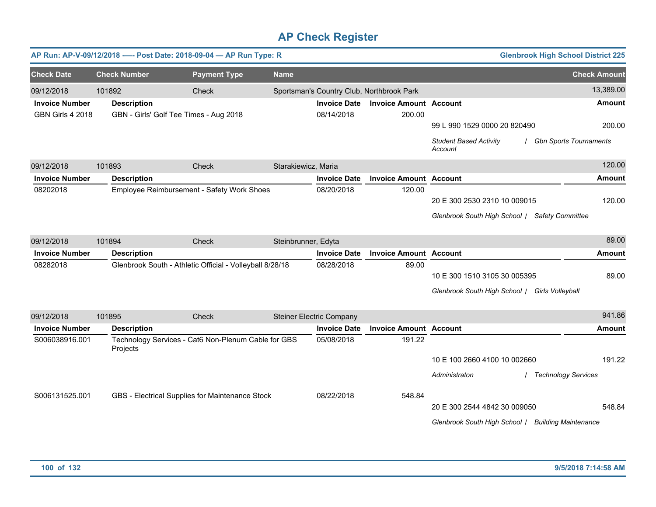|                                     |                              | AP Run: AP-V-09/12/2018 ---- Post Date: 2018-09-04 - AP Run Type: R |                     |                                 |                                                                    |                                                                                    | <b>Glenbrook High School District 225</b> |                            |
|-------------------------------------|------------------------------|---------------------------------------------------------------------|---------------------|---------------------------------|--------------------------------------------------------------------|------------------------------------------------------------------------------------|-------------------------------------------|----------------------------|
| <b>Check Date</b>                   | <b>Check Number</b>          | <b>Payment Type</b>                                                 | <b>Name</b>         |                                 |                                                                    |                                                                                    | <b>Check Amount</b>                       |                            |
| 09/12/2018<br><b>Invoice Number</b> | 101892<br><b>Description</b> | Check                                                               |                     | <b>Invoice Date</b>             | Sportsman's Country Club, Northbrook Park<br><b>Invoice Amount</b> | <b>Account</b>                                                                     |                                           | 13,389.00<br><b>Amount</b> |
| <b>GBN Girls 4 2018</b>             |                              | GBN - Girls' Golf Tee Times - Aug 2018                              |                     | 08/14/2018                      | 200.00                                                             | 99 L 990 1529 0000 20 820490<br><b>Student Based Activity</b><br>Account           | <b>Gbn Sports Tournaments</b>             | 200.00                     |
| 09/12/2018                          | 101893                       | Check                                                               | Starakiewicz, Maria |                                 |                                                                    |                                                                                    |                                           | 120.00                     |
| <b>Invoice Number</b>               | <b>Description</b>           |                                                                     |                     | <b>Invoice Date</b>             | <b>Invoice Amount Account</b>                                      |                                                                                    |                                           | <b>Amount</b>              |
| 08202018                            |                              | Employee Reimbursement - Safety Work Shoes                          |                     | 08/20/2018                      | 120.00                                                             | 20 E 300 2530 2310 10 009015<br>Glenbrook South High School / Safety Committee     |                                           | 120.00                     |
| 09/12/2018                          | 101894                       | Check                                                               | Steinbrunner, Edyta |                                 |                                                                    |                                                                                    |                                           | 89.00                      |
| <b>Invoice Number</b>               | <b>Description</b>           |                                                                     |                     | <b>Invoice Date</b>             | <b>Invoice Amount Account</b>                                      |                                                                                    |                                           | <b>Amount</b>              |
| 08282018                            |                              | Glenbrook South - Athletic Official - Volleyball 8/28/18            |                     | 08/28/2018                      | 89.00                                                              | 10 E 300 1510 3105 30 005395<br>Glenbrook South High School / Girls Volleyball     |                                           | 89.00                      |
| 09/12/2018                          | 101895                       | Check                                                               |                     | <b>Steiner Electric Company</b> |                                                                    |                                                                                    |                                           | 941.86                     |
| <b>Invoice Number</b>               | <b>Description</b>           |                                                                     |                     | <b>Invoice Date</b>             | <b>Invoice Amount Account</b>                                      |                                                                                    |                                           | <b>Amount</b>              |
| S006038916.001                      | Projects                     | Technology Services - Cat6 Non-Plenum Cable for GBS                 |                     | 05/08/2018                      | 191.22                                                             | 10 E 100 2660 4100 10 002660<br>Administraton                                      | / Technology Services                     | 191.22                     |
| S006131525.001                      |                              | GBS - Electrical Supplies for Maintenance Stock                     |                     | 08/22/2018                      | 548.84                                                             | 20 E 300 2544 4842 30 009050<br>Glenbrook South High School / Building Maintenance |                                           | 548.84                     |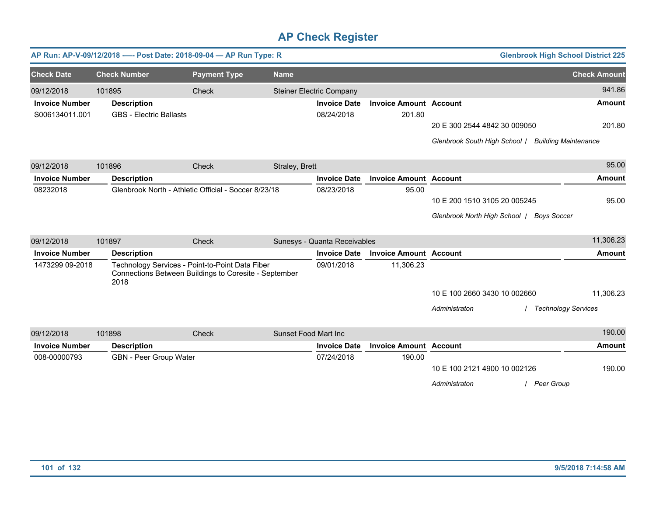|                       |                                | AP Run: AP-V-09/12/2018 ---- Post Date: 2018-09-04 - AP Run Type: R                                      |                |                                 |                               |                                                    | <b>Glenbrook High School District 225</b> |                     |
|-----------------------|--------------------------------|----------------------------------------------------------------------------------------------------------|----------------|---------------------------------|-------------------------------|----------------------------------------------------|-------------------------------------------|---------------------|
| <b>Check Date</b>     | <b>Check Number</b>            | <b>Payment Type</b>                                                                                      | <b>Name</b>    |                                 |                               |                                                    |                                           | <b>Check Amount</b> |
| 09/12/2018            | 101895                         | Check                                                                                                    |                | <b>Steiner Electric Company</b> |                               |                                                    |                                           | 941.86              |
| <b>Invoice Number</b> | <b>Description</b>             |                                                                                                          |                | <b>Invoice Date</b>             | <b>Invoice Amount Account</b> |                                                    |                                           | <b>Amount</b>       |
| S006134011.001        | <b>GBS - Electric Ballasts</b> |                                                                                                          |                | 08/24/2018                      | 201.80                        |                                                    |                                           |                     |
|                       |                                |                                                                                                          |                |                                 |                               | 20 E 300 2544 4842 30 009050                       |                                           | 201.80              |
|                       |                                |                                                                                                          |                |                                 |                               | Glenbrook South High School / Building Maintenance |                                           |                     |
| 09/12/2018            | 101896                         | Check                                                                                                    | Straley, Brett |                                 |                               |                                                    |                                           | 95.00               |
| <b>Invoice Number</b> | <b>Description</b>             |                                                                                                          |                | <b>Invoice Date</b>             | <b>Invoice Amount Account</b> |                                                    |                                           | <b>Amount</b>       |
| 08232018              |                                | Glenbrook North - Athletic Official - Soccer 8/23/18                                                     |                | 08/23/2018                      | 95.00                         |                                                    |                                           |                     |
|                       |                                |                                                                                                          |                |                                 |                               | 10 E 200 1510 3105 20 005245                       |                                           | 95.00               |
|                       |                                |                                                                                                          |                |                                 |                               | Glenbrook North High School / Boys Soccer          |                                           |                     |
| 09/12/2018            | 101897                         | Check                                                                                                    |                | Sunesys - Quanta Receivables    |                               |                                                    |                                           | 11,306.23           |
| <b>Invoice Number</b> | <b>Description</b>             |                                                                                                          |                | <b>Invoice Date</b>             | <b>Invoice Amount Account</b> |                                                    |                                           | Amount              |
| 1473299 09-2018       | 2018                           | Technology Services - Point-to-Point Data Fiber<br>Connections Between Buildings to Coresite - September |                | 09/01/2018                      | 11,306.23                     |                                                    |                                           |                     |
|                       |                                |                                                                                                          |                |                                 |                               | 10 E 100 2660 3430 10 002660                       |                                           | 11,306.23           |
|                       |                                |                                                                                                          |                |                                 |                               | Administraton                                      | / Technology Services                     |                     |
| 09/12/2018            | 101898                         | Check                                                                                                    |                | <b>Sunset Food Mart Inc</b>     |                               |                                                    |                                           | 190.00              |
| <b>Invoice Number</b> | <b>Description</b>             |                                                                                                          |                | <b>Invoice Date</b>             | <b>Invoice Amount Account</b> |                                                    |                                           | Amount              |
| 008-00000793          | <b>GBN</b> - Peer Group Water  |                                                                                                          |                | 07/24/2018                      | 190.00                        |                                                    |                                           |                     |
|                       |                                |                                                                                                          |                |                                 |                               | 10 E 100 2121 4900 10 002126                       |                                           | 190.00              |
|                       |                                |                                                                                                          |                |                                 |                               | Administraton                                      | / Peer Group                              |                     |
|                       |                                |                                                                                                          |                |                                 |                               |                                                    |                                           |                     |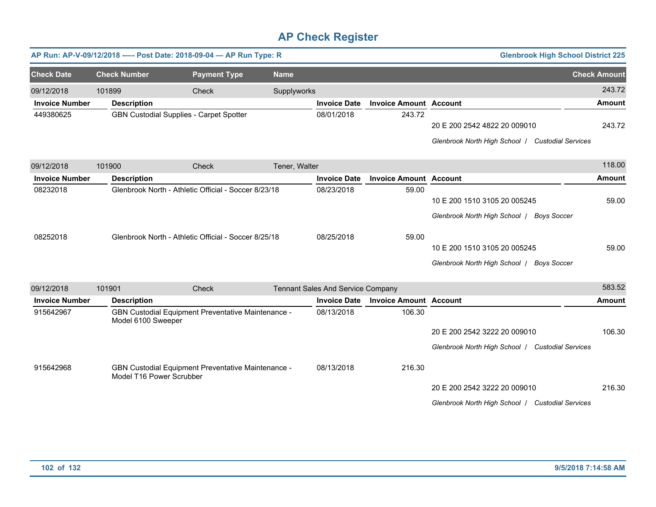|                       |                          | AP Run: AP-V-09/12/2018 ---- Post Date: 2018-09-04 - AP Run Type: R                                          |               |                                   |                               | <b>Glenbrook High School District 225</b>                                                                                                                                  |                     |
|-----------------------|--------------------------|--------------------------------------------------------------------------------------------------------------|---------------|-----------------------------------|-------------------------------|----------------------------------------------------------------------------------------------------------------------------------------------------------------------------|---------------------|
| <b>Check Date</b>     | <b>Check Number</b>      | <b>Payment Type</b>                                                                                          | <b>Name</b>   |                                   |                               |                                                                                                                                                                            | <b>Check Amount</b> |
| 09/12/2018            | 101899                   | Check                                                                                                        | Supplyworks   |                                   |                               |                                                                                                                                                                            | 243.72              |
| <b>Invoice Number</b> | <b>Description</b>       |                                                                                                              |               | <b>Invoice Date</b>               | <b>Invoice Amount Account</b> |                                                                                                                                                                            | <b>Amount</b>       |
| 449380625             |                          | GBN Custodial Supplies - Carpet Spotter                                                                      |               | 08/01/2018                        | 243.72                        | 20 E 200 2542 4822 20 009010<br>Glenbrook North High School   Custodial Services                                                                                           | 243.72              |
| 09/12/2018            | 101900                   | Check                                                                                                        | Tener, Walter |                                   |                               |                                                                                                                                                                            | 118.00              |
| <b>Invoice Number</b> | <b>Description</b>       |                                                                                                              |               | <b>Invoice Date</b>               | <b>Invoice Amount Account</b> |                                                                                                                                                                            | <b>Amount</b>       |
| 08232018<br>08252018  |                          | Glenbrook North - Athletic Official - Soccer 8/23/18<br>Glenbrook North - Athletic Official - Soccer 8/25/18 |               | 08/23/2018<br>08/25/2018          | 59.00<br>59.00                | 10 E 200 1510 3105 20 005245<br>Glenbrook North High School /<br><b>Boys Soccer</b><br>10 E 200 1510 3105 20 005245<br>Glenbrook North High School  <br><b>Boys Soccer</b> | 59.00<br>59.00      |
| 09/12/2018            | 101901                   | Check                                                                                                        |               | Tennant Sales And Service Company |                               |                                                                                                                                                                            | 583.52              |
| <b>Invoice Number</b> | <b>Description</b>       |                                                                                                              |               | <b>Invoice Date</b>               | <b>Invoice Amount Account</b> |                                                                                                                                                                            | <b>Amount</b>       |
| 915642967             | Model 6100 Sweeper       | GBN Custodial Equipment Preventative Maintenance -                                                           |               | 08/13/2018                        | 106.30                        | 20 E 200 2542 3222 20 009010<br>Glenbrook North High School / Custodial Services                                                                                           | 106.30              |
| 915642968             | Model T16 Power Scrubber | GBN Custodial Equipment Preventative Maintenance -                                                           |               | 08/13/2018                        | 216.30                        | 20 E 200 2542 3222 20 009010<br>Glenbrook North High School / Custodial Services                                                                                           | 216.30              |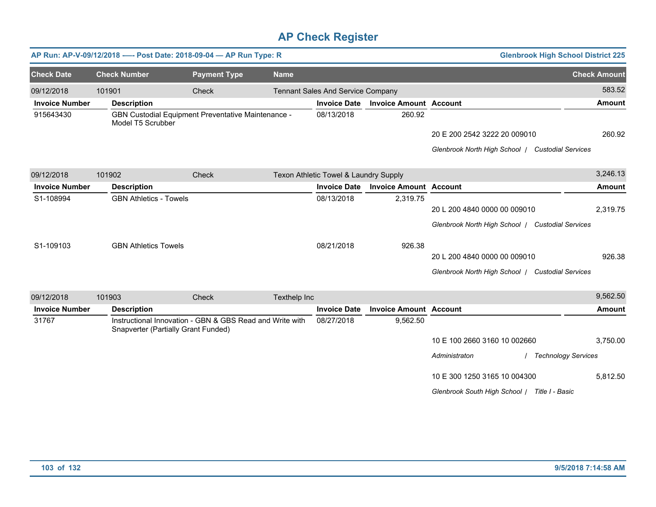|                       | AP Run: AP-V-09/12/2018 ---- Post Date: 2018-09-04 - AP Run Type: R |                                                          |              |                                       |                               | <b>Glenbrook High School District 225</b>        |                     |
|-----------------------|---------------------------------------------------------------------|----------------------------------------------------------|--------------|---------------------------------------|-------------------------------|--------------------------------------------------|---------------------|
| <b>Check Date</b>     | <b>Check Number</b>                                                 | <b>Payment Type</b>                                      | <b>Name</b>  |                                       |                               |                                                  | <b>Check Amount</b> |
| 09/12/2018            | 101901                                                              | Check                                                    |              | Tennant Sales And Service Company     |                               |                                                  | 583.52              |
| <b>Invoice Number</b> | <b>Description</b>                                                  |                                                          |              | <b>Invoice Date</b>                   | <b>Invoice Amount Account</b> |                                                  | <b>Amount</b>       |
| 915643430             | Model T5 Scrubber                                                   | GBN Custodial Equipment Preventative Maintenance -       |              | 08/13/2018                            | 260.92                        |                                                  |                     |
|                       |                                                                     |                                                          |              |                                       |                               | 20 E 200 2542 3222 20 009010                     | 260.92              |
|                       |                                                                     |                                                          |              |                                       |                               | Glenbrook North High School / Custodial Services |                     |
| 09/12/2018            | 101902                                                              | Check                                                    |              | Texon Athletic Towel & Laundry Supply |                               |                                                  | 3,246.13            |
| <b>Invoice Number</b> | <b>Description</b>                                                  |                                                          |              | <b>Invoice Date</b>                   | <b>Invoice Amount Account</b> |                                                  | <b>Amount</b>       |
| S1-108994             | <b>GBN Athletics - Towels</b>                                       |                                                          |              | 08/13/2018                            | 2,319.75                      |                                                  |                     |
|                       |                                                                     |                                                          |              |                                       |                               | 20 L 200 4840 0000 00 009010                     | 2,319.75            |
|                       |                                                                     |                                                          |              |                                       |                               | Glenbrook North High School / Custodial Services |                     |
| S1-109103             | <b>GBN Athletics Towels</b>                                         |                                                          |              | 08/21/2018                            | 926.38                        |                                                  |                     |
|                       |                                                                     |                                                          |              |                                       |                               | 20 L 200 4840 0000 00 009010                     | 926.38              |
|                       |                                                                     |                                                          |              |                                       |                               | Glenbrook North High School / Custodial Services |                     |
| 09/12/2018            | 101903                                                              | Check                                                    | Texthelp Inc |                                       |                               |                                                  | 9,562.50            |
| <b>Invoice Number</b> | <b>Description</b>                                                  |                                                          |              | <b>Invoice Date</b>                   | <b>Invoice Amount Account</b> |                                                  | <b>Amount</b>       |
| 31767                 | Snapverter (Partially Grant Funded)                                 | Instructional Innovation - GBN & GBS Read and Write with |              | 08/27/2018                            | 9,562.50                      |                                                  |                     |
|                       |                                                                     |                                                          |              |                                       |                               | 10 E 100 2660 3160 10 002660                     | 3,750.00            |
|                       |                                                                     |                                                          |              |                                       |                               | Administraton<br>/ Technology Services           |                     |
|                       |                                                                     |                                                          |              |                                       |                               | 10 E 300 1250 3165 10 004300                     | 5,812.50            |
|                       |                                                                     |                                                          |              |                                       |                               | Glenbrook South High School   Title I - Basic    |                     |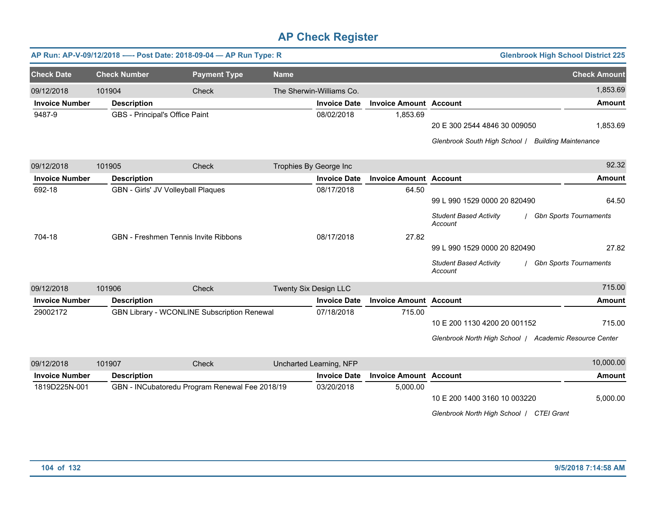|                       |                                | AP Run: AP-V-09/12/2018 ---- Post Date: 2018-09-04 - AP Run Type: R |                        |                          |                               |                                                        | <b>Glenbrook High School District 225</b> |
|-----------------------|--------------------------------|---------------------------------------------------------------------|------------------------|--------------------------|-------------------------------|--------------------------------------------------------|-------------------------------------------|
| <b>Check Date</b>     | <b>Check Number</b>            | <b>Payment Type</b>                                                 | <b>Name</b>            |                          |                               |                                                        | <b>Check Amount</b>                       |
| 09/12/2018            | 101904                         | Check                                                               |                        | The Sherwin-Williams Co. |                               |                                                        | 1,853.69                                  |
| <b>Invoice Number</b> | <b>Description</b>             |                                                                     |                        | <b>Invoice Date</b>      | <b>Invoice Amount Account</b> |                                                        | <b>Amount</b>                             |
| 9487-9                | GBS - Principal's Office Paint |                                                                     |                        | 08/02/2018               | 1,853.69                      |                                                        |                                           |
|                       |                                |                                                                     |                        |                          |                               | 20 E 300 2544 4846 30 009050                           | 1,853.69                                  |
|                       |                                |                                                                     |                        |                          |                               | Glenbrook South High School / Building Maintenance     |                                           |
| 09/12/2018            | 101905                         | Check                                                               | Trophies By George Inc |                          |                               |                                                        | 92.32                                     |
| <b>Invoice Number</b> | <b>Description</b>             |                                                                     |                        | <b>Invoice Date</b>      | <b>Invoice Amount Account</b> |                                                        | <b>Amount</b>                             |
| 692-18                |                                | GBN - Girls' JV Volleyball Plaques                                  |                        | 08/17/2018               | 64.50                         |                                                        |                                           |
|                       |                                |                                                                     |                        |                          |                               | 99 L 990 1529 0000 20 820490                           | 64.50                                     |
|                       |                                |                                                                     |                        |                          |                               | <b>Student Based Activity</b><br>Account               | <b>Gbn Sports Tournaments</b>             |
| 704-18                |                                | <b>GBN - Freshmen Tennis Invite Ribbons</b>                         |                        | 08/17/2018               | 27.82                         |                                                        |                                           |
|                       |                                |                                                                     |                        |                          |                               | 99 L 990 1529 0000 20 820490                           | 27.82                                     |
|                       |                                |                                                                     |                        |                          |                               | <b>Student Based Activity</b><br>Account               | <b>Gbn Sports Tournaments</b>             |
| 09/12/2018            | 101906                         | Check                                                               | Twenty Six Design LLC  |                          |                               |                                                        | 715.00                                    |
| <b>Invoice Number</b> | <b>Description</b>             |                                                                     |                        | <b>Invoice Date</b>      | <b>Invoice Amount Account</b> |                                                        | <b>Amount</b>                             |
| 29002172              |                                | GBN Library - WCONLINE Subscription Renewal                         |                        | 07/18/2018               | 715.00                        |                                                        |                                           |
|                       |                                |                                                                     |                        |                          |                               | 10 E 200 1130 4200 20 001152                           | 715.00                                    |
|                       |                                |                                                                     |                        |                          |                               | Glenbrook North High School / Academic Resource Center |                                           |
| 09/12/2018            | 101907                         | Check                                                               |                        | Uncharted Learning, NFP  |                               |                                                        | 10,000.00                                 |
| <b>Invoice Number</b> | <b>Description</b>             |                                                                     |                        | <b>Invoice Date</b>      | <b>Invoice Amount Account</b> |                                                        | <b>Amount</b>                             |
| 1819D225N-001         |                                | GBN - INCubatoredu Program Renewal Fee 2018/19                      |                        | 03/20/2018               | 5,000.00                      | 10 E 200 1400 3160 10 003220                           | 5,000.00                                  |

*Glenbrook North High School* / *CTEI Grant*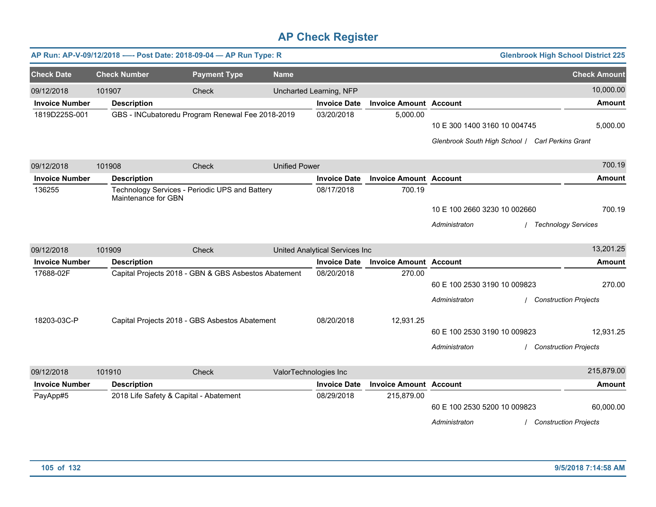|                       |                     | AP Run: AP-V-09/12/2018 ---- Post Date: 2018-09-04 - AP Run Type: R |                       |                                |                               |                                                                                  | <b>Glenbrook High School District 225</b> |
|-----------------------|---------------------|---------------------------------------------------------------------|-----------------------|--------------------------------|-------------------------------|----------------------------------------------------------------------------------|-------------------------------------------|
| <b>Check Date</b>     | <b>Check Number</b> | <b>Payment Type</b>                                                 | <b>Name</b>           |                                |                               |                                                                                  | <b>Check Amount</b>                       |
| 09/12/2018            | 101907              | Check                                                               |                       | Uncharted Learning, NFP        |                               |                                                                                  | 10,000.00                                 |
| <b>Invoice Number</b> | <b>Description</b>  |                                                                     |                       | <b>Invoice Date</b>            | <b>Invoice Amount Account</b> |                                                                                  | <b>Amount</b>                             |
| 1819D225S-001         |                     | GBS - INCubatoredu Program Renewal Fee 2018-2019                    |                       | 03/20/2018                     | 5,000.00                      | 10 E 300 1400 3160 10 004745<br>Glenbrook South High School / Carl Perkins Grant | 5,000.00                                  |
| 09/12/2018            | 101908              | Check                                                               | <b>Unified Power</b>  |                                |                               |                                                                                  | 700.19                                    |
| <b>Invoice Number</b> | <b>Description</b>  |                                                                     |                       | <b>Invoice Date</b>            | <b>Invoice Amount Account</b> |                                                                                  | <b>Amount</b>                             |
| 136255                | Maintenance for GBN | Technology Services - Periodic UPS and Battery                      |                       | 08/17/2018                     | 700.19                        | 10 E 100 2660 3230 10 002660<br>Administraton                                    | 700.19<br><b>Technology Services</b>      |
| 09/12/2018            | 101909              | Check                                                               |                       | United Analytical Services Inc |                               |                                                                                  | 13,201.25                                 |
| <b>Invoice Number</b> | <b>Description</b>  |                                                                     |                       | <b>Invoice Date</b>            | <b>Invoice Amount Account</b> |                                                                                  | Amount                                    |
| 17688-02F             |                     | Capital Projects 2018 - GBN & GBS Asbestos Abatement                |                       | 08/20/2018                     | 270.00                        | 60 E 100 2530 3190 10 009823<br>Administraton                                    | 270.00<br><b>Construction Projects</b>    |
| 18203-03C-P           |                     | Capital Projects 2018 - GBS Asbestos Abatement                      |                       | 08/20/2018                     | 12,931.25                     | 60 E 100 2530 3190 10 009823<br>Administraton                                    | 12,931.25<br>/ Construction Projects      |
| 09/12/2018            | 101910              | Check                                                               | ValorTechnologies Inc |                                |                               |                                                                                  | 215,879.00                                |
| <b>Invoice Number</b> | <b>Description</b>  |                                                                     |                       | <b>Invoice Date</b>            | <b>Invoice Amount Account</b> |                                                                                  | <b>Amount</b>                             |
| PayApp#5              |                     | 2018 Life Safety & Capital - Abatement                              |                       | 08/29/2018                     | 215,879.00                    | 60 E 100 2530 5200 10 009823<br>Administraton                                    | 60,000.00<br><b>Construction Projects</b> |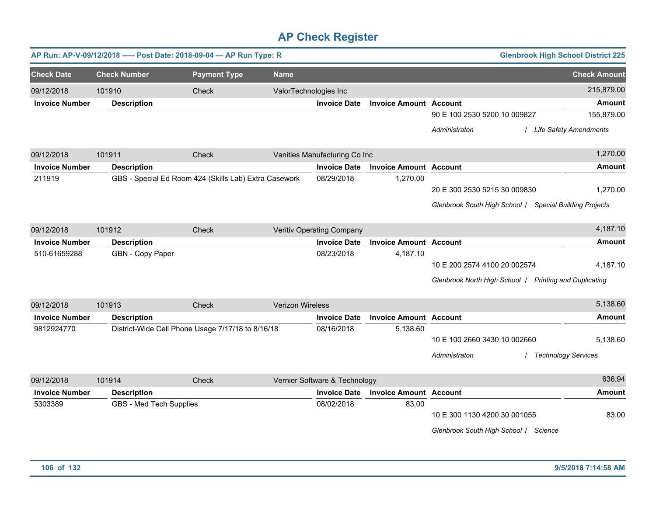| AP Run: AP-V-09/12/2018 ---- Post Date: 2018-09-04 - AP Run Type: R<br><b>Glenbrook High School District 225</b> |        |                         |                                                       |                         |                               |                               |                                                         |                          |
|------------------------------------------------------------------------------------------------------------------|--------|-------------------------|-------------------------------------------------------|-------------------------|-------------------------------|-------------------------------|---------------------------------------------------------|--------------------------|
| <b>Check Date</b>                                                                                                |        | <b>Check Number</b>     | <b>Payment Type</b>                                   | <b>Name</b>             |                               |                               |                                                         | <b>Check Amount</b>      |
| 09/12/2018                                                                                                       | 101910 |                         | Check                                                 | ValorTechnologies Inc   |                               |                               |                                                         | 215,879.00               |
| <b>Invoice Number</b>                                                                                            |        | <b>Description</b>      |                                                       |                         | <b>Invoice Date</b>           | <b>Invoice Amount Account</b> |                                                         | <b>Amount</b>            |
|                                                                                                                  |        |                         |                                                       |                         |                               |                               | 90 E 100 2530 5200 10 009827                            | 155,879.00               |
|                                                                                                                  |        |                         |                                                       |                         |                               |                               | Administraton                                           | / Life Safety Amendments |
| 09/12/2018                                                                                                       | 101911 |                         | Check                                                 |                         | Vanities Manufacturing Co Inc |                               |                                                         | 1,270.00                 |
| <b>Invoice Number</b>                                                                                            |        | <b>Description</b>      |                                                       |                         | <b>Invoice Date</b>           | <b>Invoice Amount Account</b> |                                                         | <b>Amount</b>            |
| 211919                                                                                                           |        |                         | GBS - Special Ed Room 424 (Skills Lab) Extra Casework |                         | 08/29/2018                    | 1,270.00                      |                                                         |                          |
|                                                                                                                  |        |                         |                                                       |                         |                               |                               | 20 E 300 2530 5215 30 009830                            | 1,270.00                 |
|                                                                                                                  |        |                         |                                                       |                         |                               |                               | Glenbrook South High School / Special Building Projects |                          |
| 09/12/2018                                                                                                       | 101912 |                         | Check                                                 |                         | Veritiv Operating Company     |                               |                                                         | 4,187.10                 |
| <b>Invoice Number</b>                                                                                            |        | <b>Description</b>      |                                                       |                         | <b>Invoice Date</b>           | <b>Invoice Amount Account</b> |                                                         | <b>Amount</b>            |
| 510-61659288                                                                                                     |        | GBN - Copy Paper        |                                                       |                         | 08/23/2018                    | 4,187.10                      |                                                         |                          |
|                                                                                                                  |        |                         |                                                       |                         |                               |                               | 10 E 200 2574 4100 20 002574                            | 4,187.10                 |
|                                                                                                                  |        |                         |                                                       |                         |                               |                               | Glenbrook North High School / Printing and Duplicating  |                          |
| 09/12/2018                                                                                                       | 101913 |                         | Check                                                 | <b>Verizon Wireless</b> |                               |                               |                                                         | 5,138.60                 |
| <b>Invoice Number</b>                                                                                            |        | <b>Description</b>      |                                                       |                         | <b>Invoice Date</b>           | <b>Invoice Amount Account</b> |                                                         | <b>Amount</b>            |
| 9812924770                                                                                                       |        |                         | District-Wide Cell Phone Usage 7/17/18 to 8/16/18     |                         | 08/16/2018                    | 5,138.60                      |                                                         |                          |
|                                                                                                                  |        |                         |                                                       |                         |                               |                               | 10 E 100 2660 3430 10 002660                            | 5,138.60                 |
|                                                                                                                  |        |                         |                                                       |                         |                               |                               | Administraton                                           | / Technology Services    |
| 09/12/2018                                                                                                       | 101914 |                         | Check                                                 |                         | Vernier Software & Technology |                               |                                                         | 636.94                   |
| <b>Invoice Number</b>                                                                                            |        | <b>Description</b>      |                                                       |                         | <b>Invoice Date</b>           | <b>Invoice Amount Account</b> |                                                         | <b>Amount</b>            |
| 5303389                                                                                                          |        | GBS - Med Tech Supplies |                                                       |                         | 08/02/2018                    | 83.00                         |                                                         |                          |
|                                                                                                                  |        |                         |                                                       |                         |                               |                               | 10 E 300 1130 4200 30 001055                            | 83.00                    |
|                                                                                                                  |        |                         |                                                       |                         |                               |                               | Glenbrook South High School / Science                   |                          |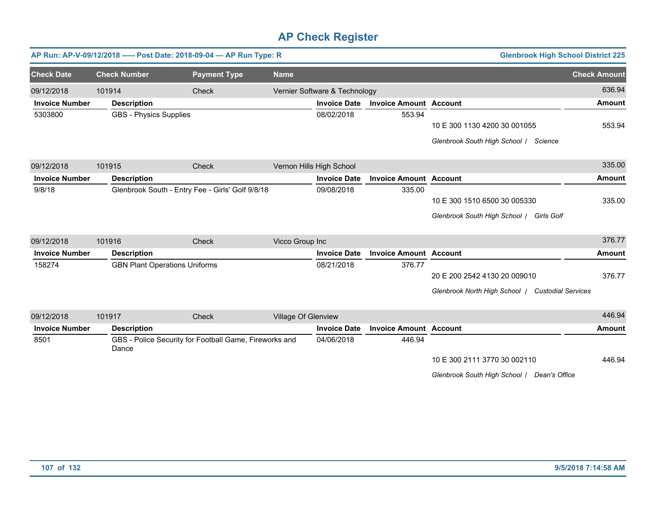|                       |                     |                                      | AP Run: AP-V-09/12/2018 ---- Post Date: 2018-09-04 - AP Run Type: R |                     |                               |                               | <b>Glenbrook High School District 225</b>        |                     |
|-----------------------|---------------------|--------------------------------------|---------------------------------------------------------------------|---------------------|-------------------------------|-------------------------------|--------------------------------------------------|---------------------|
| <b>Check Date</b>     | <b>Check Number</b> |                                      | <b>Payment Type</b>                                                 | <b>Name</b>         |                               |                               |                                                  | <b>Check Amount</b> |
| 09/12/2018            | 101914              |                                      | Check                                                               |                     | Vernier Software & Technology |                               |                                                  | 636.94              |
| <b>Invoice Number</b> | <b>Description</b>  |                                      |                                                                     |                     | <b>Invoice Date</b>           | <b>Invoice Amount Account</b> |                                                  | <b>Amount</b>       |
| 5303800               |                     | <b>GBS - Physics Supplies</b>        |                                                                     |                     | 08/02/2018                    | 553.94                        |                                                  |                     |
|                       |                     |                                      |                                                                     |                     |                               |                               | 10 E 300 1130 4200 30 001055                     | 553.94              |
|                       |                     |                                      |                                                                     |                     |                               |                               | Glenbrook South High School / Science            |                     |
| 09/12/2018            | 101915              |                                      | Check                                                               |                     | Vernon Hills High School      |                               |                                                  | 335.00              |
| <b>Invoice Number</b> | <b>Description</b>  |                                      |                                                                     |                     | <b>Invoice Date</b>           | <b>Invoice Amount Account</b> |                                                  | <b>Amount</b>       |
| 9/8/18                |                     |                                      | Glenbrook South - Entry Fee - Girls' Golf 9/8/18                    |                     | 09/08/2018                    | 335.00                        |                                                  |                     |
|                       |                     |                                      |                                                                     |                     |                               |                               | 10 E 300 1510 6500 30 005330                     | 335.00              |
|                       |                     |                                      |                                                                     |                     |                               |                               | Glenbrook South High School / Girls Golf         |                     |
| 09/12/2018            | 101916              |                                      | Check                                                               | Vicco Group Inc     |                               |                               |                                                  | 376.77              |
| <b>Invoice Number</b> | <b>Description</b>  |                                      |                                                                     |                     | <b>Invoice Date</b>           | <b>Invoice Amount Account</b> |                                                  | <b>Amount</b>       |
| 158274                |                     | <b>GBN Plant Operations Uniforms</b> |                                                                     |                     | 08/21/2018                    | 376.77                        |                                                  |                     |
|                       |                     |                                      |                                                                     |                     |                               |                               | 20 E 200 2542 4130 20 009010                     | 376.77              |
|                       |                     |                                      |                                                                     |                     |                               |                               | Glenbrook North High School   Custodial Services |                     |
| 09/12/2018            | 101917              |                                      | Check                                                               | Village Of Glenview |                               |                               |                                                  | 446.94              |
| <b>Invoice Number</b> | <b>Description</b>  |                                      |                                                                     |                     | <b>Invoice Date</b>           | <b>Invoice Amount Account</b> |                                                  | <b>Amount</b>       |
| 8501                  | Dance               |                                      | GBS - Police Security for Football Game, Fireworks and              |                     | 04/06/2018                    | 446.94                        |                                                  |                     |
|                       |                     |                                      |                                                                     |                     |                               |                               | 10 E 300 2111 3770 30 002110                     | 446.94              |
|                       |                     |                                      |                                                                     |                     |                               |                               | Glenbrook South High School / Dean's Office      |                     |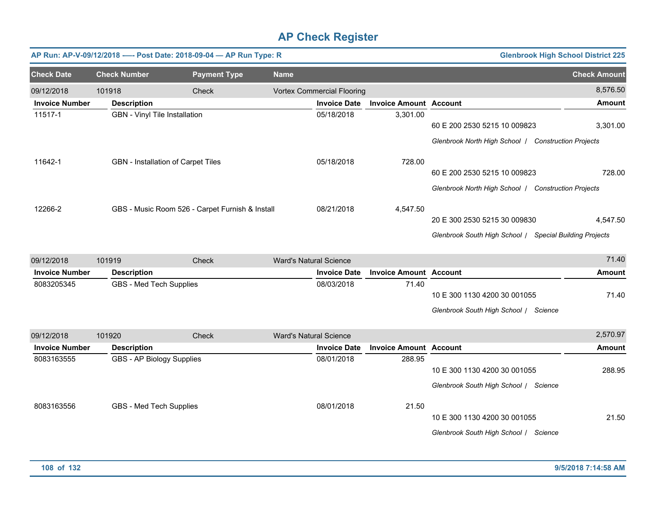|                       |                           | AP Run: AP-V-09/12/2018 ---- Post Date: 2018-09-04 - AP Run Type: R |                               |                                   |                               |                                                         | <b>Glenbrook High School District 225</b> |
|-----------------------|---------------------------|---------------------------------------------------------------------|-------------------------------|-----------------------------------|-------------------------------|---------------------------------------------------------|-------------------------------------------|
| <b>Check Date</b>     | <b>Check Number</b>       | <b>Payment Type</b>                                                 | <b>Name</b>                   |                                   |                               |                                                         | <b>Check Amount</b>                       |
| 09/12/2018            | 101918                    | Check                                                               |                               | <b>Vortex Commercial Flooring</b> |                               |                                                         | 8,576.50                                  |
| <b>Invoice Number</b> | <b>Description</b>        |                                                                     |                               | <b>Invoice Date</b>               | <b>Invoice Amount Account</b> |                                                         | <b>Amount</b>                             |
| 11517-1               |                           | <b>GBN</b> - Vinyl Tile Installation                                |                               | 05/18/2018                        | 3,301.00                      | 60 E 200 2530 5215 10 009823                            | 3,301.00                                  |
|                       |                           |                                                                     |                               |                                   |                               | Glenbrook North High School / Construction Projects     |                                           |
| 11642-1               |                           | GBN - Installation of Carpet Tiles                                  |                               | 05/18/2018                        | 728.00                        |                                                         |                                           |
|                       |                           |                                                                     |                               |                                   |                               | 60 E 200 2530 5215 10 009823                            | 728.00                                    |
|                       |                           |                                                                     |                               |                                   |                               | Glenbrook North High School / Construction Projects     |                                           |
| 12266-2               |                           | GBS - Music Room 526 - Carpet Furnish & Install                     |                               | 08/21/2018                        | 4,547.50                      |                                                         |                                           |
|                       |                           |                                                                     |                               |                                   |                               | 20 E 300 2530 5215 30 009830                            | 4,547.50                                  |
|                       |                           |                                                                     |                               |                                   |                               | Glenbrook South High School / Special Building Projects |                                           |
| 09/12/2018            | 101919                    | Check                                                               | <b>Ward's Natural Science</b> |                                   |                               |                                                         | 71.40                                     |
| <b>Invoice Number</b> | <b>Description</b>        |                                                                     |                               | <b>Invoice Date</b>               | <b>Invoice Amount Account</b> |                                                         | <b>Amount</b>                             |
| 8083205345            | GBS - Med Tech Supplies   |                                                                     |                               | 08/03/2018                        | 71.40                         |                                                         |                                           |
|                       |                           |                                                                     |                               |                                   |                               | 10 E 300 1130 4200 30 001055                            | 71.40                                     |
|                       |                           |                                                                     |                               |                                   |                               | Glenbrook South High School / Science                   |                                           |
| 09/12/2018            | 101920                    | <b>Check</b>                                                        | <b>Ward's Natural Science</b> |                                   |                               |                                                         | 2,570.97                                  |
| <b>Invoice Number</b> | <b>Description</b>        |                                                                     |                               | <b>Invoice Date</b>               | <b>Invoice Amount Account</b> |                                                         | <b>Amount</b>                             |
| 8083163555            | GBS - AP Biology Supplies |                                                                     |                               | 08/01/2018                        | 288.95                        |                                                         |                                           |
|                       |                           |                                                                     |                               |                                   |                               | 10 E 300 1130 4200 30 001055                            | 288.95                                    |
|                       |                           |                                                                     |                               |                                   |                               | Glenbrook South High School / Science                   |                                           |
| 8083163556            | GBS - Med Tech Supplies   |                                                                     |                               | 08/01/2018                        | 21.50                         |                                                         |                                           |
|                       |                           |                                                                     |                               |                                   |                               | 10 E 300 1130 4200 30 001055                            | 21.50                                     |
|                       |                           |                                                                     |                               |                                   |                               | Glenbrook South High School / Science                   |                                           |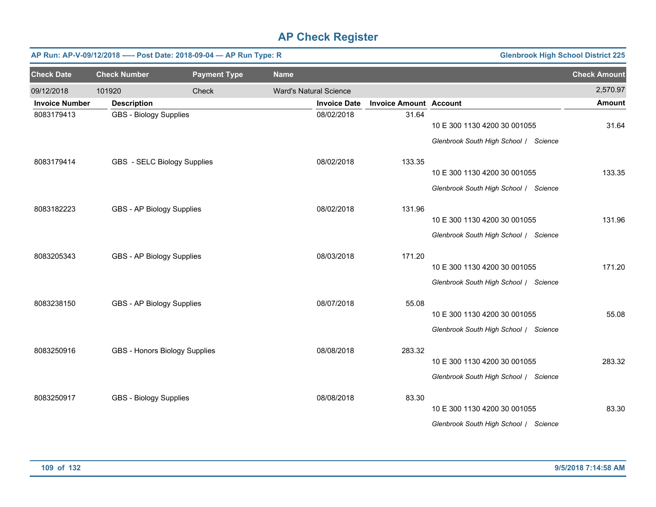|                       | <b>Glenbrook High School District 225</b><br>AP Run: AP-V-09/12/2018 ---- Post Date: 2018-09-04 - AP Run Type: R |                     |             |                               |                               |                                       |                     |  |  |  |  |
|-----------------------|------------------------------------------------------------------------------------------------------------------|---------------------|-------------|-------------------------------|-------------------------------|---------------------------------------|---------------------|--|--|--|--|
| <b>Check Date</b>     | <b>Check Number</b>                                                                                              | <b>Payment Type</b> | <b>Name</b> |                               |                               |                                       | <b>Check Amount</b> |  |  |  |  |
| 09/12/2018            | 101920                                                                                                           | Check               |             | <b>Ward's Natural Science</b> |                               |                                       | 2,570.97            |  |  |  |  |
| <b>Invoice Number</b> | <b>Description</b>                                                                                               |                     |             | <b>Invoice Date</b>           | <b>Invoice Amount Account</b> |                                       | <b>Amount</b>       |  |  |  |  |
| 8083179413            | <b>GBS - Biology Supplies</b>                                                                                    |                     |             | 08/02/2018                    | 31.64                         | 10 E 300 1130 4200 30 001055          | 31.64               |  |  |  |  |
|                       |                                                                                                                  |                     |             |                               |                               | Glenbrook South High School / Science |                     |  |  |  |  |
| 8083179414            | GBS - SELC Biology Supplies                                                                                      |                     |             | 08/02/2018                    | 133.35                        |                                       |                     |  |  |  |  |
|                       |                                                                                                                  |                     |             |                               |                               | 10 E 300 1130 4200 30 001055          | 133.35              |  |  |  |  |
|                       |                                                                                                                  |                     |             |                               |                               | Glenbrook South High School / Science |                     |  |  |  |  |
| 8083182223            | GBS - AP Biology Supplies                                                                                        |                     |             | 08/02/2018                    | 131.96                        |                                       |                     |  |  |  |  |
|                       |                                                                                                                  |                     |             |                               |                               | 10 E 300 1130 4200 30 001055          | 131.96              |  |  |  |  |
|                       |                                                                                                                  |                     |             |                               |                               | Glenbrook South High School / Science |                     |  |  |  |  |
| 8083205343            | GBS - AP Biology Supplies                                                                                        |                     |             | 08/03/2018                    | 171.20                        |                                       |                     |  |  |  |  |
|                       |                                                                                                                  |                     |             |                               |                               | 10 E 300 1130 4200 30 001055          | 171.20              |  |  |  |  |
|                       |                                                                                                                  |                     |             |                               |                               | Glenbrook South High School / Science |                     |  |  |  |  |
| 8083238150            | GBS - AP Biology Supplies                                                                                        |                     |             | 08/07/2018                    | 55.08                         |                                       |                     |  |  |  |  |
|                       |                                                                                                                  |                     |             |                               |                               | 10 E 300 1130 4200 30 001055          | 55.08               |  |  |  |  |
|                       |                                                                                                                  |                     |             |                               |                               | Glenbrook South High School / Science |                     |  |  |  |  |
| 8083250916            | GBS - Honors Biology Supplies                                                                                    |                     |             | 08/08/2018                    | 283.32                        |                                       |                     |  |  |  |  |
|                       |                                                                                                                  |                     |             |                               |                               | 10 E 300 1130 4200 30 001055          | 283.32              |  |  |  |  |
|                       |                                                                                                                  |                     |             |                               |                               | Glenbrook South High School / Science |                     |  |  |  |  |
| 8083250917            | <b>GBS - Biology Supplies</b>                                                                                    |                     |             | 08/08/2018                    | 83.30                         |                                       |                     |  |  |  |  |
|                       |                                                                                                                  |                     |             |                               |                               | 10 E 300 1130 4200 30 001055          | 83.30               |  |  |  |  |
|                       |                                                                                                                  |                     |             |                               |                               | Glenbrook South High School / Science |                     |  |  |  |  |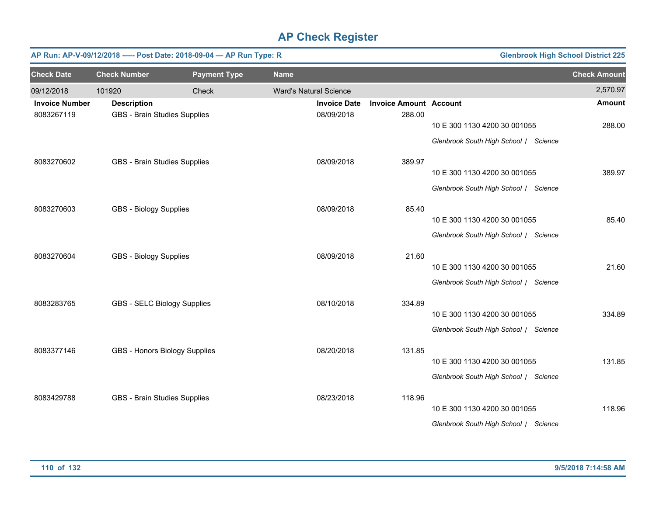|                       | <b>Glenbrook High School District 225</b><br>AP Run: AP-V-09/12/2018 ---- Post Date: 2018-09-04 - AP Run Type: R |                     |             |                               |                               |                                       |                     |  |  |  |  |
|-----------------------|------------------------------------------------------------------------------------------------------------------|---------------------|-------------|-------------------------------|-------------------------------|---------------------------------------|---------------------|--|--|--|--|
| <b>Check Date</b>     | <b>Check Number</b>                                                                                              | <b>Payment Type</b> | <b>Name</b> |                               |                               |                                       | <b>Check Amount</b> |  |  |  |  |
| 09/12/2018            | 101920                                                                                                           | Check               |             | <b>Ward's Natural Science</b> |                               |                                       | 2,570.97            |  |  |  |  |
| <b>Invoice Number</b> | <b>Description</b>                                                                                               |                     |             | <b>Invoice Date</b>           | <b>Invoice Amount Account</b> |                                       | <b>Amount</b>       |  |  |  |  |
| 8083267119            | <b>GBS - Brain Studies Supplies</b>                                                                              |                     |             | 08/09/2018                    | 288.00                        | 10 E 300 1130 4200 30 001055          | 288.00              |  |  |  |  |
|                       |                                                                                                                  |                     |             |                               |                               | Glenbrook South High School / Science |                     |  |  |  |  |
| 8083270602            | GBS - Brain Studies Supplies                                                                                     |                     |             | 08/09/2018                    | 389.97                        |                                       |                     |  |  |  |  |
|                       |                                                                                                                  |                     |             |                               |                               | 10 E 300 1130 4200 30 001055          | 389.97              |  |  |  |  |
|                       |                                                                                                                  |                     |             |                               |                               | Glenbrook South High School / Science |                     |  |  |  |  |
| 8083270603            | <b>GBS - Biology Supplies</b>                                                                                    |                     |             | 08/09/2018                    | 85.40                         |                                       |                     |  |  |  |  |
|                       |                                                                                                                  |                     |             |                               |                               | 10 E 300 1130 4200 30 001055          | 85.40               |  |  |  |  |
|                       |                                                                                                                  |                     |             |                               |                               | Glenbrook South High School / Science |                     |  |  |  |  |
| 8083270604            | <b>GBS - Biology Supplies</b>                                                                                    |                     |             | 08/09/2018                    | 21.60                         |                                       |                     |  |  |  |  |
|                       |                                                                                                                  |                     |             |                               |                               | 10 E 300 1130 4200 30 001055          | 21.60               |  |  |  |  |
|                       |                                                                                                                  |                     |             |                               |                               | Glenbrook South High School / Science |                     |  |  |  |  |
| 8083283765            | GBS - SELC Biology Supplies                                                                                      |                     |             | 08/10/2018                    | 334.89                        |                                       |                     |  |  |  |  |
|                       |                                                                                                                  |                     |             |                               |                               | 10 E 300 1130 4200 30 001055          | 334.89              |  |  |  |  |
|                       |                                                                                                                  |                     |             |                               |                               | Glenbrook South High School / Science |                     |  |  |  |  |
| 8083377146            | GBS - Honors Biology Supplies                                                                                    |                     |             | 08/20/2018                    | 131.85                        |                                       |                     |  |  |  |  |
|                       |                                                                                                                  |                     |             |                               |                               | 10 E 300 1130 4200 30 001055          | 131.85              |  |  |  |  |
|                       |                                                                                                                  |                     |             |                               |                               | Glenbrook South High School / Science |                     |  |  |  |  |
| 8083429788            | GBS - Brain Studies Supplies                                                                                     |                     |             | 08/23/2018                    | 118.96                        |                                       |                     |  |  |  |  |
|                       |                                                                                                                  |                     |             |                               |                               | 10 E 300 1130 4200 30 001055          | 118.96              |  |  |  |  |
|                       |                                                                                                                  |                     |             |                               |                               | Glenbrook South High School / Science |                     |  |  |  |  |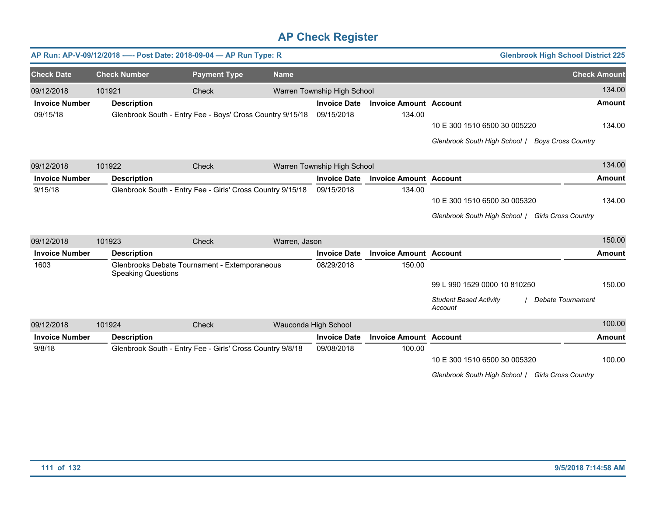|                       |                           | AP Run: AP-V-09/12/2018 ---- Post Date: 2018-09-04 - AP Run Type: R |               |                             |                               |                                                                                   | <b>Glenbrook High School District 225</b> |
|-----------------------|---------------------------|---------------------------------------------------------------------|---------------|-----------------------------|-------------------------------|-----------------------------------------------------------------------------------|-------------------------------------------|
| <b>Check Date</b>     | <b>Check Number</b>       | <b>Payment Type</b>                                                 | <b>Name</b>   |                             |                               |                                                                                   | <b>Check Amount</b>                       |
| 09/12/2018            | 101921                    | Check                                                               |               | Warren Township High School |                               |                                                                                   | 134.00                                    |
| <b>Invoice Number</b> | <b>Description</b>        |                                                                     |               | <b>Invoice Date</b>         | <b>Invoice Amount Account</b> |                                                                                   | <b>Amount</b>                             |
| 09/15/18              |                           | Glenbrook South - Entry Fee - Boys' Cross Country 9/15/18           |               | 09/15/2018                  | 134.00                        | 10 E 300 1510 6500 30 005220<br>Glenbrook South High School   Boys Cross Country  | 134.00                                    |
| 09/12/2018            | 101922                    | Check                                                               |               | Warren Township High School |                               |                                                                                   | 134.00                                    |
| <b>Invoice Number</b> | <b>Description</b>        |                                                                     |               | <b>Invoice Date</b>         | <b>Invoice Amount Account</b> |                                                                                   | Amount                                    |
| 9/15/18               |                           | Glenbrook South - Entry Fee - Girls' Cross Country 9/15/18          |               | 09/15/2018                  | 134.00                        | 10 E 300 1510 6500 30 005320<br>Glenbrook South High School / Girls Cross Country | 134.00                                    |
| 09/12/2018            | 101923                    | Check                                                               | Warren, Jason |                             |                               |                                                                                   | 150.00                                    |
| <b>Invoice Number</b> | <b>Description</b>        |                                                                     |               | <b>Invoice Date</b>         | <b>Invoice Amount Account</b> |                                                                                   | Amount                                    |
| 1603                  | <b>Speaking Questions</b> | Glenbrooks Debate Tournament - Extemporaneous                       |               | 08/29/2018                  | 150.00                        | 99 L 990 1529 0000 10 810250<br><b>Student Based Activity</b><br>Account          | 150.00<br>Debate Tournament               |
| 09/12/2018            | 101924                    | Check                                                               |               | Wauconda High School        |                               |                                                                                   | 100.00                                    |
| <b>Invoice Number</b> | <b>Description</b>        |                                                                     |               | <b>Invoice Date</b>         | <b>Invoice Amount Account</b> |                                                                                   | Amount                                    |
| 9/8/18                |                           | Glenbrook South - Entry Fee - Girls' Cross Country 9/8/18           |               | 09/08/2018                  | 100.00                        | 10 E 300 1510 6500 30 005320<br>Glenbrook South High School / Girls Cross Country | 100.00                                    |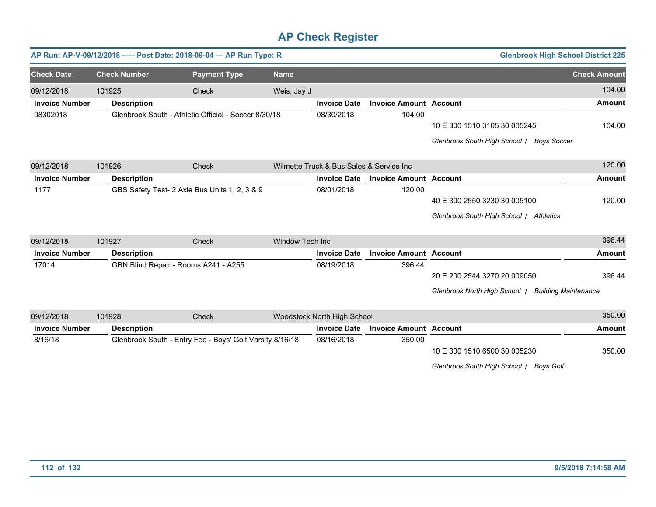|                       |        |                                               | AP Run: AP-V-09/12/2018 ---- Post Date: 2018-09-04 - AP Run Type: R |                 |                                          |                               | <b>Glenbrook High School District 225</b>                    |                     |
|-----------------------|--------|-----------------------------------------------|---------------------------------------------------------------------|-----------------|------------------------------------------|-------------------------------|--------------------------------------------------------------|---------------------|
| <b>Check Date</b>     |        | <b>Check Number</b>                           | <b>Payment Type</b>                                                 | <b>Name</b>     |                                          |                               |                                                              | <b>Check Amount</b> |
| 09/12/2018            | 101925 |                                               | <b>Check</b>                                                        | Weis, Jay J     |                                          |                               |                                                              | 104.00              |
| <b>Invoice Number</b> |        | <b>Description</b>                            |                                                                     |                 | <b>Invoice Date</b>                      | <b>Invoice Amount Account</b> |                                                              | <b>Amount</b>       |
| 08302018              |        |                                               | Glenbrook South - Athletic Official - Soccer 8/30/18                |                 | 08/30/2018                               | 104.00                        | 10 E 300 1510 3105 30 005245                                 | 104.00              |
|                       |        |                                               |                                                                     |                 |                                          |                               | Glenbrook South High School /<br><b>Boys Soccer</b>          |                     |
| 09/12/2018            | 101926 |                                               | Check                                                               |                 | Wilmette Truck & Bus Sales & Service Inc |                               |                                                              | 120.00              |
| <b>Invoice Number</b> |        | <b>Description</b>                            |                                                                     |                 | <b>Invoice Date</b>                      | <b>Invoice Amount Account</b> |                                                              | <b>Amount</b>       |
| 1177                  |        | GBS Safety Test- 2 Axle Bus Units 1, 2, 3 & 9 |                                                                     |                 | 08/01/2018                               | 120.00                        |                                                              |                     |
|                       |        |                                               |                                                                     |                 |                                          |                               | 40 E 300 2550 3230 30 005100                                 | 120.00              |
|                       |        |                                               |                                                                     |                 |                                          |                               | Glenbrook South High School / Athletics                      |                     |
| 09/12/2018            | 101927 |                                               | Check                                                               | Window Tech Inc |                                          |                               |                                                              | 396.44              |
| <b>Invoice Number</b> |        | <b>Description</b>                            |                                                                     |                 | <b>Invoice Date</b>                      | <b>Invoice Amount Account</b> |                                                              | <b>Amount</b>       |
| 17014                 |        | GBN Blind Repair - Rooms A241 - A255          |                                                                     |                 | 08/19/2018                               | 396.44                        |                                                              |                     |
|                       |        |                                               |                                                                     |                 |                                          |                               | 20 E 200 2544 3270 20 009050                                 | 396.44              |
|                       |        |                                               |                                                                     |                 |                                          |                               | Glenbrook North High School  <br><b>Building Maintenance</b> |                     |
| 09/12/2018            | 101928 |                                               | Check                                                               |                 | Woodstock North High School              |                               |                                                              | 350.00              |
| <b>Invoice Number</b> |        | <b>Description</b>                            |                                                                     |                 | <b>Invoice Date</b>                      | <b>Invoice Amount Account</b> |                                                              | <b>Amount</b>       |
| 8/16/18               |        |                                               | Glenbrook South - Entry Fee - Boys' Golf Varsity 8/16/18            |                 | 08/16/2018                               | 350.00                        |                                                              |                     |
|                       |        |                                               |                                                                     |                 |                                          |                               | 10 E 300 1510 6500 30 005230                                 | 350.00              |

*Glenbrook South High School* / *Boys Golf*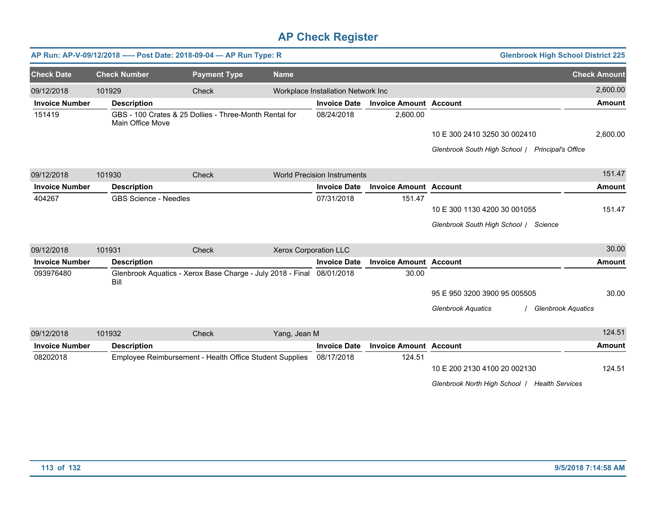|                       |                              | AP Run: AP-V-09/12/2018 ---- Post Date: 2018-09-04 - AP Run Type: R   |                              |                                    |                               | <b>Glenbrook High School District 225</b>                                     |                     |
|-----------------------|------------------------------|-----------------------------------------------------------------------|------------------------------|------------------------------------|-------------------------------|-------------------------------------------------------------------------------|---------------------|
| <b>Check Date</b>     | <b>Check Number</b>          | <b>Payment Type</b>                                                   | <b>Name</b>                  |                                    |                               |                                                                               | <b>Check Amount</b> |
| 09/12/2018            | 101929                       | Check                                                                 |                              | Workplace Installation Network Inc |                               |                                                                               | 2,600.00            |
| <b>Invoice Number</b> | <b>Description</b>           |                                                                       |                              | <b>Invoice Date</b>                | <b>Invoice Amount Account</b> |                                                                               | <b>Amount</b>       |
| 151419                | Main Office Move             | GBS - 100 Crates & 25 Dollies - Three-Month Rental for                |                              | 08/24/2018                         | 2,600.00                      |                                                                               |                     |
|                       |                              |                                                                       |                              |                                    |                               | 10 E 300 2410 3250 30 002410                                                  | 2,600.00            |
|                       |                              |                                                                       |                              |                                    |                               | Glenbrook South High School / Principal's Office                              |                     |
| 09/12/2018            | 101930                       | Check                                                                 |                              | <b>World Precision Instruments</b> |                               |                                                                               | 151.47              |
| <b>Invoice Number</b> | <b>Description</b>           |                                                                       |                              | <b>Invoice Date</b>                | <b>Invoice Amount Account</b> |                                                                               | <b>Amount</b>       |
| 404267                | <b>GBS Science - Needles</b> |                                                                       |                              | 07/31/2018                         | 151.47                        |                                                                               |                     |
|                       |                              |                                                                       |                              |                                    |                               | 10 E 300 1130 4200 30 001055                                                  | 151.47              |
|                       |                              |                                                                       |                              |                                    |                               | Glenbrook South High School / Science                                         |                     |
| 09/12/2018            | 101931                       | Check                                                                 | <b>Xerox Corporation LLC</b> |                                    |                               |                                                                               | 30.00               |
| <b>Invoice Number</b> | <b>Description</b>           |                                                                       |                              | <b>Invoice Date</b>                | <b>Invoice Amount Account</b> |                                                                               | <b>Amount</b>       |
| 093976480             | Bill                         | Glenbrook Aquatics - Xerox Base Charge - July 2018 - Final 08/01/2018 |                              |                                    | 30.00                         |                                                                               |                     |
|                       |                              |                                                                       |                              |                                    |                               | 95 E 950 3200 3900 95 005505                                                  | 30.00               |
|                       |                              |                                                                       |                              |                                    |                               | <b>Glenbrook Aquatics</b><br><b>Glenbrook Aquatics</b>                        |                     |
| 09/12/2018            | 101932                       | Check                                                                 | Yang, Jean M                 |                                    |                               |                                                                               | 124.51              |
| <b>Invoice Number</b> | <b>Description</b>           |                                                                       |                              | <b>Invoice Date</b>                | <b>Invoice Amount Account</b> |                                                                               | <b>Amount</b>       |
| 08202018              |                              | Employee Reimbursement - Health Office Student Supplies               |                              | 08/17/2018                         | 124.51                        | 10 E 200 2130 4100 20 002130<br>Glenbrook North High School / Health Services | 124.51              |
|                       |                              |                                                                       |                              |                                    |                               |                                                                               |                     |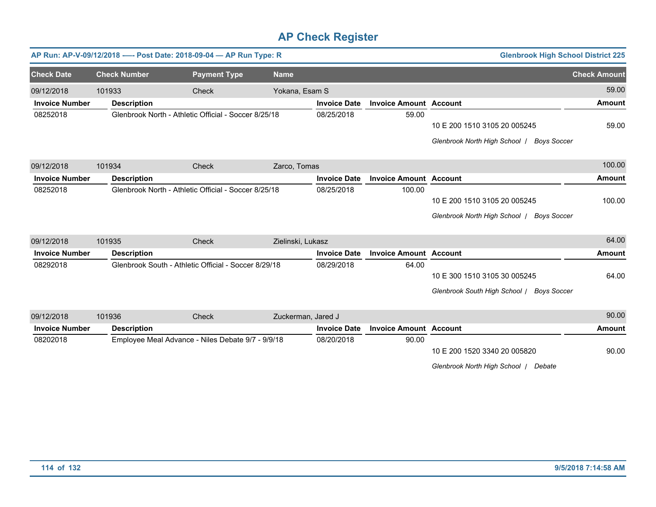|                       |                     | AP Run: AP-V-09/12/2018 ---- Post Date: 2018-09-04 - AP Run Type: R |                    |                     |                               | <b>Glenbrook High School District 225</b>           |                     |
|-----------------------|---------------------|---------------------------------------------------------------------|--------------------|---------------------|-------------------------------|-----------------------------------------------------|---------------------|
| <b>Check Date</b>     | <b>Check Number</b> | <b>Payment Type</b>                                                 | <b>Name</b>        |                     |                               |                                                     | <b>Check Amount</b> |
| 09/12/2018            | 101933              | Check                                                               | Yokana, Esam S     |                     |                               |                                                     | 59.00               |
| <b>Invoice Number</b> | <b>Description</b>  |                                                                     |                    | <b>Invoice Date</b> | <b>Invoice Amount Account</b> |                                                     | <b>Amount</b>       |
| 08252018              |                     | Glenbrook North - Athletic Official - Soccer 8/25/18                |                    | 08/25/2018          | 59.00                         |                                                     |                     |
|                       |                     |                                                                     |                    |                     |                               | 10 E 200 1510 3105 20 005245                        | 59.00               |
|                       |                     |                                                                     |                    |                     |                               | Glenbrook North High School /<br><b>Boys Soccer</b> |                     |
| 09/12/2018            | 101934              | <b>Check</b>                                                        | Zarco, Tomas       |                     |                               |                                                     | 100.00              |
| <b>Invoice Number</b> | <b>Description</b>  |                                                                     |                    | <b>Invoice Date</b> | <b>Invoice Amount Account</b> |                                                     | <b>Amount</b>       |
| 08252018              |                     | Glenbrook North - Athletic Official - Soccer 8/25/18                |                    | 08/25/2018          | 100.00                        |                                                     |                     |
|                       |                     |                                                                     |                    |                     |                               | 10 E 200 1510 3105 20 005245                        | 100.00              |
|                       |                     |                                                                     |                    |                     |                               | Glenbrook North High School  <br>Boys Soccer        |                     |
| 09/12/2018            | 101935              | Check                                                               | Zielinski, Lukasz  |                     |                               |                                                     | 64.00               |
| <b>Invoice Number</b> | <b>Description</b>  |                                                                     |                    | <b>Invoice Date</b> | <b>Invoice Amount Account</b> |                                                     | <b>Amount</b>       |
| 08292018              |                     | Glenbrook South - Athletic Official - Soccer 8/29/18                |                    | 08/29/2018          | 64.00                         |                                                     |                     |
|                       |                     |                                                                     |                    |                     |                               | 10 E 300 1510 3105 30 005245                        | 64.00               |
|                       |                     |                                                                     |                    |                     |                               | Glenbrook South High School / Boys Soccer           |                     |
| 09/12/2018            | 101936              | Check                                                               | Zuckerman, Jared J |                     |                               |                                                     | 90.00               |
| <b>Invoice Number</b> | <b>Description</b>  |                                                                     |                    | <b>Invoice Date</b> | <b>Invoice Amount Account</b> |                                                     | <b>Amount</b>       |
| 08202018              |                     | Employee Meal Advance - Niles Debate 9/7 - 9/9/18                   |                    | 08/20/2018          | 90.00                         |                                                     |                     |
|                       |                     |                                                                     |                    |                     |                               | 10 E 200 1520 3340 20 005820                        | 90.00               |

10 E 200 1520 3340 20 005820

*Glenbrook North High School* / *Debate*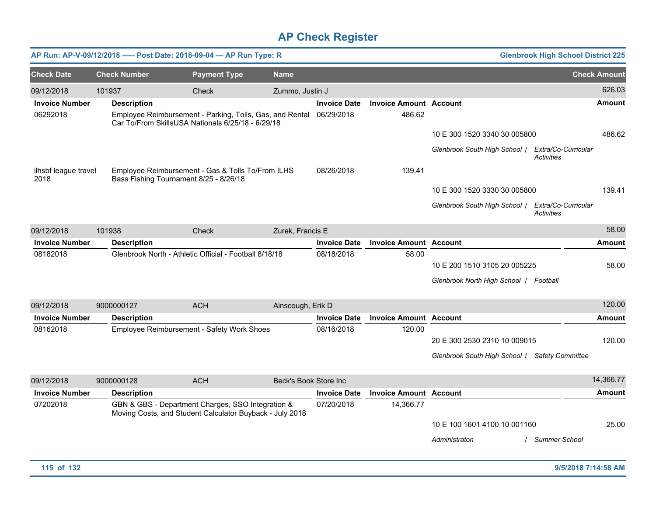|                              |                     | AP Run: AP-V-09/12/2018 -—-            Post Date: 2018-09-04 — AP Run Type: R                                            |                       |                     |                               |                                                   | <b>Glenbrook High School District 225</b> |
|------------------------------|---------------------|--------------------------------------------------------------------------------------------------------------------------|-----------------------|---------------------|-------------------------------|---------------------------------------------------|-------------------------------------------|
| <b>Check Date</b>            | <b>Check Number</b> | <b>Payment Type</b>                                                                                                      | <b>Name</b>           |                     |                               |                                                   | <b>Check Amount</b>                       |
| 09/12/2018                   | 101937              | Check                                                                                                                    | Zummo, Justin J       |                     |                               |                                                   | 626.03                                    |
| <b>Invoice Number</b>        | <b>Description</b>  |                                                                                                                          |                       | <b>Invoice Date</b> | <b>Invoice Amount Account</b> |                                                   | <b>Amount</b>                             |
| 06292018                     |                     | Employee Reimbursement - Parking, Tolls, Gas, and Rental 06/29/2018<br>Car To/From SkillsUSA Nationals 6/25/18 - 6/29/18 |                       |                     | 486.62                        |                                                   |                                           |
|                              |                     |                                                                                                                          |                       |                     |                               | 10 E 300 1520 3340 30 005800                      | 486.62                                    |
|                              |                     |                                                                                                                          |                       |                     |                               | Glenbrook South High School / Extra/Co-Curricular | <b>Activities</b>                         |
| ilhsbf league travel<br>2018 |                     | Employee Reimbursement - Gas & Tolls To/From ILHS<br>Bass Fishing Tournament 8/25 - 8/26/18                              |                       | 08/26/2018          | 139.41                        |                                                   |                                           |
|                              |                     |                                                                                                                          |                       |                     |                               | 10 E 300 1520 3330 30 005800                      | 139.41                                    |
|                              |                     |                                                                                                                          |                       |                     |                               | Glenbrook South High School   Extra/Co-Curricular | <b>Activities</b>                         |
| 09/12/2018                   | 101938              | Check                                                                                                                    | Zurek, Francis E      |                     |                               |                                                   | 58.00                                     |
| <b>Invoice Number</b>        | <b>Description</b>  |                                                                                                                          |                       | <b>Invoice Date</b> | <b>Invoice Amount Account</b> |                                                   | <b>Amount</b>                             |
| 08182018                     |                     | Glenbrook North - Athletic Official - Football 8/18/18                                                                   |                       | 08/18/2018          | 58.00                         |                                                   |                                           |
|                              |                     |                                                                                                                          |                       |                     |                               | 10 E 200 1510 3105 20 005225                      | 58.00                                     |
|                              |                     |                                                                                                                          |                       |                     |                               | Glenbrook North High School   Football            |                                           |
| 09/12/2018                   | 9000000127          | <b>ACH</b>                                                                                                               | Ainscough, Erik D     |                     |                               |                                                   | 120.00                                    |
| <b>Invoice Number</b>        | <b>Description</b>  |                                                                                                                          |                       | <b>Invoice Date</b> | <b>Invoice Amount Account</b> |                                                   | <b>Amount</b>                             |
| 08162018                     |                     | Employee Reimbursement - Safety Work Shoes                                                                               |                       | 08/16/2018          | 120.00                        |                                                   |                                           |
|                              |                     |                                                                                                                          |                       |                     |                               | 20 E 300 2530 2310 10 009015                      | 120.00                                    |
|                              |                     |                                                                                                                          |                       |                     |                               | Glenbrook South High School / Safety Committee    |                                           |
| 09/12/2018                   | 9000000128          | <b>ACH</b>                                                                                                               | Beck's Book Store Inc |                     |                               |                                                   | 14,366.77                                 |
| <b>Invoice Number</b>        | <b>Description</b>  |                                                                                                                          |                       | <b>Invoice Date</b> | <b>Invoice Amount Account</b> |                                                   | <b>Amount</b>                             |
| 07202018                     |                     | GBN & GBS - Department Charges, SSO Integration &<br>Moving Costs, and Student Calculator Buyback - July 2018            |                       | 07/20/2018          | 14,366.77                     |                                                   |                                           |
|                              |                     |                                                                                                                          |                       |                     |                               | 10 E 100 1601 4100 10 001160                      | 25.00                                     |
|                              |                     |                                                                                                                          |                       |                     |                               | Administraton                                     | / Summer School                           |
| 115 of 132                   |                     |                                                                                                                          |                       |                     |                               |                                                   | 9/5/2018 7:14:58 AM                       |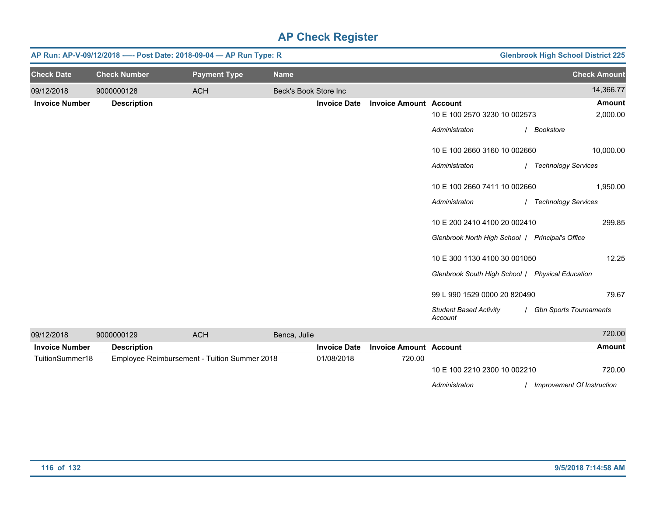|                       |                     | AP Run: AP-V-09/12/2018 ---- Post Date: 2018-09-04 - AP Run Type: R |                       |                     |                               |                                                  | <b>Glenbrook High School District 225</b> |
|-----------------------|---------------------|---------------------------------------------------------------------|-----------------------|---------------------|-------------------------------|--------------------------------------------------|-------------------------------------------|
| <b>Check Date</b>     | <b>Check Number</b> | <b>Payment Type</b>                                                 | <b>Name</b>           |                     |                               |                                                  | <b>Check Amount</b>                       |
| 09/12/2018            | 9000000128          | <b>ACH</b>                                                          | Beck's Book Store Inc |                     |                               |                                                  | 14,366.77                                 |
| <b>Invoice Number</b> | <b>Description</b>  |                                                                     |                       | <b>Invoice Date</b> | <b>Invoice Amount Account</b> |                                                  | <b>Amount</b>                             |
|                       |                     |                                                                     |                       |                     |                               | 10 E 100 2570 3230 10 002573                     | 2,000.00                                  |
|                       |                     |                                                                     |                       |                     |                               | Administraton                                    | / Bookstore                               |
|                       |                     |                                                                     |                       |                     |                               | 10 E 100 2660 3160 10 002660                     | 10,000.00                                 |
|                       |                     |                                                                     |                       |                     |                               | Administraton                                    | / Technology Services                     |
|                       |                     |                                                                     |                       |                     |                               | 10 E 100 2660 7411 10 002660                     | 1,950.00                                  |
|                       |                     |                                                                     |                       |                     |                               | Administraton                                    | / Technology Services                     |
|                       |                     |                                                                     |                       |                     |                               | 10 E 200 2410 4100 20 002410                     | 299.85                                    |
|                       |                     |                                                                     |                       |                     |                               | Glenbrook North High School   Principal's Office |                                           |
|                       |                     |                                                                     |                       |                     |                               | 10 E 300 1130 4100 30 001050                     | 12.25                                     |
|                       |                     |                                                                     |                       |                     |                               | Glenbrook South High School   Physical Education |                                           |
|                       |                     |                                                                     |                       |                     |                               | 99 L 990 1529 0000 20 820490                     | 79.67                                     |
|                       |                     |                                                                     |                       |                     |                               | <b>Student Based Activity</b><br>Account         | / Gbn Sports Tournaments                  |
| 09/12/2018            | 9000000129          | <b>ACH</b>                                                          | Benca, Julie          |                     |                               |                                                  | 720.00                                    |
| <b>Invoice Number</b> | <b>Description</b>  |                                                                     |                       | <b>Invoice Date</b> | <b>Invoice Amount Account</b> |                                                  | <b>Amount</b>                             |
| TuitionSummer18       |                     | Employee Reimbursement - Tuition Summer 2018                        |                       | 01/08/2018          | 720.00                        | 10 E 100 2210 2300 10 002210                     | 720.00                                    |
|                       |                     |                                                                     |                       |                     |                               | Administraton                                    | / Improvement Of Instruction              |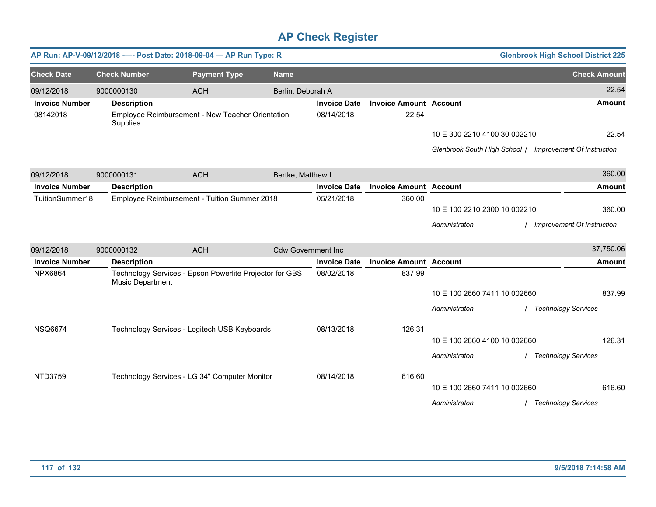|                       |                     | AP Run: AP-V-09/12/2018 ---- Post Date: 2018-09-04 - AP Run Type: R |                           |                     |                               |                                                          | <b>Glenbrook High School District 225</b> |
|-----------------------|---------------------|---------------------------------------------------------------------|---------------------------|---------------------|-------------------------------|----------------------------------------------------------|-------------------------------------------|
| <b>Check Date</b>     | <b>Check Number</b> | <b>Payment Type</b>                                                 | <b>Name</b>               |                     |                               |                                                          | <b>Check Amount</b>                       |
| 09/12/2018            | 9000000130          | <b>ACH</b>                                                          | Berlin, Deborah A         |                     |                               |                                                          | 22.54                                     |
| <b>Invoice Number</b> | <b>Description</b>  |                                                                     |                           | <b>Invoice Date</b> | <b>Invoice Amount Account</b> |                                                          | <b>Amount</b>                             |
| 08142018              | Supplies            | Employee Reimbursement - New Teacher Orientation                    |                           | 08/14/2018          | 22.54                         |                                                          |                                           |
|                       |                     |                                                                     |                           |                     |                               | 10 E 300 2210 4100 30 002210                             | 22.54                                     |
|                       |                     |                                                                     |                           |                     |                               | Glenbrook South High School / Improvement Of Instruction |                                           |
| 09/12/2018            | 9000000131          | <b>ACH</b>                                                          | Bertke, Matthew I         |                     |                               |                                                          | 360.00                                    |
| <b>Invoice Number</b> | <b>Description</b>  |                                                                     |                           | <b>Invoice Date</b> | <b>Invoice Amount Account</b> |                                                          | <b>Amount</b>                             |
| TuitionSummer18       |                     | Employee Reimbursement - Tuition Summer 2018                        |                           | 05/21/2018          | 360.00                        |                                                          |                                           |
|                       |                     |                                                                     |                           |                     |                               | 10 E 100 2210 2300 10 002210                             | 360.00                                    |
|                       |                     |                                                                     |                           |                     |                               | Administraton                                            | Improvement Of Instruction                |
| 09/12/2018            | 9000000132          | <b>ACH</b>                                                          | <b>Cdw Government Inc</b> |                     |                               |                                                          | 37,750.06                                 |
| <b>Invoice Number</b> | <b>Description</b>  |                                                                     |                           | <b>Invoice Date</b> | <b>Invoice Amount Account</b> |                                                          | <b>Amount</b>                             |
| <b>NPX6864</b>        | Music Department    | Technology Services - Epson Powerlite Projector for GBS             |                           | 08/02/2018          | 837.99                        |                                                          |                                           |
|                       |                     |                                                                     |                           |                     |                               | 10 E 100 2660 7411 10 002660                             | 837.99                                    |
|                       |                     |                                                                     |                           |                     |                               | Administraton                                            | <b>Technology Services</b>                |
| <b>NSQ6674</b>        |                     | Technology Services - Logitech USB Keyboards                        |                           | 08/13/2018          | 126.31                        |                                                          |                                           |
|                       |                     |                                                                     |                           |                     |                               | 10 E 100 2660 4100 10 002660                             | 126.31                                    |
|                       |                     |                                                                     |                           |                     |                               | Administraton                                            | / Technology Services                     |
| <b>NTD3759</b>        |                     | Technology Services - LG 34" Computer Monitor                       |                           | 08/14/2018          | 616.60                        |                                                          |                                           |
|                       |                     |                                                                     |                           |                     |                               | 10 E 100 2660 7411 10 002660                             | 616.60                                    |
|                       |                     |                                                                     |                           |                     |                               | Administraton                                            | / Technology Services                     |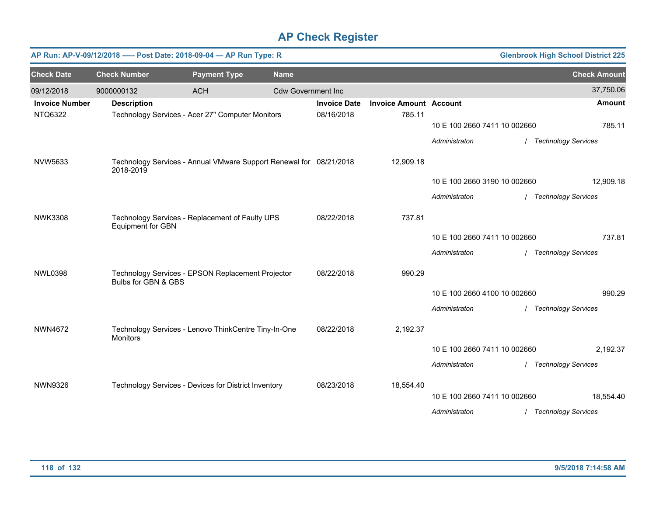|                       | AP Run: AP-V-09/12/2018 ---- Post Date: 2018-09-04 - AP Run Type: R |                                                                    |                           |                     |                               |                              | <b>Glenbrook High School District 225</b> |
|-----------------------|---------------------------------------------------------------------|--------------------------------------------------------------------|---------------------------|---------------------|-------------------------------|------------------------------|-------------------------------------------|
| <b>Check Date</b>     | <b>Check Number</b>                                                 | <b>Payment Type</b>                                                | <b>Name</b>               |                     |                               |                              | <b>Check Amount</b>                       |
| 09/12/2018            | 9000000132                                                          | <b>ACH</b>                                                         | <b>Cdw Government Inc</b> |                     |                               |                              | 37,750.06                                 |
| <b>Invoice Number</b> | <b>Description</b>                                                  |                                                                    |                           | <b>Invoice Date</b> | <b>Invoice Amount Account</b> |                              | <b>Amount</b>                             |
| NTQ6322               |                                                                     | Technology Services - Acer 27" Computer Monitors                   |                           | 08/16/2018          | 785.11                        | 10 E 100 2660 7411 10 002660 | 785.11                                    |
|                       |                                                                     |                                                                    |                           |                     |                               | Administraton                | <b>Technology Services</b>                |
| <b>NVW5633</b>        | 2018-2019                                                           | Technology Services - Annual VMware Support Renewal for 08/21/2018 |                           |                     | 12,909.18                     |                              |                                           |
|                       |                                                                     |                                                                    |                           |                     |                               | 10 E 100 2660 3190 10 002660 | 12,909.18                                 |
|                       |                                                                     |                                                                    |                           |                     |                               | Administraton                | / Technology Services                     |
| <b>NWK3308</b>        | <b>Equipment for GBN</b>                                            | Technology Services - Replacement of Faulty UPS                    |                           | 08/22/2018          | 737.81                        |                              |                                           |
|                       |                                                                     |                                                                    |                           |                     |                               | 10 E 100 2660 7411 10 002660 | 737.81                                    |
|                       |                                                                     |                                                                    |                           |                     |                               | Administraton                | / Technology Services                     |
| <b>NWL0398</b>        | Bulbs for GBN & GBS                                                 | Technology Services - EPSON Replacement Projector                  |                           | 08/22/2018          | 990.29                        |                              |                                           |
|                       |                                                                     |                                                                    |                           |                     |                               | 10 E 100 2660 4100 10 002660 | 990.29                                    |
|                       |                                                                     |                                                                    |                           |                     |                               | Administraton                | <b>Technology Services</b>                |
| <b>NWN4672</b>        | Monitors                                                            | Technology Services - Lenovo ThinkCentre Tiny-In-One               |                           | 08/22/2018          | 2,192.37                      |                              |                                           |
|                       |                                                                     |                                                                    |                           |                     |                               | 10 E 100 2660 7411 10 002660 | 2,192.37                                  |
|                       |                                                                     |                                                                    |                           |                     |                               | Administraton                | / Technology Services                     |
| <b>NWN9326</b>        |                                                                     | Technology Services - Devices for District Inventory               |                           | 08/23/2018          | 18,554.40                     |                              |                                           |
|                       |                                                                     |                                                                    |                           |                     |                               | 10 E 100 2660 7411 10 002660 | 18,554.40                                 |
|                       |                                                                     |                                                                    |                           |                     |                               | Administraton                | / Technology Services                     |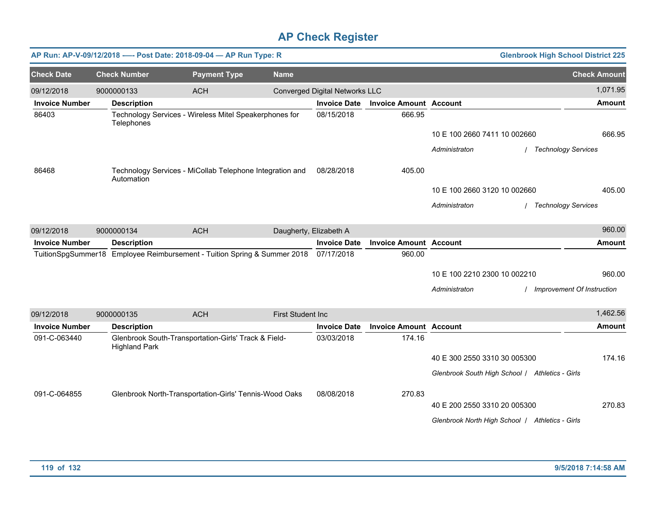|                       | AP Run: AP-V-09/12/2018 ---- Post Date: 2018-09-04 - AP Run Type: R          |                     |                          |                                |                               |                                                 | <b>Glenbrook High School District 225</b> |
|-----------------------|------------------------------------------------------------------------------|---------------------|--------------------------|--------------------------------|-------------------------------|-------------------------------------------------|-------------------------------------------|
| <b>Check Date</b>     | <b>Check Number</b>                                                          | <b>Payment Type</b> | <b>Name</b>              |                                |                               |                                                 | <b>Check Amount</b>                       |
| 09/12/2018            | 9000000133                                                                   | <b>ACH</b>          |                          | Converged Digital Networks LLC |                               |                                                 | 1,071.95                                  |
| <b>Invoice Number</b> | <b>Description</b>                                                           |                     |                          | <b>Invoice Date</b>            | <b>Invoice Amount Account</b> |                                                 | <b>Amount</b>                             |
| 86403                 | Technology Services - Wireless Mitel Speakerphones for<br>Telephones         |                     |                          | 08/15/2018                     | 666.95                        |                                                 |                                           |
|                       |                                                                              |                     |                          |                                |                               | 10 E 100 2660 7411 10 002660                    | 666.95                                    |
|                       |                                                                              |                     |                          |                                |                               | Administraton                                   | / Technology Services                     |
| 86468                 | Technology Services - MiCollab Telephone Integration and<br>Automation       |                     |                          | 08/28/2018                     | 405.00                        |                                                 |                                           |
|                       |                                                                              |                     |                          |                                |                               | 10 E 100 2660 3120 10 002660                    | 405.00                                    |
|                       |                                                                              |                     |                          |                                |                               | Administraton                                   | / Technology Services                     |
| 09/12/2018            | 9000000134                                                                   | <b>ACH</b>          | Daugherty, Elizabeth A   |                                |                               |                                                 | 960.00                                    |
| <b>Invoice Number</b> | <b>Description</b>                                                           |                     |                          | <b>Invoice Date</b>            | <b>Invoice Amount Account</b> |                                                 | <b>Amount</b>                             |
|                       | TuitionSpgSummer18 Employee Reimbursement - Tuition Spring & Summer 2018     |                     |                          | 07/17/2018                     | 960.00                        |                                                 |                                           |
|                       |                                                                              |                     |                          |                                |                               | 10 E 100 2210 2300 10 002210                    | 960.00                                    |
|                       |                                                                              |                     |                          |                                |                               | Administraton                                   | Improvement Of Instruction                |
| 09/12/2018            | 9000000135                                                                   | <b>ACH</b>          | <b>First Student Inc</b> |                                |                               |                                                 | 1,462.56                                  |
| <b>Invoice Number</b> | <b>Description</b>                                                           |                     |                          | <b>Invoice Date</b>            | <b>Invoice Amount Account</b> |                                                 | <b>Amount</b>                             |
| 091-C-063440          | Glenbrook South-Transportation-Girls' Track & Field-<br><b>Highland Park</b> |                     |                          | 03/03/2018                     | 174.16                        |                                                 |                                           |
|                       |                                                                              |                     |                          |                                |                               | 40 E 300 2550 3310 30 005300                    | 174.16                                    |
|                       |                                                                              |                     |                          |                                |                               | Glenbrook South High School / Athletics - Girls |                                           |
| 091-C-064855          | Glenbrook North-Transportation-Girls' Tennis-Wood Oaks                       |                     |                          | 08/08/2018                     | 270.83                        |                                                 |                                           |
|                       |                                                                              |                     |                          |                                |                               | 40 E 200 2550 3310 20 005300                    | 270.83                                    |
|                       |                                                                              |                     |                          |                                |                               | Glenbrook North High School   Athletics - Girls |                                           |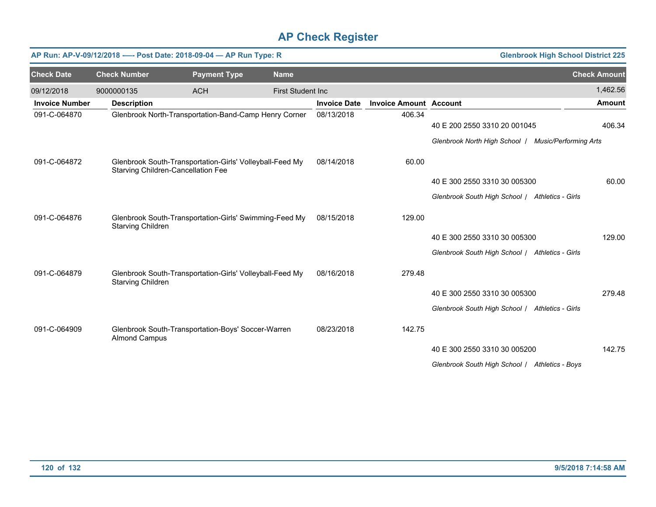|                       |                                    | AP Run: AP-V-09/12/2018 ---- Post Date: 2018-09-04 - AP Run Type: R |                          |                     |                               |                                                     | <b>Glenbrook High School District 225</b> |
|-----------------------|------------------------------------|---------------------------------------------------------------------|--------------------------|---------------------|-------------------------------|-----------------------------------------------------|-------------------------------------------|
| <b>Check Date</b>     | <b>Check Number</b>                | <b>Payment Type</b>                                                 | <b>Name</b>              |                     |                               |                                                     | <b>Check Amount</b>                       |
| 09/12/2018            | 9000000135                         | <b>ACH</b>                                                          | <b>First Student Inc</b> |                     |                               |                                                     | 1,462.56                                  |
| <b>Invoice Number</b> | <b>Description</b>                 |                                                                     |                          | <b>Invoice Date</b> | <b>Invoice Amount Account</b> |                                                     | <b>Amount</b>                             |
| 091-C-064870          |                                    | Glenbrook North-Transportation-Band-Camp Henry Corner               |                          | 08/13/2018          | 406.34                        |                                                     |                                           |
|                       |                                    |                                                                     |                          |                     |                               | 40 E 200 2550 3310 20 001045                        | 406.34                                    |
|                       |                                    |                                                                     |                          |                     |                               | Glenbrook North High School   Music/Performing Arts |                                           |
| 091-C-064872          | Starving Children-Cancellation Fee | Glenbrook South-Transportation-Girls' Volleyball-Feed My            |                          | 08/14/2018          | 60.00                         |                                                     |                                           |
|                       |                                    |                                                                     |                          |                     |                               | 40 E 300 2550 3310 30 005300                        | 60.00                                     |
|                       |                                    |                                                                     |                          |                     |                               | Glenbrook South High School / Athletics - Girls     |                                           |
| 091-C-064876          | Starving Children                  | Glenbrook South-Transportation-Girls' Swimming-Feed My              |                          | 08/15/2018          | 129.00                        |                                                     |                                           |
|                       |                                    |                                                                     |                          |                     |                               | 40 E 300 2550 3310 30 005300                        | 129.00                                    |
|                       |                                    |                                                                     |                          |                     |                               | Glenbrook South High School / Athletics - Girls     |                                           |
| 091-C-064879          | Starving Children                  | Glenbrook South-Transportation-Girls' Volleyball-Feed My            |                          | 08/16/2018          | 279.48                        |                                                     |                                           |
|                       |                                    |                                                                     |                          |                     |                               | 40 E 300 2550 3310 30 005300                        | 279.48                                    |
|                       |                                    |                                                                     |                          |                     |                               | Glenbrook South High School / Athletics - Girls     |                                           |
| 091-C-064909          | <b>Almond Campus</b>               | Glenbrook South-Transportation-Boys' Soccer-Warren                  |                          | 08/23/2018          | 142.75                        |                                                     |                                           |
|                       |                                    |                                                                     |                          |                     |                               | 40 E 300 2550 3310 30 005200                        | 142.75                                    |
|                       |                                    |                                                                     |                          |                     |                               | Glenbrook South High School / Athletics - Boys      |                                           |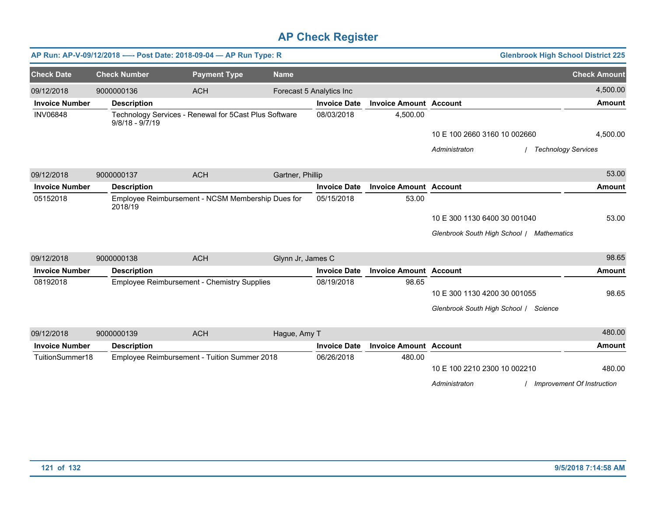|                       |                     | AP Run: AP-V-09/12/2018 ---- Post Date: 2018-09-04 - AP Run Type: R |                          |                     |                               | <b>Glenbrook High School District 225</b> |                            |
|-----------------------|---------------------|---------------------------------------------------------------------|--------------------------|---------------------|-------------------------------|-------------------------------------------|----------------------------|
| <b>Check Date</b>     | <b>Check Number</b> | <b>Payment Type</b>                                                 | <b>Name</b>              |                     |                               |                                           | <b>Check Amount</b>        |
| 09/12/2018            | 9000000136          | <b>ACH</b>                                                          | Forecast 5 Analytics Inc |                     |                               |                                           | 4,500.00                   |
| <b>Invoice Number</b> | <b>Description</b>  |                                                                     |                          | <b>Invoice Date</b> | <b>Invoice Amount Account</b> |                                           | Amount                     |
| <b>INV06848</b>       | $9/8/18 - 9/7/19$   | Technology Services - Renewal for 5Cast Plus Software               |                          | 08/03/2018          | 4,500.00                      |                                           |                            |
|                       |                     |                                                                     |                          |                     |                               | 10 E 100 2660 3160 10 002660              | 4,500.00                   |
|                       |                     |                                                                     |                          |                     |                               | Administraton<br>/ Technology Services    |                            |
| 09/12/2018            | 9000000137          | <b>ACH</b>                                                          | Gartner, Phillip         |                     |                               |                                           | 53.00                      |
| <b>Invoice Number</b> | <b>Description</b>  |                                                                     |                          | <b>Invoice Date</b> | <b>Invoice Amount Account</b> |                                           | <b>Amount</b>              |
| 05152018              | 2018/19             | Employee Reimbursement - NCSM Membership Dues for                   |                          | 05/15/2018          | 53.00                         |                                           |                            |
|                       |                     |                                                                     |                          |                     |                               | 10 E 300 1130 6400 30 001040              | 53.00                      |
|                       |                     |                                                                     |                          |                     |                               | Glenbrook South High School / Mathematics |                            |
| 09/12/2018            | 9000000138          | <b>ACH</b>                                                          | Glynn Jr, James C        |                     |                               |                                           | 98.65                      |
| <b>Invoice Number</b> | <b>Description</b>  |                                                                     |                          | <b>Invoice Date</b> | <b>Invoice Amount Account</b> |                                           | <b>Amount</b>              |
| 08192018              |                     | <b>Employee Reimbursement - Chemistry Supplies</b>                  |                          | 08/19/2018          | 98.65                         |                                           |                            |
|                       |                     |                                                                     |                          |                     |                               | 10 E 300 1130 4200 30 001055              | 98.65                      |
|                       |                     |                                                                     |                          |                     |                               | Glenbrook South High School / Science     |                            |
| 09/12/2018            | 9000000139          | <b>ACH</b>                                                          | Hague, Amy T             |                     |                               |                                           | 480.00                     |
| <b>Invoice Number</b> | <b>Description</b>  |                                                                     |                          | <b>Invoice Date</b> | <b>Invoice Amount Account</b> |                                           | <b>Amount</b>              |
| TuitionSummer18       |                     | Employee Reimbursement - Tuition Summer 2018                        |                          | 06/26/2018          | 480.00                        |                                           |                            |
|                       |                     |                                                                     |                          |                     |                               | 10 E 100 2210 2300 10 002210              | 480.00                     |
|                       |                     |                                                                     |                          |                     |                               | Administraton                             | Improvement Of Instruction |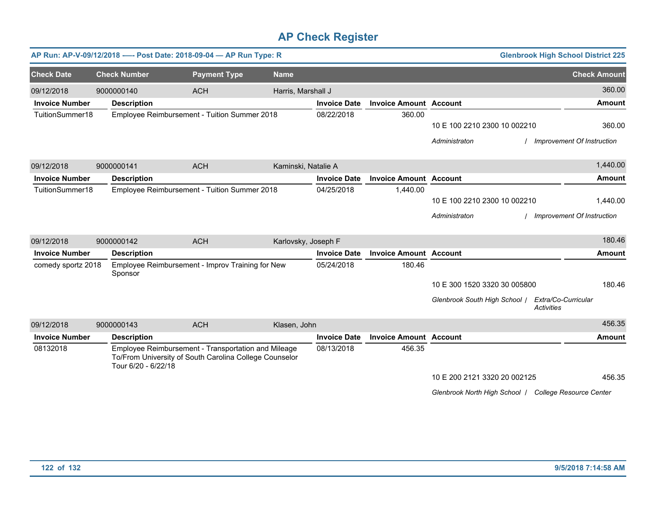|                       |                     | AP Run: AP-V-09/12/2018 ---- Post Date: 2018-09-04 - AP Run Type: R                                           |                     |                     |                               |                                                       | <b>Glenbrook High School District 225</b> |
|-----------------------|---------------------|---------------------------------------------------------------------------------------------------------------|---------------------|---------------------|-------------------------------|-------------------------------------------------------|-------------------------------------------|
| <b>Check Date</b>     | <b>Check Number</b> | <b>Payment Type</b>                                                                                           | <b>Name</b>         |                     |                               |                                                       | <b>Check Amount</b>                       |
| 09/12/2018            | 9000000140          | <b>ACH</b>                                                                                                    | Harris, Marshall J  |                     |                               |                                                       | 360.00                                    |
| <b>Invoice Number</b> | <b>Description</b>  |                                                                                                               |                     | <b>Invoice Date</b> | <b>Invoice Amount Account</b> |                                                       | <b>Amount</b>                             |
| TuitionSummer18       |                     | Employee Reimbursement - Tuition Summer 2018                                                                  |                     | 08/22/2018          | 360.00                        |                                                       |                                           |
|                       |                     |                                                                                                               |                     |                     |                               | 10 E 100 2210 2300 10 002210                          | 360.00                                    |
|                       |                     |                                                                                                               |                     |                     |                               | Administraton                                         | / Improvement Of Instruction              |
| 09/12/2018            | 9000000141          | <b>ACH</b>                                                                                                    | Kaminski, Natalie A |                     |                               |                                                       | 1,440.00                                  |
| <b>Invoice Number</b> | <b>Description</b>  |                                                                                                               |                     | <b>Invoice Date</b> | <b>Invoice Amount Account</b> |                                                       | <b>Amount</b>                             |
| TuitionSummer18       |                     | Employee Reimbursement - Tuition Summer 2018                                                                  |                     | 04/25/2018          | 1,440.00                      |                                                       |                                           |
|                       |                     |                                                                                                               |                     |                     |                               | 10 E 100 2210 2300 10 002210                          | 1,440.00                                  |
|                       |                     |                                                                                                               |                     |                     |                               | Administraton                                         | Improvement Of Instruction                |
| 09/12/2018            | 9000000142          | <b>ACH</b>                                                                                                    | Karlovsky, Joseph F |                     |                               |                                                       | 180.46                                    |
| <b>Invoice Number</b> | <b>Description</b>  |                                                                                                               |                     | <b>Invoice Date</b> | <b>Invoice Amount Account</b> |                                                       | <b>Amount</b>                             |
| comedy sportz 2018    | Sponsor             | Employee Reimbursement - Improv Training for New                                                              |                     | 05/24/2018          | 180.46                        |                                                       |                                           |
|                       |                     |                                                                                                               |                     |                     |                               | 10 E 300 1520 3320 30 005800                          | 180.46                                    |
|                       |                     |                                                                                                               |                     |                     |                               | Glenbrook South High School /                         | Extra/Co-Curricular<br><b>Activities</b>  |
| 09/12/2018            | 9000000143          | <b>ACH</b>                                                                                                    | Klasen, John        |                     |                               |                                                       | 456.35                                    |
| <b>Invoice Number</b> | <b>Description</b>  |                                                                                                               |                     | <b>Invoice Date</b> | <b>Invoice Amount Account</b> |                                                       | <b>Amount</b>                             |
| 08132018              | Tour 6/20 - 6/22/18 | Employee Reimbursement - Transportation and Mileage<br>To/From University of South Carolina College Counselor |                     | 08/13/2018          | 456.35                        |                                                       |                                           |
|                       |                     |                                                                                                               |                     |                     |                               | 10 E 200 2121 3320 20 002125                          | 456.35                                    |
|                       |                     |                                                                                                               |                     |                     |                               | Glenbrook North High School / College Resource Center |                                           |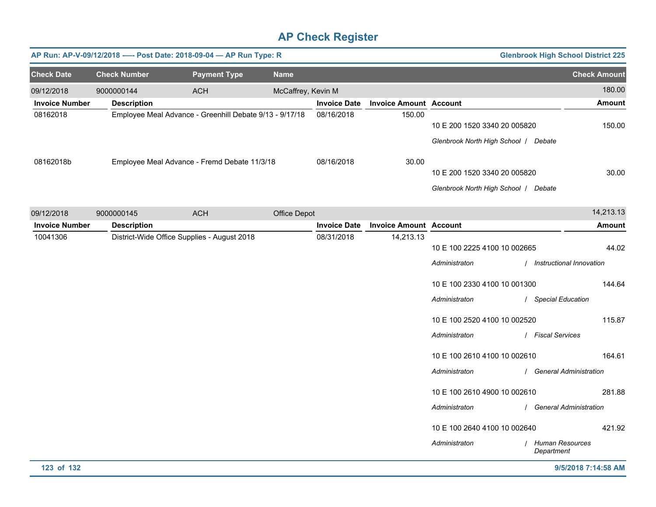|                       |                     | AP Run: AP-V-09/12/2018 ---- Post Date: 2018-09-04 - AP Run Type: R |                    |                     |                               |                                                                                                                                                                                                                                                                                                    | <b>Glenbrook High School District 225</b>                                                                                                                                                                                         |
|-----------------------|---------------------|---------------------------------------------------------------------|--------------------|---------------------|-------------------------------|----------------------------------------------------------------------------------------------------------------------------------------------------------------------------------------------------------------------------------------------------------------------------------------------------|-----------------------------------------------------------------------------------------------------------------------------------------------------------------------------------------------------------------------------------|
| <b>Check Date</b>     | <b>Check Number</b> | <b>Payment Type</b>                                                 | <b>Name</b>        |                     |                               |                                                                                                                                                                                                                                                                                                    | <b>Check Amount</b>                                                                                                                                                                                                               |
| 09/12/2018            | 9000000144          | <b>ACH</b>                                                          | McCaffrey, Kevin M |                     |                               |                                                                                                                                                                                                                                                                                                    | 180.00                                                                                                                                                                                                                            |
| <b>Invoice Number</b> | <b>Description</b>  |                                                                     |                    | <b>Invoice Date</b> | <b>Invoice Amount Account</b> |                                                                                                                                                                                                                                                                                                    | <b>Amount</b>                                                                                                                                                                                                                     |
| 08162018              |                     | Employee Meal Advance - Greenhill Debate 9/13 - 9/17/18             |                    | 08/16/2018          | 150.00                        | 10 E 200 1520 3340 20 005820<br>Glenbrook North High School / Debate                                                                                                                                                                                                                               | 150.00                                                                                                                                                                                                                            |
| 08162018b             |                     | Employee Meal Advance - Fremd Debate 11/3/18                        |                    | 08/16/2018          | 30.00                         | 10 E 200 1520 3340 20 005820<br>Glenbrook North High School   Debate                                                                                                                                                                                                                               | 30.00                                                                                                                                                                                                                             |
| 09/12/2018            | 9000000145          | <b>ACH</b>                                                          | Office Depot       |                     |                               |                                                                                                                                                                                                                                                                                                    | 14,213.13                                                                                                                                                                                                                         |
| <b>Invoice Number</b> | <b>Description</b>  |                                                                     |                    | <b>Invoice Date</b> | <b>Invoice Amount Account</b> |                                                                                                                                                                                                                                                                                                    | Amount                                                                                                                                                                                                                            |
|                       |                     | District-Wide Office Supplies - August 2018                         |                    |                     | 14,213.13                     | 10 E 100 2225 4100 10 002665<br>Administraton<br>10 E 100 2330 4100 10 001300<br>Administraton<br>10 E 100 2520 4100 10 002520<br>Administraton<br>10 E 100 2610 4100 10 002610<br>Administraton<br>10 E 100 2610 4900 10 002610<br>Administraton<br>10 E 100 2640 4100 10 002640<br>Administraton | 44.02<br>/ Instructional Innovation<br>144.64<br>/ Special Education<br>115.87<br>/ Fiscal Services<br>164.61<br>/ General Administration<br>281.88<br><b>General Administration</b><br>421.92<br>/ Human Resources<br>Department |
| 123 of 132            |                     |                                                                     |                    |                     |                               |                                                                                                                                                                                                                                                                                                    | 9/5/2018 7:14:58 AM                                                                                                                                                                                                               |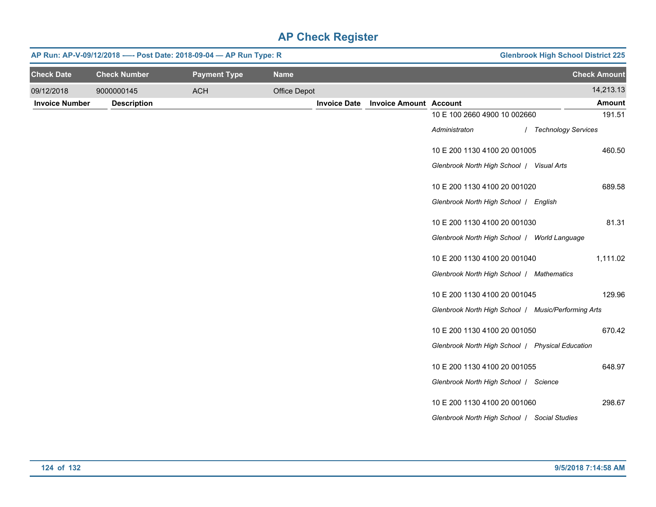|                       | AP Run: AP-V-09/12/2018 ---- Post Date: 2018-09-04 - AP Run Type: R |                     | <b>Glenbrook High School District 225</b> |                     |                               |                                                     |                       |
|-----------------------|---------------------------------------------------------------------|---------------------|-------------------------------------------|---------------------|-------------------------------|-----------------------------------------------------|-----------------------|
| <b>Check Date</b>     | <b>Check Number</b>                                                 | <b>Payment Type</b> | <b>Name</b>                               |                     |                               |                                                     | <b>Check Amount</b>   |
| 09/12/2018            | 9000000145                                                          | <b>ACH</b>          | Office Depot                              |                     |                               |                                                     | 14,213.13             |
| <b>Invoice Number</b> | <b>Description</b>                                                  |                     |                                           | <b>Invoice Date</b> | <b>Invoice Amount Account</b> |                                                     | <b>Amount</b>         |
|                       |                                                                     |                     |                                           |                     |                               | 10 E 100 2660 4900 10 002660                        | 191.51                |
|                       |                                                                     |                     |                                           |                     |                               | Administraton                                       | / Technology Services |
|                       |                                                                     |                     |                                           |                     |                               | 10 E 200 1130 4100 20 001005                        | 460.50                |
|                       |                                                                     |                     |                                           |                     |                               | Glenbrook North High School   Visual Arts           |                       |
|                       |                                                                     |                     |                                           |                     |                               | 10 E 200 1130 4100 20 001020                        | 689.58                |
|                       |                                                                     |                     |                                           |                     |                               | Glenbrook North High School   English               |                       |
|                       |                                                                     |                     |                                           |                     |                               | 10 E 200 1130 4100 20 001030                        | 81.31                 |
|                       |                                                                     |                     |                                           |                     |                               | Glenbrook North High School / World Language        |                       |
|                       |                                                                     |                     |                                           |                     |                               | 10 E 200 1130 4100 20 001040                        | 1,111.02              |
|                       |                                                                     |                     |                                           |                     |                               | Glenbrook North High School   Mathematics           |                       |
|                       |                                                                     |                     |                                           |                     |                               | 10 E 200 1130 4100 20 001045                        | 129.96                |
|                       |                                                                     |                     |                                           |                     |                               | Glenbrook North High School   Music/Performing Arts |                       |
|                       |                                                                     |                     |                                           |                     |                               | 10 E 200 1130 4100 20 001050                        | 670.42                |
|                       |                                                                     |                     |                                           |                     |                               | Glenbrook North High School   Physical Education    |                       |
|                       |                                                                     |                     |                                           |                     |                               | 10 E 200 1130 4100 20 001055                        | 648.97                |
|                       |                                                                     |                     |                                           |                     |                               | Glenbrook North High School   Science               |                       |
|                       |                                                                     |                     |                                           |                     |                               | 10 E 200 1130 4100 20 001060                        | 298.67                |
|                       |                                                                     |                     |                                           |                     |                               | Glenbrook North High School   Social Studies        |                       |
|                       |                                                                     |                     |                                           |                     |                               |                                                     |                       |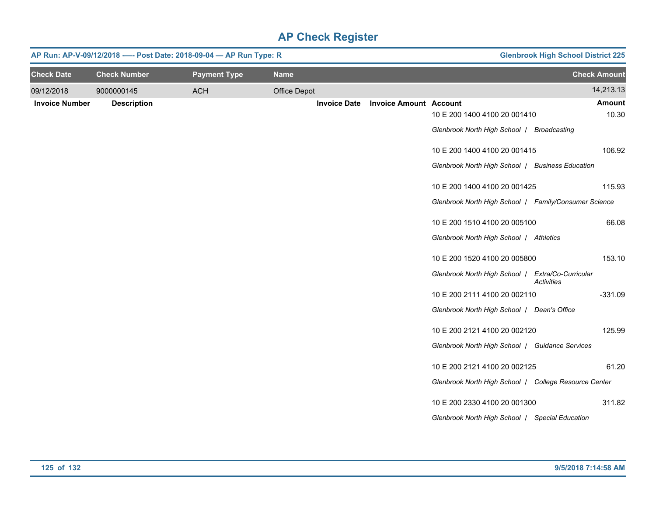|                       | AP Run: AP-V-09/12/2018 ---- Post Date: 2018-09-04 - AP Run Type: R |                     |              |                     |                               |                                                       | <b>Glenbrook High School District 225</b> |                     |
|-----------------------|---------------------------------------------------------------------|---------------------|--------------|---------------------|-------------------------------|-------------------------------------------------------|-------------------------------------------|---------------------|
| <b>Check Date</b>     | <b>Check Number</b>                                                 | <b>Payment Type</b> | <b>Name</b>  |                     |                               |                                                       |                                           | <b>Check Amount</b> |
| 09/12/2018            | 9000000145                                                          | <b>ACH</b>          | Office Depot |                     |                               |                                                       |                                           | 14,213.13           |
| <b>Invoice Number</b> | <b>Description</b>                                                  |                     |              | <b>Invoice Date</b> | <b>Invoice Amount Account</b> |                                                       |                                           | <b>Amount</b>       |
|                       |                                                                     |                     |              |                     |                               | 10 E 200 1400 4100 20 001410                          |                                           | 10.30               |
|                       |                                                                     |                     |              |                     |                               | Glenbrook North High School   Broadcasting            |                                           |                     |
|                       |                                                                     |                     |              |                     |                               | 10 E 200 1400 4100 20 001415                          |                                           | 106.92              |
|                       |                                                                     |                     |              |                     |                               | Glenbrook North High School / Business Education      |                                           |                     |
|                       |                                                                     |                     |              |                     |                               | 10 E 200 1400 4100 20 001425                          |                                           | 115.93              |
|                       |                                                                     |                     |              |                     |                               | Glenbrook North High School   Family/Consumer Science |                                           |                     |
|                       |                                                                     |                     |              |                     |                               | 10 E 200 1510 4100 20 005100                          |                                           | 66.08               |
|                       |                                                                     |                     |              |                     |                               | Glenbrook North High School   Athletics               |                                           |                     |
|                       |                                                                     |                     |              |                     |                               | 10 E 200 1520 4100 20 005800                          |                                           | 153.10              |
|                       |                                                                     |                     |              |                     |                               | Glenbrook North High School   Extra/Co-Curricular     | <b>Activities</b>                         |                     |
|                       |                                                                     |                     |              |                     |                               | 10 E 200 2111 4100 20 002110                          |                                           | $-331.09$           |
|                       |                                                                     |                     |              |                     |                               | Glenbrook North High School   Dean's Office           |                                           |                     |
|                       |                                                                     |                     |              |                     |                               | 10 E 200 2121 4100 20 002120                          |                                           | 125.99              |
|                       |                                                                     |                     |              |                     |                               | Glenbrook North High School   Guidance Services       |                                           |                     |
|                       |                                                                     |                     |              |                     |                               | 10 E 200 2121 4100 20 002125                          |                                           | 61.20               |
|                       |                                                                     |                     |              |                     |                               | Glenbrook North High School / College Resource Center |                                           |                     |
|                       |                                                                     |                     |              |                     |                               | 10 E 200 2330 4100 20 001300                          |                                           | 311.82              |
|                       |                                                                     |                     |              |                     |                               | Glenbrook North High School   Special Education       |                                           |                     |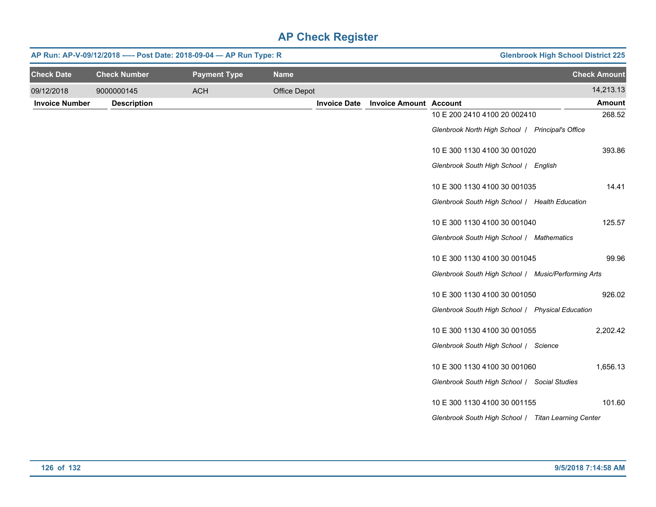| AP Run: AP-V-09/12/2018 ---- Post Date: 2018-09-04 - AP Run Type: R |                     |                     |              |                     |                               |                                                     | <b>Glenbrook High School District 225</b> |
|---------------------------------------------------------------------|---------------------|---------------------|--------------|---------------------|-------------------------------|-----------------------------------------------------|-------------------------------------------|
| <b>Check Date</b>                                                   | <b>Check Number</b> | <b>Payment Type</b> | <b>Name</b>  |                     |                               |                                                     | <b>Check Amount</b>                       |
| 09/12/2018                                                          | 9000000145          | <b>ACH</b>          | Office Depot |                     |                               |                                                     | 14,213.13                                 |
| <b>Invoice Number</b>                                               | <b>Description</b>  |                     |              | <b>Invoice Date</b> | <b>Invoice Amount Account</b> |                                                     | Amount                                    |
|                                                                     |                     |                     |              |                     |                               | 10 E 200 2410 4100 20 002410                        | 268.52                                    |
|                                                                     |                     |                     |              |                     |                               | Glenbrook North High School   Principal's Office    |                                           |
|                                                                     |                     |                     |              |                     |                               | 10 E 300 1130 4100 30 001020                        | 393.86                                    |
|                                                                     |                     |                     |              |                     |                               | Glenbrook South High School / English               |                                           |
|                                                                     |                     |                     |              |                     |                               | 10 E 300 1130 4100 30 001035                        | 14.41                                     |
|                                                                     |                     |                     |              |                     |                               | Glenbrook South High School / Health Education      |                                           |
|                                                                     |                     |                     |              |                     |                               | 10 E 300 1130 4100 30 001040                        | 125.57                                    |
|                                                                     |                     |                     |              |                     |                               | Glenbrook South High School / Mathematics           |                                           |
|                                                                     |                     |                     |              |                     |                               | 10 E 300 1130 4100 30 001045                        | 99.96                                     |
|                                                                     |                     |                     |              |                     |                               | Glenbrook South High School / Music/Performing Arts |                                           |
|                                                                     |                     |                     |              |                     |                               | 10 E 300 1130 4100 30 001050                        | 926.02                                    |
|                                                                     |                     |                     |              |                     |                               | Glenbrook South High School   Physical Education    |                                           |
|                                                                     |                     |                     |              |                     |                               | 10 E 300 1130 4100 30 001055                        | 2,202.42                                  |
|                                                                     |                     |                     |              |                     |                               | Glenbrook South High School / Science               |                                           |
|                                                                     |                     |                     |              |                     |                               | 10 E 300 1130 4100 30 001060                        | 1,656.13                                  |
|                                                                     |                     |                     |              |                     |                               | Glenbrook South High School / Social Studies        |                                           |
|                                                                     |                     |                     |              |                     |                               | 10 E 300 1130 4100 30 001155                        | 101.60                                    |
|                                                                     |                     |                     |              |                     |                               | Glenbrook South High School   Titan Learning Center |                                           |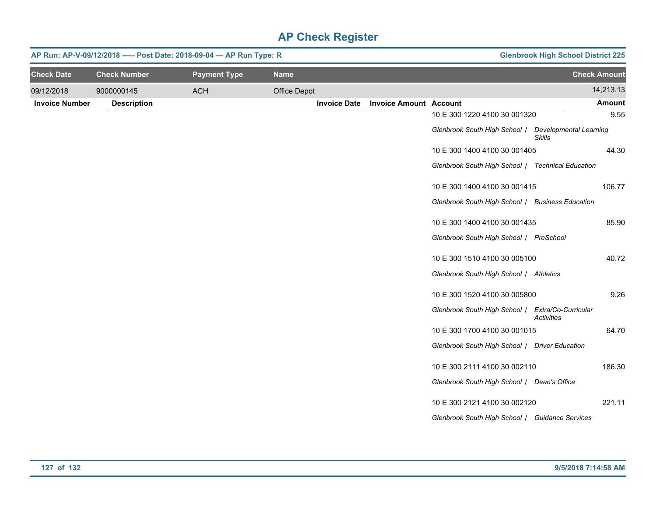|                       | AP Run: AP-V-09/12/2018 ---- Post Date: 2018-09-04 - AP Run Type: R | <b>Glenbrook High School District 225</b> |              |                     |                               |                                                   |                                         |
|-----------------------|---------------------------------------------------------------------|-------------------------------------------|--------------|---------------------|-------------------------------|---------------------------------------------------|-----------------------------------------|
| <b>Check Date</b>     | <b>Check Number</b>                                                 | <b>Payment Type</b>                       | <b>Name</b>  |                     |                               |                                                   | <b>Check Amount</b>                     |
| 09/12/2018            | 9000000145                                                          | <b>ACH</b>                                | Office Depot |                     |                               |                                                   | 14,213.13                               |
| <b>Invoice Number</b> | <b>Description</b>                                                  |                                           |              | <b>Invoice Date</b> | <b>Invoice Amount Account</b> |                                                   | <b>Amount</b>                           |
|                       |                                                                     |                                           |              |                     |                               | 10 E 300 1220 4100 30 001320                      | 9.55                                    |
|                       |                                                                     |                                           |              |                     |                               | Glenbrook South High School /                     | <b>Developmental Learning</b><br>Skills |
|                       |                                                                     |                                           |              |                     |                               | 10 E 300 1400 4100 30 001405                      | 44.30                                   |
|                       |                                                                     |                                           |              |                     |                               | Glenbrook South High School / Technical Education |                                         |
|                       |                                                                     |                                           |              |                     |                               | 10 E 300 1400 4100 30 001415                      | 106.77                                  |
|                       |                                                                     |                                           |              |                     |                               | Glenbrook South High School / Business Education  |                                         |
|                       |                                                                     |                                           |              |                     |                               | 10 E 300 1400 4100 30 001435                      | 85.90                                   |
|                       |                                                                     |                                           |              |                     |                               | Glenbrook South High School   PreSchool           |                                         |
|                       |                                                                     |                                           |              |                     |                               | 10 E 300 1510 4100 30 005100                      | 40.72                                   |
|                       |                                                                     |                                           |              |                     |                               | Glenbrook South High School / Athletics           |                                         |
|                       |                                                                     |                                           |              |                     |                               | 10 E 300 1520 4100 30 005800                      | 9.26                                    |
|                       |                                                                     |                                           |              |                     |                               | Glenbrook South High School   Extra/Co-Curricular | <b>Activities</b>                       |
|                       |                                                                     |                                           |              |                     |                               | 10 E 300 1700 4100 30 001015                      | 64.70                                   |
|                       |                                                                     |                                           |              |                     |                               | Glenbrook South High School / Driver Education    |                                         |
|                       |                                                                     |                                           |              |                     |                               | 10 E 300 2111 4100 30 002110                      | 186.30                                  |
|                       |                                                                     |                                           |              |                     |                               | Glenbrook South High School / Dean's Office       |                                         |
|                       |                                                                     |                                           |              |                     |                               | 10 E 300 2121 4100 30 002120                      | 221.11                                  |
|                       |                                                                     |                                           |              |                     |                               | Glenbrook South High School / Guidance Services   |                                         |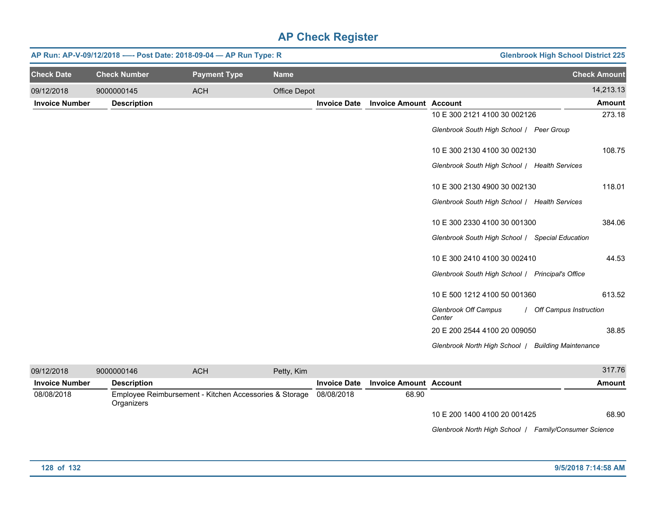|                       |                     | AP Run: AP-V-09/12/2018 ---- Post Date: 2018-09-04 - AP Run Type: R | <b>Glenbrook High School District 225</b> |                               |                                                    |                          |
|-----------------------|---------------------|---------------------------------------------------------------------|-------------------------------------------|-------------------------------|----------------------------------------------------|--------------------------|
| <b>Check Date</b>     | <b>Check Number</b> | <b>Payment Type</b>                                                 | <b>Name</b>                               |                               |                                                    | <b>Check Amount</b>      |
| 09/12/2018            | 9000000145          | <b>ACH</b>                                                          | Office Depot                              |                               |                                                    | 14,213.13                |
| <b>Invoice Number</b> | <b>Description</b>  |                                                                     | <b>Invoice Date</b>                       | <b>Invoice Amount Account</b> |                                                    | <b>Amount</b>            |
|                       |                     |                                                                     |                                           |                               | 10 E 300 2121 4100 30 002126                       | 273.18                   |
|                       |                     |                                                                     |                                           |                               | Glenbrook South High School   Peer Group           |                          |
|                       |                     |                                                                     |                                           |                               | 10 E 300 2130 4100 30 002130                       | 108.75                   |
|                       |                     |                                                                     |                                           |                               | Glenbrook South High School / Health Services      |                          |
|                       |                     |                                                                     |                                           |                               | 10 E 300 2130 4900 30 002130                       | 118.01                   |
|                       |                     |                                                                     |                                           |                               | Glenbrook South High School / Health Services      |                          |
|                       |                     |                                                                     |                                           |                               | 10 E 300 2330 4100 30 001300                       | 384.06                   |
|                       |                     |                                                                     |                                           |                               | Glenbrook South High School / Special Education    |                          |
|                       |                     |                                                                     |                                           |                               | 10 E 300 2410 4100 30 002410                       | 44.53                    |
|                       |                     |                                                                     |                                           |                               | Glenbrook South High School / Principal's Office   |                          |
|                       |                     |                                                                     |                                           |                               | 10 E 500 1212 4100 50 001360                       | 613.52                   |
|                       |                     |                                                                     |                                           |                               | Glenbrook Off Campus<br>Center                     | / Off Campus Instruction |
|                       |                     |                                                                     |                                           |                               | 20 E 200 2544 4100 20 009050                       | 38.85                    |
|                       |                     |                                                                     |                                           |                               | Glenbrook North High School / Building Maintenance |                          |

| 09/12/2018            | 9000000146         | <b>ACH</b>                                                        | Petty, Kim |                     |                               |                              | 317.76                         |
|-----------------------|--------------------|-------------------------------------------------------------------|------------|---------------------|-------------------------------|------------------------------|--------------------------------|
| <b>Invoice Number</b> | <b>Description</b> |                                                                   |            | <b>Invoice Date</b> | <b>Invoice Amount Account</b> |                              | Amount                         |
| 08/08/2018            | Organizers         | Employee Reimbursement - Kitchen Accessories & Storage 08/08/2018 |            |                     | 68.90                         |                              |                                |
|                       |                    |                                                                   |            |                     |                               | 10 E 200 1400 4100 20 001425 | 68.90                          |
|                       |                    |                                                                   |            |                     |                               | Glenbrook North High School  | <b>Family/Consumer Science</b> |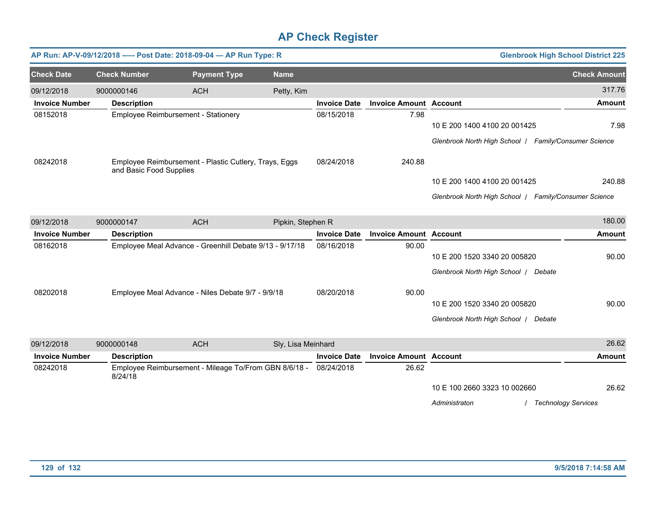|                       |                         | AP Run: AP-V-09/12/2018 ---- Post Date: 2018-09-04 - AP Run Type: R |                    |                     |                               |                                                       | <b>Glenbrook High School District 225</b> |
|-----------------------|-------------------------|---------------------------------------------------------------------|--------------------|---------------------|-------------------------------|-------------------------------------------------------|-------------------------------------------|
| <b>Check Date</b>     | <b>Check Number</b>     | <b>Payment Type</b>                                                 | <b>Name</b>        |                     |                               |                                                       | <b>Check Amount</b>                       |
| 09/12/2018            | 9000000146              | <b>ACH</b>                                                          | Petty, Kim         |                     |                               |                                                       | 317.76                                    |
| <b>Invoice Number</b> | <b>Description</b>      |                                                                     |                    | <b>Invoice Date</b> | <b>Invoice Amount Account</b> |                                                       | <b>Amount</b>                             |
| 08152018              |                         | Employee Reimbursement - Stationery                                 |                    | 08/15/2018          | 7.98                          | 10 E 200 1400 4100 20 001425                          | 7.98                                      |
|                       |                         |                                                                     |                    |                     |                               | Glenbrook North High School   Family/Consumer Science |                                           |
| 08242018              | and Basic Food Supplies | Employee Reimbursement - Plastic Cutlery, Trays, Eggs               |                    | 08/24/2018          | 240.88                        |                                                       |                                           |
|                       |                         |                                                                     |                    |                     |                               | 10 E 200 1400 4100 20 001425                          | 240.88                                    |
|                       |                         |                                                                     |                    |                     |                               | Glenbrook North High School   Family/Consumer Science |                                           |
| 09/12/2018            | 9000000147              | <b>ACH</b>                                                          | Pipkin, Stephen R  |                     |                               |                                                       | 180.00                                    |
| <b>Invoice Number</b> | <b>Description</b>      |                                                                     |                    | <b>Invoice Date</b> | <b>Invoice Amount Account</b> |                                                       | <b>Amount</b>                             |
| 08162018              |                         | Employee Meal Advance - Greenhill Debate 9/13 - 9/17/18             |                    | 08/16/2018          | 90.00                         |                                                       |                                           |
|                       |                         |                                                                     |                    |                     |                               | 10 E 200 1520 3340 20 005820                          | 90.00                                     |
|                       |                         |                                                                     |                    |                     |                               | Glenbrook North High School / Debate                  |                                           |
| 08202018              |                         | Employee Meal Advance - Niles Debate 9/7 - 9/9/18                   |                    | 08/20/2018          | 90.00                         |                                                       |                                           |
|                       |                         |                                                                     |                    |                     |                               | 10 E 200 1520 3340 20 005820                          | 90.00                                     |
|                       |                         |                                                                     |                    |                     |                               | Glenbrook North High School / Debate                  |                                           |
| 09/12/2018            | 9000000148              | <b>ACH</b>                                                          | Sly, Lisa Meinhard |                     |                               |                                                       | 26.62                                     |
| <b>Invoice Number</b> | <b>Description</b>      |                                                                     |                    | <b>Invoice Date</b> | <b>Invoice Amount Account</b> |                                                       | <b>Amount</b>                             |
| 08242018              | 8/24/18                 | Employee Reimbursement - Mileage To/From GBN 8/6/18 - 08/24/2018    |                    |                     | 26.62                         |                                                       |                                           |
|                       |                         |                                                                     |                    |                     |                               | 10 E 100 2660 3323 10 002660                          | 26.62                                     |
|                       |                         |                                                                     |                    |                     |                               | Administraton                                         | <b>Technology Services</b>                |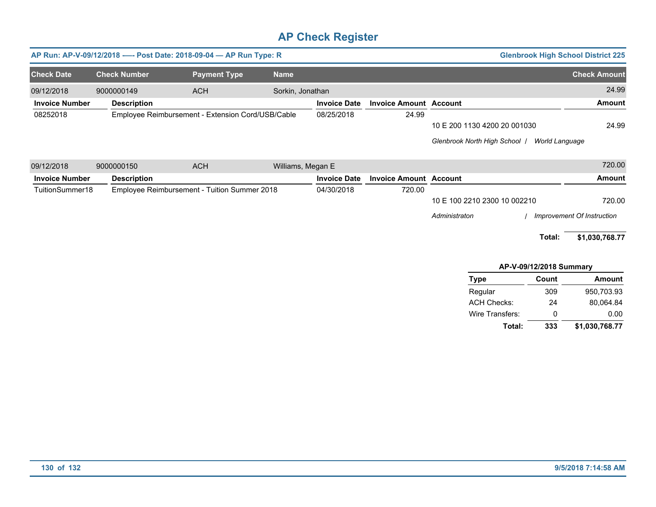|                       |                                                   | AP Run: AP-V-09/12/2018 ---- Post Date: 2018-09-04 - AP Run Type: R |                   |                     |                               | <b>Glenbrook High School District 225</b>            |                     |
|-----------------------|---------------------------------------------------|---------------------------------------------------------------------|-------------------|---------------------|-------------------------------|------------------------------------------------------|---------------------|
| <b>Check Date</b>     | <b>Check Number</b>                               | <b>Payment Type</b>                                                 | <b>Name</b>       |                     |                               |                                                      | <b>Check Amount</b> |
| 09/12/2018            | 9000000149                                        | <b>ACH</b>                                                          | Sorkin, Jonathan  |                     |                               |                                                      | 24.99               |
| <b>Invoice Number</b> | <b>Description</b>                                |                                                                     |                   | <b>Invoice Date</b> | <b>Invoice Amount Account</b> |                                                      | <b>Amount</b>       |
| 08252018              | Employee Reimbursement - Extension Cord/USB/Cable |                                                                     |                   | 08/25/2018          | 24.99                         |                                                      |                     |
|                       |                                                   |                                                                     |                   |                     |                               | 10 E 200 1130 4200 20 001030                         | 24.99               |
|                       |                                                   |                                                                     |                   |                     |                               | <b>Glenbrook North High School</b><br>World Language |                     |
| 09/12/2018            | 9000000150                                        | <b>ACH</b>                                                          | Williams, Megan E |                     |                               |                                                      | 720.00              |
| <b>Invoice Number</b> | <b>Description</b>                                |                                                                     |                   | <b>Invoice Date</b> | <b>Invoice Amount Account</b> |                                                      | <b>Amount</b>       |
| TuitionSummer18       | Employee Reimbursement - Tuition Summer 2018      |                                                                     |                   | 04/30/2018          | 720.00                        |                                                      |                     |
|                       |                                                   |                                                                     |                   |                     |                               | 10 E 100 2210 2300 10 002210                         | 720.00              |

*Administraton* / *Improvement Of Instruction*

**Total: \$1,030,768.77**

#### **Total:** Regular Wire Transfers: ACH Checks: **Type APV09/12/2018 Summary** 309 **Count** 24 0 **333** 950,703.93 80,064.84 **\$1,030,768.77 Amount** 0.00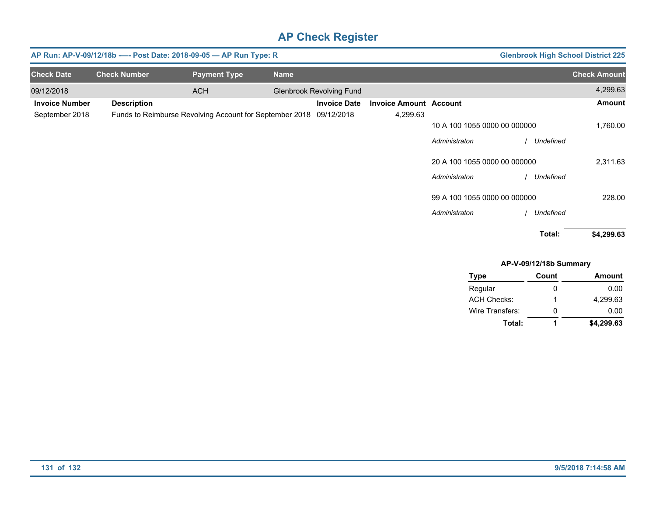|                       |                     | AP Run: AP-V-09/12/18b ---- Post Date: 2018-09-05 - AP Run Type: R |             |                                 |                               |                              | <b>Glenbrook High School District 225</b> |                     |
|-----------------------|---------------------|--------------------------------------------------------------------|-------------|---------------------------------|-------------------------------|------------------------------|-------------------------------------------|---------------------|
| <b>Check Date</b>     | <b>Check Number</b> | <b>Payment Type</b>                                                | <b>Name</b> |                                 |                               |                              |                                           | <b>Check Amount</b> |
| 09/12/2018            |                     | <b>ACH</b>                                                         |             | <b>Glenbrook Revolving Fund</b> |                               |                              |                                           | 4,299.63            |
| <b>Invoice Number</b> | <b>Description</b>  |                                                                    |             | <b>Invoice Date</b>             | <b>Invoice Amount Account</b> |                              |                                           | <b>Amount</b>       |
| September 2018        |                     | Funds to Reimburse Revolving Account for September 2018            |             | 09/12/2018                      | 4,299.63                      |                              |                                           |                     |
|                       |                     |                                                                    |             |                                 |                               | 10 A 100 1055 0000 00 000000 |                                           | 1,760.00            |
|                       |                     |                                                                    |             |                                 |                               | Administraton                | Undefined                                 |                     |
|                       |                     |                                                                    |             |                                 |                               | 20 A 100 1055 0000 00 000000 |                                           | 2,311.63            |
|                       |                     |                                                                    |             |                                 |                               | Administraton                | Undefined                                 |                     |
|                       |                     |                                                                    |             |                                 |                               | 99 A 100 1055 0000 00 000000 |                                           | 228.00              |
|                       |                     |                                                                    |             |                                 |                               | Administraton                | Undefined                                 |                     |
|                       |                     |                                                                    |             |                                 |                               |                              | Total:                                    | \$4,299.63          |

| AP-V-09/12/18b Summary |       |               |  |  |  |
|------------------------|-------|---------------|--|--|--|
| <b>Type</b>            | Count | <b>Amount</b> |  |  |  |
| Regular                | 0     | 0.00          |  |  |  |
| <b>ACH Checks:</b>     | 1     | 4.299.63      |  |  |  |
| Wire Transfers:        | 0     | 0.00          |  |  |  |
| Total:                 | 1     | \$4,299.63    |  |  |  |